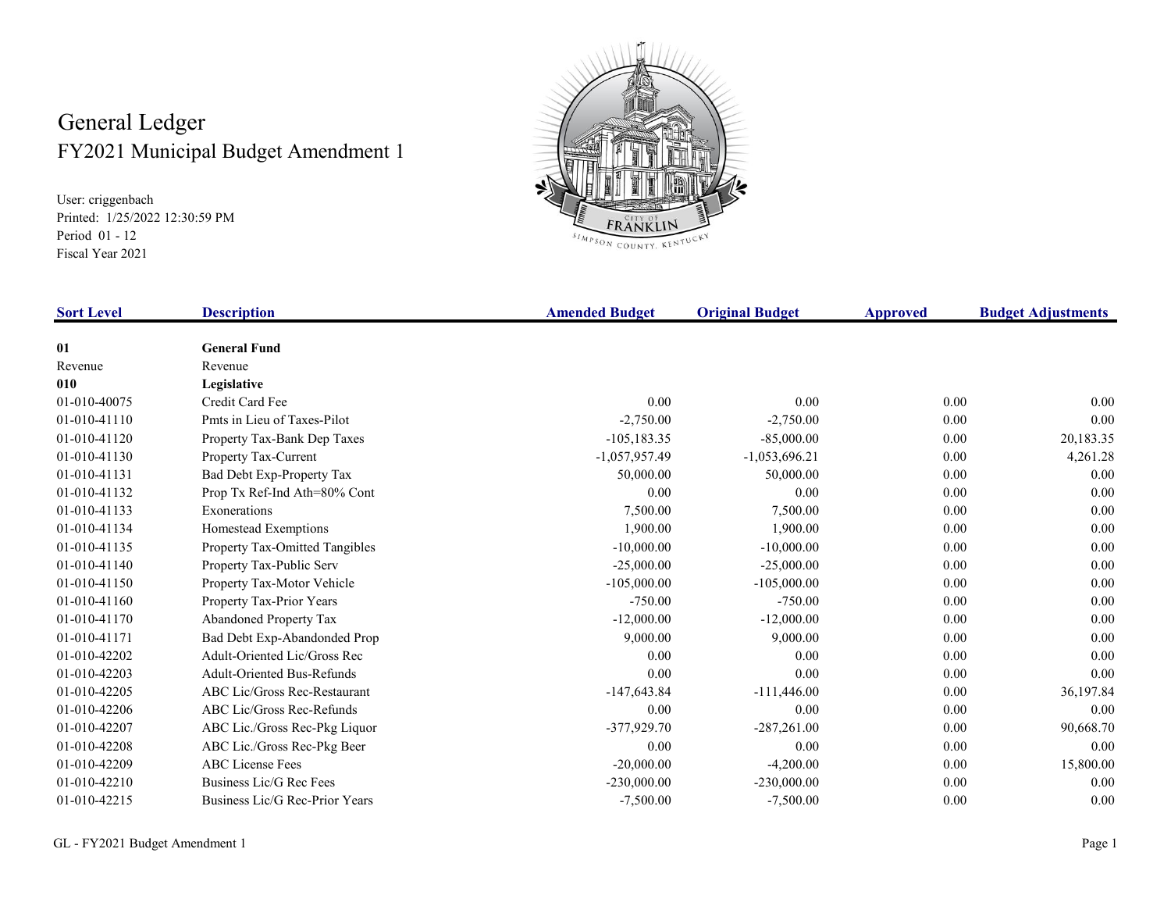## General Ledger FY2021 Municipal Budget Amendment 1

User: criggenbach Printed: 1/25/2022 12:30:59 PM Period 01 - 12 Fiscal Year 2021



| <b>Sort Level</b> | <b>Description</b>                  | <b>Amended Budget</b> | <b>Original Budget</b> | Approved | <b>Budget Adjustments</b> |
|-------------------|-------------------------------------|-----------------------|------------------------|----------|---------------------------|
| 01                | <b>General Fund</b>                 |                       |                        |          |                           |
| Revenue           | Revenue                             |                       |                        |          |                           |
| 010               | Legislative                         |                       |                        |          |                           |
| 01-010-40075      | Credit Card Fee                     | 0.00                  | 0.00                   | 0.00     | 0.00                      |
| 01-010-41110      | Pmts in Lieu of Taxes-Pilot         | $-2,750.00$           | $-2,750.00$            | 0.00     | 0.00                      |
| 01-010-41120      | Property Tax-Bank Dep Taxes         | $-105, 183.35$        | $-85,000.00$           | 0.00     | 20,183.35                 |
| 01-010-41130      | Property Tax-Current                | $-1,057,957.49$       | $-1,053,696.21$        | 0.00     | 4,261.28                  |
| 01-010-41131      | Bad Debt Exp-Property Tax           | 50,000.00             | 50,000.00              | 0.00     | 0.00                      |
| 01-010-41132      | Prop Tx Ref-Ind Ath=80% Cont        | 0.00                  | 0.00                   | 0.00     | 0.00                      |
| 01-010-41133      | Exonerations                        | 7,500.00              | 7,500.00               | 0.00     | 0.00                      |
| 01-010-41134      | Homestead Exemptions                | 1.900.00              | 1,900.00               | 0.00     | 0.00                      |
| 01-010-41135      | Property Tax-Omitted Tangibles      | $-10,000.00$          | $-10,000.00$           | 0.00     | 0.00                      |
| 01-010-41140      | Property Tax-Public Serv            | $-25,000.00$          | $-25,000.00$           | 0.00     | 0.00                      |
| 01-010-41150      | Property Tax-Motor Vehicle          | $-105,000.00$         | $-105,000.00$          | 0.00     | 0.00                      |
| 01-010-41160      | Property Tax-Prior Years            | $-750.00$             | $-750.00$              | 0.00     | 0.00                      |
| 01-010-41170      | Abandoned Property Tax              | $-12,000.00$          | $-12,000.00$           | 0.00     | 0.00                      |
| 01-010-41171      | Bad Debt Exp-Abandonded Prop        | 9,000.00              | 9,000.00               | 0.00     | 0.00                      |
| 01-010-42202      | Adult-Oriented Lic/Gross Rec        | 0.00                  | 0.00                   | 0.00     | 0.00                      |
| 01-010-42203      | <b>Adult-Oriented Bus-Refunds</b>   | 0.00                  | 0.00                   | 0.00     | 0.00                      |
| 01-010-42205      | <b>ABC Lic/Gross Rec-Restaurant</b> | $-147,643.84$         | $-111,446.00$          | 0.00     | 36,197.84                 |
| 01-010-42206      | ABC Lic/Gross Rec-Refunds           | 0.00                  | 0.00                   | 0.00     | 0.00                      |
| 01-010-42207      | ABC Lic./Gross Rec-Pkg Liquor       | $-377,929.70$         | $-287,261.00$          | 0.00     | 90,668.70                 |
| 01-010-42208      | ABC Lic./Gross Rec-Pkg Beer         | 0.00                  | 0.00                   | 0.00     | 0.00                      |
| 01-010-42209      | <b>ABC</b> License Fees             | $-20,000.00$          | $-4,200.00$            | 0.00     | 15,800.00                 |
| 01-010-42210      | Business Lic/G Rec Fees             | $-230,000.00$         | $-230,000.00$          | 0.00     | 0.00                      |
| 01-010-42215      | Business Lic/G Rec-Prior Years      | $-7,500.00$           | $-7,500.00$            | 0.00     | 0.00                      |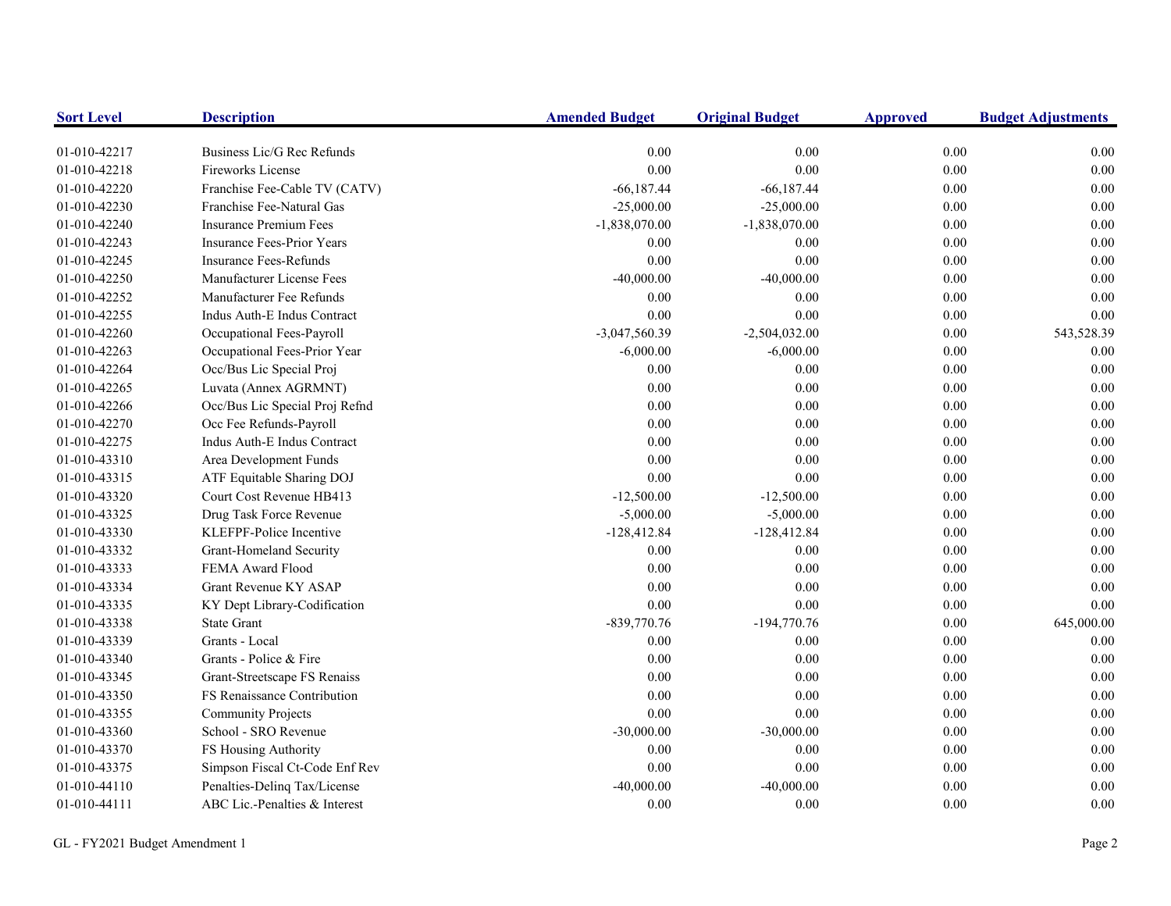| <b>Sort Level</b> | <b>Description</b>                | <b>Amended Budget</b> | <b>Original Budget</b> | <b>Approved</b> | <b>Budget Adjustments</b> |
|-------------------|-----------------------------------|-----------------------|------------------------|-----------------|---------------------------|
| 01-010-42217      | Business Lic/G Rec Refunds        | 0.00                  | 0.00                   | 0.00            | 0.00                      |
| 01-010-42218      | <b>Fireworks License</b>          | 0.00                  | $0.00\,$               | 0.00            | 0.00                      |
| 01-010-42220      | Franchise Fee-Cable TV (CATV)     | $-66,187.44$          | $-66,187.44$           | 0.00            | $0.00\,$                  |
| 01-010-42230      | Franchise Fee-Natural Gas         | $-25,000.00$          | $-25,000.00$           | 0.00            | $0.00\,$                  |
| 01-010-42240      | <b>Insurance Premium Fees</b>     | $-1,838,070.00$       | $-1,838,070.00$        | 0.00            | 0.00                      |
| 01-010-42243      | <b>Insurance Fees-Prior Years</b> | 0.00                  | 0.00                   | 0.00            | 0.00                      |
| 01-010-42245      | <b>Insurance Fees-Refunds</b>     | 0.00                  | 0.00                   | 0.00            | 0.00                      |
| 01-010-42250      | Manufacturer License Fees         | $-40,000.00$          | $-40,000.00$           | 0.00            | $0.00\,$                  |
| 01-010-42252      | Manufacturer Fee Refunds          | 0.00                  | 0.00                   | 0.00            | 0.00                      |
| 01-010-42255      | Indus Auth-E Indus Contract       | 0.00                  | $0.00\,$               | 0.00            | $0.00\,$                  |
| 01-010-42260      | Occupational Fees-Payroll         | -3,047,560.39         | $-2,504,032.00$        | 0.00            | 543,528.39                |
| 01-010-42263      | Occupational Fees-Prior Year      | $-6,000.00$           | $-6,000.00$            | 0.00            | 0.00                      |
| 01-010-42264      | Occ/Bus Lic Special Proj          | 0.00                  | 0.00                   | 0.00            | $0.00\,$                  |
| 01-010-42265      | Luvata (Annex AGRMNT)             | 0.00                  | $0.00\,$               | 0.00            | $0.00\,$                  |
| 01-010-42266      | Occ/Bus Lic Special Proj Refnd    | 0.00                  | 0.00                   | 0.00            | 0.00                      |
| 01-010-42270      | Occ Fee Refunds-Payroll           | 0.00                  | $0.00\,$               | 0.00            | 0.00                      |
| 01-010-42275      | Indus Auth-E Indus Contract       | 0.00                  | 0.00                   | 0.00            | $0.00\,$                  |
| 01-010-43310      | Area Development Funds            | 0.00                  | 0.00                   | 0.00            | $0.00\,$                  |
| 01-010-43315      | ATF Equitable Sharing DOJ         | 0.00                  | 0.00                   | 0.00            | 0.00                      |
| 01-010-43320      | Court Cost Revenue HB413          | $-12,500.00$          | $-12,500.00$           | 0.00            | $0.00\,$                  |
| 01-010-43325      | Drug Task Force Revenue           | $-5,000.00$           | $-5,000.00$            | 0.00            | $0.00\,$                  |
| 01-010-43330      | KLEFPF-Police Incentive           | $-128,412.84$         | $-128,412.84$          | 0.00            | $0.00\,$                  |
| 01-010-43332      | <b>Grant-Homeland Security</b>    | 0.00                  | 0.00                   | $0.00\,$        | $0.00\,$                  |
| 01-010-43333      | FEMA Award Flood                  | 0.00                  | 0.00                   | 0.00            | 0.00                      |
| 01-010-43334      | Grant Revenue KY ASAP             | 0.00                  | $0.00\,$               | 0.00            | 0.00                      |
| 01-010-43335      | KY Dept Library-Codification      | 0.00                  | 0.00                   | 0.00            | 0.00                      |
| 01-010-43338      | <b>State Grant</b>                | $-839,770.76$         | $-194,770.76$          | 0.00            | 645,000.00                |
| 01-010-43339      | Grants - Local                    | 0.00                  | 0.00                   | 0.00            | 0.00                      |
| 01-010-43340      | Grants - Police & Fire            | 0.00                  | 0.00                   | 0.00            | $0.00\,$                  |
| 01-010-43345      | Grant-Streetscape FS Renaiss      | 0.00                  | 0.00                   | 0.00            | $0.00\,$                  |
| 01-010-43350      | FS Renaissance Contribution       | 0.00                  | 0.00                   | 0.00            | 0.00                      |
| 01-010-43355      | <b>Community Projects</b>         | 0.00                  | 0.00                   | 0.00            | 0.00                      |
| 01-010-43360      | School - SRO Revenue              | $-30,000.00$          | $-30,000.00$           | 0.00            | $0.00\,$                  |
| 01-010-43370      | FS Housing Authority              | 0.00                  | $0.00\,$               | 0.00            | 0.00                      |
| 01-010-43375      | Simpson Fiscal Ct-Code Enf Rev    | 0.00                  | $0.00\,$               | 0.00            | $0.00\,$                  |
| 01-010-44110      | Penalties-Delinq Tax/License      | $-40,000.00$          | $-40,000.00$           | 0.00            | $0.00\,$                  |
| 01-010-44111      | ABC Lic.-Penalties & Interest     | 0.00                  | 0.00                   | 0.00            | 0.00                      |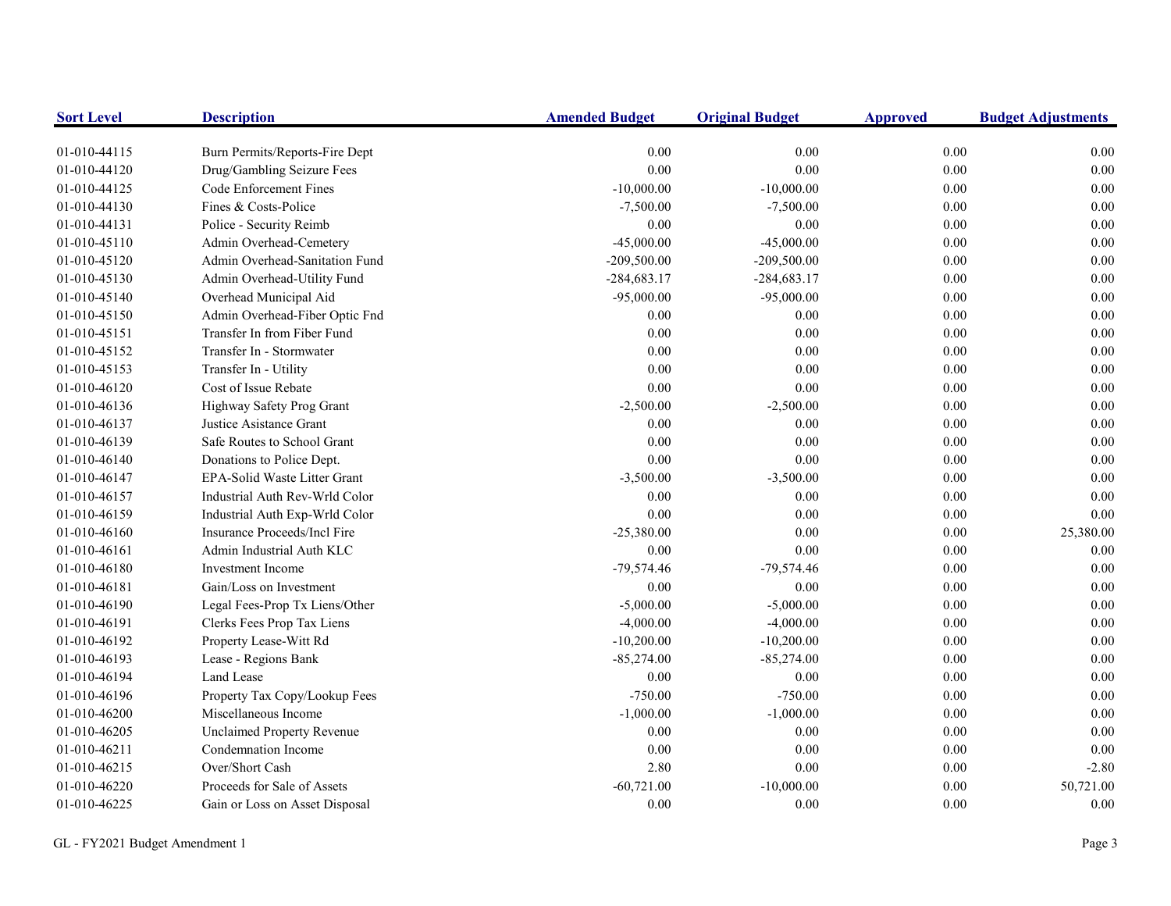| <b>Sort Level</b> | <b>Description</b>                | <b>Amended Budget</b> | <b>Original Budget</b> | <b>Approved</b> | <b>Budget Adjustments</b> |
|-------------------|-----------------------------------|-----------------------|------------------------|-----------------|---------------------------|
| 01-010-44115      | Burn Permits/Reports-Fire Dept    | 0.00                  | 0.00                   | $0.00\,$        | 0.00                      |
| 01-010-44120      | Drug/Gambling Seizure Fees        | 0.00                  | 0.00                   | 0.00            | 0.00                      |
| 01-010-44125      | Code Enforcement Fines            | $-10,000.00$          | $-10,000.00$           | $0.00\,$        | 0.00                      |
| 01-010-44130      | Fines & Costs-Police              | $-7,500.00$           | $-7,500.00$            | $0.00\,$        | $0.00\,$                  |
| 01-010-44131      | Police - Security Reimb           | 0.00                  | 0.00                   | 0.00            | 0.00                      |
| 01-010-45110      | Admin Overhead-Cemetery           | $-45,000.00$          | $-45,000.00$           | $0.00\,$        | 0.00                      |
| 01-010-45120      | Admin Overhead-Sanitation Fund    | $-209,500.00$         | $-209,500.00$          | $0.00\,$        | 0.00                      |
| 01-010-45130      | Admin Overhead-Utility Fund       | $-284,683.17$         | $-284,683.17$          | $0.00\,$        | 0.00                      |
| 01-010-45140      | Overhead Municipal Aid            | $-95,000.00$          | $-95,000.00$           | $0.00\,$        | 0.00                      |
| 01-010-45150      | Admin Overhead-Fiber Optic Fnd    | 0.00                  | 0.00                   | $0.00\,$        | 0.00                      |
| 01-010-45151      | Transfer In from Fiber Fund       | 0.00                  | 0.00                   | 0.00            | 0.00                      |
| 01-010-45152      | Transfer In - Stormwater          | 0.00                  | 0.00                   | $0.00\,$        | 0.00                      |
| 01-010-45153      | Transfer In - Utility             | 0.00                  | 0.00                   | 0.00            | 0.00                      |
| 01-010-46120      | Cost of Issue Rebate              | $0.00\,$              | 0.00                   | 0.00            | 0.00                      |
| 01-010-46136      | Highway Safety Prog Grant         | $-2,500.00$           | $-2,500.00$            | 0.00            | 0.00                      |
| 01-010-46137      | Justice Asistance Grant           | 0.00                  | 0.00                   | 0.00            | 0.00                      |
| 01-010-46139      | Safe Routes to School Grant       | 0.00                  | 0.00                   | 0.00            | $0.00\,$                  |
| 01-010-46140      | Donations to Police Dept.         | 0.00                  | 0.00                   | 0.00            | 0.00                      |
| 01-010-46147      | EPA-Solid Waste Litter Grant      | $-3,500.00$           | $-3,500.00$            | $0.00\,$        | 0.00                      |
| 01-010-46157      | Industrial Auth Rev-Wrld Color    | $0.00\,$              | 0.00                   | $0.00\,$        | 0.00                      |
| 01-010-46159      | Industrial Auth Exp-Wrld Color    | 0.00                  | 0.00                   | $0.00\,$        | 0.00                      |
| 01-010-46160      | Insurance Proceeds/Incl Fire      | $-25,380.00$          | 0.00                   | $0.00\,$        | 25,380.00                 |
| 01-010-46161      | Admin Industrial Auth KLC         | $0.00\,$              | 0.00                   | $0.00\,$        | 0.00                      |
| 01-010-46180      | <b>Investment Income</b>          | $-79,574.46$          | $-79,574.46$           | $0.00\,$        | 0.00                      |
| 01-010-46181      | Gain/Loss on Investment           | 0.00                  | 0.00                   | $0.00\,$        | 0.00                      |
| 01-010-46190      | Legal Fees-Prop Tx Liens/Other    | $-5,000.00$           | $-5,000.00$            | $0.00\,$        | 0.00                      |
| 01-010-46191      | Clerks Fees Prop Tax Liens        | $-4,000.00$           | $-4,000.00$            | 0.00            | 0.00                      |
| 01-010-46192      | Property Lease-Witt Rd            | $-10,200.00$          | $-10,200.00$           | 0.00            | 0.00                      |
| 01-010-46193      | Lease - Regions Bank              | $-85,274.00$          | $-85,274.00$           | 0.00            | $0.00\,$                  |
| 01-010-46194      | Land Lease                        | 0.00                  | 0.00                   | 0.00            | 0.00                      |
| 01-010-46196      | Property Tax Copy/Lookup Fees     | $-750.00$             | $-750.00$              | $0.00\,$        | 0.00                      |
| 01-010-46200      | Miscellaneous Income              | $-1,000.00$           | $-1,000.00$            | $0.00\,$        | 0.00                      |
| 01-010-46205      | <b>Unclaimed Property Revenue</b> | 0.00                  | 0.00                   | 0.00            | 0.00                      |
| 01-010-46211      | Condemnation Income               | 0.00                  | 0.00                   | 0.00            | 0.00                      |
| 01-010-46215      | Over/Short Cash                   | 2.80                  | 0.00                   | $0.00\,$        | $-2.80$                   |
| 01-010-46220      | Proceeds for Sale of Assets       | $-60,721.00$          | $-10,000.00$           | $0.00\,$        | 50,721.00                 |
| 01-010-46225      | Gain or Loss on Asset Disposal    | 0.00                  | 0.00                   | 0.00            | 0.00                      |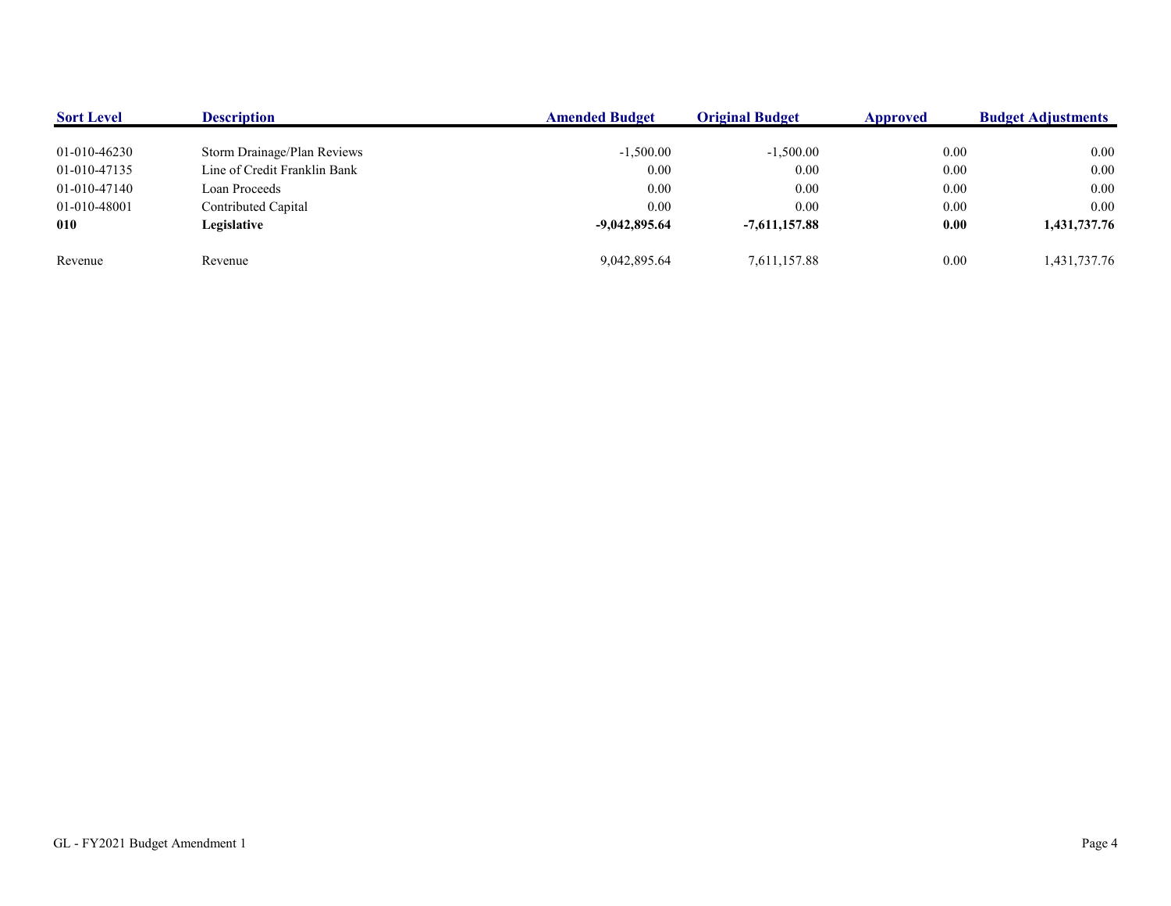| <b>Sort Level</b> | <b>Description</b>           | <b>Amended Budget</b> | <b>Original Budget</b> | Approved | <b>Budget Adjustments</b> |
|-------------------|------------------------------|-----------------------|------------------------|----------|---------------------------|
|                   |                              |                       |                        |          |                           |
| 01-010-46230      | Storm Drainage/Plan Reviews  | $-1,500.00$           | $-1,500.00$            | 0.00     | 0.00                      |
| 01-010-47135      | Line of Credit Franklin Bank | 0.00                  | 0.00                   | 0.00     | 0.00                      |
| 01-010-47140      | Loan Proceeds                | 0.00                  | 0.00                   | 0.00     | 0.00                      |
| 01-010-48001      | Contributed Capital          | 0.00                  | 0.00                   | 0.00     | 0.00                      |
| 010               | Legislative                  | $-9,042,895.64$       | $-7.611.157.88$        | 0.00     | 1,431,737.76              |
|                   |                              |                       |                        |          |                           |
| Revenue           | Revenue                      | 9,042,895.64          | 7,611,157.88           | 0.00     | 1,431,737.76              |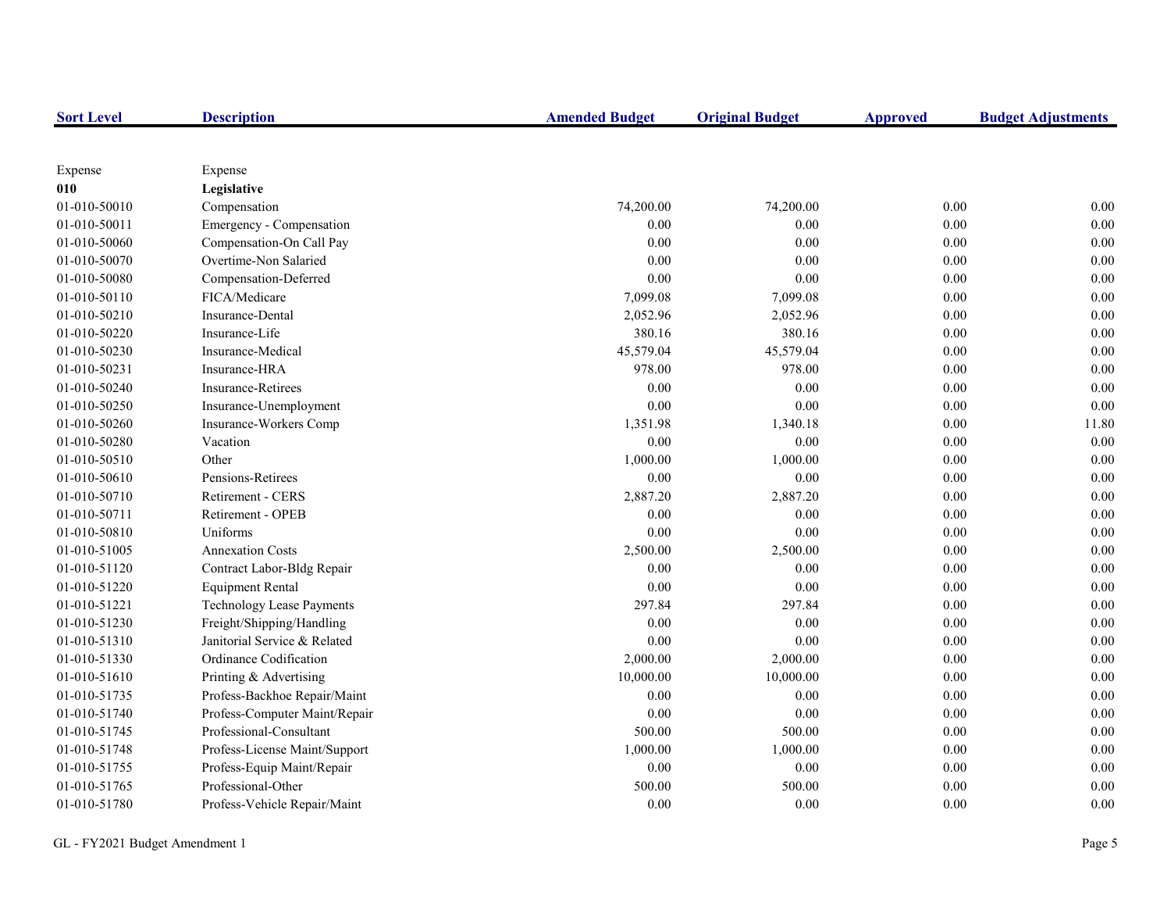| <b>Sort Level</b> | <b>Description</b>            | <b>Amended Budget</b> | <b>Original Budget</b> | <b>Approved</b> | <b>Budget Adjustments</b> |
|-------------------|-------------------------------|-----------------------|------------------------|-----------------|---------------------------|
|                   |                               |                       |                        |                 |                           |
| Expense           | Expense                       |                       |                        |                 |                           |
| 010               | Legislative                   |                       |                        |                 |                           |
| 01-010-50010      | Compensation                  | 74,200.00             | 74,200.00              | 0.00            | 0.00                      |
| 01-010-50011      | Emergency - Compensation      | 0.00                  | 0.00                   | 0.00            | 0.00                      |
| 01-010-50060      | Compensation-On Call Pay      | 0.00                  | 0.00                   | 0.00            | 0.00                      |
| 01-010-50070      | Overtime-Non Salaried         | 0.00                  | 0.00                   | 0.00            | 0.00                      |
| 01-010-50080      | Compensation-Deferred         | 0.00                  | 0.00                   | 0.00            | 0.00                      |
| 01-010-50110      | FICA/Medicare                 | 7,099.08              | 7,099.08               | 0.00            | 0.00                      |
| 01-010-50210      | Insurance-Dental              | 2,052.96              | 2,052.96               | 0.00            | 0.00                      |
| 01-010-50220      | Insurance-Life                | 380.16                | 380.16                 | 0.00            | 0.00                      |
| 01-010-50230      | Insurance-Medical             | 45,579.04             | 45,579.04              | 0.00            | 0.00                      |
| 01-010-50231      | Insurance-HRA                 | 978.00                | 978.00                 | 0.00            | 0.00                      |
| 01-010-50240      | Insurance-Retirees            | $0.00\,$              | 0.00                   | $0.00\,$        | 0.00                      |
| 01-010-50250      | Insurance-Unemployment        | 0.00                  | 0.00                   | 0.00            | 0.00                      |
| 01-010-50260      | Insurance-Workers Comp        | 1,351.98              | 1,340.18               | 0.00            | 11.80                     |
| 01-010-50280      | Vacation                      | 0.00                  | 0.00                   | 0.00            | 0.00                      |
| 01-010-50510      | Other                         | 1,000.00              | 1,000.00               | 0.00            | 0.00                      |
| 01-010-50610      | Pensions-Retirees             | 0.00                  | 0.00                   | 0.00            | 0.00                      |
| 01-010-50710      | Retirement - CERS             | 2,887.20              | 2,887.20               | 0.00            | 0.00                      |
| 01-010-50711      | Retirement - OPEB             | 0.00                  | 0.00                   | 0.00            | 0.00                      |
| 01-010-50810      | Uniforms                      | 0.00                  | 0.00                   | 0.00            | 0.00                      |
| 01-010-51005      | <b>Annexation Costs</b>       | 2,500.00              | 2,500.00               | 0.00            | 0.00                      |
| 01-010-51120      | Contract Labor-Bldg Repair    | 0.00                  | 0.00                   | $0.00\,$        | 0.00                      |
| 01-010-51220      | <b>Equipment Rental</b>       | $0.00\,$              | 0.00                   | $0.00\,$        | 0.00                      |
| 01-010-51221      | Technology Lease Payments     | 297.84                | 297.84                 | 0.00            | 0.00                      |
| 01-010-51230      | Freight/Shipping/Handling     | 0.00                  | 0.00                   | 0.00            | 0.00                      |
| 01-010-51310      | Janitorial Service & Related  | 0.00                  | 0.00                   | 0.00            | 0.00                      |
| 01-010-51330      | Ordinance Codification        | 2,000.00              | 2,000.00               | 0.00            | 0.00                      |
| 01-010-51610      | Printing & Advertising        | 10,000.00             | 10,000.00              | 0.00            | 0.00                      |
| 01-010-51735      | Profess-Backhoe Repair/Maint  | 0.00                  | 0.00                   | 0.00            | 0.00                      |
| 01-010-51740      | Profess-Computer Maint/Repair | 0.00                  | 0.00                   | 0.00            | 0.00                      |
| 01-010-51745      | Professional-Consultant       | 500.00                | 500.00                 | 0.00            | 0.00                      |
| 01-010-51748      | Profess-License Maint/Support | 1,000.00              | 1,000.00               | 0.00            | 0.00                      |
| 01-010-51755      | Profess-Equip Maint/Repair    | $0.00\,$              | 0.00                   | $0.00\,$        | 0.00                      |
| 01-010-51765      | Professional-Other            | 500.00                | 500.00                 | 0.00            | 0.00                      |
| 01-010-51780      | Profess-Vehicle Repair/Maint  | 0.00                  | 0.00                   | 0.00            | 0.00                      |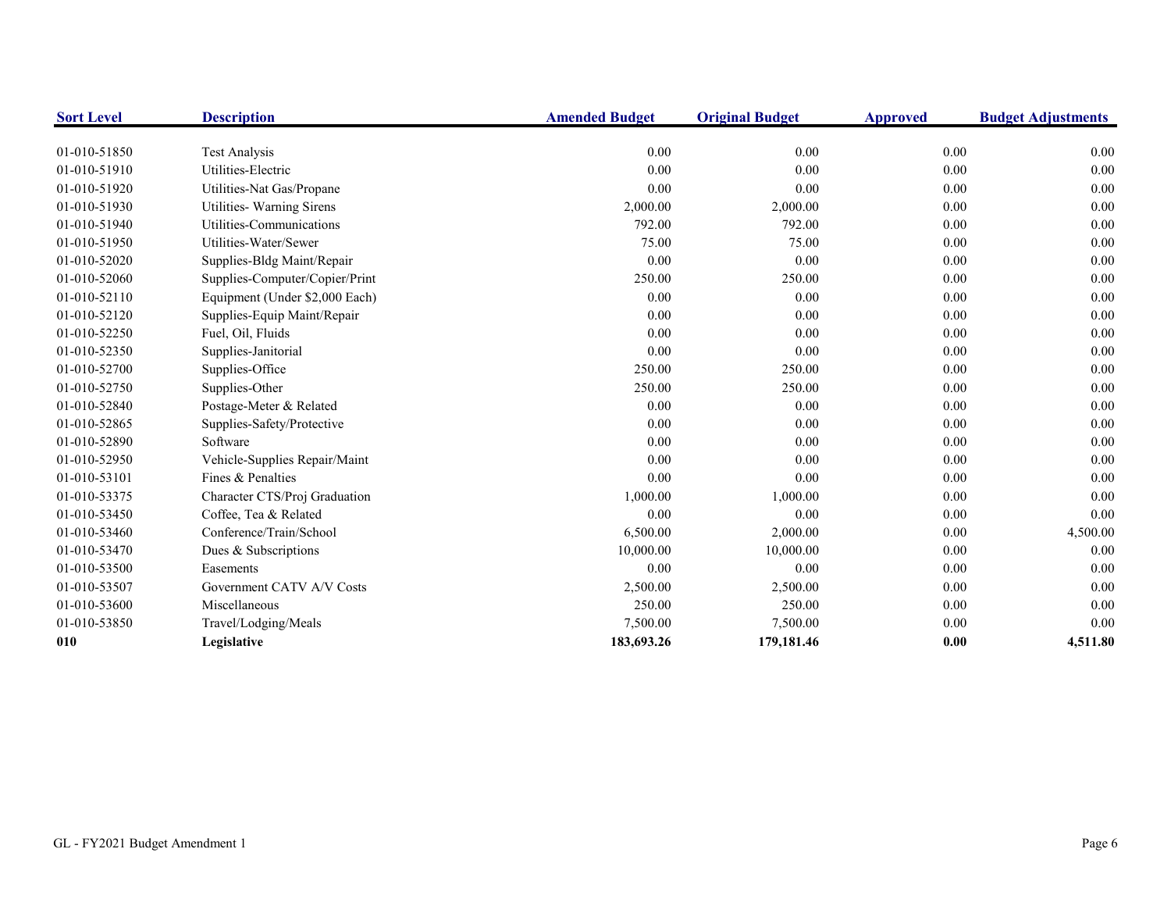| <b>Sort Level</b> | <b>Description</b>             | <b>Amended Budget</b> | <b>Original Budget</b> | <b>Approved</b> | <b>Budget Adjustments</b> |
|-------------------|--------------------------------|-----------------------|------------------------|-----------------|---------------------------|
|                   |                                |                       |                        |                 |                           |
| 01-010-51850      | <b>Test Analysis</b>           | 0.00                  | 0.00                   | 0.00            | 0.00                      |
| 01-010-51910      | Utilities-Electric             | 0.00                  | 0.00                   | 0.00            | 0.00                      |
| 01-010-51920      | Utilities-Nat Gas/Propane      | 0.00                  | 0.00                   | 0.00            | 0.00                      |
| 01-010-51930      | Utilities- Warning Sirens      | 2,000.00              | 2,000.00               | 0.00            | 0.00                      |
| 01-010-51940      | Utilities-Communications       | 792.00                | 792.00                 | 0.00            | 0.00                      |
| 01-010-51950      | Utilities-Water/Sewer          | 75.00                 | 75.00                  | 0.00            | 0.00                      |
| 01-010-52020      | Supplies-Bldg Maint/Repair     | 0.00                  | 0.00                   | 0.00            | 0.00                      |
| 01-010-52060      | Supplies-Computer/Copier/Print | 250.00                | 250.00                 | 0.00            | 0.00                      |
| 01-010-52110      | Equipment (Under \$2,000 Each) | 0.00                  | 0.00                   | 0.00            | 0.00                      |
| 01-010-52120      | Supplies-Equip Maint/Repair    | 0.00                  | 0.00                   | 0.00            | 0.00                      |
| 01-010-52250      | Fuel, Oil, Fluids              | 0.00                  | 0.00                   | 0.00            | 0.00                      |
| 01-010-52350      | Supplies-Janitorial            | 0.00                  | 0.00                   | 0.00            | 0.00                      |
| 01-010-52700      | Supplies-Office                | 250.00                | 250.00                 | 0.00            | 0.00                      |
| 01-010-52750      | Supplies-Other                 | 250.00                | 250.00                 | 0.00            | 0.00                      |
| 01-010-52840      | Postage-Meter & Related        | 0.00                  | 0.00                   | 0.00            | 0.00                      |
| 01-010-52865      | Supplies-Safety/Protective     | 0.00                  | 0.00                   | 0.00            | 0.00                      |
| 01-010-52890      | Software                       | 0.00                  | 0.00                   | 0.00            | 0.00                      |
| 01-010-52950      | Vehicle-Supplies Repair/Maint  | 0.00                  | 0.00                   | 0.00            | 0.00                      |
| 01-010-53101      | Fines & Penalties              | 0.00                  | 0.00                   | 0.00            | 0.00                      |
| 01-010-53375      | Character CTS/Proj Graduation  | 1,000.00              | 1,000.00               | 0.00            | 0.00                      |
| 01-010-53450      | Coffee, Tea & Related          | 0.00                  | 0.00                   | 0.00            | 0.00                      |
| 01-010-53460      | Conference/Train/School        | 6,500.00              | 2,000.00               | 0.00            | 4,500.00                  |
| 01-010-53470      | Dues & Subscriptions           | 10,000.00             | 10,000.00              | 0.00            | 0.00                      |
| 01-010-53500      | Easements                      | 0.00                  | 0.00                   | 0.00            | 0.00                      |
| 01-010-53507      | Government CATV A/V Costs      | 2,500.00              | 2,500.00               | 0.00            | 0.00                      |
| 01-010-53600      | Miscellaneous                  | 250.00                | 250.00                 | 0.00            | 0.00                      |
| 01-010-53850      | Travel/Lodging/Meals           | 7,500.00              | 7,500.00               | 0.00            | 0.00                      |
| 010               | Legislative                    | 183,693.26            | 179,181.46             | 0.00            | 4,511.80                  |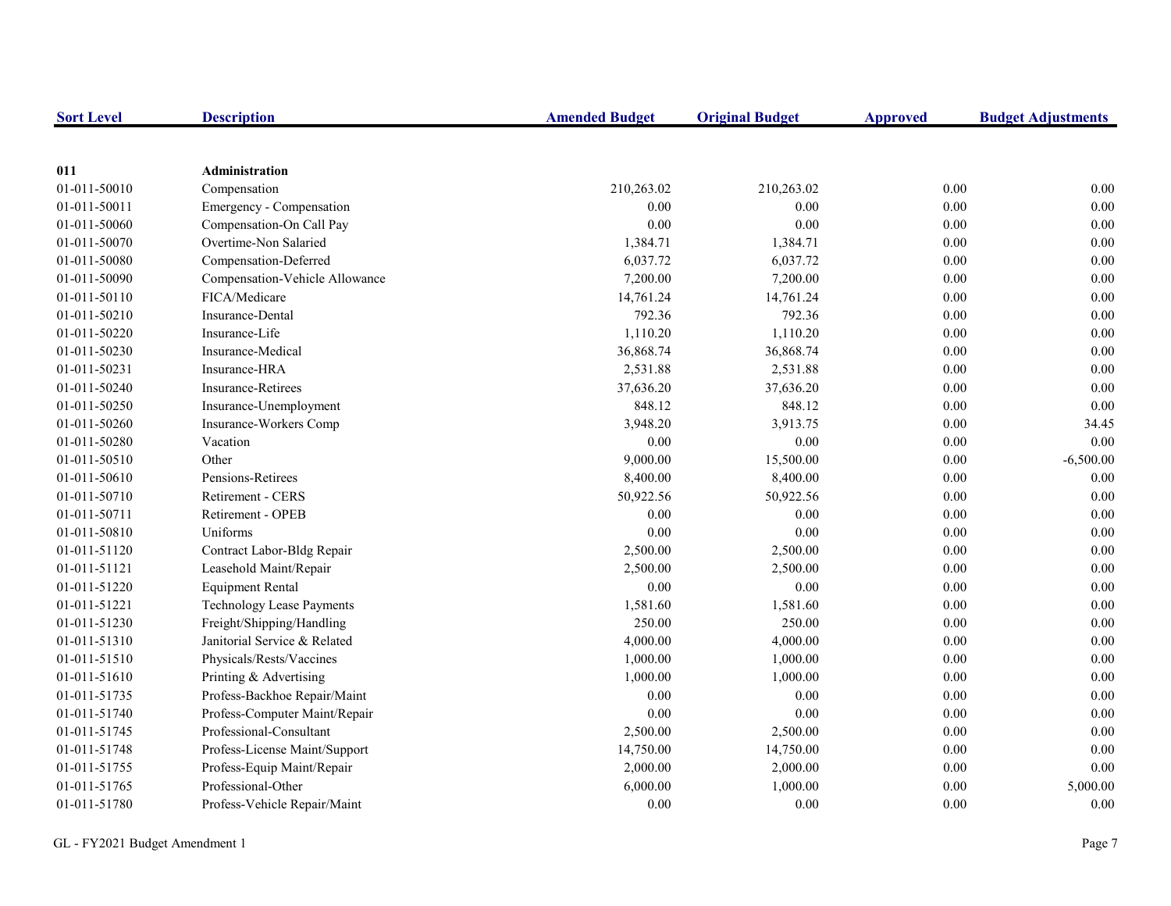| <b>Sort Level</b> | <b>Description</b>               | <b>Amended Budget</b> | <b>Original Budget</b> | <b>Approved</b> | <b>Budget Adjustments</b> |
|-------------------|----------------------------------|-----------------------|------------------------|-----------------|---------------------------|
|                   |                                  |                       |                        |                 |                           |
| 011               | <b>Administration</b>            |                       |                        |                 |                           |
| 01-011-50010      | Compensation                     | 210,263.02            | 210,263.02             | 0.00            | 0.00                      |
| 01-011-50011      | Emergency - Compensation         | 0.00                  | 0.00                   | 0.00            | 0.00                      |
| 01-011-50060      | Compensation-On Call Pay         | $0.00\,$              | 0.00                   | 0.00            | 0.00                      |
| 01-011-50070      | Overtime-Non Salaried            | 1,384.71              | 1,384.71               | 0.00            | 0.00                      |
| 01-011-50080      | Compensation-Deferred            | 6,037.72              | 6,037.72               | 0.00            | 0.00                      |
| 01-011-50090      | Compensation-Vehicle Allowance   | 7,200.00              | 7,200.00               | 0.00            | 0.00                      |
| 01-011-50110      | FICA/Medicare                    | 14,761.24             | 14,761.24              | 0.00            | 0.00                      |
| 01-011-50210      | Insurance-Dental                 | 792.36                | 792.36                 | 0.00            | 0.00                      |
| 01-011-50220      | Insurance-Life                   | 1,110.20              | 1,110.20               | 0.00            | 0.00                      |
| 01-011-50230      | Insurance-Medical                | 36,868.74             | 36,868.74              | $0.00\,$        | 0.00                      |
| 01-011-50231      | Insurance-HRA                    | 2,531.88              | 2,531.88               | 0.00            | 0.00                      |
| 01-011-50240      | <b>Insurance-Retirees</b>        | 37,636.20             | 37,636.20              | 0.00            | 0.00                      |
| 01-011-50250      | Insurance-Unemployment           | 848.12                | 848.12                 | 0.00            | 0.00                      |
| 01-011-50260      | Insurance-Workers Comp           | 3,948.20              | 3,913.75               | 0.00            | 34.45                     |
| 01-011-50280      | Vacation                         | 0.00                  | 0.00                   | 0.00            | 0.00                      |
| 01-011-50510      | Other                            | 9,000.00              | 15,500.00              | 0.00            | $-6,500.00$               |
| 01-011-50610      | Pensions-Retirees                | 8,400.00              | 8,400.00               | 0.00            | 0.00                      |
| 01-011-50710      | Retirement - CERS                | 50,922.56             | 50,922.56              | 0.00            | 0.00                      |
| 01-011-50711      | Retirement - OPEB                | 0.00                  | 0.00                   | 0.00            | 0.00                      |
| 01-011-50810      | Uniforms                         | 0.00                  | 0.00                   | 0.00            | 0.00                      |
| 01-011-51120      | Contract Labor-Bldg Repair       | 2,500.00              | 2,500.00               | 0.00            | 0.00                      |
| 01-011-51121      | Leasehold Maint/Repair           | 2,500.00              | 2,500.00               | 0.00            | 0.00                      |
| 01-011-51220      | <b>Equipment Rental</b>          | 0.00                  | 0.00                   | 0.00            | 0.00                      |
| 01-011-51221      | <b>Technology Lease Payments</b> | 1,581.60              | 1,581.60               | 0.00            | 0.00                      |
| 01-011-51230      | Freight/Shipping/Handling        | 250.00                | 250.00                 | 0.00            | 0.00                      |
| 01-011-51310      | Janitorial Service & Related     | 4,000.00              | 4,000.00               | $0.00\,$        | 0.00                      |
| 01-011-51510      | Physicals/Rests/Vaccines         | 1,000.00              | 1,000.00               | 0.00            | 0.00                      |
| 01-011-51610      | Printing & Advertising           | 1,000.00              | 1,000.00               | 0.00            | 0.00                      |
| 01-011-51735      | Profess-Backhoe Repair/Maint     | 0.00                  | 0.00                   | 0.00            | 0.00                      |
| 01-011-51740      | Profess-Computer Maint/Repair    | 0.00                  | 0.00                   | 0.00            | 0.00                      |
| 01-011-51745      | Professional-Consultant          | 2,500.00              | 2,500.00               | 0.00            | 0.00                      |
| 01-011-51748      | Profess-License Maint/Support    | 14,750.00             | 14,750.00              | $0.00\,$        | 0.00                      |
| 01-011-51755      | Profess-Equip Maint/Repair       | 2,000.00              | 2,000.00               | 0.00            | 0.00                      |
| 01-011-51765      | Professional-Other               | 6,000.00              | 1,000.00               | 0.00            | 5,000.00                  |
| 01-011-51780      | Profess-Vehicle Repair/Maint     | 0.00                  | 0.00                   | 0.00            | 0.00                      |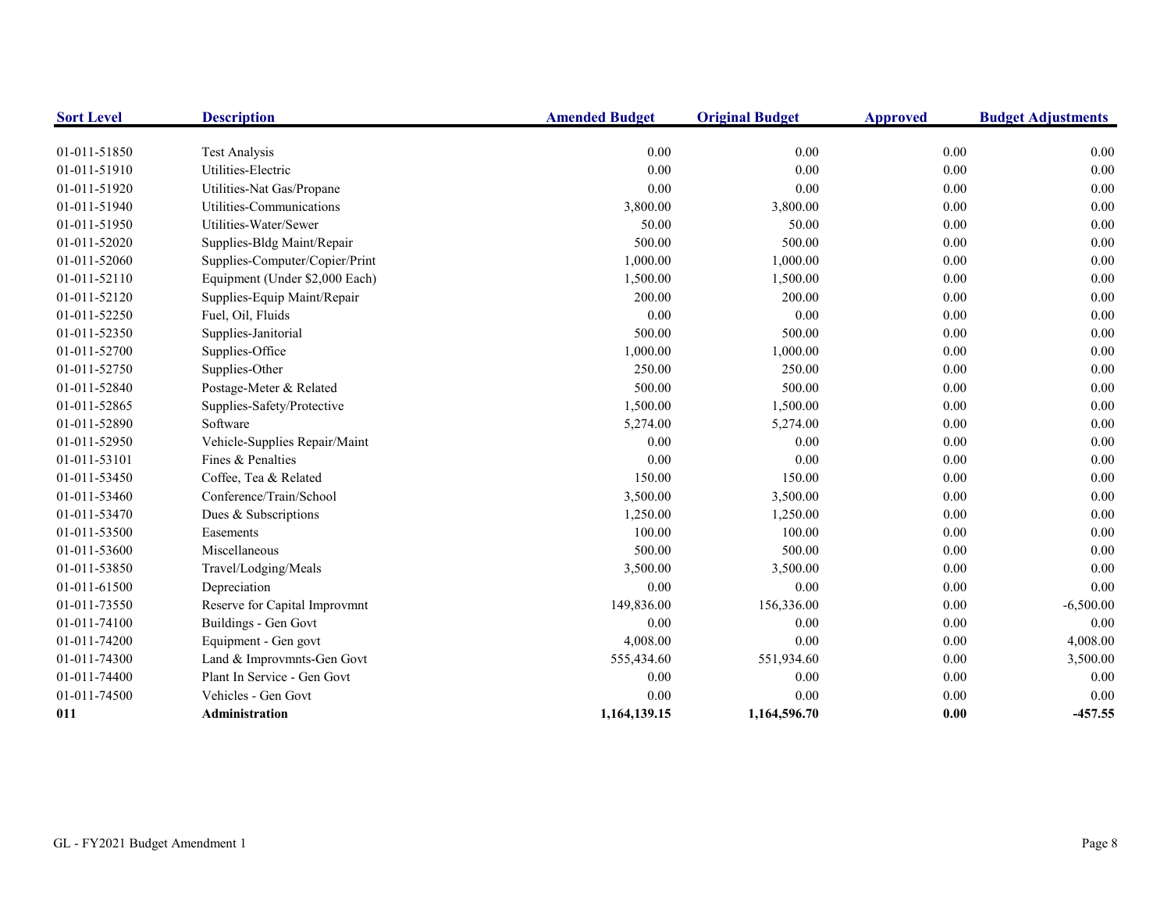| <b>Sort Level</b> | <b>Description</b>             | <b>Amended Budget</b> | <b>Original Budget</b> | <b>Approved</b> | <b>Budget Adjustments</b> |
|-------------------|--------------------------------|-----------------------|------------------------|-----------------|---------------------------|
|                   |                                |                       |                        |                 |                           |
| 01-011-51850      | <b>Test Analysis</b>           | 0.00                  | 0.00                   | 0.00            | 0.00                      |
| 01-011-51910      | Utilities-Electric             | 0.00                  | 0.00                   | 0.00            | 0.00                      |
| 01-011-51920      | Utilities-Nat Gas/Propane      | 0.00                  | 0.00                   | 0.00            | 0.00                      |
| 01-011-51940      | Utilities-Communications       | 3,800.00              | 3,800.00               | 0.00            | 0.00                      |
| 01-011-51950      | Utilities-Water/Sewer          | 50.00                 | 50.00                  | 0.00            | 0.00                      |
| 01-011-52020      | Supplies-Bldg Maint/Repair     | 500.00                | 500.00                 | 0.00            | 0.00                      |
| 01-011-52060      | Supplies-Computer/Copier/Print | 1,000.00              | 1,000.00               | 0.00            | 0.00                      |
| 01-011-52110      | Equipment (Under \$2,000 Each) | 1,500.00              | 1,500.00               | 0.00            | 0.00                      |
| 01-011-52120      | Supplies-Equip Maint/Repair    | 200.00                | 200.00                 | 0.00            | 0.00                      |
| 01-011-52250      | Fuel, Oil, Fluids              | 0.00                  | 0.00                   | 0.00            | 0.00                      |
| 01-011-52350      | Supplies-Janitorial            | 500.00                | 500.00                 | 0.00            | 0.00                      |
| 01-011-52700      | Supplies-Office                | 1,000.00              | 1,000.00               | 0.00            | 0.00                      |
| 01-011-52750      | Supplies-Other                 | 250.00                | 250.00                 | 0.00            | 0.00                      |
| 01-011-52840      | Postage-Meter & Related        | 500.00                | 500.00                 | 0.00            | 0.00                      |
| 01-011-52865      | Supplies-Safety/Protective     | 1,500.00              | 1,500.00               | 0.00            | 0.00                      |
| 01-011-52890      | Software                       | 5,274.00              | 5,274.00               | 0.00            | 0.00                      |
| 01-011-52950      | Vehicle-Supplies Repair/Maint  | 0.00                  | 0.00                   | 0.00            | 0.00                      |
| 01-011-53101      | Fines & Penalties              | 0.00                  | 0.00                   | 0.00            | 0.00                      |
| 01-011-53450      | Coffee, Tea & Related          | 150.00                | 150.00                 | 0.00            | 0.00                      |
| 01-011-53460      | Conference/Train/School        | 3,500.00              | 3,500.00               | 0.00            | 0.00                      |
| 01-011-53470      | Dues & Subscriptions           | 1,250.00              | 1,250.00               | 0.00            | 0.00                      |
| 01-011-53500      | Easements                      | 100.00                | 100.00                 | 0.00            | 0.00                      |
| 01-011-53600      | Miscellaneous                  | 500.00                | 500.00                 | 0.00            | 0.00                      |
| 01-011-53850      | Travel/Lodging/Meals           | 3,500.00              | 3,500.00               | 0.00            | 0.00                      |
| 01-011-61500      | Depreciation                   | 0.00                  | 0.00                   | 0.00            | 0.00                      |
| 01-011-73550      | Reserve for Capital Improvmnt  | 149,836.00            | 156,336.00             | 0.00            | $-6,500.00$               |
| 01-011-74100      | Buildings - Gen Govt           | 0.00                  | 0.00                   | 0.00            | $0.00\,$                  |
| 01-011-74200      | Equipment - Gen govt           | 4,008.00              | 0.00                   | 0.00            | 4,008.00                  |
| 01-011-74300      | Land & Improvmnts-Gen Govt     | 555,434.60            | 551,934.60             | 0.00            | 3,500.00                  |
| 01-011-74400      | Plant In Service - Gen Govt    | 0.00                  | 0.00                   | 0.00            | 0.00                      |
| 01-011-74500      | Vehicles - Gen Govt            | 0.00                  | 0.00                   | 0.00            | 0.00                      |
| 011               | Administration                 | 1,164,139.15          | 1,164,596.70           | 0.00            | $-457.55$                 |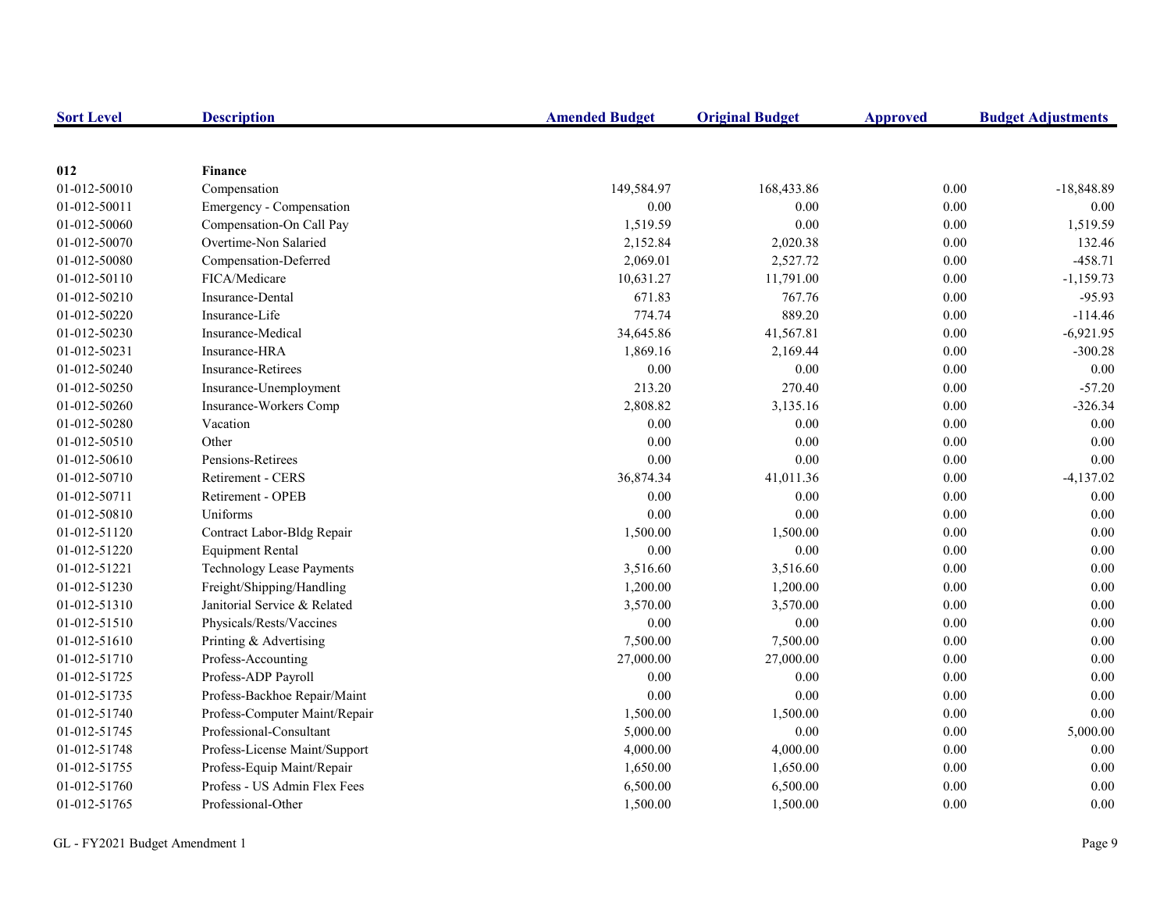| <b>Sort Level</b> | <b>Description</b>               | <b>Amended Budget</b> | <b>Original Budget</b> | <b>Approved</b> | <b>Budget Adjustments</b> |
|-------------------|----------------------------------|-----------------------|------------------------|-----------------|---------------------------|
|                   |                                  |                       |                        |                 |                           |
| 012               | <b>Finance</b>                   |                       |                        |                 |                           |
| 01-012-50010      | Compensation                     | 149,584.97            | 168,433.86             | 0.00            | $-18,848.89$              |
| 01-012-50011      | Emergency - Compensation         | 0.00                  | 0.00                   | $0.00\,$        | 0.00                      |
| 01-012-50060      | Compensation-On Call Pay         | 1,519.59              | 0.00                   | 0.00            | 1,519.59                  |
| 01-012-50070      | Overtime-Non Salaried            | 2,152.84              | 2,020.38               | $0.00\,$        | 132.46                    |
| 01-012-50080      | Compensation-Deferred            | 2,069.01              | 2,527.72               | $0.00\,$        | $-458.71$                 |
| 01-012-50110      | FICA/Medicare                    | 10,631.27             | 11,791.00              | $0.00\,$        | $-1,159.73$               |
| 01-012-50210      | Insurance-Dental                 | 671.83                | 767.76                 | 0.00            | $-95.93$                  |
| 01-012-50220      | Insurance-Life                   | 774.74                | 889.20                 | $0.00\,$        | $-114.46$                 |
| 01-012-50230      | Insurance-Medical                | 34,645.86             | 41,567.81              | 0.00            | $-6,921.95$               |
| 01-012-50231      | Insurance-HRA                    | 1,869.16              | 2,169.44               | 0.00            | $-300.28$                 |
| 01-012-50240      | <b>Insurance-Retirees</b>        | 0.00                  | 0.00                   | $0.00\,$        | 0.00                      |
| 01-012-50250      | Insurance-Unemployment           | 213.20                | 270.40                 | $0.00\,$        | $-57.20$                  |
| 01-012-50260      | Insurance-Workers Comp           | 2,808.82              | 3,135.16               | $0.00\,$        | $-326.34$                 |
| 01-012-50280      | Vacation                         | 0.00                  | 0.00                   | $0.00\,$        | 0.00                      |
| 01-012-50510      | Other                            | 0.00                  | 0.00                   | $0.00\,$        | 0.00                      |
| 01-012-50610      | Pensions-Retirees                | 0.00                  | 0.00                   | $0.00\,$        | 0.00                      |
| 01-012-50710      | Retirement - CERS                | 36,874.34             | 41,011.36              | 0.00            | $-4,137.02$               |
| 01-012-50711      | Retirement - OPEB                | 0.00                  | 0.00                   | $0.00\,$        | 0.00                      |
| 01-012-50810      | Uniforms                         | 0.00                  | 0.00                   | 0.00            | 0.00                      |
| 01-012-51120      | Contract Labor-Bldg Repair       | 1,500.00              | 1,500.00               | $0.00\,$        | 0.00                      |
| 01-012-51220      | <b>Equipment Rental</b>          | 0.00                  | 0.00                   | $0.00\,$        | 0.00                      |
| 01-012-51221      | <b>Technology Lease Payments</b> | 3,516.60              | 3,516.60               | $0.00\,$        | 0.00                      |
| 01-012-51230      | Freight/Shipping/Handling        | 1,200.00              | 1,200.00               | $0.00\,$        | 0.00                      |
| 01-012-51310      | Janitorial Service & Related     | 3,570.00              | 3,570.00               | $0.00\,$        | 0.00                      |
| 01-012-51510      | Physicals/Rests/Vaccines         | 0.00                  | 0.00                   | 0.00            | 0.00                      |
| 01-012-51610      | Printing & Advertising           | 7,500.00              | 7,500.00               | 0.00            | 0.00                      |
| 01-012-51710      | Profess-Accounting               | 27,000.00             | 27,000.00              | 0.00            | 0.00                      |
| 01-012-51725      | Profess-ADP Payroll              | 0.00                  | 0.00                   | 0.00            | 0.00                      |
| 01-012-51735      | Profess-Backhoe Repair/Maint     | 0.00                  | 0.00                   | 0.00            | 0.00                      |
| 01-012-51740      | Profess-Computer Maint/Repair    | 1,500.00              | 1,500.00               | 0.00            | 0.00                      |
| 01-012-51745      | Professional-Consultant          | 5,000.00              | $0.00\,$               | $0.00\,$        | 5,000.00                  |
| 01-012-51748      | Profess-License Maint/Support    | 4,000.00              | 4,000.00               | $0.00\,$        | 0.00                      |
| 01-012-51755      | Profess-Equip Maint/Repair       | 1,650.00              | 1,650.00               | $0.00\,$        | 0.00                      |
| 01-012-51760      | Profess - US Admin Flex Fees     | 6,500.00              | 6,500.00               | 0.00            | 0.00                      |
| 01-012-51765      | Professional-Other               | 1,500.00              | 1,500.00               | 0.00            | 0.00                      |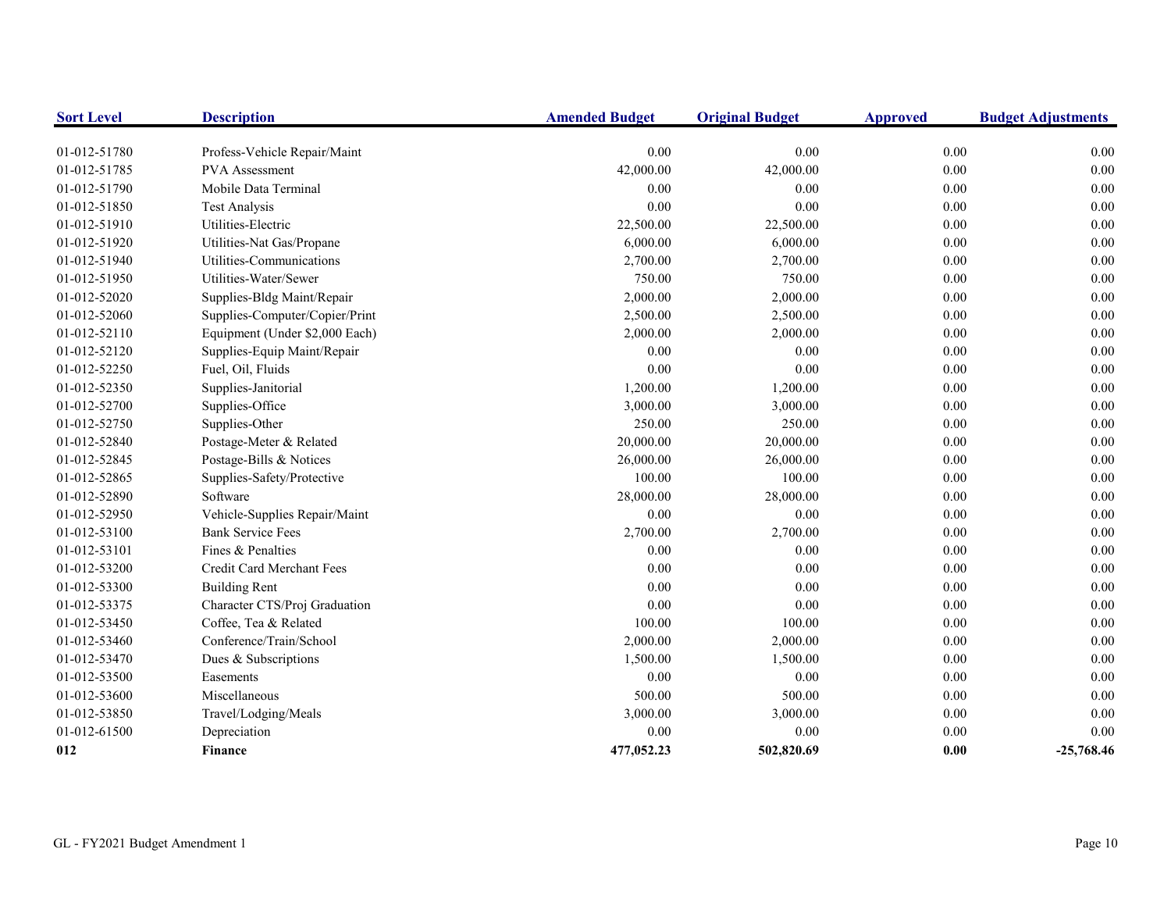| <b>Sort Level</b> | <b>Description</b>             | <b>Amended Budget</b> | <b>Original Budget</b> | <b>Approved</b> | <b>Budget Adjustments</b> |
|-------------------|--------------------------------|-----------------------|------------------------|-----------------|---------------------------|
| 01-012-51780      | Profess-Vehicle Repair/Maint   | 0.00                  | 0.00                   | 0.00            | $0.00\,$                  |
| 01-012-51785      | PVA Assessment                 | 42,000.00             | 42,000.00              | $0.00\,$        | 0.00                      |
| 01-012-51790      | Mobile Data Terminal           | 0.00                  | 0.00                   | 0.00            | 0.00                      |
| 01-012-51850      | <b>Test Analysis</b>           | 0.00                  | 0.00                   | 0.00            | 0.00                      |
| 01-012-51910      | Utilities-Electric             | 22,500.00             | 22,500.00              | 0.00            | 0.00                      |
| 01-012-51920      | Utilities-Nat Gas/Propane      | 6,000.00              | 6,000.00               | 0.00            | 0.00                      |
| 01-012-51940      | Utilities-Communications       | 2,700.00              | 2,700.00               | 0.00            | 0.00                      |
| 01-012-51950      | Utilities-Water/Sewer          | 750.00                | 750.00                 | 0.00            | 0.00                      |
| 01-012-52020      | Supplies-Bldg Maint/Repair     | 2,000.00              | 2,000.00               | 0.00            | 0.00                      |
| 01-012-52060      | Supplies-Computer/Copier/Print | 2,500.00              | 2,500.00               | 0.00            | 0.00                      |
| 01-012-52110      | Equipment (Under \$2,000 Each) | 2,000.00              | 2,000.00               | 0.00            | 0.00                      |
| 01-012-52120      | Supplies-Equip Maint/Repair    | 0.00                  | 0.00                   | 0.00            | 0.00                      |
| 01-012-52250      | Fuel, Oil, Fluids              | 0.00                  | $0.00\,$               | $0.00\,$        | 0.00                      |
| 01-012-52350      | Supplies-Janitorial            | 1,200.00              | 1,200.00               | 0.00            | 0.00                      |
| 01-012-52700      | Supplies-Office                | 3,000.00              | 3,000.00               | 0.00            | 0.00                      |
| 01-012-52750      | Supplies-Other                 | 250.00                | 250.00                 | 0.00            | 0.00                      |
| 01-012-52840      | Postage-Meter & Related        | 20,000.00             | 20,000.00              | 0.00            | 0.00                      |
| 01-012-52845      | Postage-Bills & Notices        | 26,000.00             | 26,000.00              | 0.00            | 0.00                      |
| 01-012-52865      | Supplies-Safety/Protective     | 100.00                | 100.00                 | 0.00            | 0.00                      |
| 01-012-52890      | Software                       | 28,000.00             | 28,000.00              | 0.00            | 0.00                      |
| 01-012-52950      | Vehicle-Supplies Repair/Maint  | 0.00                  | 0.00                   | 0.00            | 0.00                      |
| 01-012-53100      | <b>Bank Service Fees</b>       | 2,700.00              | 2,700.00               | 0.00            | 0.00                      |
| 01-012-53101      | Fines & Penalties              | 0.00                  | 0.00                   | 0.00            | 0.00                      |
| 01-012-53200      | Credit Card Merchant Fees      | 0.00                  | 0.00                   | 0.00            | 0.00                      |
| 01-012-53300      | <b>Building Rent</b>           | 0.00                  | 0.00                   | 0.00            | 0.00                      |
| 01-012-53375      | Character CTS/Proj Graduation  | 0.00                  | 0.00                   | 0.00            | 0.00                      |
| 01-012-53450      | Coffee, Tea & Related          | 100.00                | 100.00                 | $0.00\,$        | 0.00                      |
| 01-012-53460      | Conference/Train/School        | 2,000.00              | 2,000.00               | 0.00            | 0.00                      |
| 01-012-53470      | Dues & Subscriptions           | 1,500.00              | 1,500.00               | 0.00            | 0.00                      |
| 01-012-53500      | Easements                      | 0.00                  | 0.00                   | $0.00\,$        | 0.00                      |
| 01-012-53600      | Miscellaneous                  | 500.00                | 500.00                 | 0.00            | 0.00                      |
| 01-012-53850      | Travel/Lodging/Meals           | 3,000.00              | 3,000.00               | 0.00            | $0.00\,$                  |
| 01-012-61500      | Depreciation                   | 0.00                  | 0.00                   | 0.00            | 0.00                      |
| 012               | <b>Finance</b>                 | 477,052.23            | 502,820.69             | 0.00            | $-25,768.46$              |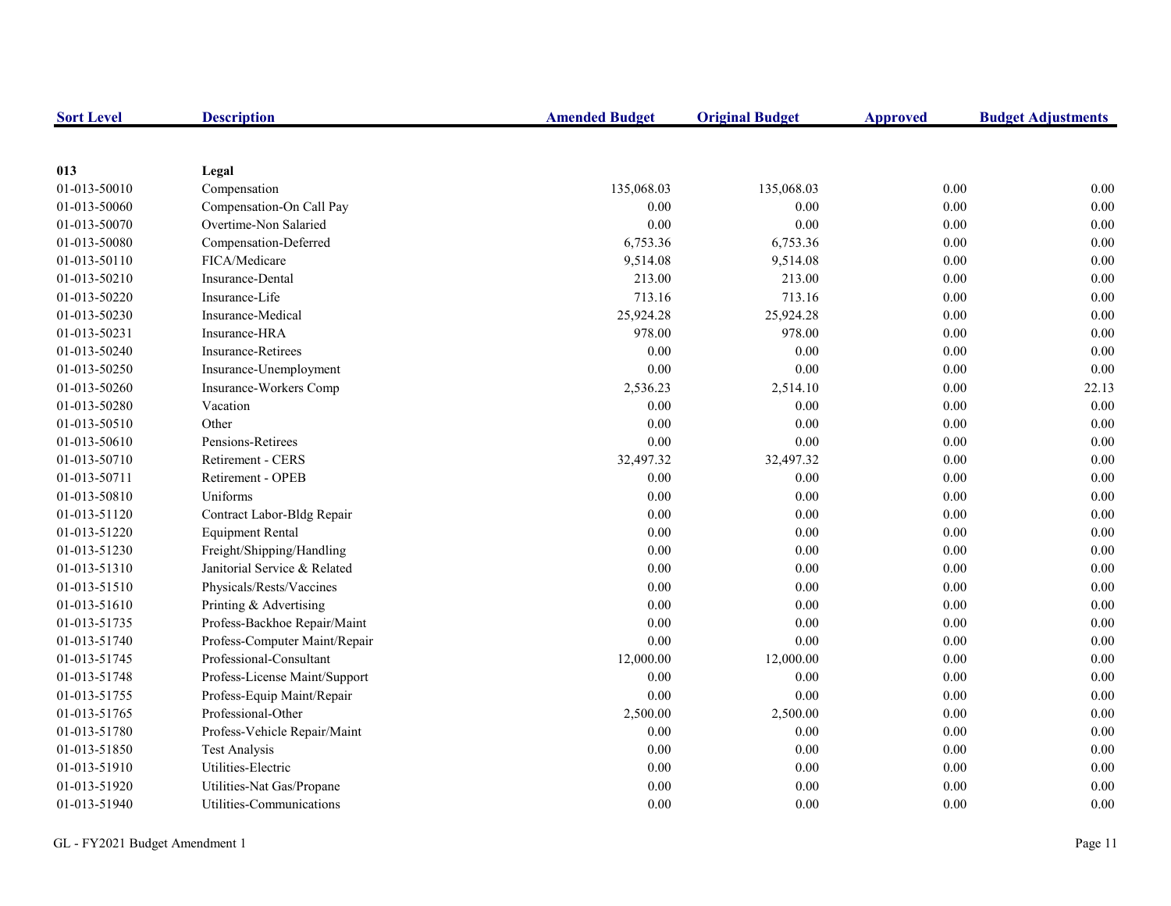| <b>Sort Level</b> | <b>Description</b>            | <b>Amended Budget</b> | <b>Original Budget</b> | <b>Approved</b> | <b>Budget Adjustments</b> |
|-------------------|-------------------------------|-----------------------|------------------------|-----------------|---------------------------|
|                   |                               |                       |                        |                 |                           |
| 013               | Legal                         |                       |                        |                 |                           |
| 01-013-50010      | Compensation                  | 135,068.03            | 135,068.03             | 0.00            | 0.00                      |
| 01-013-50060      | Compensation-On Call Pay      | 0.00                  | 0.00                   | 0.00            | 0.00                      |
| 01-013-50070      | Overtime-Non Salaried         | $0.00\,$              | 0.00                   | 0.00            | 0.00                      |
| 01-013-50080      | Compensation-Deferred         | 6,753.36              | 6,753.36               | 0.00            | 0.00                      |
| 01-013-50110      | FICA/Medicare                 | 9,514.08              | 9,514.08               | 0.00            | 0.00                      |
| 01-013-50210      | <b>Insurance-Dental</b>       | 213.00                | 213.00                 | 0.00            | 0.00                      |
| 01-013-50220      | Insurance-Life                | 713.16                | 713.16                 | 0.00            | 0.00                      |
| 01-013-50230      | Insurance-Medical             | 25,924.28             | 25,924.28              | 0.00            | 0.00                      |
| 01-013-50231      | Insurance-HRA                 | 978.00                | 978.00                 | 0.00            | 0.00                      |
| 01-013-50240      | <b>Insurance-Retirees</b>     | $0.00\,$              | 0.00                   | 0.00            | 0.00                      |
| 01-013-50250      | Insurance-Unemployment        | $0.00\,$              | $0.00\,$               | $0.00\,$        | 0.00                      |
| 01-013-50260      | Insurance-Workers Comp        | 2,536.23              | 2,514.10               | 0.00            | 22.13                     |
| 01-013-50280      | Vacation                      | 0.00                  | 0.00                   | 0.00            | 0.00                      |
| 01-013-50510      | Other                         | $0.00\,$              | 0.00                   | 0.00            | 0.00                      |
| 01-013-50610      | Pensions-Retirees             | 0.00                  | 0.00                   | 0.00            | 0.00                      |
| 01-013-50710      | Retirement - CERS             | 32,497.32             | 32,497.32              | 0.00            | 0.00                      |
| 01-013-50711      | Retirement - OPEB             | 0.00                  | 0.00                   | 0.00            | 0.00                      |
| 01-013-50810      | Uniforms                      | 0.00                  | 0.00                   | 0.00            | 0.00                      |
| 01-013-51120      | Contract Labor-Bldg Repair    | 0.00                  | 0.00                   | 0.00            | 0.00                      |
| 01-013-51220      | <b>Equipment Rental</b>       | 0.00                  | 0.00                   | 0.00            | 0.00                      |
| 01-013-51230      | Freight/Shipping/Handling     | 0.00                  | 0.00                   | 0.00            | 0.00                      |
| 01-013-51310      | Janitorial Service & Related  | 0.00                  | 0.00                   | 0.00            | 0.00                      |
| 01-013-51510      | Physicals/Rests/Vaccines      | 0.00                  | 0.00                   | 0.00            | 0.00                      |
| 01-013-51610      | Printing & Advertising        | 0.00                  | 0.00                   | 0.00            | 0.00                      |
| 01-013-51735      | Profess-Backhoe Repair/Maint  | 0.00                  | $0.00\,$               | $0.00\,$        | 0.00                      |
| 01-013-51740      | Profess-Computer Maint/Repair | 0.00                  | 0.00                   | 0.00            | 0.00                      |
| 01-013-51745      | Professional-Consultant       | 12,000.00             | 12,000.00              | $0.00\,$        | 0.00                      |
| 01-013-51748      | Profess-License Maint/Support | 0.00                  | 0.00                   | 0.00            | 0.00                      |
| 01-013-51755      | Profess-Equip Maint/Repair    | 0.00                  | 0.00                   | 0.00            | 0.00                      |
| 01-013-51765      | Professional-Other            | 2,500.00              | 2,500.00               | 0.00            | 0.00                      |
| 01-013-51780      | Profess-Vehicle Repair/Maint  | 0.00                  | 0.00                   | 0.00            | 0.00                      |
| 01-013-51850      | <b>Test Analysis</b>          | 0.00                  | 0.00                   | 0.00            | 0.00                      |
| 01-013-51910      | Utilities-Electric            | 0.00                  | 0.00                   | 0.00            | 0.00                      |
| 01-013-51920      | Utilities-Nat Gas/Propane     | 0.00                  | 0.00                   | 0.00            | 0.00                      |
| 01-013-51940      | Utilities-Communications      | 0.00                  | 0.00                   | 0.00            | 0.00                      |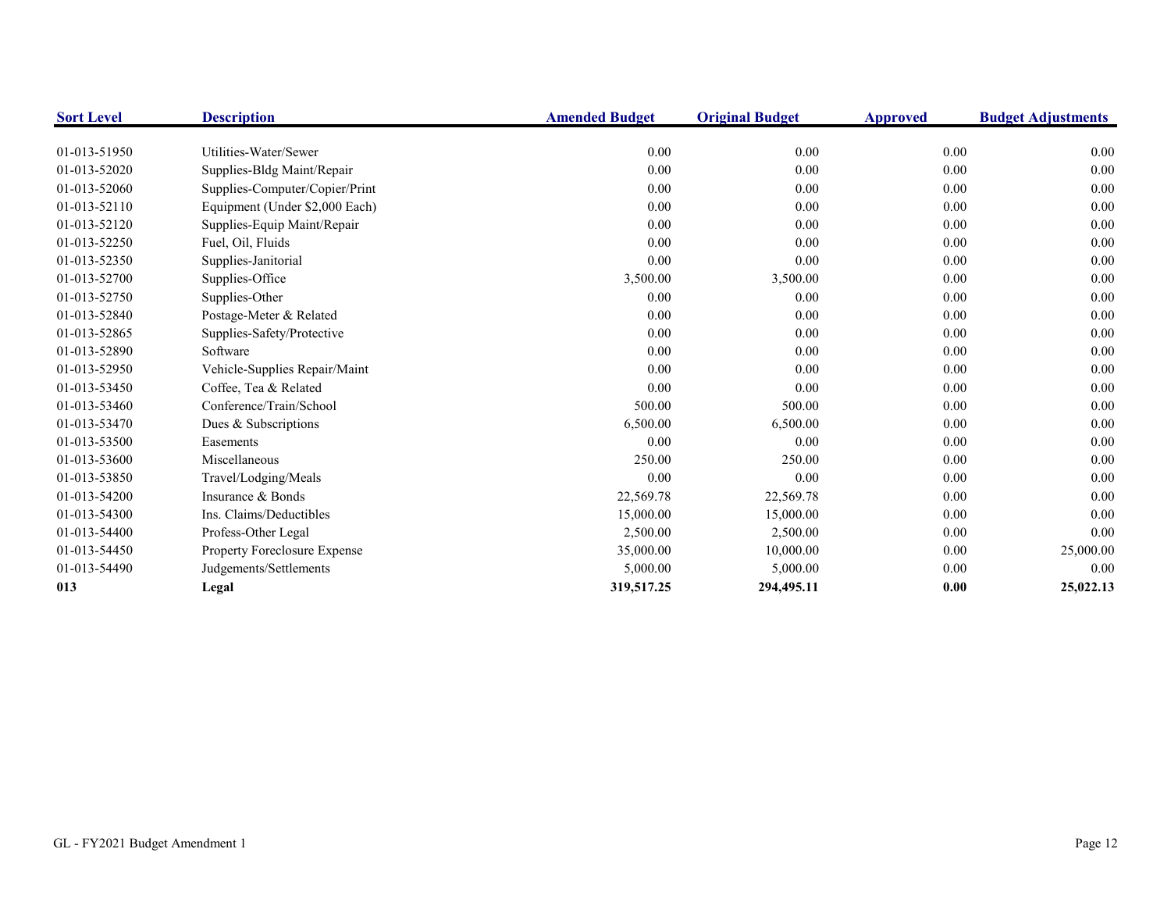| <b>Sort Level</b> | <b>Description</b>             | <b>Amended Budget</b> | <b>Original Budget</b> | <b>Approved</b> | <b>Budget Adjustments</b> |
|-------------------|--------------------------------|-----------------------|------------------------|-----------------|---------------------------|
|                   |                                |                       |                        |                 |                           |
| 01-013-51950      | Utilities-Water/Sewer          | 0.00                  | 0.00                   | 0.00            | 0.00                      |
| 01-013-52020      | Supplies-Bldg Maint/Repair     | 0.00                  | 0.00                   | 0.00            | 0.00                      |
| 01-013-52060      | Supplies-Computer/Copier/Print | 0.00                  | 0.00                   | 0.00            | 0.00                      |
| 01-013-52110      | Equipment (Under \$2,000 Each) | 0.00                  | 0.00                   | 0.00            | $0.00\,$                  |
| 01-013-52120      | Supplies-Equip Maint/Repair    | 0.00                  | 0.00                   | 0.00            | 0.00                      |
| 01-013-52250      | Fuel, Oil, Fluids              | 0.00                  | 0.00                   | 0.00            | 0.00                      |
| 01-013-52350      | Supplies-Janitorial            | 0.00                  | 0.00                   | 0.00            | 0.00                      |
| 01-013-52700      | Supplies-Office                | 3,500.00              | 3,500.00               | 0.00            | $0.00\,$                  |
| 01-013-52750      | Supplies-Other                 | 0.00                  | 0.00                   | 0.00            | 0.00                      |
| 01-013-52840      | Postage-Meter & Related        | 0.00                  | 0.00                   | 0.00            | 0.00                      |
| 01-013-52865      | Supplies-Safety/Protective     | 0.00                  | 0.00                   | 0.00            | 0.00                      |
| 01-013-52890      | Software                       | 0.00                  | 0.00                   | 0.00            | 0.00                      |
| 01-013-52950      | Vehicle-Supplies Repair/Maint  | 0.00                  | 0.00                   | 0.00            | 0.00                      |
| 01-013-53450      | Coffee, Tea & Related          | 0.00                  | 0.00                   | 0.00            | 0.00                      |
| 01-013-53460      | Conference/Train/School        | 500.00                | 500.00                 | 0.00            | 0.00                      |
| 01-013-53470      | Dues & Subscriptions           | 6,500.00              | 6,500.00               | 0.00            | 0.00                      |
| 01-013-53500      | Easements                      | 0.00                  | 0.00                   | 0.00            | 0.00                      |
| 01-013-53600      | Miscellaneous                  | 250.00                | 250.00                 | 0.00            | 0.00                      |
| 01-013-53850      | Travel/Lodging/Meals           | 0.00                  | 0.00                   | 0.00            | 0.00                      |
| 01-013-54200      | Insurance & Bonds              | 22,569.78             | 22,569.78              | 0.00            | 0.00                      |
| 01-013-54300      | Ins. Claims/Deductibles        | 15,000.00             | 15,000.00              | 0.00            | 0.00                      |
| 01-013-54400      | Profess-Other Legal            | 2,500.00              | 2,500.00               | 0.00            | 0.00                      |
| 01-013-54450      | Property Foreclosure Expense   | 35,000.00             | 10,000.00              | 0.00            | 25,000.00                 |
| 01-013-54490      | Judgements/Settlements         | 5,000.00              | 5,000.00               | 0.00            | 0.00                      |
| 013               | Legal                          | 319,517.25            | 294,495.11             | 0.00            | 25,022.13                 |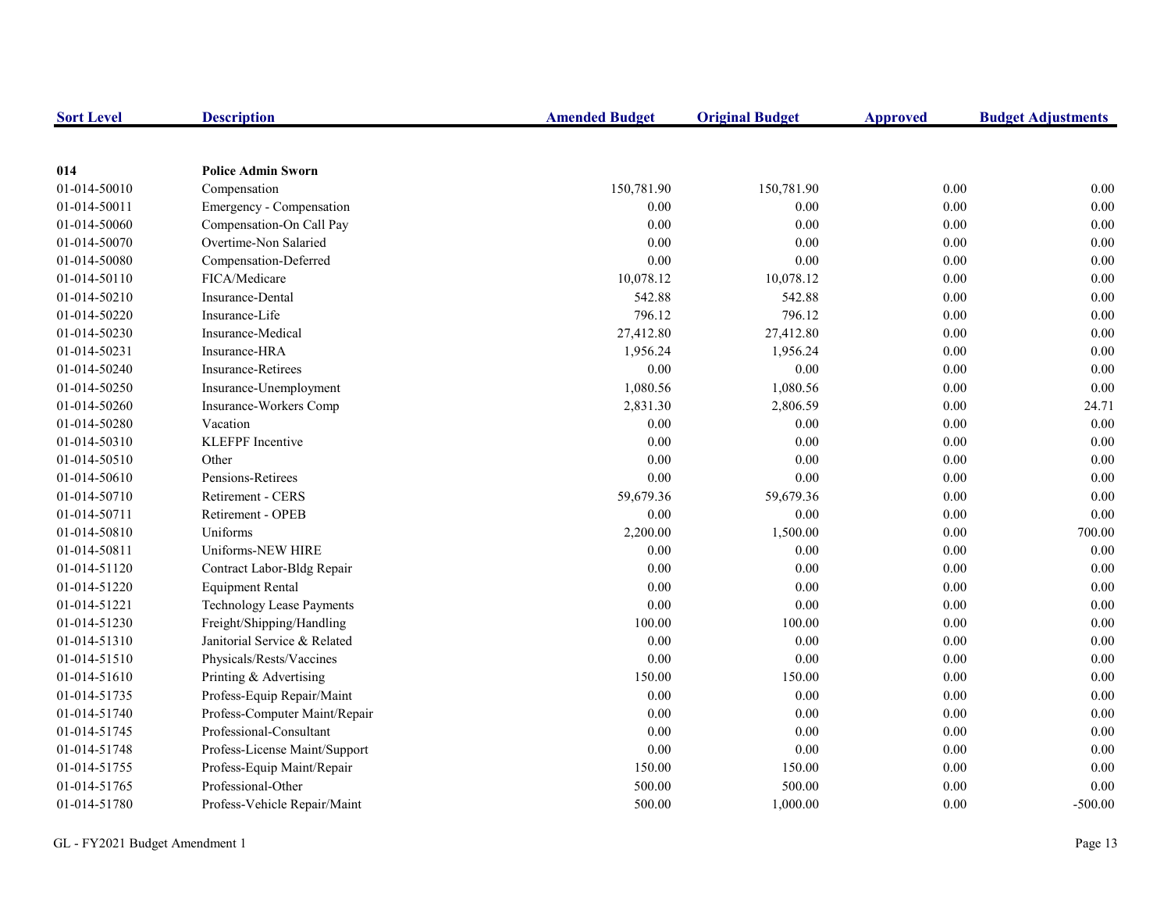| <b>Sort Level</b> | <b>Description</b>               | <b>Amended Budget</b> | <b>Original Budget</b> | <b>Approved</b> | <b>Budget Adjustments</b> |
|-------------------|----------------------------------|-----------------------|------------------------|-----------------|---------------------------|
|                   |                                  |                       |                        |                 |                           |
| 014               | <b>Police Admin Sworn</b>        |                       |                        |                 |                           |
| 01-014-50010      | Compensation                     | 150,781.90            | 150,781.90             | 0.00            | 0.00                      |
| 01-014-50011      | Emergency - Compensation         | 0.00                  | 0.00                   | 0.00            | 0.00                      |
| 01-014-50060      | Compensation-On Call Pay         | 0.00                  | 0.00                   | 0.00            | 0.00                      |
| 01-014-50070      | Overtime-Non Salaried            | 0.00                  | 0.00                   | 0.00            | 0.00                      |
| 01-014-50080      | Compensation-Deferred            | 0.00                  | 0.00                   | 0.00            | 0.00                      |
| 01-014-50110      | FICA/Medicare                    | 10,078.12             | 10,078.12              | 0.00            | 0.00                      |
| 01-014-50210      | Insurance-Dental                 | 542.88                | 542.88                 | 0.00            | 0.00                      |
| 01-014-50220      | Insurance-Life                   | 796.12                | 796.12                 | 0.00            | 0.00                      |
| 01-014-50230      | Insurance-Medical                | 27,412.80             | 27,412.80              | 0.00            | 0.00                      |
| 01-014-50231      | Insurance-HRA                    | 1,956.24              | 1,956.24               | 0.00            | 0.00                      |
| 01-014-50240      | <b>Insurance-Retirees</b>        | $0.00\,$              | 0.00                   | 0.00            | 0.00                      |
| 01-014-50250      | Insurance-Unemployment           | 1,080.56              | 1,080.56               | 0.00            | 0.00                      |
| 01-014-50260      | Insurance-Workers Comp           | 2,831.30              | 2,806.59               | 0.00            | 24.71                     |
| 01-014-50280      | Vacation                         | 0.00                  | 0.00                   | 0.00            | 0.00                      |
| 01-014-50310      | <b>KLEFPF</b> Incentive          | 0.00                  | 0.00                   | 0.00            | 0.00                      |
| 01-014-50510      | Other                            | 0.00                  | 0.00                   | 0.00            | 0.00                      |
| 01-014-50610      | Pensions-Retirees                | 0.00                  | 0.00                   | 0.00            | 0.00                      |
| 01-014-50710      | Retirement - CERS                | 59,679.36             | 59,679.36              | 0.00            | 0.00                      |
| 01-014-50711      | Retirement - OPEB                | 0.00                  | 0.00                   | 0.00            | 0.00                      |
| 01-014-50810      | Uniforms                         | 2,200.00              | 1,500.00               | 0.00            | 700.00                    |
| 01-014-50811      | Uniforms-NEW HIRE                | 0.00                  | 0.00                   | 0.00            | 0.00                      |
| 01-014-51120      | Contract Labor-Bldg Repair       | 0.00                  | 0.00                   | $0.00\,$        | 0.00                      |
| 01-014-51220      | <b>Equipment Rental</b>          | 0.00                  | 0.00                   | 0.00            | 0.00                      |
| 01-014-51221      | <b>Technology Lease Payments</b> | 0.00                  | 0.00                   | 0.00            | 0.00                      |
| 01-014-51230      | Freight/Shipping/Handling        | 100.00                | 100.00                 | 0.00            | 0.00                      |
| 01-014-51310      | Janitorial Service & Related     | 0.00                  | 0.00                   | 0.00            | 0.00                      |
| 01-014-51510      | Physicals/Rests/Vaccines         | 0.00                  | 0.00                   | 0.00            | 0.00                      |
| 01-014-51610      | Printing & Advertising           | 150.00                | 150.00                 | 0.00            | 0.00                      |
| 01-014-51735      | Profess-Equip Repair/Maint       | $0.00\,$              | 0.00                   | 0.00            | 0.00                      |
| 01-014-51740      | Profess-Computer Maint/Repair    | $0.00\,$              | 0.00                   | 0.00            | 0.00                      |
| 01-014-51745      | Professional-Consultant          | $0.00\,$              | 0.00                   | 0.00            | 0.00                      |
| 01-014-51748      | Profess-License Maint/Support    | 0.00                  | 0.00                   | 0.00            | 0.00                      |
| 01-014-51755      | Profess-Equip Maint/Repair       | 150.00                | 150.00                 | $0.00\,$        | 0.00                      |
| 01-014-51765      | Professional-Other               | 500.00                | 500.00                 | 0.00            | 0.00                      |
| 01-014-51780      | Profess-Vehicle Repair/Maint     | 500.00                | 1,000.00               | 0.00            | $-500.00$                 |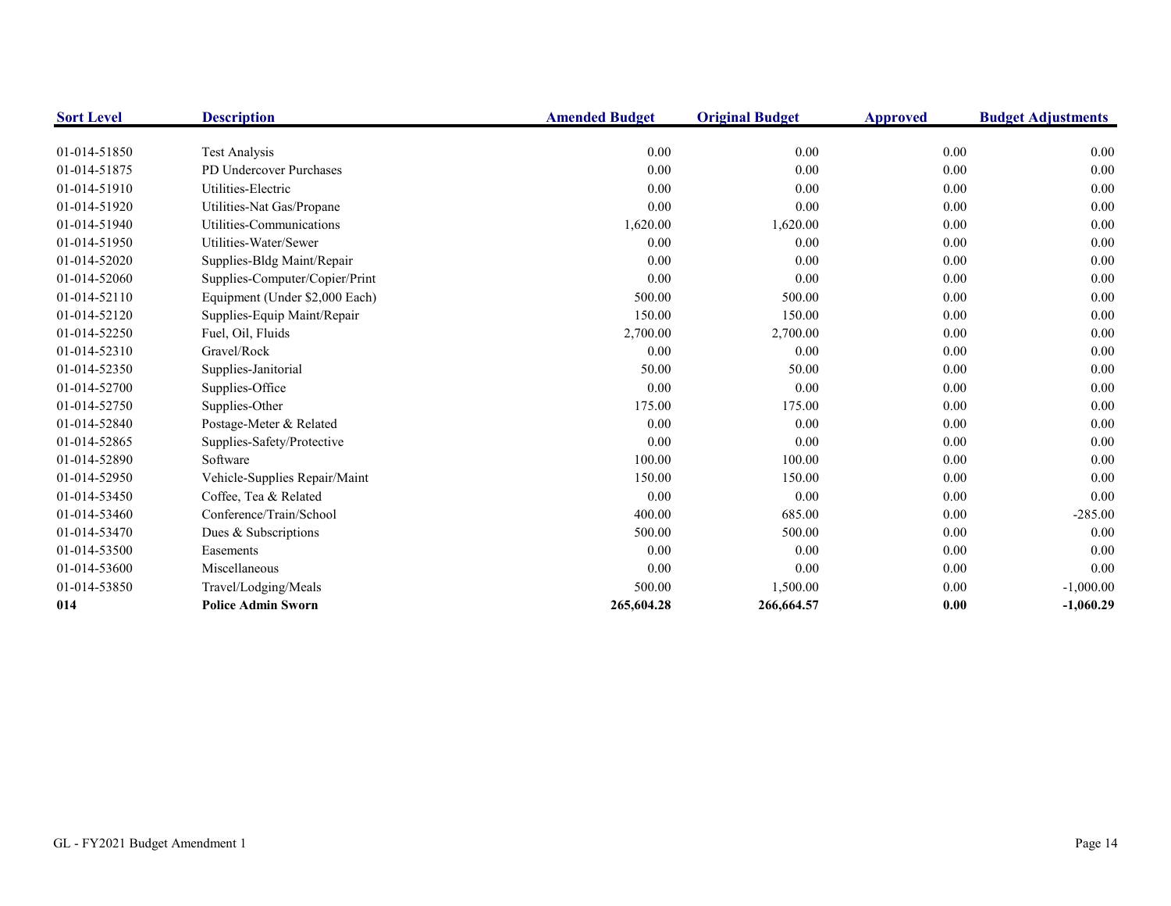| <b>Sort Level</b> | <b>Description</b>             | <b>Amended Budget</b> | <b>Original Budget</b> | <b>Approved</b> | <b>Budget Adjustments</b> |
|-------------------|--------------------------------|-----------------------|------------------------|-----------------|---------------------------|
|                   |                                |                       |                        |                 |                           |
| 01-014-51850      | <b>Test Analysis</b>           | 0.00                  | 0.00                   | 0.00            | 0.00                      |
| 01-014-51875      | PD Undercover Purchases        | 0.00                  | 0.00                   | 0.00            | 0.00                      |
| 01-014-51910      | Utilities-Electric             | 0.00                  | 0.00                   | 0.00            | 0.00                      |
| 01-014-51920      | Utilities-Nat Gas/Propane      | 0.00                  | 0.00                   | 0.00            | 0.00                      |
| 01-014-51940      | Utilities-Communications       | 1,620.00              | 1,620.00               | 0.00            | 0.00                      |
| 01-014-51950      | Utilities-Water/Sewer          | 0.00                  | 0.00                   | 0.00            | 0.00                      |
| 01-014-52020      | Supplies-Bldg Maint/Repair     | 0.00                  | 0.00                   | 0.00            | 0.00                      |
| 01-014-52060      | Supplies-Computer/Copier/Print | 0.00                  | 0.00                   | 0.00            | 0.00                      |
| 01-014-52110      | Equipment (Under \$2,000 Each) | 500.00                | 500.00                 | 0.00            | 0.00                      |
| 01-014-52120      | Supplies-Equip Maint/Repair    | 150.00                | 150.00                 | 0.00            | 0.00                      |
| 01-014-52250      | Fuel, Oil, Fluids              | 2,700.00              | 2,700.00               | 0.00            | 0.00                      |
| 01-014-52310      | Gravel/Rock                    | 0.00                  | 0.00                   | 0.00            | 0.00                      |
| 01-014-52350      | Supplies-Janitorial            | 50.00                 | 50.00                  | 0.00            | 0.00                      |
| 01-014-52700      | Supplies-Office                | 0.00                  | 0.00                   | 0.00            | 0.00                      |
| 01-014-52750      | Supplies-Other                 | 175.00                | 175.00                 | 0.00            | 0.00                      |
| 01-014-52840      | Postage-Meter & Related        | 0.00                  | 0.00                   | 0.00            | 0.00                      |
| 01-014-52865      | Supplies-Safety/Protective     | 0.00                  | 0.00                   | 0.00            | 0.00                      |
| 01-014-52890      | Software                       | 100.00                | 100.00                 | 0.00            | 0.00                      |
| 01-014-52950      | Vehicle-Supplies Repair/Maint  | 150.00                | 150.00                 | 0.00            | 0.00                      |
| 01-014-53450      | Coffee, Tea & Related          | 0.00                  | 0.00                   | 0.00            | 0.00                      |
| 01-014-53460      | Conference/Train/School        | 400.00                | 685.00                 | 0.00            | $-285.00$                 |
| 01-014-53470      | Dues & Subscriptions           | 500.00                | 500.00                 | 0.00            | 0.00                      |
| 01-014-53500      | Easements                      | 0.00                  | 0.00                   | 0.00            | 0.00                      |
| 01-014-53600      | Miscellaneous                  | 0.00                  | 0.00                   | 0.00            | 0.00                      |
| 01-014-53850      | Travel/Lodging/Meals           | 500.00                | 1,500.00               | 0.00            | $-1,000.00$               |
| 014               | <b>Police Admin Sworn</b>      | 265,604.28            | 266,664.57             | 0.00            | $-1,060.29$               |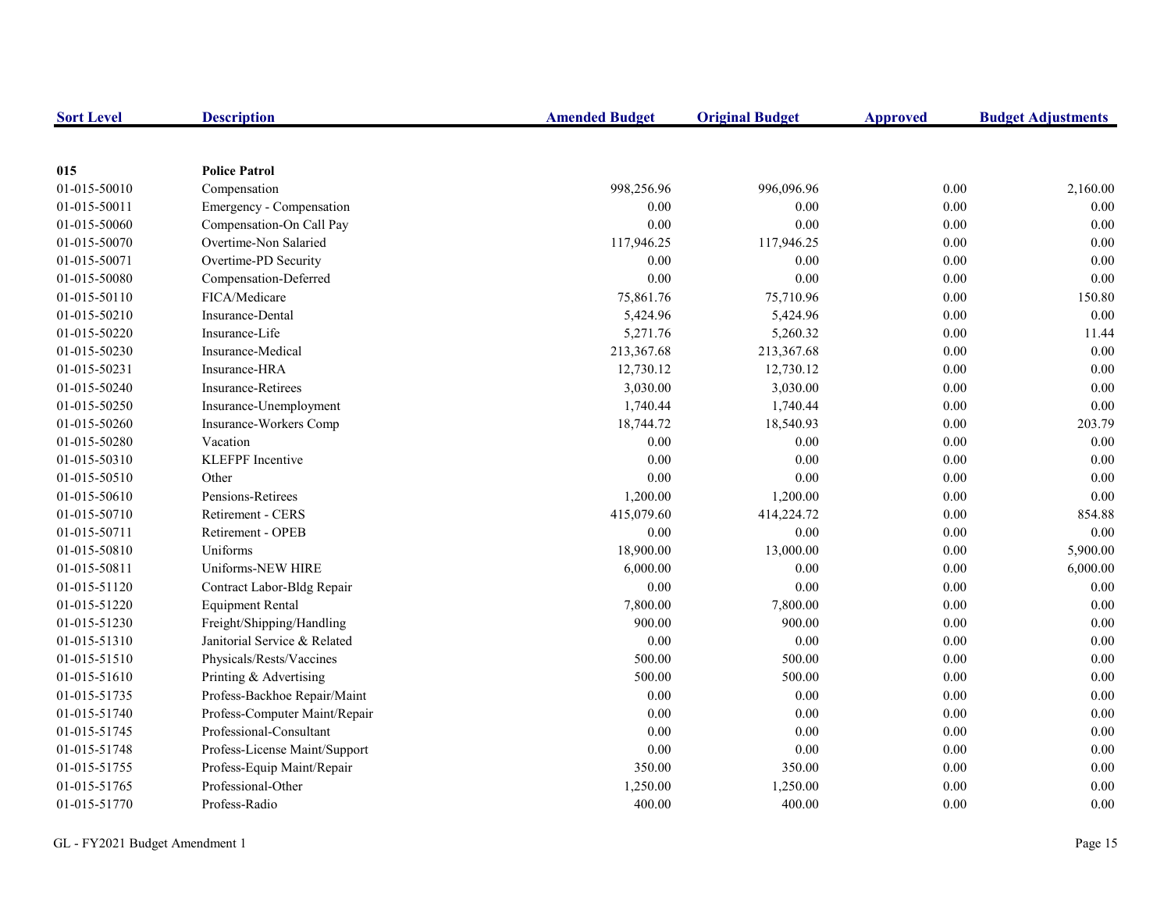| <b>Sort Level</b> | <b>Description</b>            | <b>Amended Budget</b> | <b>Original Budget</b> | <b>Approved</b> | <b>Budget Adjustments</b> |
|-------------------|-------------------------------|-----------------------|------------------------|-----------------|---------------------------|
|                   |                               |                       |                        |                 |                           |
| 015               | <b>Police Patrol</b>          |                       |                        |                 |                           |
| 01-015-50010      | Compensation                  | 998,256.96            | 996,096.96             | 0.00            | 2,160.00                  |
| 01-015-50011      | Emergency - Compensation      | 0.00                  | 0.00                   | 0.00            | 0.00                      |
| 01-015-50060      | Compensation-On Call Pay      | 0.00                  | 0.00                   | $0.00\,$        | 0.00                      |
| 01-015-50070      | Overtime-Non Salaried         | 117,946.25            | 117,946.25             | 0.00            | $0.00\,$                  |
| 01-015-50071      | Overtime-PD Security          | 0.00                  | 0.00                   | $0.00\,$        | $0.00\,$                  |
| 01-015-50080      | Compensation-Deferred         | 0.00                  | 0.00                   | 0.00            | $0.00\,$                  |
| 01-015-50110      | FICA/Medicare                 | 75,861.76             | 75,710.96              | 0.00            | 150.80                    |
| 01-015-50210      | Insurance-Dental              | 5,424.96              | 5,424.96               | 0.00            | 0.00                      |
| 01-015-50220      | Insurance-Life                | 5,271.76              | 5,260.32               | 0.00            | 11.44                     |
| 01-015-50230      | Insurance-Medical             | 213,367.68            | 213,367.68             | 0.00            | 0.00                      |
| 01-015-50231      | Insurance-HRA                 | 12,730.12             | 12,730.12              | 0.00            | $0.00\,$                  |
| 01-015-50240      | Insurance-Retirees            | 3,030.00              | 3,030.00               | $0.00\,$        | 0.00                      |
| 01-015-50250      | Insurance-Unemployment        | 1,740.44              | 1,740.44               | 0.00            | $0.00\,$                  |
| 01-015-50260      | Insurance-Workers Comp        | 18,744.72             | 18,540.93              | $0.00\,$        | 203.79                    |
| 01-015-50280      | Vacation                      | 0.00                  | 0.00                   | 0.00            | 0.00                      |
| 01-015-50310      | <b>KLEFPF</b> Incentive       | 0.00                  | 0.00                   | 0.00            | 0.00                      |
| 01-015-50510      | Other                         | 0.00                  | 0.00                   | 0.00            | 0.00                      |
| 01-015-50610      | Pensions-Retirees             | 1,200.00              | 1,200.00               | 0.00            | 0.00                      |
| 01-015-50710      | Retirement - CERS             | 415,079.60            | 414,224.72             | 0.00            | 854.88                    |
| 01-015-50711      | Retirement - OPEB             | 0.00                  | 0.00                   | 0.00            | 0.00                      |
| 01-015-50810      | Uniforms                      | 18,900.00             | 13,000.00              | 0.00            | 5,900.00                  |
| 01-015-50811      | Uniforms-NEW HIRE             | 6,000.00              | 0.00                   | $0.00\,$        | 6,000.00                  |
| 01-015-51120      | Contract Labor-Bldg Repair    | 0.00                  | 0.00                   | 0.00            | 0.00                      |
| 01-015-51220      | <b>Equipment Rental</b>       | 7,800.00              | 7,800.00               | 0.00            | 0.00                      |
| 01-015-51230      | Freight/Shipping/Handling     | 900.00                | 900.00                 | $0.00\,$        | 0.00                      |
| 01-015-51310      | Janitorial Service & Related  | 0.00                  | 0.00                   | 0.00            | 0.00                      |
| 01-015-51510      | Physicals/Rests/Vaccines      | 500.00                | 500.00                 | 0.00            | $0.00\,$                  |
| 01-015-51610      | Printing & Advertising        | 500.00                | 500.00                 | 0.00            | $0.00\,$                  |
| 01-015-51735      | Profess-Backhoe Repair/Maint  | 0.00                  | 0.00                   | 0.00            | 0.00                      |
| 01-015-51740      | Profess-Computer Maint/Repair | 0.00                  | 0.00                   | 0.00            | 0.00                      |
| 01-015-51745      | Professional-Consultant       | 0.00                  | 0.00                   | 0.00            | 0.00                      |
| 01-015-51748      | Profess-License Maint/Support | 0.00                  | 0.00                   | 0.00            | 0.00                      |
| 01-015-51755      | Profess-Equip Maint/Repair    | 350.00                | 350.00                 | $0.00\,$        | $0.00\,$                  |
| 01-015-51765      | Professional-Other            | 1,250.00              | 1,250.00               | 0.00            | 0.00                      |
| 01-015-51770      | Profess-Radio                 | 400.00                | 400.00                 | 0.00            | 0.00                      |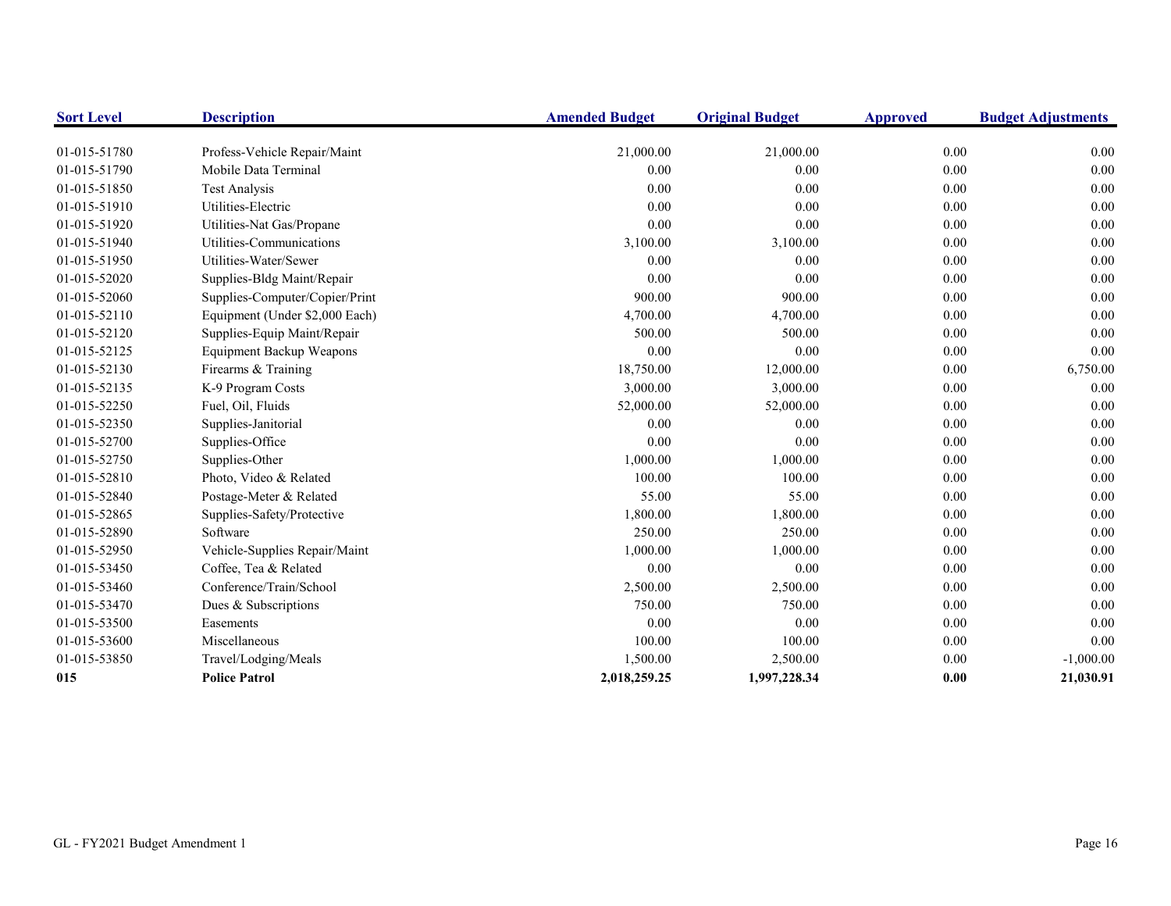| <b>Sort Level</b> | <b>Description</b>              | <b>Amended Budget</b> | <b>Original Budget</b> | <b>Approved</b> | <b>Budget Adjustments</b> |
|-------------------|---------------------------------|-----------------------|------------------------|-----------------|---------------------------|
|                   |                                 |                       |                        |                 |                           |
| 01-015-51780      | Profess-Vehicle Repair/Maint    | 21,000.00             | 21,000.00              | 0.00            | 0.00                      |
| 01-015-51790      | Mobile Data Terminal            | 0.00                  | 0.00                   | $0.00\,$        | 0.00                      |
| 01-015-51850      | <b>Test Analysis</b>            | 0.00                  | 0.00                   | 0.00            | 0.00                      |
| 01-015-51910      | Utilities-Electric              | 0.00                  | 0.00                   | 0.00            | 0.00                      |
| 01-015-51920      | Utilities-Nat Gas/Propane       | 0.00                  | 0.00                   | 0.00            | 0.00                      |
| 01-015-51940      | Utilities-Communications        | 3,100.00              | 3,100.00               | 0.00            | 0.00                      |
| 01-015-51950      | Utilities-Water/Sewer           | 0.00                  | 0.00                   | 0.00            | 0.00                      |
| 01-015-52020      | Supplies-Bldg Maint/Repair      | 0.00                  | 0.00                   | $0.00\,$        | 0.00                      |
| 01-015-52060      | Supplies-Computer/Copier/Print  | 900.00                | 900.00                 | 0.00            | 0.00                      |
| 01-015-52110      | Equipment (Under \$2,000 Each)  | 4,700.00              | 4,700.00               | 0.00            | 0.00                      |
| 01-015-52120      | Supplies-Equip Maint/Repair     | 500.00                | 500.00                 | 0.00            | 0.00                      |
| 01-015-52125      | <b>Equipment Backup Weapons</b> | 0.00                  | 0.00                   | 0.00            | 0.00                      |
| 01-015-52130      | Firearms & Training             | 18,750.00             | 12,000.00              | 0.00            | 6,750.00                  |
| 01-015-52135      | K-9 Program Costs               | 3,000.00              | 3,000.00               | $0.00\,$        | $0.00\,$                  |
| 01-015-52250      | Fuel, Oil, Fluids               | 52,000.00             | 52,000.00              | 0.00            | 0.00                      |
| 01-015-52350      | Supplies-Janitorial             | 0.00                  | 0.00                   | 0.00            | 0.00                      |
| 01-015-52700      | Supplies-Office                 | 0.00                  | 0.00                   | 0.00            | 0.00                      |
| 01-015-52750      | Supplies-Other                  | 1,000.00              | 1,000.00               | 0.00            | 0.00                      |
| 01-015-52810      | Photo, Video & Related          | 100.00                | 100.00                 | 0.00            | 0.00                      |
| 01-015-52840      | Postage-Meter & Related         | 55.00                 | 55.00                  | $0.00\,$        | 0.00                      |
| 01-015-52865      | Supplies-Safety/Protective      | 1,800.00              | 1,800.00               | 0.00            | 0.00                      |
| 01-015-52890      | Software                        | 250.00                | 250.00                 | 0.00            | 0.00                      |
| 01-015-52950      | Vehicle-Supplies Repair/Maint   | 1,000.00              | 1,000.00               | 0.00            | 0.00                      |
| 01-015-53450      | Coffee, Tea & Related           | 0.00                  | 0.00                   | 0.00            | 0.00                      |
| 01-015-53460      | Conference/Train/School         | 2,500.00              | 2,500.00               | 0.00            | 0.00                      |
| 01-015-53470      | Dues & Subscriptions            | 750.00                | 750.00                 | $0.00\,$        | 0.00                      |
| 01-015-53500      | Easements                       | 0.00                  | 0.00                   | 0.00            | 0.00                      |
| 01-015-53600      | Miscellaneous                   | 100.00                | 100.00                 | 0.00            | 0.00                      |
| 01-015-53850      | Travel/Lodging/Meals            | 1,500.00              | 2,500.00               | 0.00            | $-1,000.00$               |
| 015               | <b>Police Patrol</b>            | 2,018,259.25          | 1,997,228.34           | 0.00            | 21,030.91                 |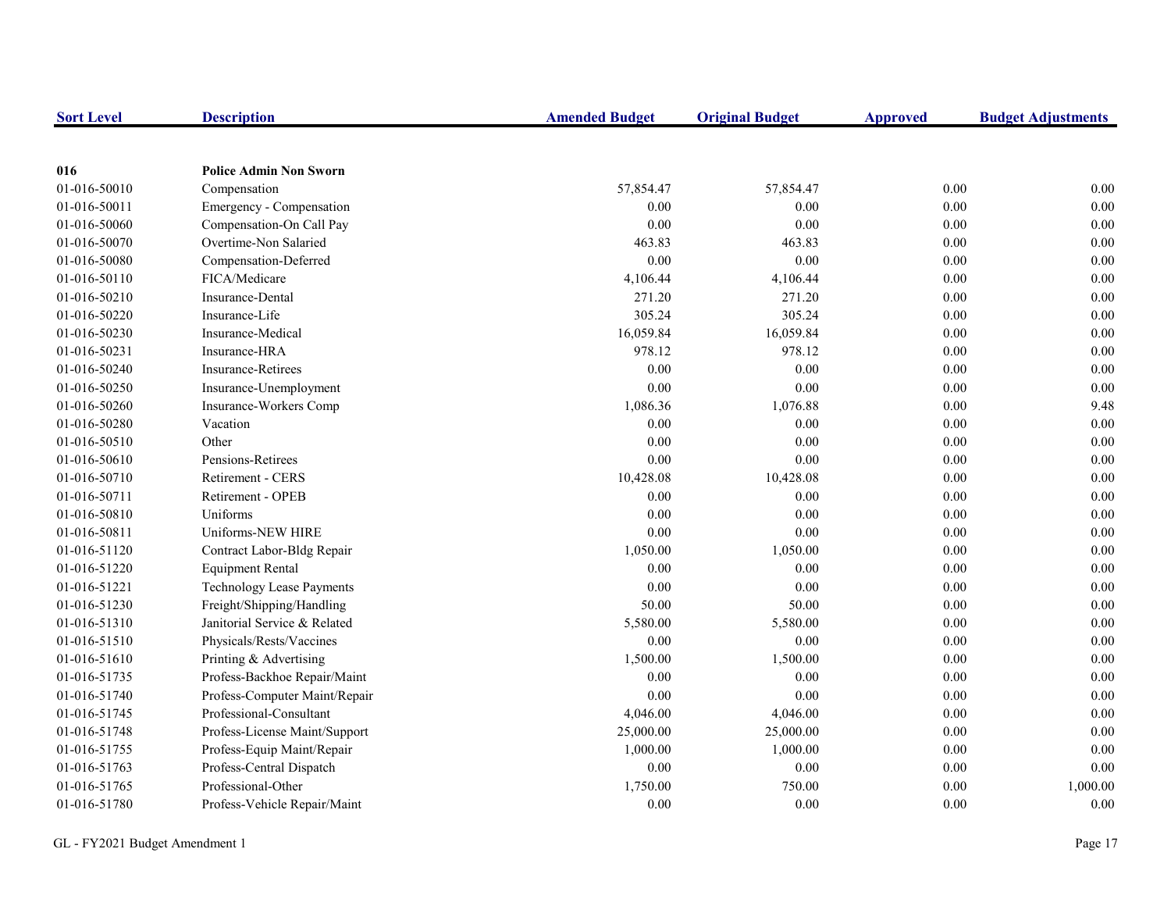| <b>Sort Level</b> | <b>Description</b>               | <b>Amended Budget</b> | <b>Original Budget</b> | <b>Approved</b> | <b>Budget Adjustments</b> |
|-------------------|----------------------------------|-----------------------|------------------------|-----------------|---------------------------|
|                   |                                  |                       |                        |                 |                           |
| 016               | <b>Police Admin Non Sworn</b>    |                       |                        |                 |                           |
| 01-016-50010      | Compensation                     | 57,854.47             | 57,854.47              | 0.00            | 0.00                      |
| 01-016-50011      | Emergency - Compensation         | 0.00                  | 0.00                   | 0.00            | 0.00                      |
| 01-016-50060      | Compensation-On Call Pay         | 0.00                  | 0.00                   | 0.00            | 0.00                      |
| 01-016-50070      | Overtime-Non Salaried            | 463.83                | 463.83                 | $0.00\,$        | 0.00                      |
| 01-016-50080      | Compensation-Deferred            | 0.00                  | 0.00                   | 0.00            | $0.00\,$                  |
| 01-016-50110      | FICA/Medicare                    | 4,106.44              | 4,106.44               | 0.00            | 0.00                      |
| 01-016-50210      | Insurance-Dental                 | 271.20                | 271.20                 | 0.00            | 0.00                      |
| 01-016-50220      | Insurance-Life                   | 305.24                | 305.24                 | 0.00            | 0.00                      |
| 01-016-50230      | Insurance-Medical                | 16,059.84             | 16,059.84              | 0.00            | 0.00                      |
| 01-016-50231      | Insurance-HRA                    | 978.12                | 978.12                 | 0.00            | $0.00\,$                  |
| 01-016-50240      | <b>Insurance-Retirees</b>        | 0.00                  | 0.00                   | $0.00\,$        | 0.00                      |
| 01-016-50250      | Insurance-Unemployment           | 0.00                  | 0.00                   | 0.00            | 0.00                      |
| 01-016-50260      | Insurance-Workers Comp           | 1,086.36              | 1,076.88               | $0.00\,$        | 9.48                      |
| 01-016-50280      | Vacation                         | 0.00                  | 0.00                   | 0.00            | $0.00\,$                  |
| 01-016-50510      | Other                            | 0.00                  | 0.00                   | $0.00\,$        | $0.00\,$                  |
| 01-016-50610      | Pensions-Retirees                | 0.00                  | 0.00                   | 0.00            | $0.00\,$                  |
| 01-016-50710      | <b>Retirement - CERS</b>         | 10,428.08             | 10,428.08              | 0.00            | 0.00                      |
| 01-016-50711      | <b>Retirement - OPEB</b>         | 0.00                  | 0.00                   | 0.00            | 0.00                      |
| 01-016-50810      | Uniforms                         | 0.00                  | 0.00                   | 0.00            | 0.00                      |
| 01-016-50811      | Uniforms-NEW HIRE                | $0.00\,$              | 0.00                   | 0.00            | $0.00\,$                  |
| 01-016-51120      | Contract Labor-Bldg Repair       | 1,050.00              | 1,050.00               | 0.00            | 0.00                      |
| 01-016-51220      | <b>Equipment Rental</b>          | 0.00                  | 0.00                   | 0.00            | 0.00                      |
| 01-016-51221      | <b>Technology Lease Payments</b> | 0.00                  | 0.00                   | 0.00            | 0.00                      |
| 01-016-51230      | Freight/Shipping/Handling        | 50.00                 | 50.00                  | 0.00            | $0.00\,$                  |
| 01-016-51310      | Janitorial Service & Related     | 5,580.00              | 5,580.00               | 0.00            | $0.00\,$                  |
| 01-016-51510      | Physicals/Rests/Vaccines         | $0.00\,$              | 0.00                   | 0.00            | $0.00\,$                  |
| 01-016-51610      | Printing & Advertising           | 1,500.00              | 1,500.00               | 0.00            | $0.00\,$                  |
| 01-016-51735      | Profess-Backhoe Repair/Maint     | 0.00                  | 0.00                   | 0.00            | 0.00                      |
| 01-016-51740      | Profess-Computer Maint/Repair    | 0.00                  | 0.00                   | 0.00            | 0.00                      |
| 01-016-51745      | Professional-Consultant          | 4,046.00              | 4,046.00               | 0.00            | 0.00                      |
| 01-016-51748      | Profess-License Maint/Support    | 25,000.00             | 25,000.00              | 0.00            | 0.00                      |
| 01-016-51755      | Profess-Equip Maint/Repair       | 1,000.00              | 1,000.00               | $0.00\,$        | 0.00                      |
| 01-016-51763      | Profess-Central Dispatch         | 0.00                  | 0.00                   | 0.00            | 0.00                      |
| 01-016-51765      | Professional-Other               | 1,750.00              | 750.00                 | 0.00            | 1,000.00                  |
| 01-016-51780      | Profess-Vehicle Repair/Maint     | 0.00                  | 0.00                   | 0.00            | 0.00                      |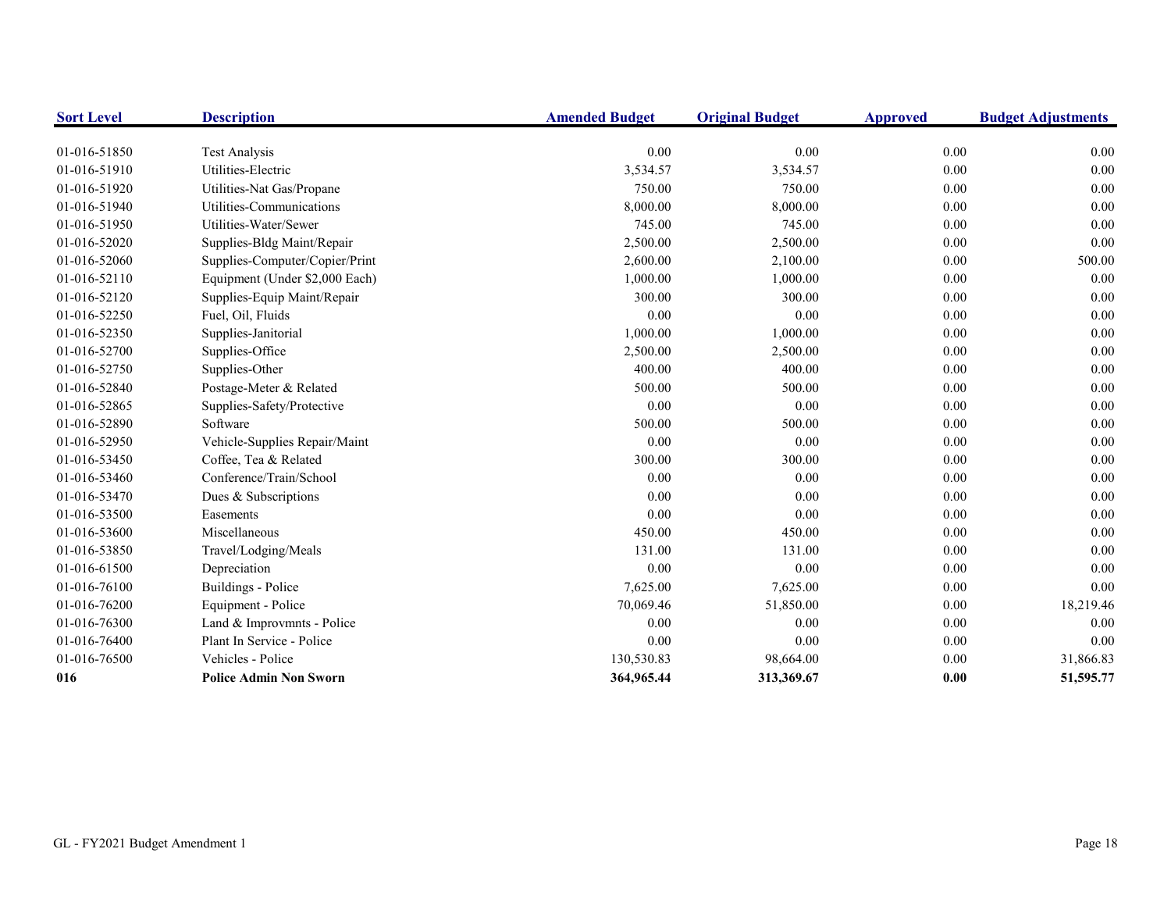| <b>Sort Level</b> | <b>Description</b>             | <b>Amended Budget</b> | <b>Original Budget</b> | <b>Approved</b> | <b>Budget Adjustments</b> |
|-------------------|--------------------------------|-----------------------|------------------------|-----------------|---------------------------|
|                   |                                |                       |                        |                 |                           |
| 01-016-51850      | <b>Test Analysis</b>           | 0.00                  | 0.00                   | 0.00            | 0.00                      |
| 01-016-51910      | Utilities-Electric             | 3,534.57              | 3,534.57               | 0.00            | 0.00                      |
| 01-016-51920      | Utilities-Nat Gas/Propane      | 750.00                | 750.00                 | 0.00            | 0.00                      |
| 01-016-51940      | Utilities-Communications       | 8,000.00              | 8,000.00               | 0.00            | 0.00                      |
| 01-016-51950      | Utilities-Water/Sewer          | 745.00                | 745.00                 | 0.00            | 0.00                      |
| 01-016-52020      | Supplies-Bldg Maint/Repair     | 2,500.00              | 2,500.00               | 0.00            | 0.00                      |
| 01-016-52060      | Supplies-Computer/Copier/Print | 2,600.00              | 2,100.00               | 0.00            | 500.00                    |
| 01-016-52110      | Equipment (Under \$2,000 Each) | 1,000.00              | 1,000.00               | 0.00            | 0.00                      |
| 01-016-52120      | Supplies-Equip Maint/Repair    | 300.00                | 300.00                 | 0.00            | 0.00                      |
| 01-016-52250      | Fuel, Oil, Fluids              | 0.00                  | 0.00                   | 0.00            | 0.00                      |
| 01-016-52350      | Supplies-Janitorial            | 1,000.00              | 1,000.00               | 0.00            | 0.00                      |
| 01-016-52700      | Supplies-Office                | 2,500.00              | 2,500.00               | 0.00            | 0.00                      |
| 01-016-52750      | Supplies-Other                 | 400.00                | 400.00                 | 0.00            | 0.00                      |
| 01-016-52840      | Postage-Meter & Related        | 500.00                | 500.00                 | 0.00            | 0.00                      |
| 01-016-52865      | Supplies-Safety/Protective     | 0.00                  | 0.00                   | 0.00            | 0.00                      |
| 01-016-52890      | Software                       | 500.00                | 500.00                 | 0.00            | 0.00                      |
| 01-016-52950      | Vehicle-Supplies Repair/Maint  | 0.00                  | 0.00                   | 0.00            | 0.00                      |
| 01-016-53450      | Coffee, Tea & Related          | 300.00                | 300.00                 | 0.00            | 0.00                      |
| 01-016-53460      | Conference/Train/School        | 0.00                  | 0.00                   | $0.00\,$        | 0.00                      |
| 01-016-53470      | Dues & Subscriptions           | 0.00                  | 0.00                   | 0.00            | 0.00                      |
| 01-016-53500      | Easements                      | 0.00                  | 0.00                   | 0.00            | 0.00                      |
| 01-016-53600      | Miscellaneous                  | 450.00                | 450.00                 | 0.00            | 0.00                      |
| 01-016-53850      | Travel/Lodging/Meals           | 131.00                | 131.00                 | 0.00            | 0.00                      |
| 01-016-61500      | Depreciation                   | 0.00                  | 0.00                   | 0.00            | 0.00                      |
| 01-016-76100      | Buildings - Police             | 7,625.00              | 7,625.00               | 0.00            | 0.00                      |
| 01-016-76200      | Equipment - Police             | 70,069.46             | 51,850.00              | 0.00            | 18,219.46                 |
| 01-016-76300      | Land & Improvmnts - Police     | 0.00                  | 0.00                   | 0.00            | 0.00                      |
| 01-016-76400      | Plant In Service - Police      | 0.00                  | 0.00                   | 0.00            | 0.00                      |
| 01-016-76500      | Vehicles - Police              | 130,530.83            | 98,664.00              | 0.00            | 31,866.83                 |
| 016               | <b>Police Admin Non Sworn</b>  | 364,965.44            | 313,369.67             | 0.00            | 51,595.77                 |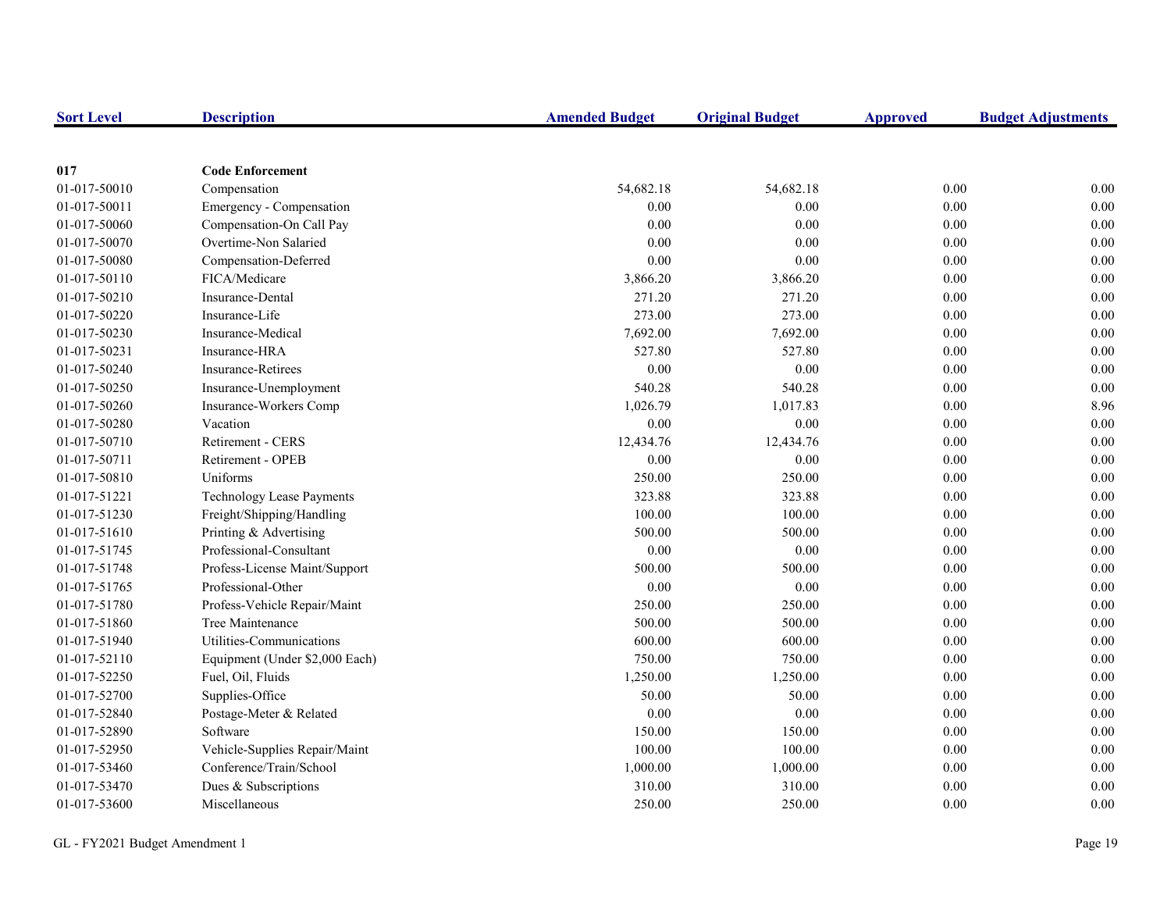| <b>Sort Level</b> | <b>Description</b>               | <b>Amended Budget</b> | <b>Original Budget</b> | <b>Approved</b> | <b>Budget Adjustments</b> |
|-------------------|----------------------------------|-----------------------|------------------------|-----------------|---------------------------|
|                   |                                  |                       |                        |                 |                           |
| 017               | <b>Code Enforcement</b>          |                       |                        |                 |                           |
| 01-017-50010      | Compensation                     | 54,682.18             | 54,682.18              | 0.00            | 0.00                      |
| 01-017-50011      | Emergency - Compensation         | 0.00                  | 0.00                   | 0.00            | 0.00                      |
| 01-017-50060      | Compensation-On Call Pay         | 0.00                  | 0.00                   | $0.00\,$        | 0.00                      |
| 01-017-50070      | Overtime-Non Salaried            | 0.00                  | 0.00                   | 0.00            | 0.00                      |
| 01-017-50080      | Compensation-Deferred            | 0.00                  | 0.00                   | 0.00            | 0.00                      |
| 01-017-50110      | FICA/Medicare                    | 3,866.20              | 3,866.20               | 0.00            | 0.00                      |
| 01-017-50210      | Insurance-Dental                 | 271.20                | 271.20                 | 0.00            | 0.00                      |
| 01-017-50220      | Insurance-Life                   | 273.00                | 273.00                 | 0.00            | 0.00                      |
| 01-017-50230      | Insurance-Medical                | 7,692.00              | 7,692.00               | 0.00            | 0.00                      |
| 01-017-50231      | Insurance-HRA                    | 527.80                | 527.80                 | 0.00            | 0.00                      |
| 01-017-50240      | <b>Insurance-Retirees</b>        | 0.00                  | 0.00                   | 0.00            | 0.00                      |
| 01-017-50250      | Insurance-Unemployment           | 540.28                | 540.28                 | 0.00            | 0.00                      |
| 01-017-50260      | Insurance-Workers Comp           | 1,026.79              | 1,017.83               | 0.00            | 8.96                      |
| 01-017-50280      | Vacation                         | 0.00                  | 0.00                   | 0.00            | 0.00                      |
| 01-017-50710      | Retirement - CERS                | 12,434.76             | 12,434.76              | 0.00            | 0.00                      |
| 01-017-50711      | Retirement - OPEB                | 0.00                  | 0.00                   | 0.00            | 0.00                      |
| 01-017-50810      | Uniforms                         | 250.00                | 250.00                 | 0.00            | 0.00                      |
| 01-017-51221      | <b>Technology Lease Payments</b> | 323.88                | 323.88                 | 0.00            | 0.00                      |
| 01-017-51230      | Freight/Shipping/Handling        | 100.00                | 100.00                 | 0.00            | 0.00                      |
| 01-017-51610      | Printing & Advertising           | 500.00                | 500.00                 | 0.00            | 0.00                      |
| 01-017-51745      | Professional-Consultant          | 0.00                  | 0.00                   | 0.00            | 0.00                      |
| 01-017-51748      | Profess-License Maint/Support    | 500.00                | 500.00                 | $0.00\,$        | 0.00                      |
| 01-017-51765      | Professional-Other               | 0.00                  | 0.00                   | 0.00            | 0.00                      |
| 01-017-51780      | Profess-Vehicle Repair/Maint     | 250.00                | 250.00                 | 0.00            | 0.00                      |
| 01-017-51860      | Tree Maintenance                 | 500.00                | 500.00                 | 0.00            | 0.00                      |
| 01-017-51940      | Utilities-Communications         | 600.00                | 600.00                 | 0.00            | 0.00                      |
| 01-017-52110      | Equipment (Under \$2,000 Each)   | 750.00                | 750.00                 | 0.00            | 0.00                      |
| 01-017-52250      | Fuel, Oil, Fluids                | 1,250.00              | 1,250.00               | 0.00            | 0.00                      |
| 01-017-52700      | Supplies-Office                  | 50.00                 | 50.00                  | 0.00            | 0.00                      |
| 01-017-52840      | Postage-Meter & Related          | 0.00                  | 0.00                   | 0.00            | 0.00                      |
| 01-017-52890      | Software                         | 150.00                | 150.00                 | 0.00            | 0.00                      |
| 01-017-52950      | Vehicle-Supplies Repair/Maint    | 100.00                | 100.00                 | 0.00            | 0.00                      |
| 01-017-53460      | Conference/Train/School          | 1,000.00              | 1,000.00               | $0.00\,$        | 0.00                      |
| 01-017-53470      | Dues & Subscriptions             | 310.00                | 310.00                 | 0.00            | 0.00                      |
| 01-017-53600      | Miscellaneous                    | 250.00                | 250.00                 | 0.00            | 0.00                      |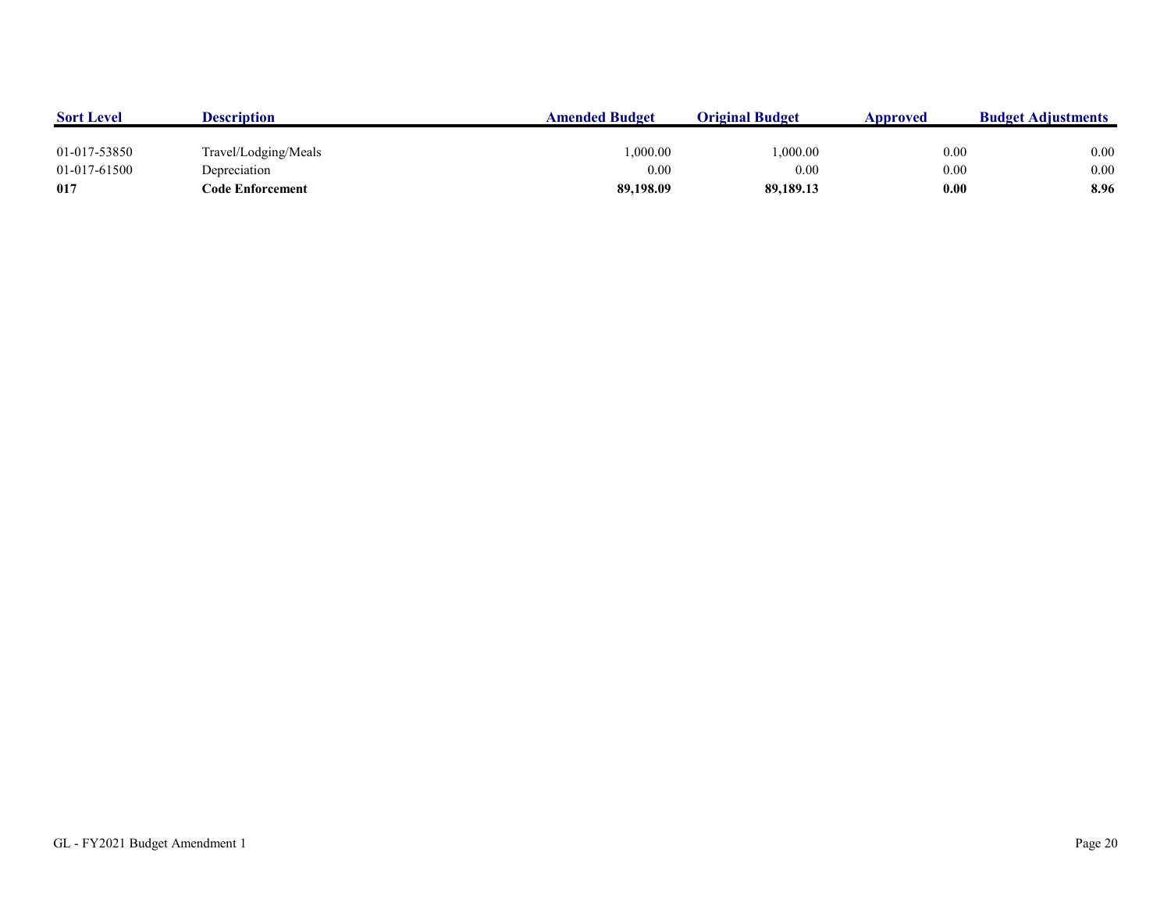| <b>Sort Level</b> | <b>Description</b>   | <b>Amended Budget</b> | <b>Original Budget</b> | Approved | <b>Budget Adjustments</b> |
|-------------------|----------------------|-----------------------|------------------------|----------|---------------------------|
|                   |                      |                       |                        |          |                           |
| 01-017-53850      | Travel/Lodging/Meals | 1.000.00              | 0.000.00               | 0.00     | 0.00                      |
| 01-017-61500      | Depreciation         | 0.00                  | 0.00                   | 0.00     | 0.00                      |
| 017               | Code Enforcement     | 89,198.09             | 89,189.13              | 0.00     | 8.96                      |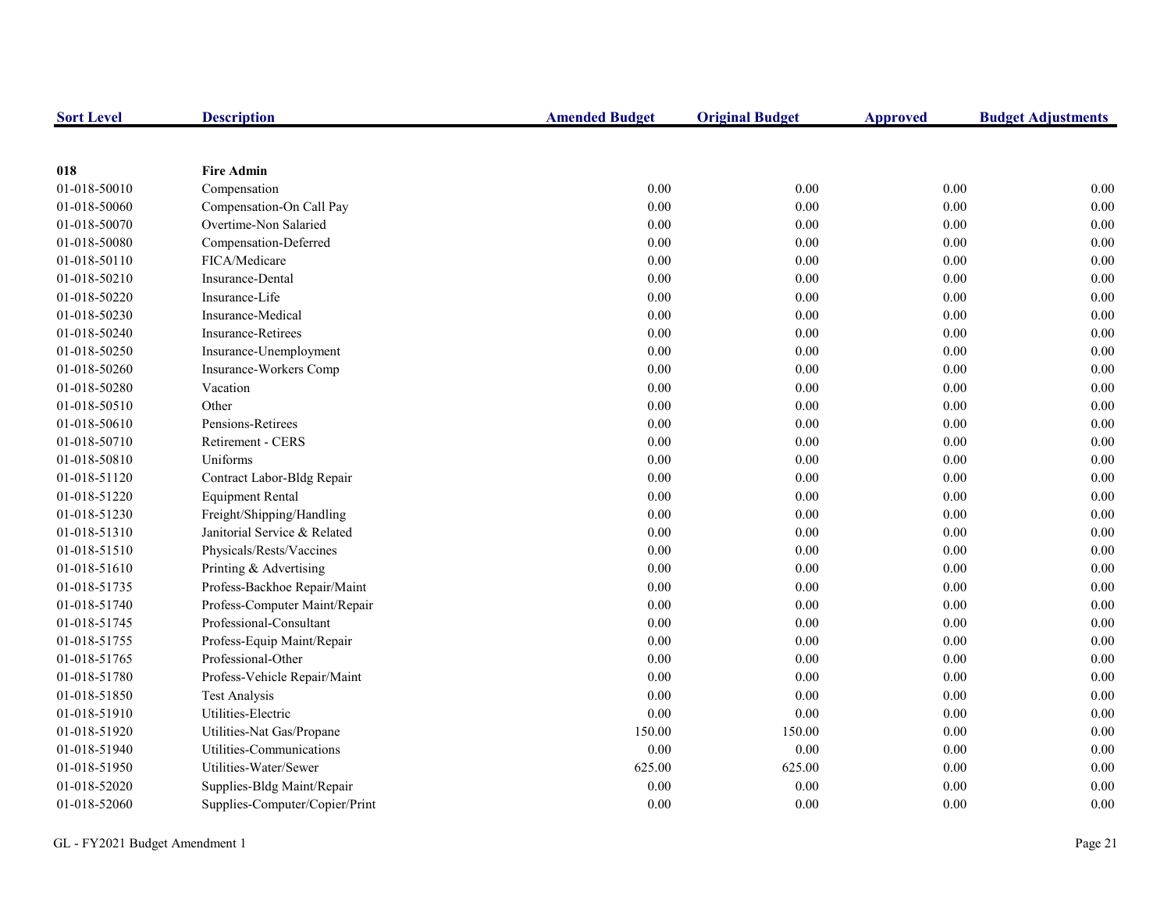| <b>Sort Level</b> | <b>Description</b>             | <b>Amended Budget</b> | <b>Original Budget</b> | <b>Approved</b> | <b>Budget Adjustments</b> |
|-------------------|--------------------------------|-----------------------|------------------------|-----------------|---------------------------|
|                   |                                |                       |                        |                 |                           |
| 018               | <b>Fire Admin</b>              |                       |                        |                 |                           |
| 01-018-50010      | Compensation                   | 0.00                  | 0.00                   | 0.00            | 0.00                      |
| 01-018-50060      | Compensation-On Call Pay       | 0.00                  | 0.00                   | 0.00            | $0.00\,$                  |
| 01-018-50070      | Overtime-Non Salaried          | 0.00                  | 0.00                   | 0.00            | 0.00                      |
| 01-018-50080      | Compensation-Deferred          | 0.00                  | 0.00                   | 0.00            | 0.00                      |
| 01-018-50110      | FICA/Medicare                  | 0.00                  | 0.00                   | 0.00            | 0.00                      |
| 01-018-50210      | Insurance-Dental               | 0.00                  | 0.00                   | $0.00\,$        | 0.00                      |
| 01-018-50220      | Insurance-Life                 | 0.00                  | 0.00                   | $0.00\,$        | 0.00                      |
| 01-018-50230      | Insurance-Medical              | 0.00                  | 0.00                   | $0.00\,$        | 0.00                      |
| 01-018-50240      | <b>Insurance-Retirees</b>      | 0.00                  | 0.00                   | 0.00            | 0.00                      |
| 01-018-50250      | Insurance-Unemployment         | 0.00                  | 0.00                   | 0.00            | 0.00                      |
| 01-018-50260      | Insurance-Workers Comp         | 0.00                  | 0.00                   | 0.00            | 0.00                      |
| 01-018-50280      | Vacation                       | 0.00                  | 0.00                   | 0.00            | 0.00                      |
| 01-018-50510      | Other                          | 0.00                  | $0.00\,$               | $0.00\,$        | 0.00                      |
| 01-018-50610      | Pensions-Retirees              | 0.00                  | 0.00                   | $0.00\,$        | 0.00                      |
| 01-018-50710      | <b>Retirement - CERS</b>       | 0.00                  | 0.00                   | 0.00            | 0.00                      |
| 01-018-50810      | Uniforms                       | 0.00                  | 0.00                   | 0.00            | 0.00                      |
| 01-018-51120      | Contract Labor-Bldg Repair     | 0.00                  | 0.00                   | $0.00\,$        | 0.00                      |
| 01-018-51220      | <b>Equipment Rental</b>        | 0.00                  | 0.00                   | $0.00\,$        | 0.00                      |
| 01-018-51230      | Freight/Shipping/Handling      | 0.00                  | 0.00                   | $0.00\,$        | 0.00                      |
| 01-018-51310      | Janitorial Service & Related   | 0.00                  | 0.00                   | $0.00\,$        | 0.00                      |
| 01-018-51510      | Physicals/Rests/Vaccines       | 0.00                  | 0.00                   | 0.00            | 0.00                      |
| 01-018-51610      | Printing & Advertising         | 0.00                  | 0.00                   | 0.00            | 0.00                      |
| 01-018-51735      | Profess-Backhoe Repair/Maint   | 0.00                  | 0.00                   | 0.00            | 0.00                      |
| 01-018-51740      | Profess-Computer Maint/Repair  | 0.00                  | 0.00                   | 0.00            | 0.00                      |
| 01-018-51745      | Professional-Consultant        | 0.00                  | 0.00                   | 0.00            | 0.00                      |
| 01-018-51755      | Profess-Equip Maint/Repair     | 0.00                  | 0.00                   | $0.00\,$        | 0.00                      |
| 01-018-51765      | Professional-Other             | 0.00                  | 0.00                   | $0.00\,$        | 0.00                      |
| 01-018-51780      | Profess-Vehicle Repair/Maint   | 0.00                  | 0.00                   | 0.00            | 0.00                      |
| 01-018-51850      | <b>Test Analysis</b>           | 0.00                  | 0.00                   | 0.00            | 0.00                      |
| 01-018-51910      | Utilities-Electric             | 0.00                  | 0.00                   | 0.00            | 0.00                      |
| 01-018-51920      | Utilities-Nat Gas/Propane      | 150.00                | 150.00                 | 0.00            | 0.00                      |
| 01-018-51940      | Utilities-Communications       | 0.00                  | 0.00                   | 0.00            | 0.00                      |
| 01-018-51950      | Utilities-Water/Sewer          | 625.00                | 625.00                 | $0.00\,$        | 0.00                      |
| 01-018-52020      | Supplies-Bldg Maint/Repair     | 0.00                  | 0.00                   | 0.00            | 0.00                      |
| 01-018-52060      | Supplies-Computer/Copier/Print | 0.00                  | 0.00                   | 0.00            | 0.00                      |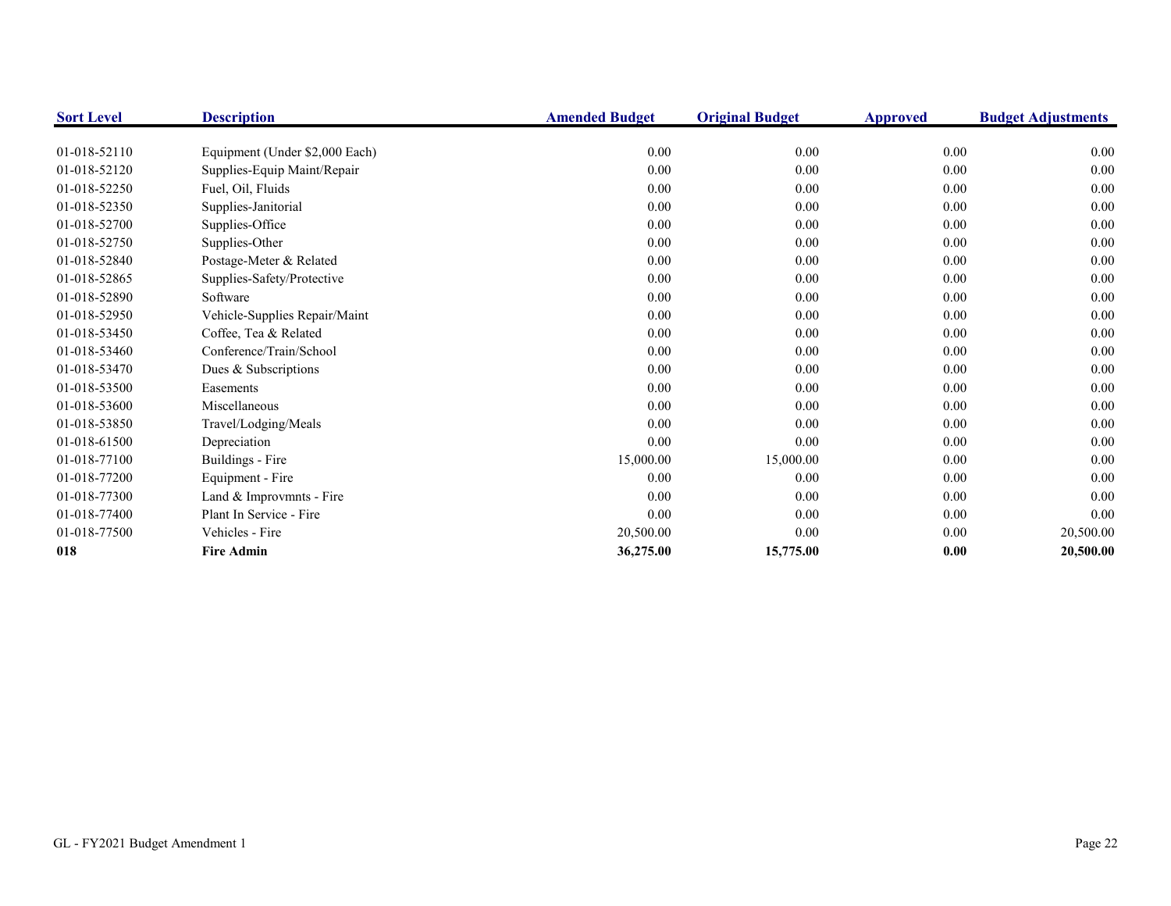| <b>Sort Level</b> | <b>Description</b>             | <b>Amended Budget</b> | <b>Original Budget</b> | <b>Approved</b> | <b>Budget Adjustments</b> |
|-------------------|--------------------------------|-----------------------|------------------------|-----------------|---------------------------|
|                   |                                |                       |                        |                 |                           |
| 01-018-52110      | Equipment (Under \$2,000 Each) | 0.00                  | 0.00                   | $0.00\,$        | 0.00                      |
| 01-018-52120      | Supplies-Equip Maint/Repair    | 0.00                  | 0.00                   | 0.00            | 0.00                      |
| 01-018-52250      | Fuel, Oil, Fluids              | 0.00                  | 0.00                   | 0.00            | 0.00                      |
| 01-018-52350      | Supplies-Janitorial            | 0.00                  | 0.00                   | 0.00            | 0.00                      |
| 01-018-52700      | Supplies-Office                | 0.00                  | 0.00                   | 0.00            | 0.00                      |
| 01-018-52750      | Supplies-Other                 | 0.00                  | 0.00                   | 0.00            | 0.00                      |
| 01-018-52840      | Postage-Meter & Related        | 0.00                  | 0.00                   | 0.00            | 0.00                      |
| 01-018-52865      | Supplies-Safety/Protective     | 0.00                  | 0.00                   | 0.00            | 0.00                      |
| 01-018-52890      | Software                       | 0.00                  | 0.00                   | 0.00            | 0.00                      |
| 01-018-52950      | Vehicle-Supplies Repair/Maint  | 0.00                  | 0.00                   | 0.00            | 0.00                      |
| 01-018-53450      | Coffee, Tea & Related          | 0.00                  | 0.00                   | 0.00            | 0.00                      |
| 01-018-53460      | Conference/Train/School        | 0.00                  | 0.00                   | 0.00            | 0.00                      |
| 01-018-53470      | Dues & Subscriptions           | 0.00                  | 0.00                   | 0.00            | 0.00                      |
| 01-018-53500      | Easements                      | 0.00                  | 0.00                   | $0.00\,$        | 0.00                      |
| 01-018-53600      | Miscellaneous                  | 0.00                  | 0.00                   | 0.00            | 0.00                      |
| 01-018-53850      | Travel/Lodging/Meals           | 0.00                  | 0.00                   | $0.00\,$        | 0.00                      |
| 01-018-61500      | Depreciation                   | 0.00                  | 0.00                   | 0.00            | 0.00                      |
| 01-018-77100      | Buildings - Fire               | 15,000.00             | 15,000.00              | 0.00            | 0.00                      |
| 01-018-77200      | Equipment - Fire               | 0.00                  | 0.00                   | 0.00            | 0.00                      |
| 01-018-77300      | Land & Improvmnts - Fire       | 0.00                  | 0.00                   | $0.00\,$        | 0.00                      |
| 01-018-77400      | Plant In Service - Fire        | 0.00                  | 0.00                   | 0.00            | 0.00                      |
| 01-018-77500      | Vehicles - Fire                | 20,500.00             | 0.00                   | $0.00\,$        | 20,500.00                 |
| 018               | <b>Fire Admin</b>              | 36,275.00             | 15,775.00              | 0.00            | 20,500.00                 |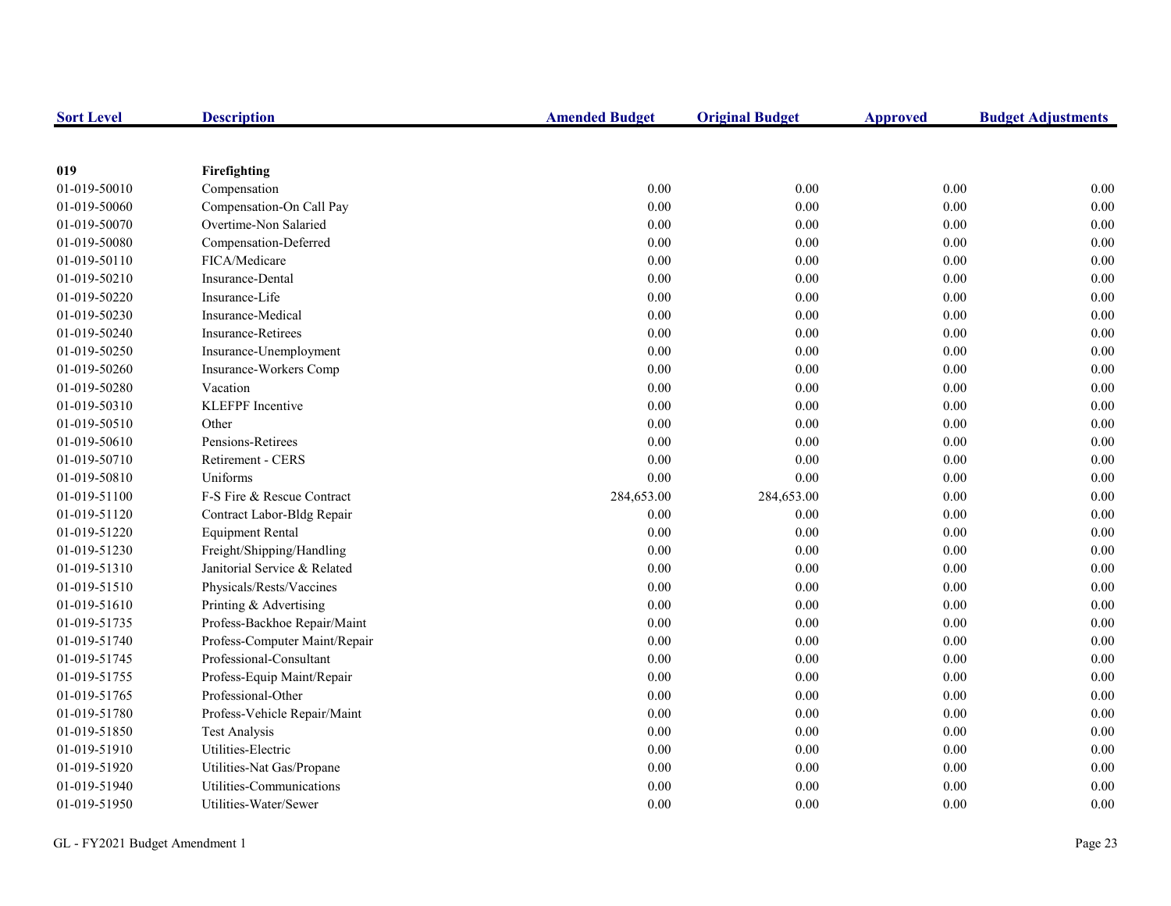| <b>Sort Level</b> | <b>Description</b>            | <b>Amended Budget</b> | <b>Original Budget</b> | <b>Approved</b> | <b>Budget Adjustments</b> |
|-------------------|-------------------------------|-----------------------|------------------------|-----------------|---------------------------|
|                   |                               |                       |                        |                 |                           |
| 019               | Firefighting                  |                       |                        |                 |                           |
| 01-019-50010      | Compensation                  | 0.00                  | 0.00                   | 0.00            | 0.00                      |
| 01-019-50060      | Compensation-On Call Pay      | 0.00                  | 0.00                   | 0.00            | 0.00                      |
| 01-019-50070      | Overtime-Non Salaried         | 0.00                  | 0.00                   | $0.00\,$        | 0.00                      |
| 01-019-50080      | Compensation-Deferred         | 0.00                  | 0.00                   | $0.00\,$        | 0.00                      |
| 01-019-50110      | FICA/Medicare                 | 0.00                  | 0.00                   | $0.00\,$        | 0.00                      |
| 01-019-50210      | Insurance-Dental              | 0.00                  | 0.00                   | 0.00            | 0.00                      |
| 01-019-50220      | Insurance-Life                | 0.00                  | 0.00                   | 0.00            | 0.00                      |
| 01-019-50230      | Insurance-Medical             | 0.00                  | 0.00                   | $0.00\,$        | 0.00                      |
| 01-019-50240      | <b>Insurance-Retirees</b>     | 0.00                  | 0.00                   | $0.00\,$        | 0.00                      |
| 01-019-50250      | Insurance-Unemployment        | 0.00                  | 0.00                   | 0.00            | 0.00                      |
| 01-019-50260      | Insurance-Workers Comp        | 0.00                  | 0.00                   | 0.00            | 0.00                      |
| 01-019-50280      | Vacation                      | $0.00\,$              | $0.00\,$               | $0.00\,$        | 0.00                      |
| 01-019-50310      | <b>KLEFPF</b> Incentive       | 0.00                  | 0.00                   | 0.00            | 0.00                      |
| 01-019-50510      | Other                         | 0.00                  | 0.00                   | $0.00\,$        | 0.00                      |
| 01-019-50610      | Pensions-Retirees             | 0.00                  | 0.00                   | 0.00            | 0.00                      |
| 01-019-50710      | Retirement - CERS             | 0.00                  | 0.00                   | 0.00            | 0.00                      |
| 01-019-50810      | Uniforms                      | 0.00                  | 0.00                   | $0.00\,$        | 0.00                      |
| 01-019-51100      | F-S Fire & Rescue Contract    | 284,653.00            | 284,653.00             | $0.00\,$        | 0.00                      |
| 01-019-51120      | Contract Labor-Bldg Repair    | 0.00                  | 0.00                   | $0.00\,$        | 0.00                      |
| 01-019-51220      | <b>Equipment Rental</b>       | 0.00                  | 0.00                   | $0.00\,$        | 0.00                      |
| 01-019-51230      | Freight/Shipping/Handling     | 0.00                  | 0.00                   | 0.00            | 0.00                      |
| 01-019-51310      | Janitorial Service & Related  | 0.00                  | 0.00                   | $0.00\,$        | 0.00                      |
| 01-019-51510      | Physicals/Rests/Vaccines      | 0.00                  | 0.00                   | $0.00\,$        | 0.00                      |
| 01-019-51610      | Printing & Advertising        | 0.00                  | 0.00                   | 0.00            | 0.00                      |
| 01-019-51735      | Profess-Backhoe Repair/Maint  | 0.00                  | 0.00                   | 0.00            | 0.00                      |
| 01-019-51740      | Profess-Computer Maint/Repair | 0.00                  | 0.00                   | 0.00            | 0.00                      |
| 01-019-51745      | Professional-Consultant       | 0.00                  | 0.00                   | $0.00\,$        | 0.00                      |
| 01-019-51755      | Profess-Equip Maint/Repair    | 0.00                  | 0.00                   | $0.00\,$        | 0.00                      |
| 01-019-51765      | Professional-Other            | 0.00                  | 0.00                   | 0.00            | 0.00                      |
| 01-019-51780      | Profess-Vehicle Repair/Maint  | 0.00                  | 0.00                   | 0.00            | 0.00                      |
| 01-019-51850      | <b>Test Analysis</b>          | 0.00                  | 0.00                   | 0.00            | 0.00                      |
| 01-019-51910      | Utilities-Electric            | 0.00                  | 0.00                   | 0.00            | 0.00                      |
| 01-019-51920      | Utilities-Nat Gas/Propane     | 0.00                  | 0.00                   | 0.00            | 0.00                      |
| 01-019-51940      | Utilities-Communications      | 0.00                  | 0.00                   | 0.00            | 0.00                      |
| 01-019-51950      | Utilities-Water/Sewer         | 0.00                  | 0.00                   | 0.00            | 0.00                      |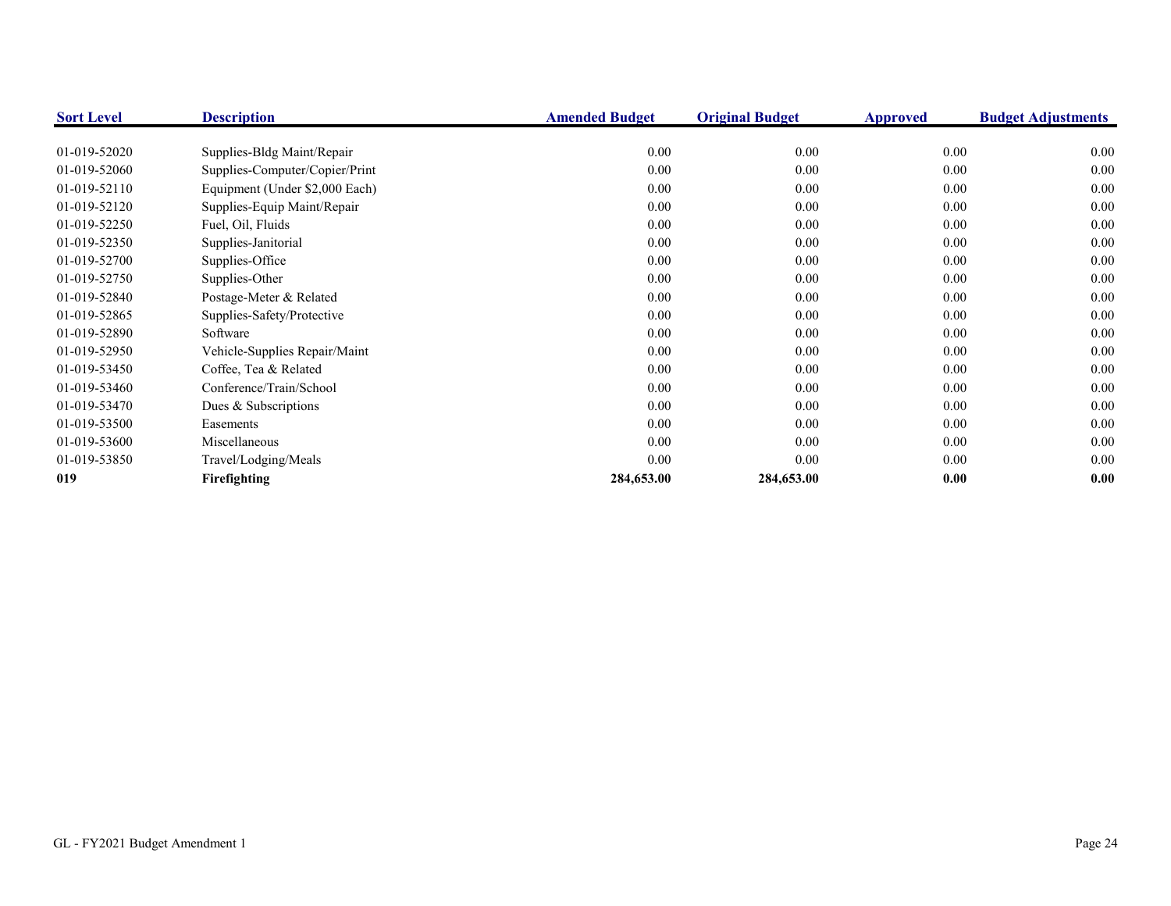| <b>Sort Level</b> | <b>Description</b>             | <b>Amended Budget</b> | <b>Original Budget</b> | <b>Approved</b> | <b>Budget Adjustments</b> |
|-------------------|--------------------------------|-----------------------|------------------------|-----------------|---------------------------|
|                   |                                |                       |                        |                 |                           |
| 01-019-52020      | Supplies-Bldg Maint/Repair     | 0.00                  | 0.00                   | 0.00            | 0.00                      |
| 01-019-52060      | Supplies-Computer/Copier/Print | 0.00                  | 0.00                   | 0.00            | 0.00                      |
| 01-019-52110      | Equipment (Under \$2,000 Each) | 0.00                  | 0.00                   | 0.00            | 0.00                      |
| 01-019-52120      | Supplies-Equip Maint/Repair    | 0.00                  | 0.00                   | 0.00            | 0.00                      |
| 01-019-52250      | Fuel, Oil, Fluids              | 0.00                  | 0.00                   | 0.00            | 0.00                      |
| 01-019-52350      | Supplies-Janitorial            | 0.00                  | 0.00                   | 0.00            | 0.00                      |
| 01-019-52700      | Supplies-Office                | 0.00                  | 0.00                   | 0.00            | 0.00                      |
| 01-019-52750      | Supplies-Other                 | 0.00                  | 0.00                   | 0.00            | 0.00                      |
| 01-019-52840      | Postage-Meter & Related        | 0.00                  | 0.00                   | 0.00            | 0.00                      |
| 01-019-52865      | Supplies-Safety/Protective     | 0.00                  | 0.00                   | 0.00            | 0.00                      |
| 01-019-52890      | Software                       | 0.00                  | 0.00                   | 0.00            | 0.00                      |
| 01-019-52950      | Vehicle-Supplies Repair/Maint  | 0.00                  | 0.00                   | 0.00            | 0.00                      |
| 01-019-53450      | Coffee, Tea & Related          | 0.00                  | 0.00                   | 0.00            | 0.00                      |
| 01-019-53460      | Conference/Train/School        | 0.00                  | 0.00                   | 0.00            | 0.00                      |
| 01-019-53470      | Dues & Subscriptions           | 0.00                  | 0.00                   | 0.00            | 0.00                      |
| 01-019-53500      | Easements                      | 0.00                  | 0.00                   | 0.00            | 0.00                      |
| 01-019-53600      | Miscellaneous                  | 0.00                  | 0.00                   | 0.00            | 0.00                      |
| 01-019-53850      | Travel/Lodging/Meals           | 0.00                  | 0.00                   | 0.00            | 0.00                      |
| 019               | Firefighting                   | 284,653.00            | 284,653.00             | 0.00            | 0.00                      |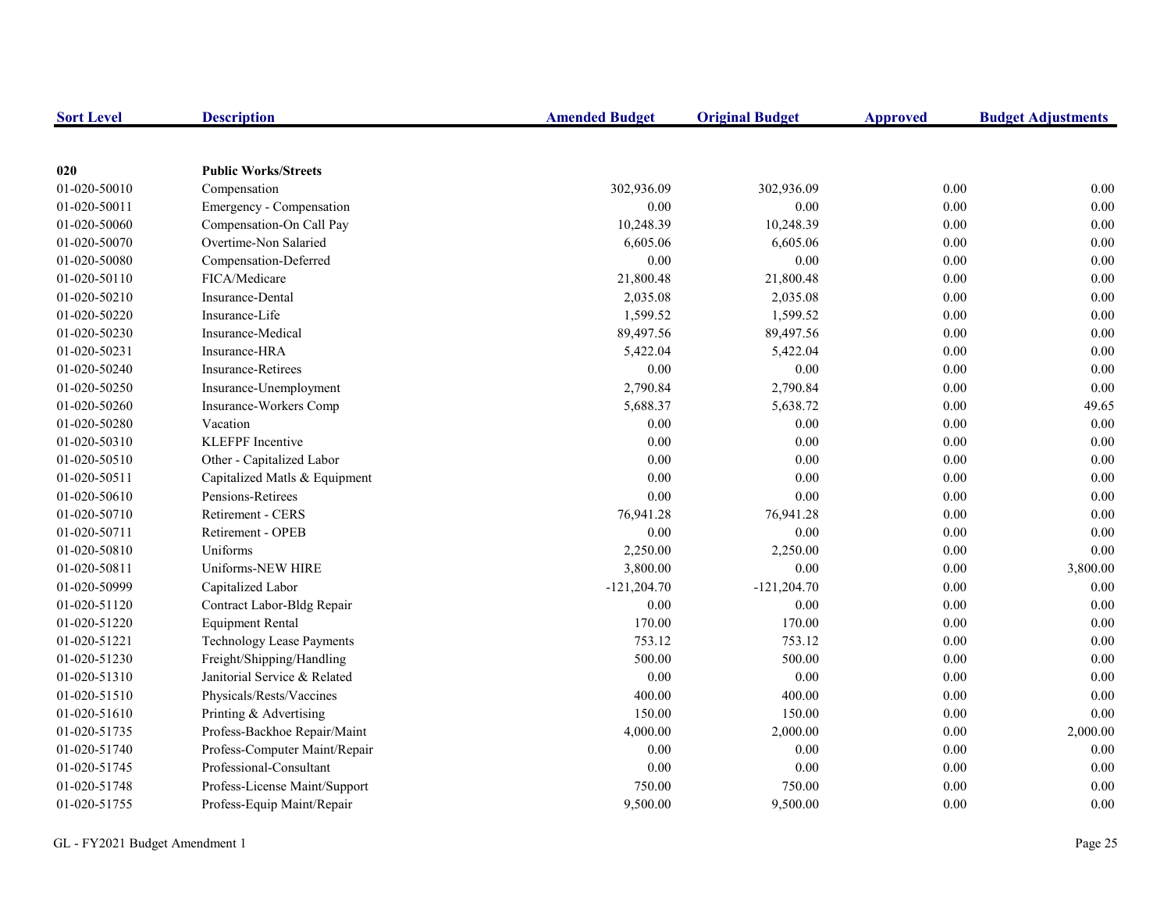| <b>Sort Level</b> | <b>Description</b>            | <b>Amended Budget</b> | <b>Original Budget</b> | <b>Approved</b> | <b>Budget Adjustments</b> |
|-------------------|-------------------------------|-----------------------|------------------------|-----------------|---------------------------|
|                   |                               |                       |                        |                 |                           |
| 020               | <b>Public Works/Streets</b>   |                       |                        |                 |                           |
| 01-020-50010      | Compensation                  | 302,936.09            | 302,936.09             | 0.00            | 0.00                      |
| 01-020-50011      | Emergency - Compensation      | 0.00                  | 0.00                   | 0.00            | 0.00                      |
| 01-020-50060      | Compensation-On Call Pay      | 10,248.39             | 10,248.39              | 0.00            | 0.00                      |
| 01-020-50070      | Overtime-Non Salaried         | 6,605.06              | 6,605.06               | 0.00            | 0.00                      |
| 01-020-50080      | Compensation-Deferred         | 0.00                  | 0.00                   | 0.00            | 0.00                      |
| 01-020-50110      | FICA/Medicare                 | 21,800.48             | 21,800.48              | 0.00            | 0.00                      |
| 01-020-50210      | Insurance-Dental              | 2,035.08              | 2,035.08               | $0.00\,$        | 0.00                      |
| 01-020-50220      | Insurance-Life                | 1,599.52              | 1,599.52               | 0.00            | 0.00                      |
| 01-020-50230      | Insurance-Medical             | 89,497.56             | 89,497.56              | 0.00            | 0.00                      |
| 01-020-50231      | Insurance-HRA                 | 5,422.04              | 5,422.04               | 0.00            | 0.00                      |
| 01-020-50240      | <b>Insurance-Retirees</b>     | 0.00                  | 0.00                   | $0.00\,$        | 0.00                      |
| 01-020-50250      | Insurance-Unemployment        | 2,790.84              | 2,790.84               | 0.00            | 0.00                      |
| 01-020-50260      | Insurance-Workers Comp        | 5,688.37              | 5,638.72               | $0.00\,$        | 49.65                     |
| 01-020-50280      | Vacation                      | 0.00                  | 0.00                   | 0.00            | 0.00                      |
| 01-020-50310      | <b>KLEFPF</b> Incentive       | 0.00                  | 0.00                   | 0.00            | 0.00                      |
| 01-020-50510      | Other - Capitalized Labor     | 0.00                  | 0.00                   | 0.00            | 0.00                      |
| 01-020-50511      | Capitalized Matls & Equipment | 0.00                  | 0.00                   | 0.00            | 0.00                      |
| 01-020-50610      | Pensions-Retirees             | 0.00                  | 0.00                   | 0.00            | 0.00                      |
| 01-020-50710      | <b>Retirement - CERS</b>      | 76,941.28             | 76,941.28              | 0.00            | 0.00                      |
| 01-020-50711      | <b>Retirement - OPEB</b>      | 0.00                  | 0.00                   | 0.00            | 0.00                      |
| 01-020-50810      | Uniforms                      | 2,250.00              | 2,250.00               | 0.00            | 0.00                      |
| 01-020-50811      | Uniforms-NEW HIRE             | 3,800.00              | 0.00                   | 0.00            | 3,800.00                  |
| 01-020-50999      | Capitalized Labor             | $-121,204.70$         | $-121,204.70$          | 0.00            | 0.00                      |
| 01-020-51120      | Contract Labor-Bldg Repair    | 0.00                  | 0.00                   | $0.00\,$        | 0.00                      |
| 01-020-51220      | <b>Equipment Rental</b>       | 170.00                | 170.00                 | 0.00            | 0.00                      |
| 01-020-51221      | Technology Lease Payments     | 753.12                | 753.12                 | 0.00            | 0.00                      |
| 01-020-51230      | Freight/Shipping/Handling     | 500.00                | 500.00                 | $0.00\,$        | 0.00                      |
| 01-020-51310      | Janitorial Service & Related  | 0.00                  | 0.00                   | $0.00\,$        | 0.00                      |
| 01-020-51510      | Physicals/Rests/Vaccines      | 400.00                | 400.00                 | $0.00\,$        | 0.00                      |
| 01-020-51610      | Printing & Advertising        | 150.00                | 150.00                 | 0.00            | 0.00                      |
| 01-020-51735      | Profess-Backhoe Repair/Maint  | 4,000.00              | 2,000.00               | 0.00            | 2,000.00                  |
| 01-020-51740      | Profess-Computer Maint/Repair | 0.00                  | 0.00                   | 0.00            | 0.00                      |
| 01-020-51745      | Professional-Consultant       | 0.00                  | 0.00                   | 0.00            | 0.00                      |
| 01-020-51748      | Profess-License Maint/Support | 750.00                | 750.00                 | 0.00            | 0.00                      |
| 01-020-51755      | Profess-Equip Maint/Repair    | 9,500.00              | 9,500.00               | 0.00            | 0.00                      |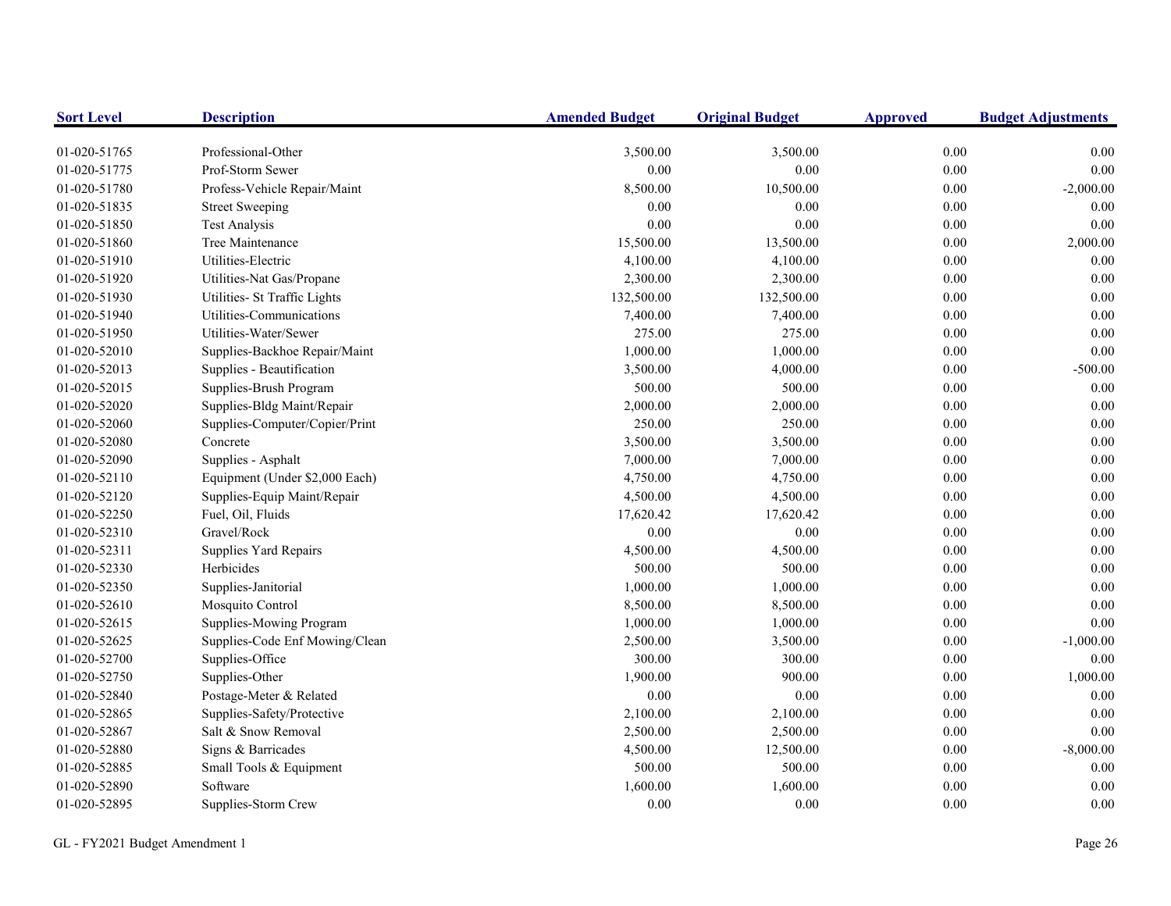| <b>Sort Level</b> | <b>Description</b>             | <b>Amended Budget</b> | <b>Original Budget</b> | <b>Approved</b> | <b>Budget Adjustments</b> |
|-------------------|--------------------------------|-----------------------|------------------------|-----------------|---------------------------|
| 01-020-51765      | Professional-Other             | 3,500.00              | 3,500.00               | 0.00            | 0.00                      |
| 01-020-51775      | Prof-Storm Sewer               | 0.00                  | 0.00                   | 0.00            | $0.00\,$                  |
| 01-020-51780      | Profess-Vehicle Repair/Maint   | 8,500.00              | 10,500.00              | 0.00            | $-2,000.00$               |
| 01-020-51835      | <b>Street Sweeping</b>         | 0.00                  | 0.00                   | 0.00            | 0.00                      |
| 01-020-51850      | <b>Test Analysis</b>           | 0.00                  | 0.00                   | 0.00            | 0.00                      |
| 01-020-51860      | Tree Maintenance               | 15,500.00             | 13,500.00              | 0.00            | 2,000.00                  |
| 01-020-51910      | Utilities-Electric             | 4,100.00              | 4,100.00               | 0.00            | 0.00                      |
| 01-020-51920      | Utilities-Nat Gas/Propane      | 2,300.00              | 2,300.00               | 0.00            | 0.00                      |
| 01-020-51930      | Utilities- St Traffic Lights   | 132,500.00            | 132,500.00             | 0.00            | 0.00                      |
| 01-020-51940      | Utilities-Communications       | 7,400.00              | 7,400.00               | 0.00            | $0.00\,$                  |
| 01-020-51950      | Utilities-Water/Sewer          | 275.00                | 275.00                 | 0.00            | $0.00\,$                  |
| 01-020-52010      | Supplies-Backhoe Repair/Maint  | 1,000.00              | 1,000.00               | 0.00            | 0.00                      |
| 01-020-52013      | Supplies - Beautification      | 3,500.00              | 4,000.00               | 0.00            | $-500.00$                 |
| 01-020-52015      | Supplies-Brush Program         | 500.00                | 500.00                 | 0.00            | 0.00                      |
| 01-020-52020      | Supplies-Bldg Maint/Repair     | 2,000.00              | 2,000.00               | 0.00            | 0.00                      |
| 01-020-52060      | Supplies-Computer/Copier/Print | 250.00                | 250.00                 | 0.00            | $0.00\,$                  |
| 01-020-52080      | Concrete                       | 3,500.00              | 3,500.00               | 0.00            | $0.00\,$                  |
| 01-020-52090      | Supplies - Asphalt             | 7,000.00              | 7,000.00               | 0.00            | $0.00\,$                  |
| 01-020-52110      | Equipment (Under \$2,000 Each) | 4,750.00              | 4,750.00               | 0.00            | 0.00                      |
| 01-020-52120      | Supplies-Equip Maint/Repair    | 4,500.00              | 4,500.00               | 0.00            | 0.00                      |
| 01-020-52250      | Fuel, Oil, Fluids              | 17,620.42             | 17,620.42              | 0.00            | $0.00\,$                  |
| 01-020-52310      | Gravel/Rock                    | 0.00                  | 0.00                   | 0.00            | $0.00\,$                  |
| 01-020-52311      | Supplies Yard Repairs          | 4,500.00              | 4,500.00               | 0.00            | 0.00                      |
| 01-020-52330      | Herbicides                     | 500.00                | 500.00                 | 0.00            | 0.00                      |
| 01-020-52350      | Supplies-Janitorial            | 1,000.00              | 1,000.00               | 0.00            | $0.00\,$                  |
| 01-020-52610      | Mosquito Control               | 8,500.00              | 8,500.00               | 0.00            | 0.00                      |
| 01-020-52615      | Supplies-Mowing Program        | 1,000.00              | 1,000.00               | 0.00            | 0.00                      |
| 01-020-52625      | Supplies-Code Enf Mowing/Clean | 2,500.00              | 3,500.00               | 0.00            | $-1,000.00$               |
| 01-020-52700      | Supplies-Office                | 300.00                | 300.00                 | 0.00            | 0.00                      |
| 01-020-52750      | Supplies-Other                 | 1,900.00              | 900.00                 | 0.00            | 1,000.00                  |
| 01-020-52840      | Postage-Meter & Related        | 0.00                  | 0.00                   | 0.00            | 0.00                      |
| 01-020-52865      | Supplies-Safety/Protective     | 2,100.00              | 2,100.00               | 0.00            | 0.00                      |
| 01-020-52867      | Salt & Snow Removal            | 2,500.00              | 2,500.00               | 0.00            | 0.00                      |
| 01-020-52880      | Signs & Barricades             | 4,500.00              | 12,500.00              | 0.00            | $-8,000.00$               |
| 01-020-52885      | Small Tools & Equipment        | 500.00                | 500.00                 | 0.00            | 0.00                      |
| 01-020-52890      | Software                       | 1,600.00              | 1,600.00               | 0.00            | 0.00                      |
| 01-020-52895      | Supplies-Storm Crew            | 0.00                  | $0.00\,$               | 0.00            | $0.00\,$                  |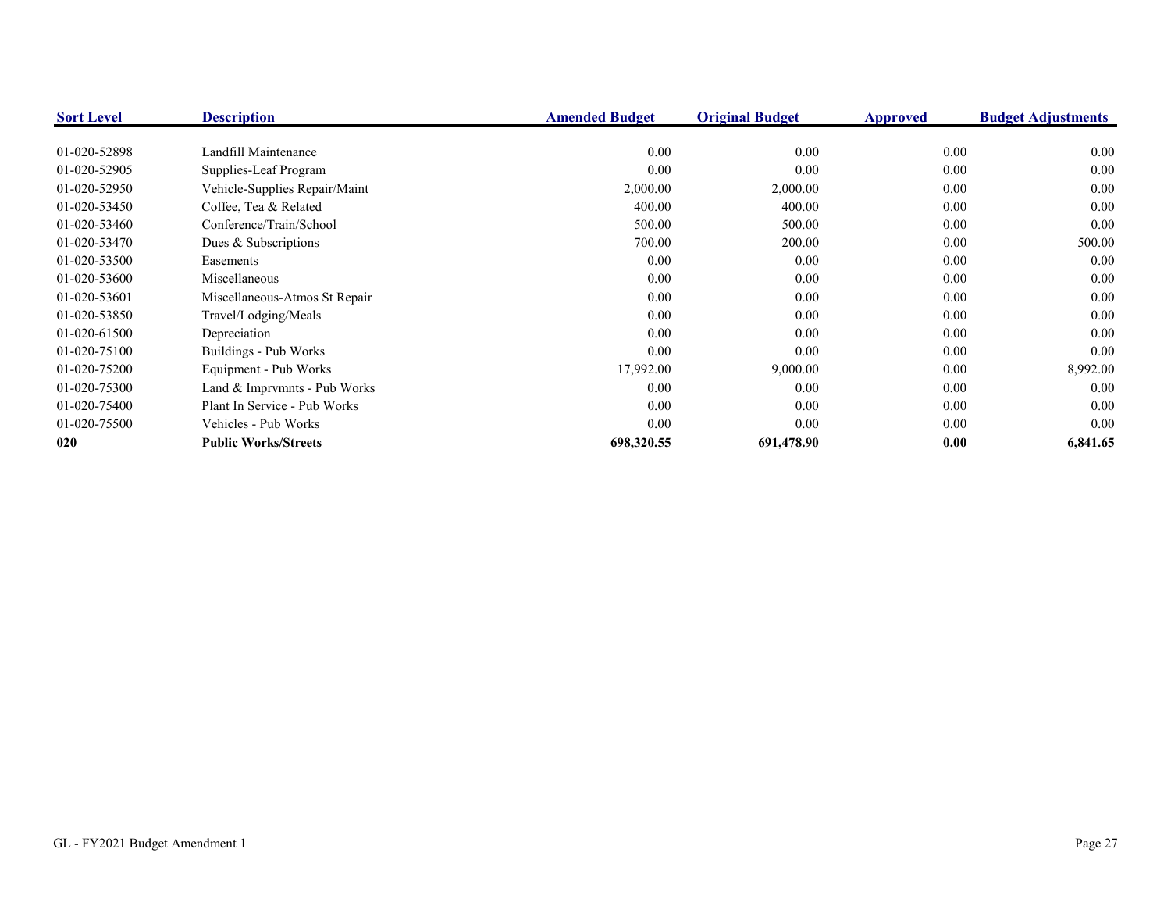| <b>Sort Level</b> | <b>Description</b>            | <b>Amended Budget</b> | <b>Original Budget</b> | <b>Approved</b> | <b>Budget Adjustments</b> |
|-------------------|-------------------------------|-----------------------|------------------------|-----------------|---------------------------|
| 01-020-52898      | Landfill Maintenance          | 0.00                  | 0.00                   | 0.00            | 0.00                      |
| 01-020-52905      | Supplies-Leaf Program         | 0.00                  | 0.00                   | 0.00            | 0.00                      |
| 01-020-52950      | Vehicle-Supplies Repair/Maint | 2,000.00              | 2,000.00               | 0.00            | 0.00                      |
| 01-020-53450      | Coffee, Tea & Related         | 400.00                | 400.00                 | 0.00            | 0.00                      |
| 01-020-53460      | Conference/Train/School       | 500.00                | 500.00                 | 0.00            | 0.00                      |
| 01-020-53470      | Dues & Subscriptions          | 700.00                | 200.00                 | 0.00            | 500.00                    |
| 01-020-53500      | Easements                     | 0.00                  | 0.00                   | 0.00            | 0.00                      |
| 01-020-53600      | Miscellaneous                 | 0.00                  | $0.00\,$               | $0.00\,$        | 0.00                      |
| 01-020-53601      | Miscellaneous-Atmos St Repair | 0.00                  | 0.00                   | 0.00            | 0.00                      |
| 01-020-53850      | Travel/Lodging/Meals          | 0.00                  | 0.00                   | 0.00            | 0.00                      |
| 01-020-61500      | Depreciation                  | 0.00                  | 0.00                   | 0.00            | 0.00                      |
| 01-020-75100      | Buildings - Pub Works         | 0.00                  | 0.00                   | 0.00            | 0.00                      |
| 01-020-75200      | Equipment - Pub Works         | 17,992.00             | 9,000.00               | 0.00            | 8,992.00                  |
| 01-020-75300      | Land & Imprvmnts - Pub Works  | 0.00                  | 0.00                   | 0.00            | 0.00                      |
| 01-020-75400      | Plant In Service - Pub Works  | 0.00                  | 0.00                   | 0.00            | 0.00                      |
| 01-020-75500      | Vehicles - Pub Works          | 0.00                  | 0.00                   | $0.00\,$        | 0.00                      |
| 020               | <b>Public Works/Streets</b>   | 698,320.55            | 691,478.90             | 0.00            | 6,841.65                  |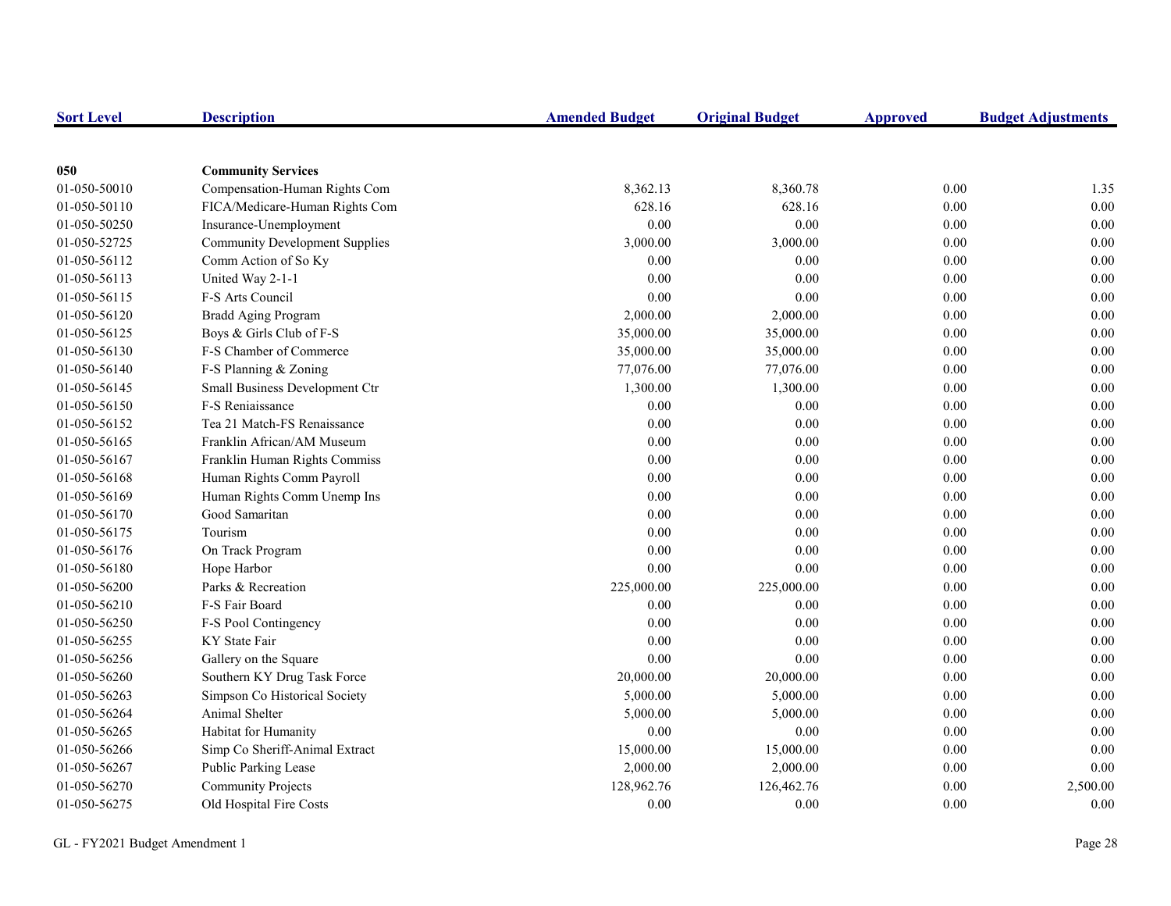| <b>Sort Level</b> | <b>Description</b>                    | <b>Amended Budget</b> | <b>Original Budget</b> | <b>Approved</b> | <b>Budget Adjustments</b> |
|-------------------|---------------------------------------|-----------------------|------------------------|-----------------|---------------------------|
|                   |                                       |                       |                        |                 |                           |
| 050               | <b>Community Services</b>             |                       |                        |                 |                           |
| 01-050-50010      | Compensation-Human Rights Com         | 8,362.13              | 8,360.78               | 0.00            | 1.35                      |
| 01-050-50110      | FICA/Medicare-Human Rights Com        | 628.16                | 628.16                 | 0.00            | 0.00                      |
| 01-050-50250      | Insurance-Unemployment                | 0.00                  | 0.00                   | 0.00            | 0.00                      |
| 01-050-52725      | <b>Community Development Supplies</b> | 3,000.00              | 3,000.00               | 0.00            | 0.00                      |
| 01-050-56112      | Comm Action of So Ky                  | 0.00                  | 0.00                   | 0.00            | $0.00\,$                  |
| 01-050-56113      | United Way 2-1-1                      | 0.00                  | 0.00                   | 0.00            | $0.00\,$                  |
| 01-050-56115      | F-S Arts Council                      | 0.00                  | 0.00                   | 0.00            | 0.00                      |
| 01-050-56120      | <b>Bradd Aging Program</b>            | 2,000.00              | 2,000.00               | 0.00            | 0.00                      |
| 01-050-56125      | Boys & Girls Club of F-S              | 35,000.00             | 35,000.00              | 0.00            | 0.00                      |
| 01-050-56130      | F-S Chamber of Commerce               | 35,000.00             | 35,000.00              | 0.00            | $0.00\,$                  |
| 01-050-56140      | F-S Planning & Zoning                 | 77,076.00             | 77,076.00              | $0.00\,$        | $0.00\,$                  |
| 01-050-56145      | Small Business Development Ctr        | 1,300.00              | 1,300.00               | 0.00            | $0.00\,$                  |
| 01-050-56150      | F-S Reniaissance                      | 0.00                  | 0.00                   | 0.00            | $0.00\,$                  |
| 01-050-56152      | Tea 21 Match-FS Renaissance           | 0.00                  | 0.00                   | $0.00\,$        | $0.00\,$                  |
| 01-050-56165      | Franklin African/AM Museum            | 0.00                  | 0.00                   | 0.00            | 0.00                      |
| 01-050-56167      | Franklin Human Rights Commiss         | 0.00                  | 0.00                   | 0.00            | 0.00                      |
| 01-050-56168      | Human Rights Comm Payroll             | 0.00                  | 0.00                   | 0.00            | 0.00                      |
| 01-050-56169      | Human Rights Comm Unemp Ins           | 0.00                  | 0.00                   | 0.00            | 0.00                      |
| 01-050-56170      | Good Samaritan                        | 0.00                  | 0.00                   | 0.00            | 0.00                      |
| 01-050-56175      | Tourism                               | 0.00                  | 0.00                   | 0.00            | 0.00                      |
| 01-050-56176      | On Track Program                      | 0.00                  | 0.00                   | 0.00            | 0.00                      |
| 01-050-56180      | Hope Harbor                           | 0.00                  | 0.00                   | 0.00            | $0.00\,$                  |
| 01-050-56200      | Parks & Recreation                    | 225,000.00            | 225,000.00             | 0.00            | 0.00                      |
| 01-050-56210      | F-S Fair Board                        | 0.00                  | 0.00                   | 0.00            | 0.00                      |
| 01-050-56250      | F-S Pool Contingency                  | 0.00                  | 0.00                   | $0.00\,$        | 0.00                      |
| 01-050-56255      | KY State Fair                         | 0.00                  | 0.00                   | 0.00            | $0.00\,$                  |
| 01-050-56256      | Gallery on the Square                 | 0.00                  | $0.00\,$               | $0.00\,$        | $0.00\,$                  |
| 01-050-56260      | Southern KY Drug Task Force           | 20,000.00             | 20,000.00              | $0.00\,$        | $0.00\,$                  |
| 01-050-56263      | Simpson Co Historical Society         | 5,000.00              | 5,000.00               | 0.00            | $0.00\,$                  |
| 01-050-56264      | Animal Shelter                        | 5,000.00              | 5,000.00               | 0.00            | 0.00                      |
| 01-050-56265      | Habitat for Humanity                  | 0.00                  | $0.00\,$               | 0.00            | 0.00                      |
| 01-050-56266      | Simp Co Sheriff-Animal Extract        | 15,000.00             | 15,000.00              | 0.00            | 0.00                      |
| 01-050-56267      | Public Parking Lease                  | 2,000.00              | 2,000.00               | 0.00            | 0.00                      |
| 01-050-56270      | <b>Community Projects</b>             | 128,962.76            | 126,462.76             | 0.00            | 2,500.00                  |
| 01-050-56275      | Old Hospital Fire Costs               | 0.00                  | 0.00                   | 0.00            | 0.00                      |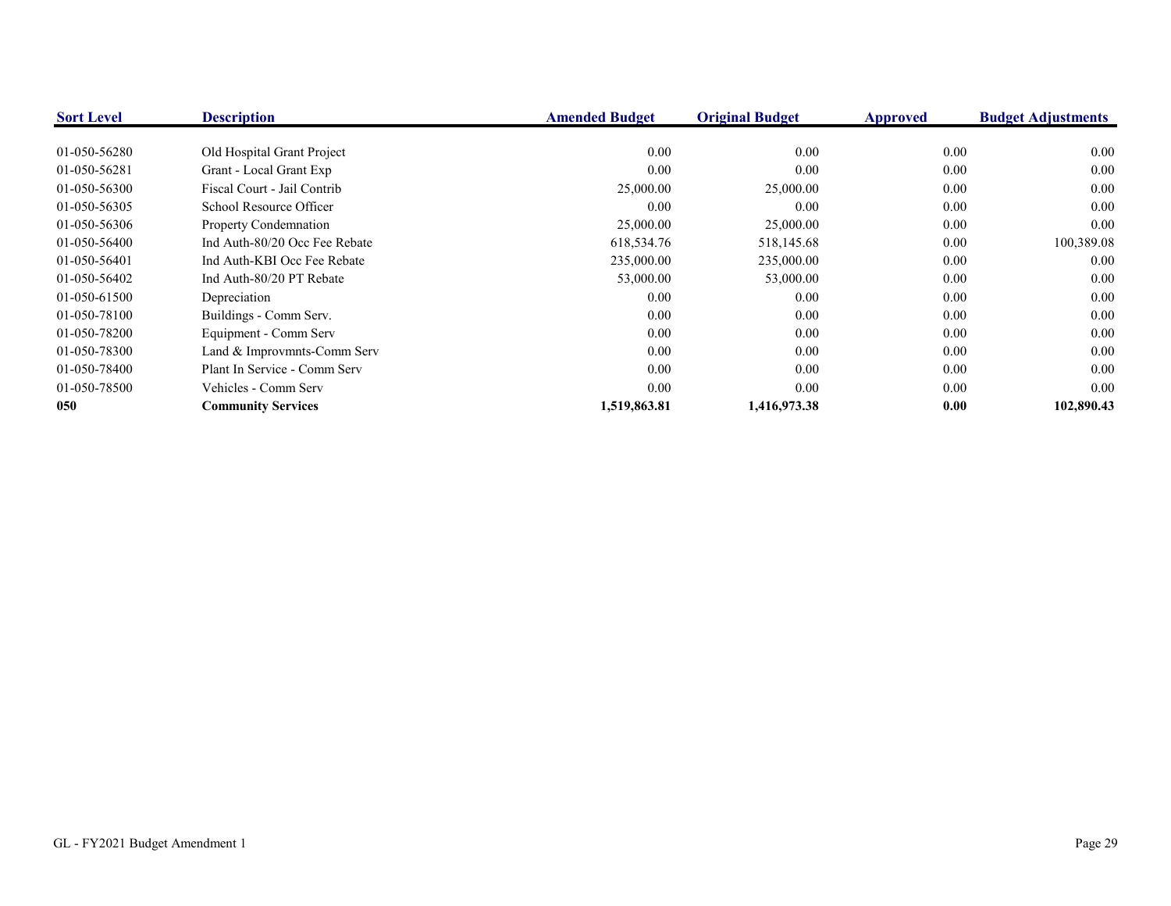| <b>Sort Level</b> | <b>Description</b>            | <b>Amended Budget</b> | <b>Original Budget</b> | Approved | <b>Budget Adjustments</b> |
|-------------------|-------------------------------|-----------------------|------------------------|----------|---------------------------|
|                   |                               |                       |                        |          |                           |
| 01-050-56280      | Old Hospital Grant Project    | 0.00                  | 0.00                   | 0.00     | 0.00                      |
| 01-050-56281      | Grant - Local Grant Exp       | 0.00                  | 0.00                   | 0.00     | 0.00                      |
| 01-050-56300      | Fiscal Court - Jail Contrib   | 25,000.00             | 25,000.00              | $0.00\,$ | 0.00                      |
| 01-050-56305      | School Resource Officer       | 0.00                  | 0.00                   | $0.00\,$ | 0.00                      |
| 01-050-56306      | <b>Property Condemnation</b>  | 25,000.00             | 25,000.00              | 0.00     | 0.00                      |
| 01-050-56400      | Ind Auth-80/20 Occ Fee Rebate | 618,534.76            | 518,145.68             | 0.00     | 100,389.08                |
| 01-050-56401      | Ind Auth-KBI Occ Fee Rebate   | 235,000.00            | 235,000.00             | $0.00\,$ | 0.00                      |
| 01-050-56402      | Ind Auth-80/20 PT Rebate      | 53,000.00             | 53,000.00              | $0.00\,$ | 0.00                      |
| 01-050-61500      | Depreciation                  | 0.00                  | 0.00                   | $0.00\,$ | 0.00                      |
| 01-050-78100      | Buildings - Comm Serv.        | 0.00                  | 0.00                   | 0.00     | 0.00                      |
| 01-050-78200      | Equipment - Comm Serv         | 0.00                  | 0.00                   | 0.00     | 0.00                      |
| 01-050-78300      | Land & Improvmnts-Comm Serv   | 0.00                  | 0.00                   | 0.00     | 0.00                      |
| 01-050-78400      | Plant In Service - Comm Serv  | 0.00                  | 0.00                   | $0.00\,$ | 0.00                      |
| 01-050-78500      | Vehicles - Comm Serv          | 0.00                  | 0.00                   | 0.00     | 0.00                      |
| 050               | <b>Community Services</b>     | 1,519,863.81          | 1,416,973.38           | 0.00     | 102,890.43                |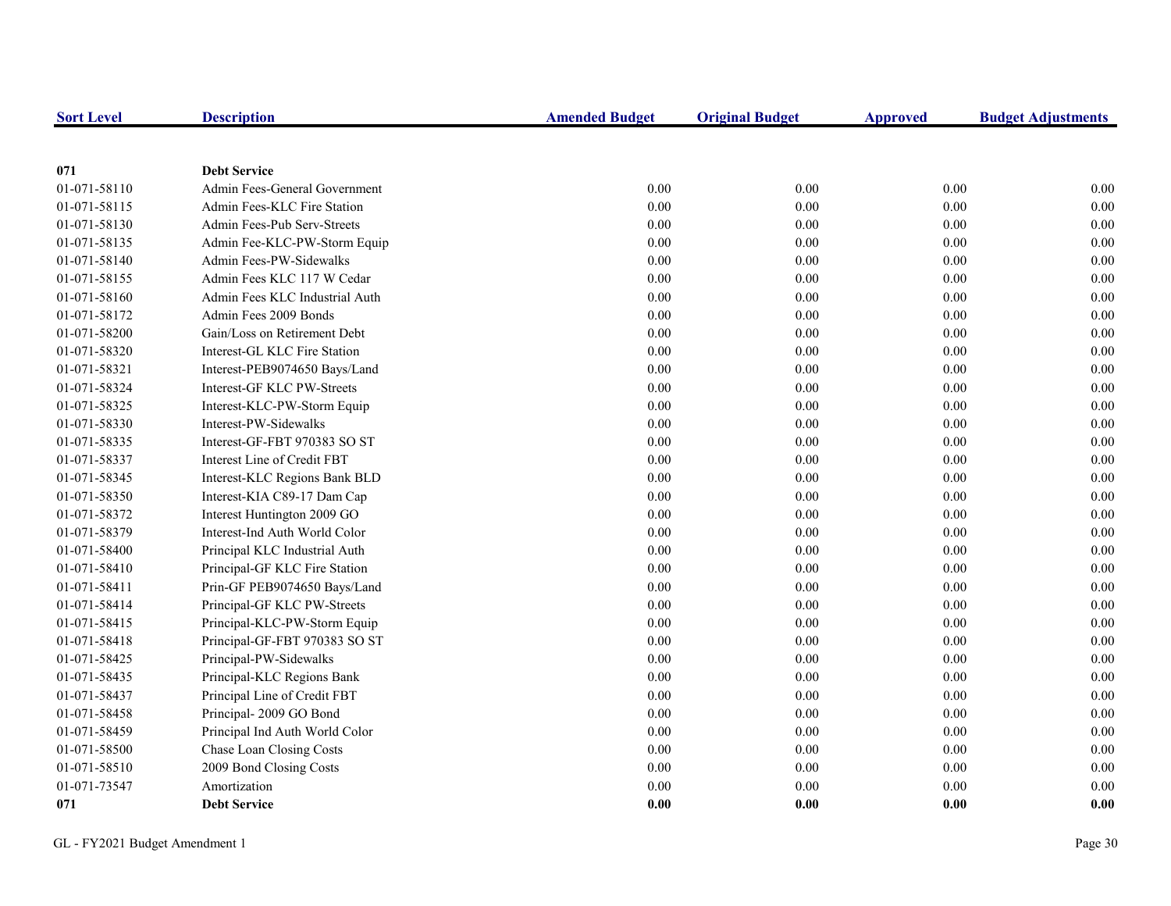| <b>Sort Level</b> | <b>Description</b>             | <b>Amended Budget</b> | <b>Original Budget</b> | Approved | <b>Budget Adjustments</b> |
|-------------------|--------------------------------|-----------------------|------------------------|----------|---------------------------|
|                   |                                |                       |                        |          |                           |
| 071               | <b>Debt Service</b>            |                       |                        |          |                           |
| 01-071-58110      | Admin Fees-General Government  | 0.00                  | 0.00                   | $0.00\,$ | 0.00                      |
| 01-071-58115      | Admin Fees-KLC Fire Station    | $0.00\,$              | 0.00                   | $0.00\,$ | 0.00                      |
| 01-071-58130      | Admin Fees-Pub Serv-Streets    | 0.00                  | 0.00                   | 0.00     | 0.00                      |
| 01-071-58135      | Admin Fee-KLC-PW-Storm Equip   | 0.00                  | 0.00                   | 0.00     | 0.00                      |
| 01-071-58140      | Admin Fees-PW-Sidewalks        | 0.00                  | 0.00                   | $0.00\,$ | $0.00\,$                  |
| 01-071-58155      | Admin Fees KLC 117 W Cedar     | 0.00                  | 0.00                   | 0.00     | $0.00\,$                  |
| 01-071-58160      | Admin Fees KLC Industrial Auth | 0.00                  | 0.00                   | 0.00     | 0.00                      |
| 01-071-58172      | Admin Fees 2009 Bonds          | 0.00                  | 0.00                   | 0.00     | $0.00\,$                  |
| 01-071-58200      | Gain/Loss on Retirement Debt   | 0.00                  | 0.00                   | 0.00     | $0.00\,$                  |
| 01-071-58320      | Interest-GL KLC Fire Station   | 0.00                  | 0.00                   | 0.00     | 0.00                      |
| 01-071-58321      | Interest-PEB9074650 Bays/Land  | 0.00                  | 0.00                   | 0.00     | 0.00                      |
| 01-071-58324      | Interest-GF KLC PW-Streets     | 0.00                  | $0.00\,$               | 0.00     | 0.00                      |
| 01-071-58325      | Interest-KLC-PW-Storm Equip    | 0.00                  | 0.00                   | $0.00\,$ | $0.00\,$                  |
| 01-071-58330      | Interest-PW-Sidewalks          | 0.00                  | 0.00                   | 0.00     | 0.00                      |
| 01-071-58335      | Interest-GF-FBT 970383 SO ST   | 0.00                  | 0.00                   | 0.00     | 0.00                      |
| 01-071-58337      | Interest Line of Credit FBT    | 0.00                  | 0.00                   | $0.00\,$ | $0.00\,$                  |
| 01-071-58345      | Interest-KLC Regions Bank BLD  | 0.00                  | 0.00                   | $0.00\,$ | $0.00\,$                  |
| 01-071-58350      | Interest-KIA C89-17 Dam Cap    | 0.00                  | 0.00                   | 0.00     | 0.00                      |
| 01-071-58372      | Interest Huntington 2009 GO    | 0.00                  | 0.00                   | 0.00     | 0.00                      |
| 01-071-58379      | Interest-Ind Auth World Color  | 0.00                  | 0.00                   | $0.00\,$ | $0.00\,$                  |
| 01-071-58400      | Principal KLC Industrial Auth  | 0.00                  | 0.00                   | 0.00     | 0.00                      |
| 01-071-58410      | Principal-GF KLC Fire Station  | 0.00                  | 0.00                   | 0.00     | 0.00                      |
| 01-071-58411      | Prin-GF PEB9074650 Bays/Land   | 0.00                  | 0.00                   | $0.00\,$ | 0.00                      |
| 01-071-58414      | Principal-GF KLC PW-Streets    | 0.00                  | 0.00                   | 0.00     | $0.00\,$                  |
| 01-071-58415      | Principal-KLC-PW-Storm Equip   | 0.00                  | 0.00                   | 0.00     | 0.00                      |
| 01-071-58418      | Principal-GF-FBT 970383 SO ST  | 0.00                  | 0.00                   | 0.00     | 0.00                      |
| 01-071-58425      | Principal-PW-Sidewalks         | 0.00                  | 0.00                   | $0.00\,$ | $0.00\,$                  |
| 01-071-58435      | Principal-KLC Regions Bank     | 0.00                  | 0.00                   | 0.00     | 0.00                      |
| 01-071-58437      | Principal Line of Credit FBT   | 0.00                  | 0.00                   | 0.00     | 0.00                      |
| 01-071-58458      | Principal-2009 GO Bond         | 0.00                  | 0.00                   | 0.00     | 0.00                      |
| 01-071-58459      | Principal Ind Auth World Color | 0.00                  | 0.00                   | 0.00     | $0.00\,$                  |
| 01-071-58500      | Chase Loan Closing Costs       | 0.00                  | 0.00                   | 0.00     | $0.00\,$                  |
| 01-071-58510      | 2009 Bond Closing Costs        | 0.00                  | 0.00                   | 0.00     | $0.00\,$                  |
| 01-071-73547      | Amortization                   | 0.00                  | 0.00                   | 0.00     | $0.00\,$                  |
| 071               | <b>Debt Service</b>            | 0.00                  | 0.00                   | 0.00     | 0.00                      |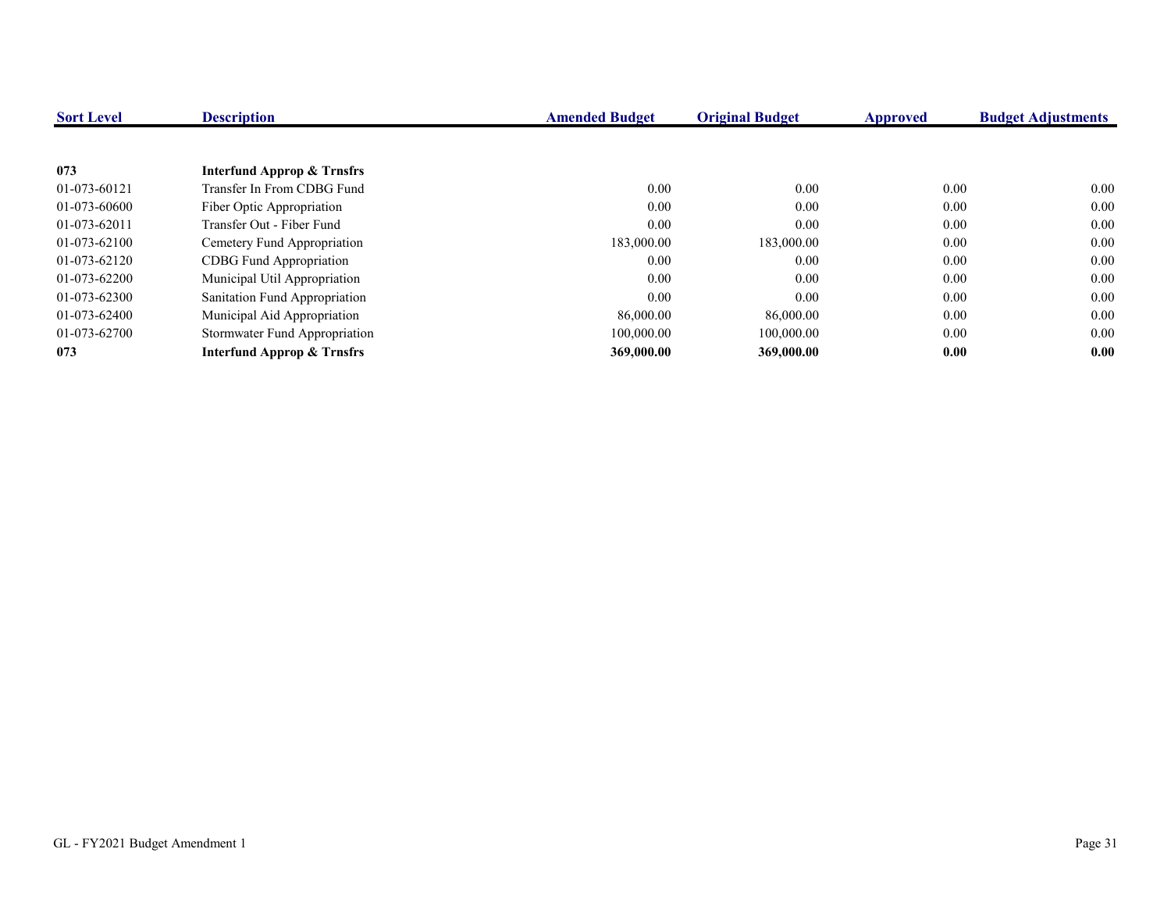| <b>Sort Level</b> | <b>Description</b>                    | <b>Amended Budget</b> | <b>Original Budget</b> | <b>Approved</b> | <b>Budget Adjustments</b> |
|-------------------|---------------------------------------|-----------------------|------------------------|-----------------|---------------------------|
|                   |                                       |                       |                        |                 |                           |
| 073               | Interfund Approp & Trnsfrs            |                       |                        |                 |                           |
| 01-073-60121      | Transfer In From CDBG Fund            | 0.00                  | 0.00                   | 0.00            | 0.00                      |
| 01-073-60600      | Fiber Optic Appropriation             | 0.00                  | 0.00                   | $0.00\,$        | 0.00                      |
| 01-073-62011      | Transfer Out - Fiber Fund             | 0.00                  | 0.00                   | 0.00            | 0.00                      |
| 01-073-62100      | Cemetery Fund Appropriation           | 183,000.00            | 183,000.00             | 0.00            | 0.00                      |
| 01-073-62120      | <b>CDBG</b> Fund Appropriation        | 0.00                  | 0.00                   | $0.00\,$        | 0.00                      |
| 01-073-62200      | Municipal Util Appropriation          | 0.00                  | 0.00                   | $0.00\,$        | 0.00                      |
| 01-073-62300      | Sanitation Fund Appropriation         | 0.00                  | 0.00                   | 0.00            | 0.00                      |
| 01-073-62400      | Municipal Aid Appropriation           | 86,000.00             | 86,000.00              | $0.00\,$        | 0.00                      |
| 01-073-62700      | Stormwater Fund Appropriation         | 100,000.00            | 100,000.00             | 0.00            | 0.00                      |
| 073               | <b>Interfund Approp &amp; Trnsfrs</b> | 369,000.00            | 369,000.00             | 0.00            | 0.00                      |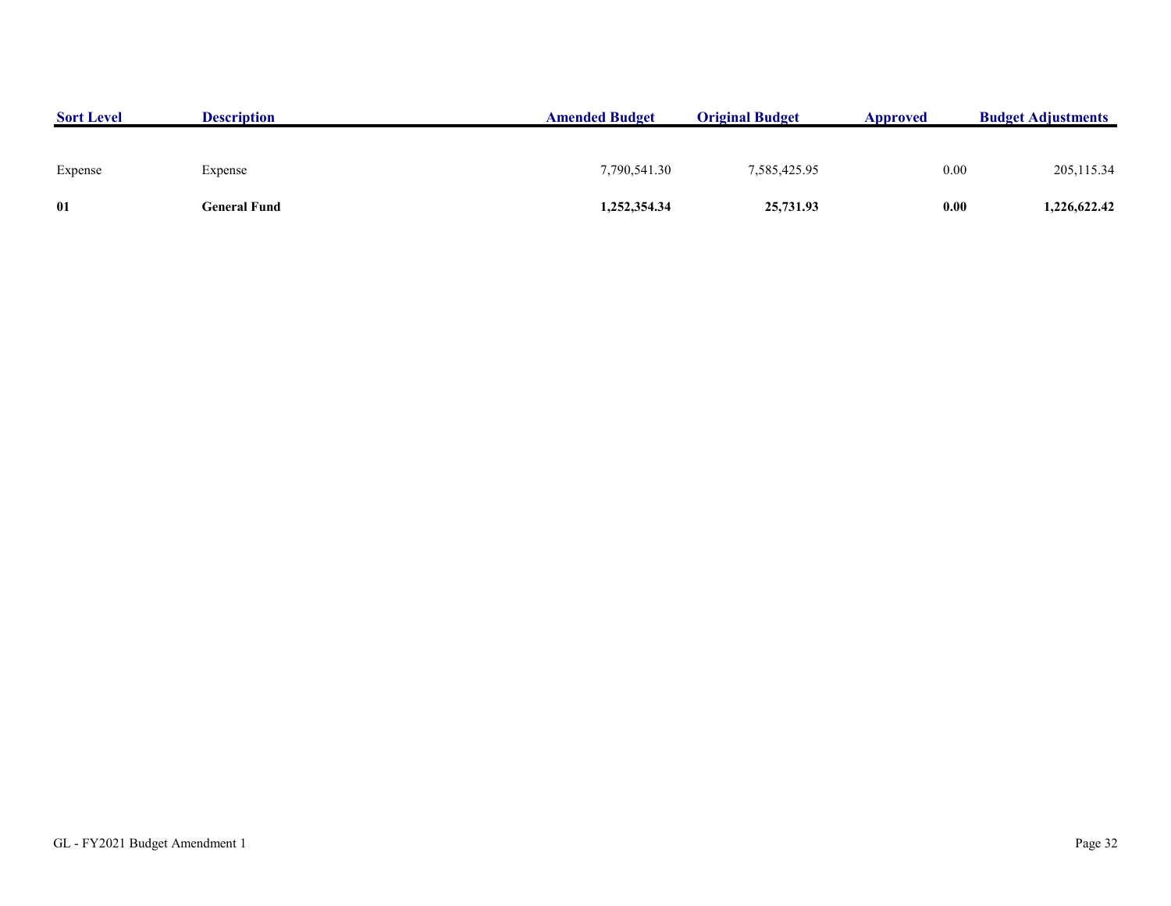| <b>Sort Level</b> | <b>Description</b> | <b>Amended Budget</b> | <b>Original Budget</b> | <b>Approved</b> | <b>Budget Adjustments</b> |
|-------------------|--------------------|-----------------------|------------------------|-----------------|---------------------------|
|                   |                    |                       |                        |                 |                           |
| Expense           | Expense            | 7,790,541.30          | 7,585,425.95           | 0.00            | 205, 115.34               |
| 01                | General Fund       | 1,252,354.34          | 25,731.93              | 0.00            | 1,226,622.42              |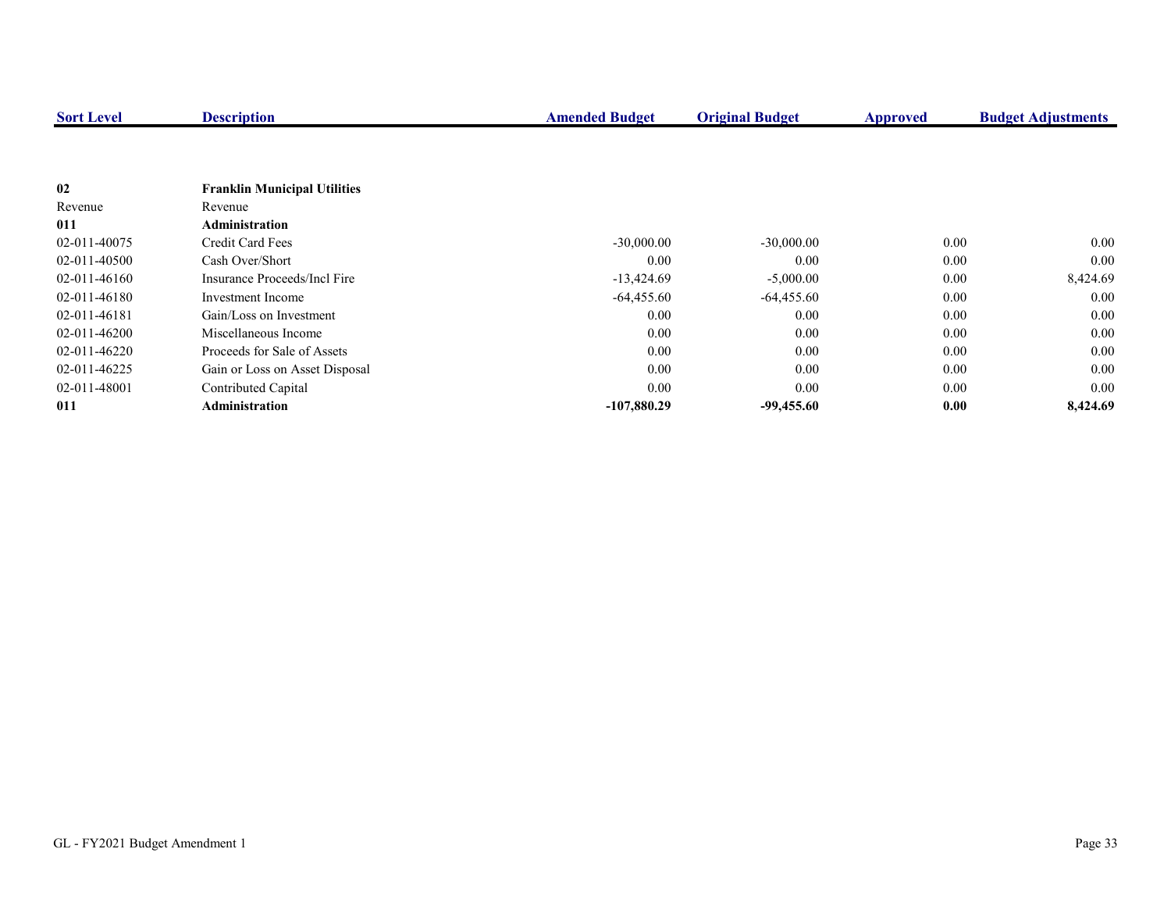| <b>Sort Level</b> | <b>Description</b>                  | <b>Amended Budget</b> | <b>Original Budget</b> | Approved | <b>Budget Adjustments</b> |
|-------------------|-------------------------------------|-----------------------|------------------------|----------|---------------------------|
|                   |                                     |                       |                        |          |                           |
|                   |                                     |                       |                        |          |                           |
| 02                | <b>Franklin Municipal Utilities</b> |                       |                        |          |                           |
| Revenue           | Revenue                             |                       |                        |          |                           |
| 011               | Administration                      |                       |                        |          |                           |
| 02-011-40075      | Credit Card Fees                    | $-30,000.00$          | $-30,000.00$           | 0.00     | 0.00                      |
| 02-011-40500      | Cash Over/Short                     | 0.00                  | 0.00                   | 0.00     | 0.00                      |
| 02-011-46160      | Insurance Proceeds/Incl Fire        | $-13,424.69$          | $-5,000.00$            | 0.00     | 8,424.69                  |
| 02-011-46180      | Investment Income                   | $-64,455.60$          | $-64,455.60$           | 0.00     | 0.00                      |
| 02-011-46181      | Gain/Loss on Investment             | 0.00                  | 0.00                   | 0.00     | 0.00                      |
| 02-011-46200      | Miscellaneous Income                | 0.00                  | 0.00                   | 0.00     | 0.00                      |
| 02-011-46220      | Proceeds for Sale of Assets         | 0.00                  | 0.00                   | 0.00     | 0.00                      |
| 02-011-46225      | Gain or Loss on Asset Disposal      | 0.00                  | 0.00                   | 0.00     | 0.00                      |
| 02-011-48001      | Contributed Capital                 | 0.00                  | 0.00                   | 0.00     | 0.00                      |
| 011               | <b>Administration</b>               | $-107,880.29$         | $-99,455.60$           | 0.00     | 8,424.69                  |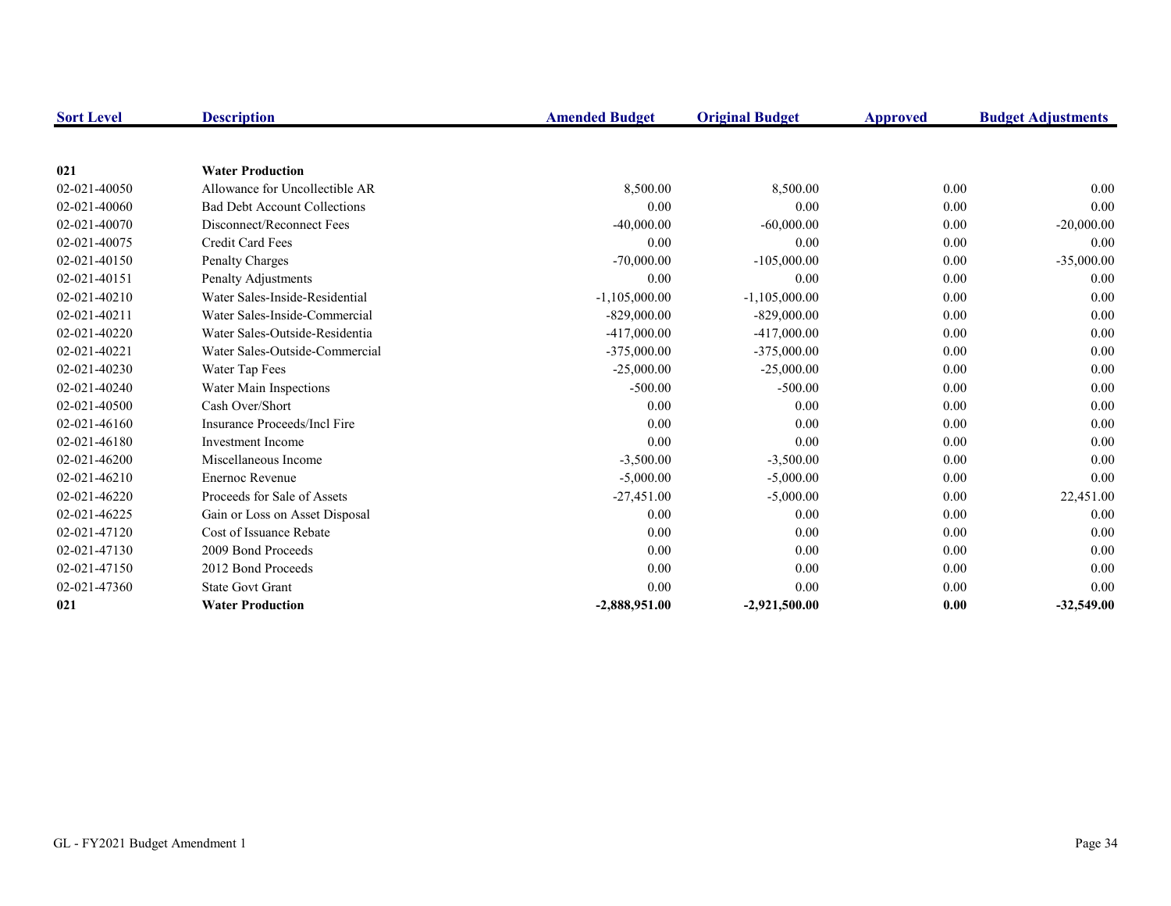| <b>Sort Level</b> | <b>Description</b>                  | <b>Amended Budget</b> | <b>Original Budget</b> | Approved | <b>Budget Adjustments</b> |
|-------------------|-------------------------------------|-----------------------|------------------------|----------|---------------------------|
|                   |                                     |                       |                        |          |                           |
| 021               | <b>Water Production</b>             |                       |                        |          |                           |
| 02-021-40050      | Allowance for Uncollectible AR      | 8,500.00              | 8,500.00               | 0.00     | 0.00                      |
| 02-021-40060      | <b>Bad Debt Account Collections</b> | 0.00                  | 0.00                   | 0.00     | 0.00                      |
| 02-021-40070      | Disconnect/Reconnect Fees           | $-40,000.00$          | $-60,000.00$           | 0.00     | $-20,000.00$              |
| 02-021-40075      | <b>Credit Card Fees</b>             | 0.00                  | 0.00                   | 0.00     | 0.00                      |
| 02-021-40150      | <b>Penalty Charges</b>              | $-70,000.00$          | $-105,000.00$          | 0.00     | $-35,000.00$              |
| 02-021-40151      | Penalty Adjustments                 | 0.00                  | 0.00                   | 0.00     | 0.00                      |
| 02-021-40210      | Water Sales-Inside-Residential      | $-1,105,000.00$       | $-1,105,000.00$        | 0.00     | 0.00                      |
| 02-021-40211      | Water Sales-Inside-Commercial       | $-829,000.00$         | $-829,000.00$          | 0.00     | 0.00                      |
| 02-021-40220      | Water Sales-Outside-Residentia      | $-417,000.00$         | -417,000.00            | 0.00     | 0.00                      |
| 02-021-40221      | Water Sales-Outside-Commercial      | $-375,000.00$         | $-375,000.00$          | 0.00     | 0.00                      |
| 02-021-40230      | Water Tap Fees                      | $-25,000.00$          | $-25,000.00$           | 0.00     | 0.00                      |
| 02-021-40240      | Water Main Inspections              | $-500.00$             | $-500.00$              | 0.00     | 0.00                      |
| 02-021-40500      | Cash Over/Short                     | 0.00                  | 0.00                   | 0.00     | 0.00                      |
| 02-021-46160      | Insurance Proceeds/Incl Fire        | 0.00                  | 0.00                   | 0.00     | 0.00                      |
| 02-021-46180      | <b>Investment Income</b>            | 0.00                  | 0.00                   | 0.00     | 0.00                      |
| 02-021-46200      | Miscellaneous Income                | $-3,500.00$           | $-3,500.00$            | 0.00     | 0.00                      |
| 02-021-46210      | Enernoc Revenue                     | $-5,000.00$           | $-5,000.00$            | 0.00     | 0.00                      |
| 02-021-46220      | Proceeds for Sale of Assets         | $-27,451.00$          | $-5,000.00$            | 0.00     | 22,451.00                 |
| 02-021-46225      | Gain or Loss on Asset Disposal      | 0.00                  | 0.00                   | 0.00     | 0.00                      |
| 02-021-47120      | Cost of Issuance Rebate             | 0.00                  | 0.00                   | 0.00     | 0.00                      |
| 02-021-47130      | 2009 Bond Proceeds                  | 0.00                  | 0.00                   | 0.00     | 0.00                      |
| 02-021-47150      | 2012 Bond Proceeds                  | 0.00                  | 0.00                   | 0.00     | 0.00                      |
| 02-021-47360      | <b>State Govt Grant</b>             | 0.00                  | 0.00                   | 0.00     | 0.00                      |
| 021               | <b>Water Production</b>             | $-2,888,951.00$       | $-2,921,500.00$        | 0.00     | $-32,549.00$              |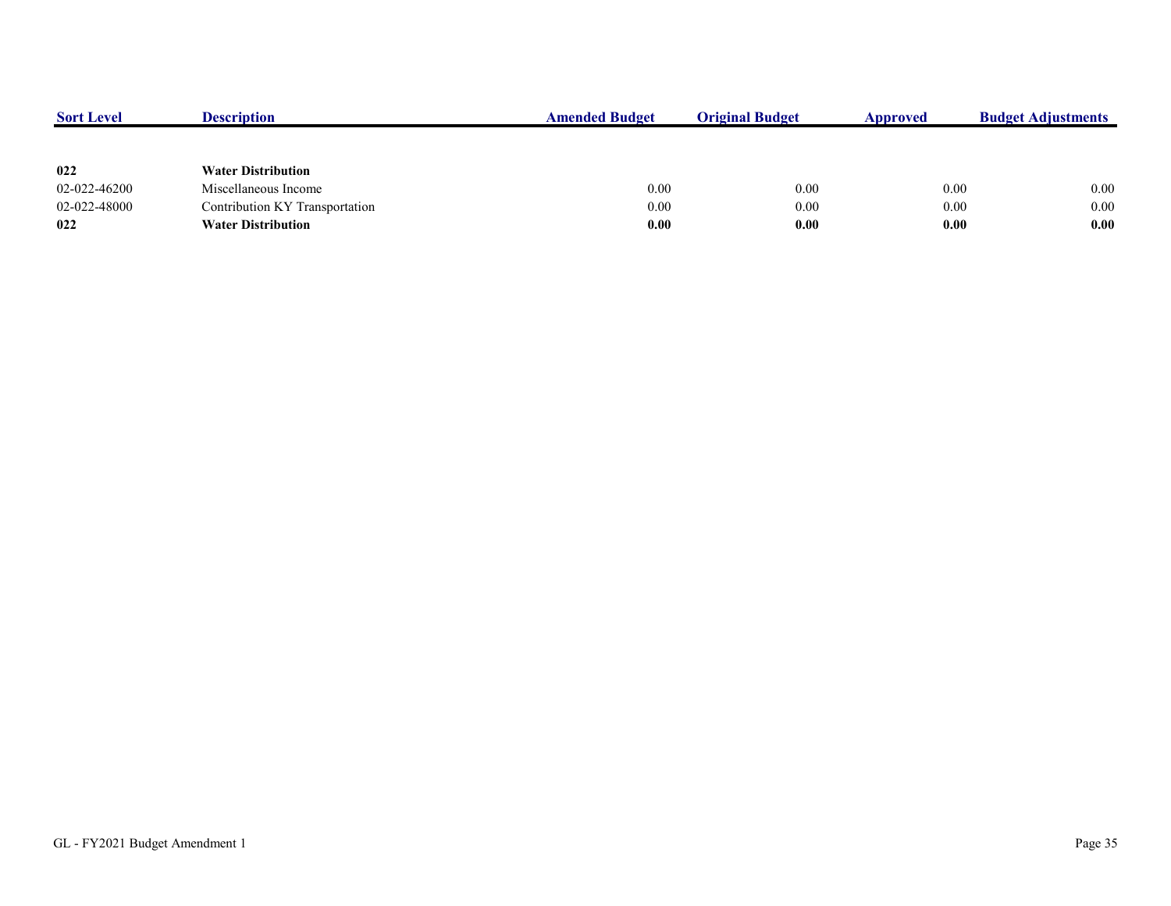| <b>Sort Level</b> | <b>Description</b>             | <b>Amended Budget</b> | <b>Original Budget</b> | Approved | <b>Budget Adjustments</b> |
|-------------------|--------------------------------|-----------------------|------------------------|----------|---------------------------|
|                   |                                |                       |                        |          |                           |
| 022               | <b>Water Distribution</b>      |                       |                        |          |                           |
| 02-022-46200      | Miscellaneous Income           | 0.00                  | 0.00                   | 0.00     | $0.00\,$                  |
| 02-022-48000      | Contribution KY Transportation | 0.00                  | 0.00                   | 0.00     | 0.00                      |
| 022               | <b>Water Distribution</b>      | 0.00                  | 0.00                   | 0.00     | 0.00                      |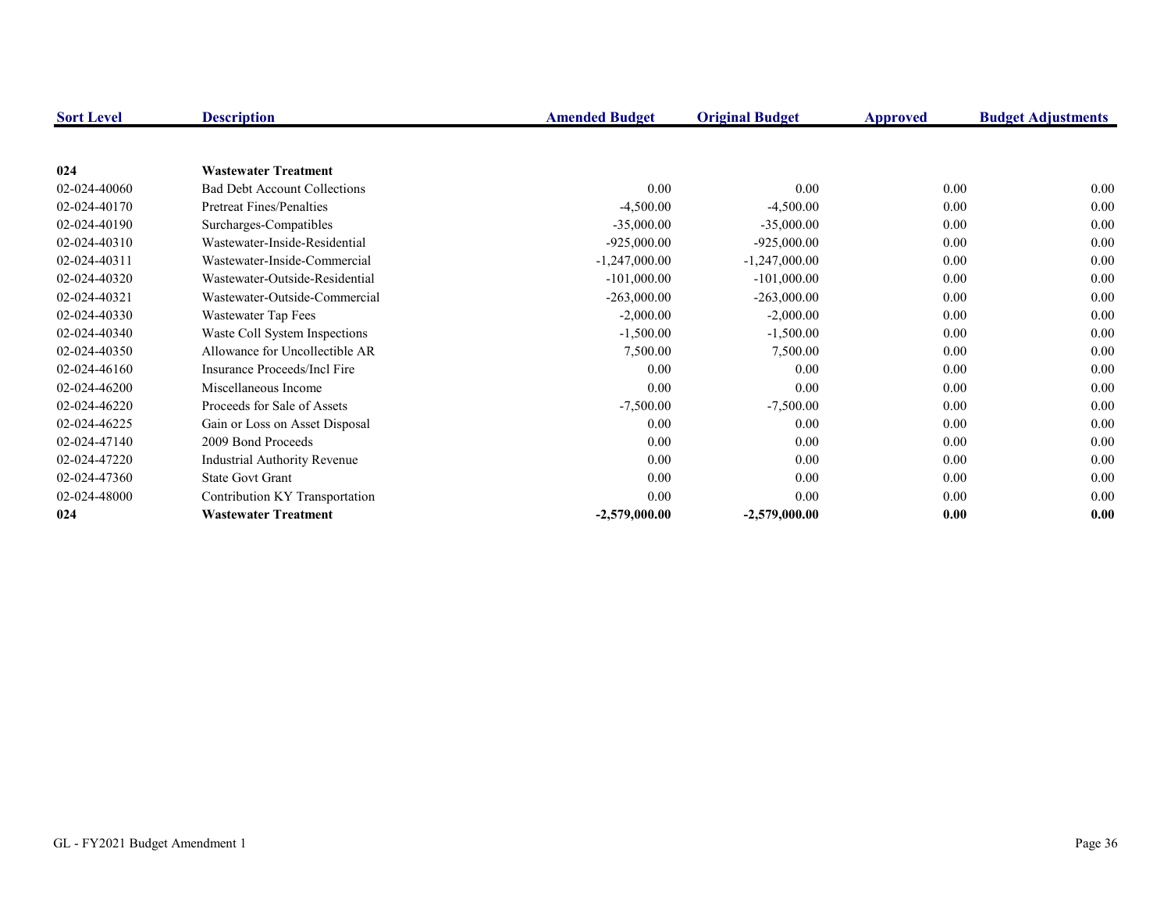| <b>Sort Level</b> | <b>Description</b>                  | <b>Amended Budget</b> | <b>Original Budget</b> | Approved | <b>Budget Adjustments</b> |
|-------------------|-------------------------------------|-----------------------|------------------------|----------|---------------------------|
|                   |                                     |                       |                        |          |                           |
| 024               | <b>Wastewater Treatment</b>         |                       |                        |          |                           |
| 02-024-40060      | <b>Bad Debt Account Collections</b> | 0.00                  | 0.00                   | 0.00     | 0.00                      |
| 02-024-40170      | <b>Pretreat Fines/Penalties</b>     | $-4,500.00$           | $-4,500.00$            | 0.00     | 0.00                      |
| 02-024-40190      | Surcharges-Compatibles              | $-35,000.00$          | $-35,000.00$           | 0.00     | 0.00                      |
| 02-024-40310      | Wastewater-Inside-Residential       | $-925,000.00$         | $-925,000.00$          | 0.00     | 0.00                      |
| 02-024-40311      | Wastewater-Inside-Commercial        | $-1,247,000.00$       | $-1,247,000.00$        | 0.00     | 0.00                      |
| 02-024-40320      | Wastewater-Outside-Residential      | $-101,000.00$         | $-101,000.00$          | 0.00     | 0.00                      |
| 02-024-40321      | Wastewater-Outside-Commercial       | $-263,000.00$         | $-263,000.00$          | 0.00     | 0.00                      |
| 02-024-40330      | Wastewater Tap Fees                 | $-2,000.00$           | $-2,000.00$            | 0.00     | 0.00                      |
| 02-024-40340      | Waste Coll System Inspections       | $-1,500.00$           | $-1,500.00$            | 0.00     | 0.00                      |
| 02-024-40350      | Allowance for Uncollectible AR      | 7,500.00              | 7,500.00               | 0.00     | 0.00                      |
| 02-024-46160      | Insurance Proceeds/Incl Fire        | 0.00                  | 0.00                   | 0.00     | 0.00                      |
| 02-024-46200      | Miscellaneous Income                | 0.00                  | 0.00                   | 0.00     | 0.00                      |
| 02-024-46220      | Proceeds for Sale of Assets         | $-7,500.00$           | $-7,500.00$            | 0.00     | 0.00                      |
| 02-024-46225      | Gain or Loss on Asset Disposal      | 0.00                  | 0.00                   | 0.00     | 0.00                      |
| 02-024-47140      | 2009 Bond Proceeds                  | 0.00                  | 0.00                   | 0.00     | 0.00                      |
| 02-024-47220      | <b>Industrial Authority Revenue</b> | 0.00                  | $0.00\,$               | 0.00     | 0.00                      |
| 02-024-47360      | <b>State Govt Grant</b>             | 0.00                  | 0.00                   | 0.00     | 0.00                      |
| 02-024-48000      | Contribution KY Transportation      | 0.00                  | 0.00                   | 0.00     | 0.00                      |
| 024               | <b>Wastewater Treatment</b>         | $-2,579,000.00$       | $-2,579,000.00$        | 0.00     | 0.00                      |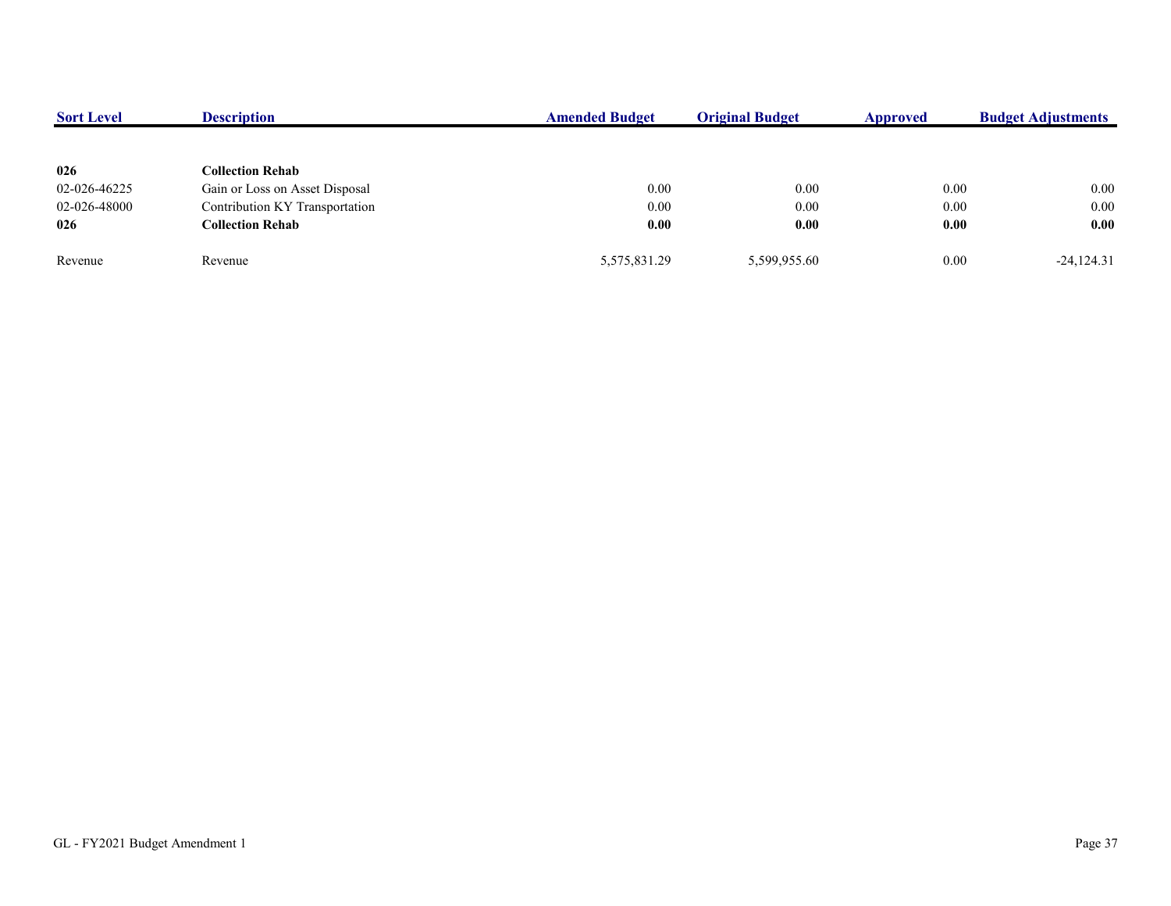| <b>Sort Level</b> | <b>Description</b>             | <b>Amended Budget</b> | <b>Original Budget</b> | Approved | <b>Budget Adjustments</b> |
|-------------------|--------------------------------|-----------------------|------------------------|----------|---------------------------|
|                   |                                |                       |                        |          |                           |
| 026               | <b>Collection Rehab</b>        |                       |                        |          |                           |
| 02-026-46225      | Gain or Loss on Asset Disposal | 0.00                  | 0.00                   | 0.00     | 0.00                      |
| 02-026-48000      | Contribution KY Transportation | 0.00                  | 0.00                   | 0.00     | 0.00                      |
| 026               | <b>Collection Rehab</b>        | 0.00                  | 0.00                   | 0.00     | 0.00                      |
| Revenue           | Revenue                        | 5,575,831.29          | 5,599,955.60           | 0.00     | $-24,124.31$              |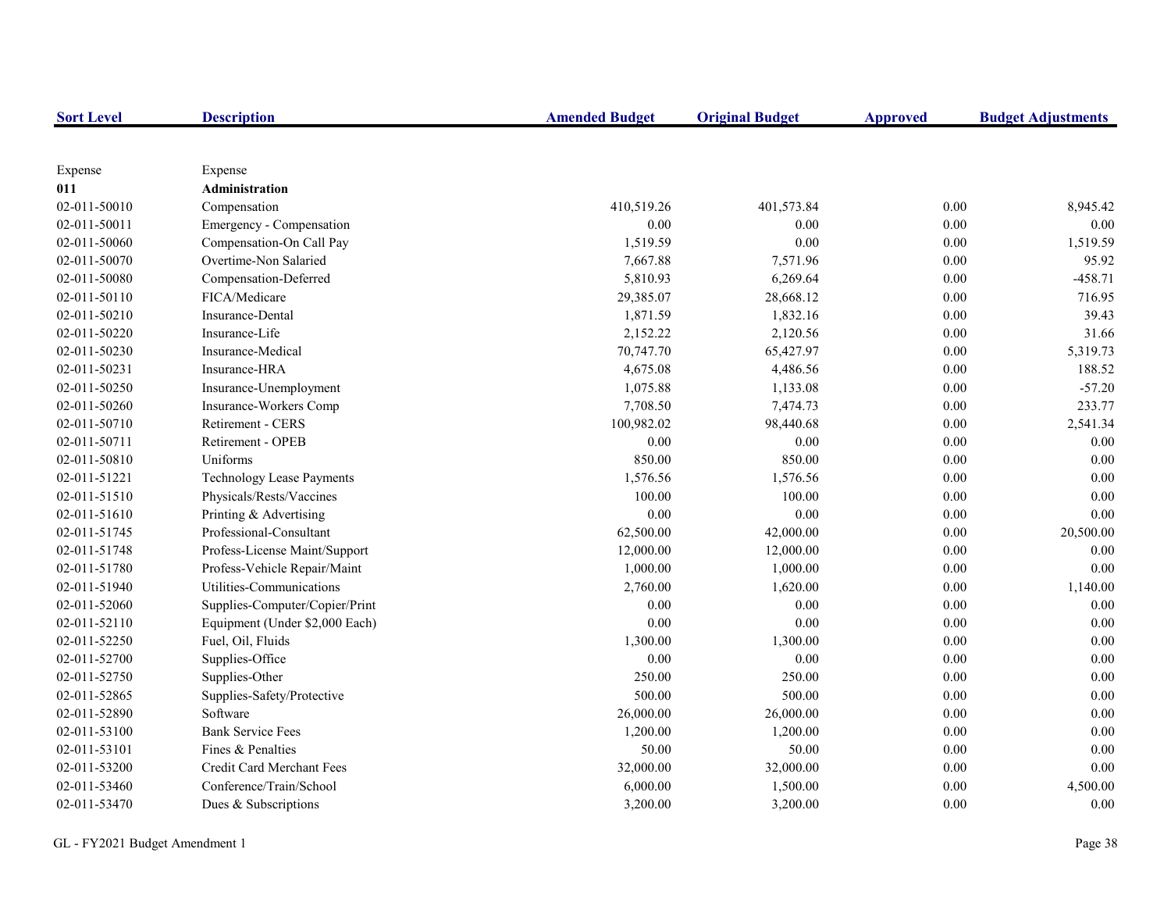| <b>Sort Level</b> | <b>Description</b>               | <b>Amended Budget</b> | <b>Original Budget</b> | <b>Approved</b> | <b>Budget Adjustments</b> |
|-------------------|----------------------------------|-----------------------|------------------------|-----------------|---------------------------|
|                   |                                  |                       |                        |                 |                           |
| Expense           | Expense                          |                       |                        |                 |                           |
| 011               | <b>Administration</b>            |                       |                        |                 |                           |
| 02-011-50010      | Compensation                     | 410,519.26            | 401,573.84             | 0.00            | 8,945.42                  |
| 02-011-50011      | Emergency - Compensation         | 0.00                  | 0.00                   | $0.00\,$        | 0.00                      |
| 02-011-50060      | Compensation-On Call Pay         | 1,519.59              | 0.00                   | $0.00\,$        | 1,519.59                  |
| 02-011-50070      | Overtime-Non Salaried            | 7,667.88              | 7,571.96               | 0.00            | 95.92                     |
| 02-011-50080      | Compensation-Deferred            | 5,810.93              | 6,269.64               | 0.00            | $-458.71$                 |
| 02-011-50110      | FICA/Medicare                    | 29,385.07             | 28,668.12              | 0.00            | 716.95                    |
| 02-011-50210      | Insurance-Dental                 | 1,871.59              | 1,832.16               | 0.00            | 39.43                     |
| 02-011-50220      | Insurance-Life                   | 2,152.22              | 2,120.56               | 0.00            | 31.66                     |
| 02-011-50230      | Insurance-Medical                | 70,747.70             | 65,427.97              | 0.00            | 5,319.73                  |
| 02-011-50231      | Insurance-HRA                    | 4,675.08              | 4,486.56               | 0.00            | 188.52                    |
| 02-011-50250      | Insurance-Unemployment           | 1,075.88              | 1,133.08               | 0.00            | $-57.20$                  |
| 02-011-50260      | Insurance-Workers Comp           | 7,708.50              | 7,474.73               | 0.00            | 233.77                    |
| 02-011-50710      | Retirement - CERS                | 100,982.02            | 98,440.68              | 0.00            | 2,541.34                  |
| 02-011-50711      | Retirement - OPEB                | 0.00                  | 0.00                   | 0.00            | 0.00                      |
| 02-011-50810      | Uniforms                         | 850.00                | 850.00                 | 0.00            | 0.00                      |
| 02-011-51221      | <b>Technology Lease Payments</b> | 1,576.56              | 1,576.56               | 0.00            | 0.00                      |
| 02-011-51510      | Physicals/Rests/Vaccines         | 100.00                | 100.00                 | 0.00            | 0.00                      |
| 02-011-51610      | Printing & Advertising           | 0.00                  | 0.00                   | 0.00            | 0.00                      |
| 02-011-51745      | Professional-Consultant          | 62,500.00             | 42,000.00              | 0.00            | 20,500.00                 |
| 02-011-51748      | Profess-License Maint/Support    | 12,000.00             | 12,000.00              | 0.00            | 0.00                      |
| 02-011-51780      | Profess-Vehicle Repair/Maint     | 1,000.00              | 1,000.00               | 0.00            | 0.00                      |
| 02-011-51940      | Utilities-Communications         | 2,760.00              | 1,620.00               | $0.00\,$        | 1,140.00                  |
| 02-011-52060      | Supplies-Computer/Copier/Print   | 0.00                  | 0.00                   | 0.00            | 0.00                      |
| 02-011-52110      | Equipment (Under \$2,000 Each)   | 0.00                  | 0.00                   | 0.00            | 0.00                      |
| 02-011-52250      | Fuel, Oil, Fluids                | 1,300.00              | 1,300.00               | 0.00            | 0.00                      |
| 02-011-52700      | Supplies-Office                  | 0.00                  | 0.00                   | 0.00            | 0.00                      |
| 02-011-52750      | Supplies-Other                   | 250.00                | 250.00                 | 0.00            | 0.00                      |
| 02-011-52865      | Supplies-Safety/Protective       | 500.00                | 500.00                 | 0.00            | 0.00                      |
| 02-011-52890      | Software                         | 26,000.00             | 26,000.00              | 0.00            | 0.00                      |
| 02-011-53100      | <b>Bank Service Fees</b>         | 1,200.00              | 1,200.00               | 0.00            | 0.00                      |
| 02-011-53101      | Fines & Penalties                | 50.00                 | 50.00                  | 0.00            | 0.00                      |
| 02-011-53200      | Credit Card Merchant Fees        | 32,000.00             | 32,000.00              | 0.00            | 0.00                      |
| 02-011-53460      | Conference/Train/School          | 6,000.00              | 1,500.00               | 0.00            | 4,500.00                  |
| 02-011-53470      | Dues & Subscriptions             | 3,200.00              | 3,200.00               | 0.00            | 0.00                      |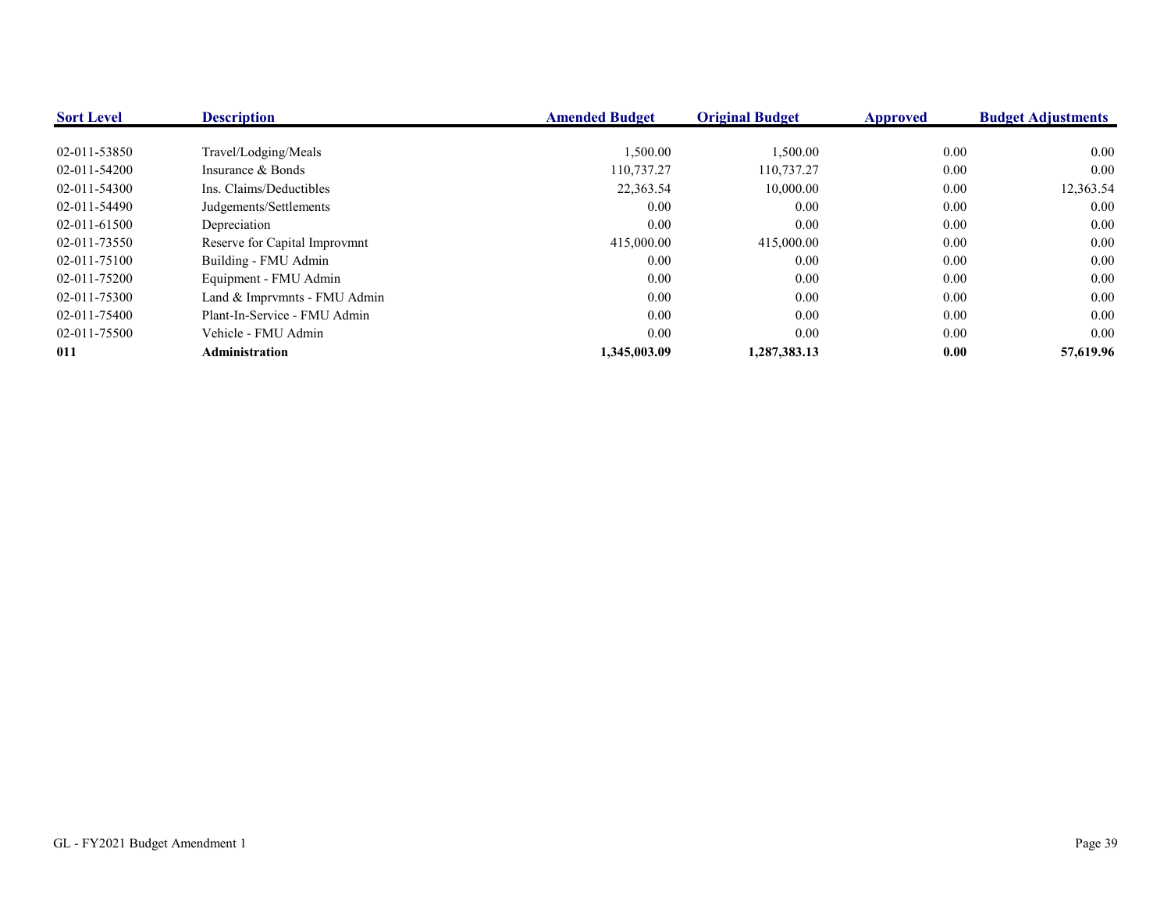| <b>Sort Level</b> | <b>Description</b>            | <b>Amended Budget</b> | <b>Original Budget</b> | <b>Approved</b> | <b>Budget Adjustments</b> |
|-------------------|-------------------------------|-----------------------|------------------------|-----------------|---------------------------|
|                   |                               |                       |                        |                 |                           |
| 02-011-53850      | Travel/Lodging/Meals          | 1,500.00              | 1,500.00               | 0.00            | $0.00\,$                  |
| 02-011-54200      | Insurance & Bonds             | 110,737.27            | 110,737.27             | 0.00            | $0.00\,$                  |
| 02-011-54300      | Ins. Claims/Deductibles       | 22,363.54             | 10,000.00              | 0.00            | 12,363.54                 |
| 02-011-54490      | Judgements/Settlements        | 0.00                  | 0.00                   | 0.00            | $0.00\,$                  |
| 02-011-61500      | Depreciation                  | 0.00                  | 0.00                   | 0.00            | $0.00\,$                  |
| 02-011-73550      | Reserve for Capital Improvmnt | 415,000.00            | 415,000.00             | 0.00            | 0.00                      |
| 02-011-75100      | Building - FMU Admin          | 0.00                  | 0.00                   | 0.00            | $0.00\,$                  |
| 02-011-75200      | Equipment - FMU Admin         | 0.00                  | 0.00                   | 0.00            | $0.00\,$                  |
| 02-011-75300      | Land & Imprvmnts - FMU Admin  | 0.00                  | 0.00                   | 0.00            | 0.00                      |
| 02-011-75400      | Plant-In-Service - FMU Admin  | 0.00                  | 0.00                   | 0.00            | $0.00\,$                  |
| 02-011-75500      | Vehicle - FMU Admin           | 0.00                  | 0.00                   | 0.00            | 0.00                      |
| 011               | Administration                | 1.345.003.09          | 1,287,383.13           | 0.00            | 57,619.96                 |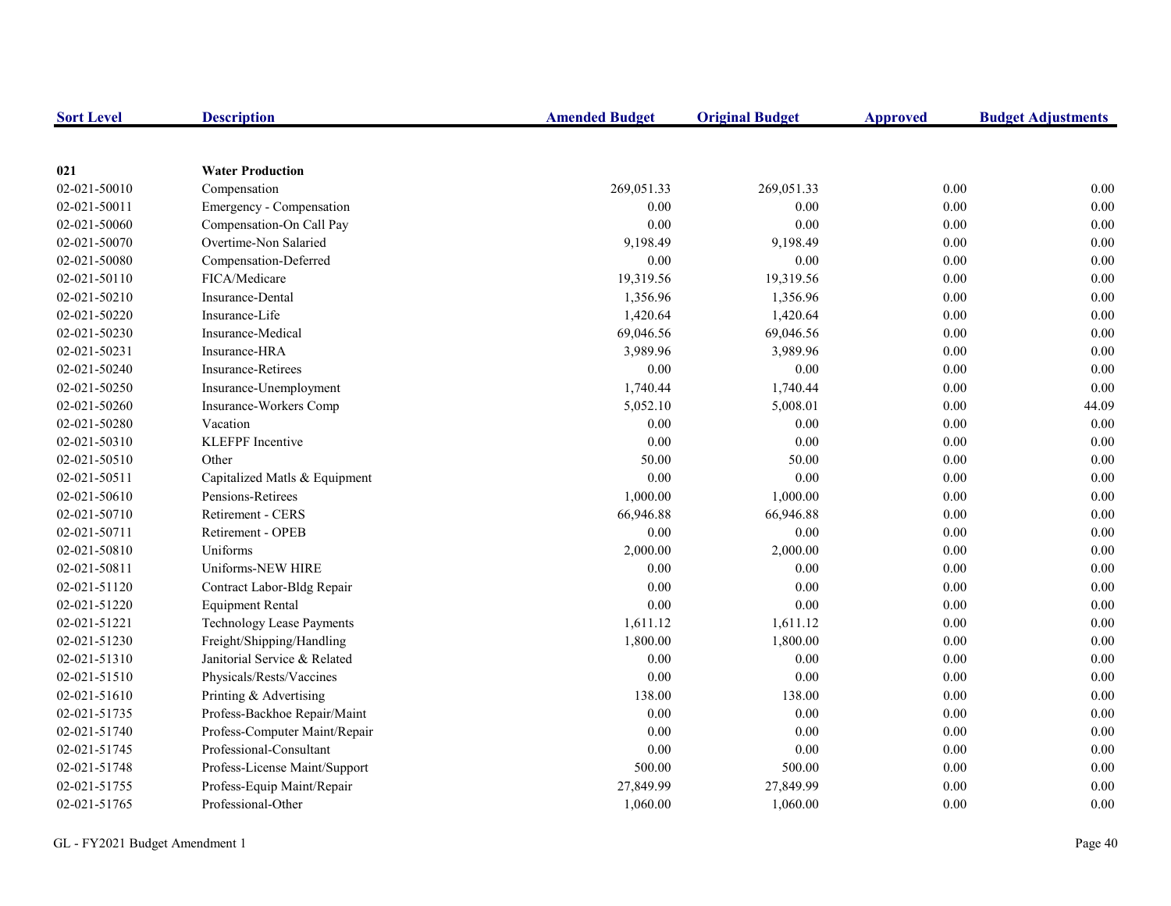| <b>Sort Level</b> | <b>Description</b>               | <b>Amended Budget</b> | <b>Original Budget</b> | <b>Approved</b> | <b>Budget Adjustments</b> |
|-------------------|----------------------------------|-----------------------|------------------------|-----------------|---------------------------|
|                   |                                  |                       |                        |                 |                           |
| 021               | <b>Water Production</b>          |                       |                        |                 |                           |
| 02-021-50010      | Compensation                     | 269,051.33            | 269,051.33             | 0.00            | 0.00                      |
| 02-021-50011      | Emergency - Compensation         | 0.00                  | 0.00                   | 0.00            | 0.00                      |
| 02-021-50060      | Compensation-On Call Pay         | 0.00                  | 0.00                   | 0.00            | 0.00                      |
| 02-021-50070      | Overtime-Non Salaried            | 9,198.49              | 9,198.49               | 0.00            | 0.00                      |
| 02-021-50080      | Compensation-Deferred            | $0.00\,$              | 0.00                   | $0.00\,$        | 0.00                      |
| 02-021-50110      | FICA/Medicare                    | 19,319.56             | 19,319.56              | 0.00            | 0.00                      |
| 02-021-50210      | Insurance-Dental                 | 1,356.96              | 1,356.96               | 0.00            | 0.00                      |
| 02-021-50220      | Insurance-Life                   | 1,420.64              | 1,420.64               | 0.00            | 0.00                      |
| 02-021-50230      | Insurance-Medical                | 69,046.56             | 69,046.56              | 0.00            | 0.00                      |
| 02-021-50231      | Insurance-HRA                    | 3,989.96              | 3,989.96               | 0.00            | 0.00                      |
| 02-021-50240      | <b>Insurance-Retirees</b>        | 0.00                  | 0.00                   | 0.00            | 0.00                      |
| 02-021-50250      | Insurance-Unemployment           | 1,740.44              | 1,740.44               | 0.00            | 0.00                      |
| 02-021-50260      | Insurance-Workers Comp           | 5,052.10              | 5,008.01               | $0.00\,$        | 44.09                     |
| 02-021-50280      | Vacation                         | 0.00                  | 0.00                   | 0.00            | 0.00                      |
| 02-021-50310      | <b>KLEFPF</b> Incentive          | 0.00                  | 0.00                   | 0.00            | 0.00                      |
| 02-021-50510      | Other                            | 50.00                 | 50.00                  | 0.00            | 0.00                      |
| 02-021-50511      | Capitalized Matls & Equipment    | 0.00                  | 0.00                   | 0.00            | 0.00                      |
| 02-021-50610      | Pensions-Retirees                | 1,000.00              | 1,000.00               | 0.00            | 0.00                      |
| 02-021-50710      | <b>Retirement - CERS</b>         | 66,946.88             | 66,946.88              | 0.00            | 0.00                      |
| 02-021-50711      | Retirement - OPEB                | 0.00                  | 0.00                   | 0.00            | 0.00                      |
| 02-021-50810      | Uniforms                         | 2,000.00              | 2,000.00               | 0.00            | 0.00                      |
| 02-021-50811      | Uniforms-NEW HIRE                | 0.00                  | 0.00                   | 0.00            | 0.00                      |
| 02-021-51120      | Contract Labor-Bldg Repair       | 0.00                  | 0.00                   | 0.00            | 0.00                      |
| 02-021-51220      | <b>Equipment Rental</b>          | 0.00                  | 0.00                   | 0.00            | 0.00                      |
| 02-021-51221      | <b>Technology Lease Payments</b> | 1,611.12              | 1,611.12               | 0.00            | 0.00                      |
| 02-021-51230      | Freight/Shipping/Handling        | 1,800.00              | 1,800.00               | 0.00            | 0.00                      |
| 02-021-51310      | Janitorial Service & Related     | 0.00                  | 0.00                   | 0.00            | 0.00                      |
| 02-021-51510      | Physicals/Rests/Vaccines         | 0.00                  | 0.00                   | 0.00            | 0.00                      |
| 02-021-51610      | Printing & Advertising           | 138.00                | 138.00                 | 0.00            | 0.00                      |
| 02-021-51735      | Profess-Backhoe Repair/Maint     | 0.00                  | 0.00                   | 0.00            | 0.00                      |
| 02-021-51740      | Profess-Computer Maint/Repair    | 0.00                  | 0.00                   | 0.00            | 0.00                      |
| 02-021-51745      | Professional-Consultant          | $0.00\,$              | 0.00                   | $0.00\,$        | 0.00                      |
| 02-021-51748      | Profess-License Maint/Support    | 500.00                | 500.00                 | 0.00            | 0.00                      |
| 02-021-51755      | Profess-Equip Maint/Repair       | 27,849.99             | 27,849.99              | 0.00            | 0.00                      |
| 02-021-51765      | Professional-Other               | 1,060.00              | 1,060.00               | 0.00            | 0.00                      |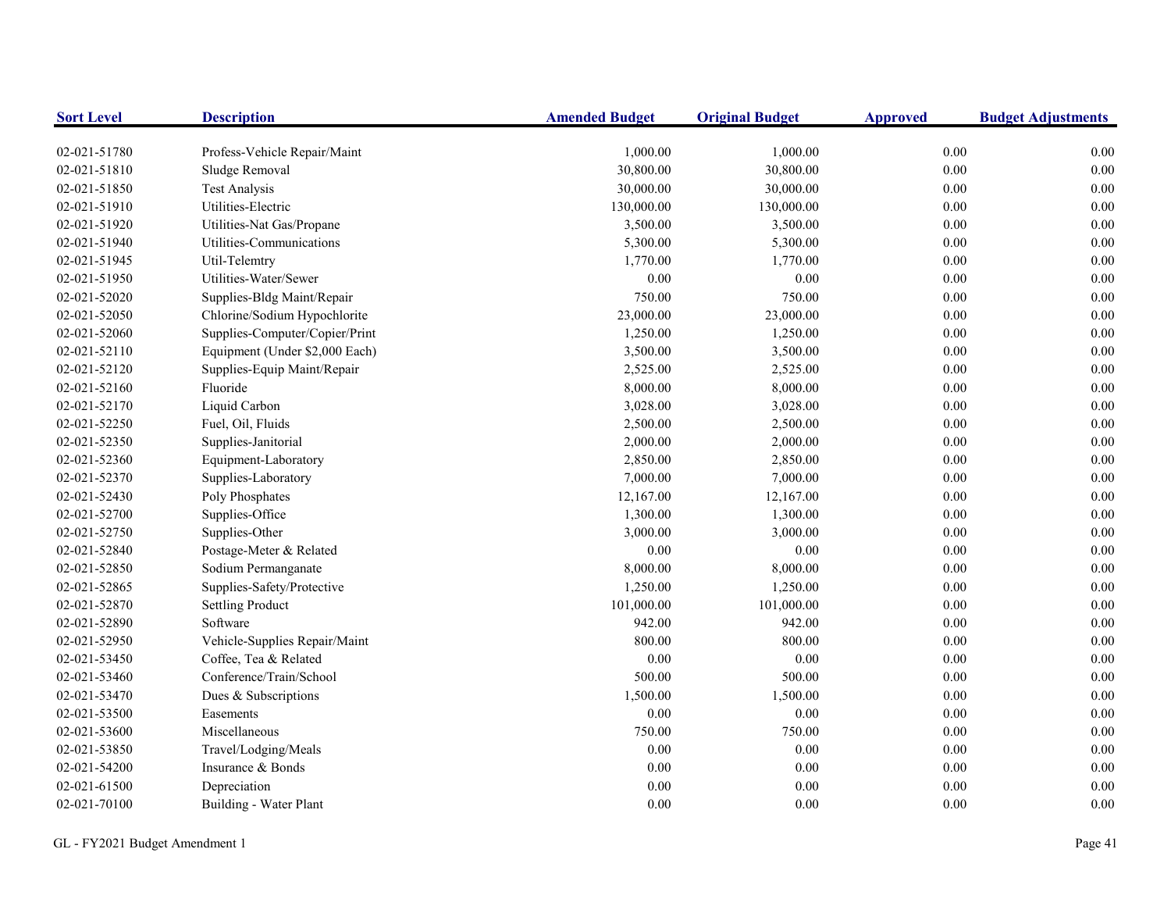| <b>Sort Level</b> | <b>Description</b>             | <b>Amended Budget</b> | <b>Original Budget</b> | <b>Approved</b> | <b>Budget Adjustments</b> |
|-------------------|--------------------------------|-----------------------|------------------------|-----------------|---------------------------|
| 02-021-51780      | Profess-Vehicle Repair/Maint   | 1,000.00              | 1,000.00               | 0.00            | 0.00                      |
| 02-021-51810      | Sludge Removal                 | 30,800.00             | 30,800.00              | 0.00            | 0.00                      |
| 02-021-51850      | <b>Test Analysis</b>           | 30,000.00             | 30,000.00              | 0.00            | 0.00                      |
| 02-021-51910      | Utilities-Electric             | 130,000.00            | 130,000.00             | $0.00\,$        | 0.00                      |
| 02-021-51920      | Utilities-Nat Gas/Propane      | 3,500.00              | 3,500.00               | $0.00\,$        | 0.00                      |
| 02-021-51940      | Utilities-Communications       | 5,300.00              | 5,300.00               | 0.00            | 0.00                      |
| 02-021-51945      | Util-Telemtry                  | 1,770.00              | 1,770.00               | 0.00            | 0.00                      |
| 02-021-51950      | Utilities-Water/Sewer          | 0.00                  | 0.00                   | 0.00            | 0.00                      |
| 02-021-52020      | Supplies-Bldg Maint/Repair     | 750.00                | 750.00                 | 0.00            | 0.00                      |
| 02-021-52050      | Chlorine/Sodium Hypochlorite   | 23,000.00             | 23,000.00              | $0.00\,$        | 0.00                      |
| 02-021-52060      | Supplies-Computer/Copier/Print | 1,250.00              | 1,250.00               | $0.00\,$        | 0.00                      |
| 02-021-52110      | Equipment (Under \$2,000 Each) | 3,500.00              | 3,500.00               | 0.00            | 0.00                      |
| 02-021-52120      | Supplies-Equip Maint/Repair    | 2,525.00              | 2,525.00               | $0.00\,$        | 0.00                      |
| 02-021-52160      | Fluoride                       | 8,000.00              | 8,000.00               | $0.00\,$        | $0.00\,$                  |
| 02-021-52170      | Liquid Carbon                  | 3,028.00              | 3,028.00               | $0.00\,$        | 0.00                      |
| 02-021-52250      | Fuel, Oil, Fluids              | 2,500.00              | 2,500.00               | $0.00\,$        | 0.00                      |
| 02-021-52350      | Supplies-Janitorial            | 2,000.00              | 2,000.00               | $0.00\,$        | 0.00                      |
| 02-021-52360      | Equipment-Laboratory           | 2,850.00              | 2,850.00               | $0.00\,$        | 0.00                      |
| 02-021-52370      | Supplies-Laboratory            | 7,000.00              | 7,000.00               | $0.00\,$        | 0.00                      |
| 02-021-52430      | Poly Phosphates                | 12,167.00             | 12,167.00              | $0.00\,$        | 0.00                      |
| 02-021-52700      | Supplies-Office                | 1,300.00              | 1,300.00               | 0.00            | 0.00                      |
| 02-021-52750      | Supplies-Other                 | 3,000.00              | 3,000.00               | $0.00\,$        | 0.00                      |
| 02-021-52840      | Postage-Meter & Related        | 0.00                  | $0.00\,$               | $0.00\,$        | 0.00                      |
| 02-021-52850      | Sodium Permanganate            | 8,000.00              | 8,000.00               | $0.00\,$        | 0.00                      |
| 02-021-52865      | Supplies-Safety/Protective     | 1,250.00              | 1,250.00               | 0.00            | 0.00                      |
| 02-021-52870      | <b>Settling Product</b>        | 101,000.00            | 101,000.00             | 0.00            | 0.00                      |
| 02-021-52890      | Software                       | 942.00                | 942.00                 | $0.00\,$        | 0.00                      |
| 02-021-52950      | Vehicle-Supplies Repair/Maint  | 800.00                | 800.00                 | $0.00\,$        | 0.00                      |
| 02-021-53450      | Coffee, Tea & Related          | 0.00                  | $0.00\,$               | $0.00\,$        | 0.00                      |
| 02-021-53460      | Conference/Train/School        | 500.00                | 500.00                 | $0.00\,$        | 0.00                      |
| 02-021-53470      | Dues & Subscriptions           | 1,500.00              | 1,500.00               | 0.00            | 0.00                      |
| 02-021-53500      | Easements                      | 0.00                  | $0.00\,$               | $0.00\,$        | 0.00                      |
| 02-021-53600      | Miscellaneous                  | 750.00                | 750.00                 | $0.00\,$        | 0.00                      |
| 02-021-53850      | Travel/Lodging/Meals           | 0.00                  | $0.00\,$               | $0.00\,$        | 0.00                      |
| 02-021-54200      | Insurance & Bonds              | 0.00                  | 0.00                   | 0.00            | 0.00                      |
| 02-021-61500      | Depreciation                   | 0.00                  | 0.00                   | 0.00            | 0.00                      |
| 02-021-70100      | Building - Water Plant         | 0.00                  | 0.00                   | 0.00            | 0.00                      |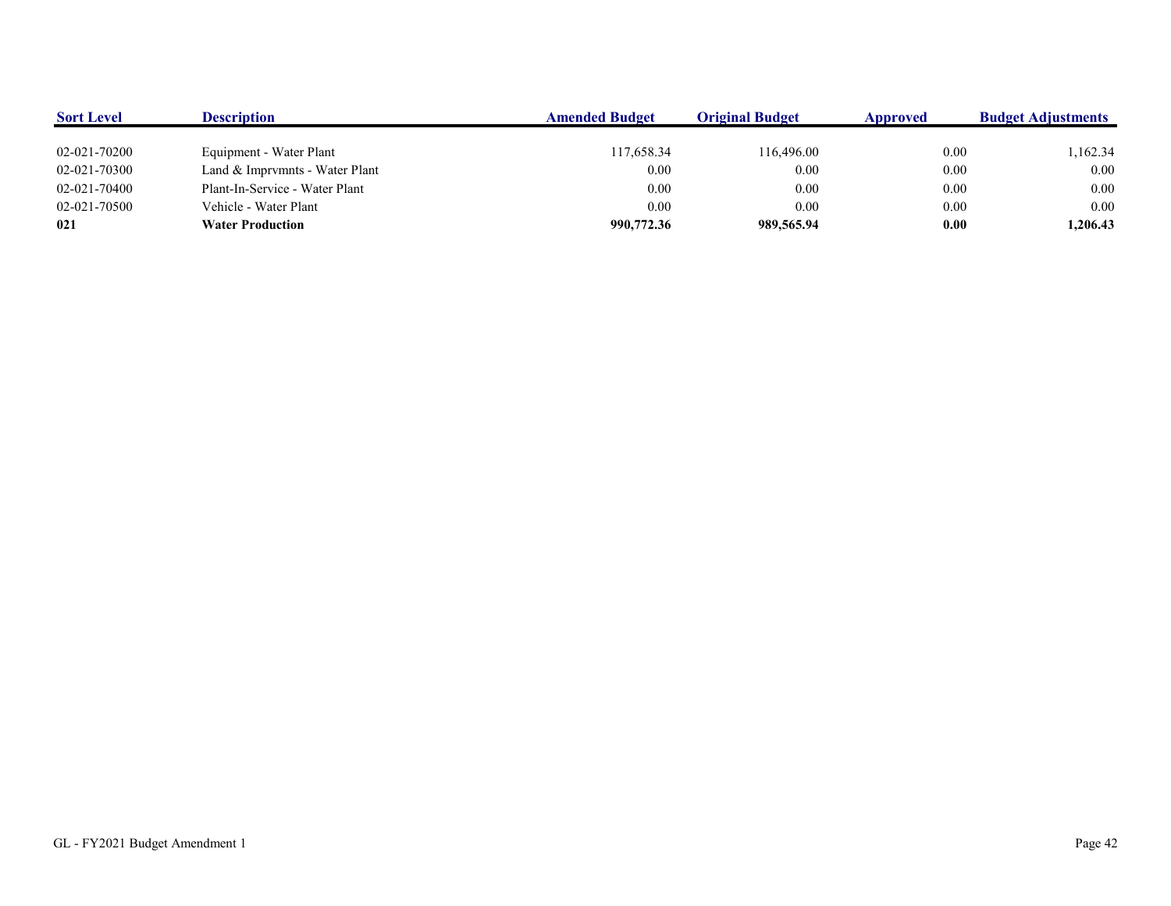| <b>Sort Level</b> | <b>Description</b>             | <b>Amended Budget</b> | <b>Original Budget</b> | Approved | <b>Budget Adjustments</b> |
|-------------------|--------------------------------|-----------------------|------------------------|----------|---------------------------|
|                   |                                |                       |                        |          |                           |
| 02-021-70200      | Equipment - Water Plant        | 117,658.34            | 116,496.00             | 0.00     | ,162.34                   |
| 02-021-70300      | Land & Imprvmnts - Water Plant | 0.00                  | 0.00                   | 0.00     | 0.00                      |
| 02-021-70400      | Plant-In-Service - Water Plant | 0.00                  | 0.00                   | 0.00     | 0.00                      |
| 02-021-70500      | Vehicle - Water Plant          | 0.00                  | 0.00                   | 0.00     | 0.00                      |
| 021               | <b>Water Production</b>        | 990,772.36            | 989,565.94             | 0.00     | 1,206.43                  |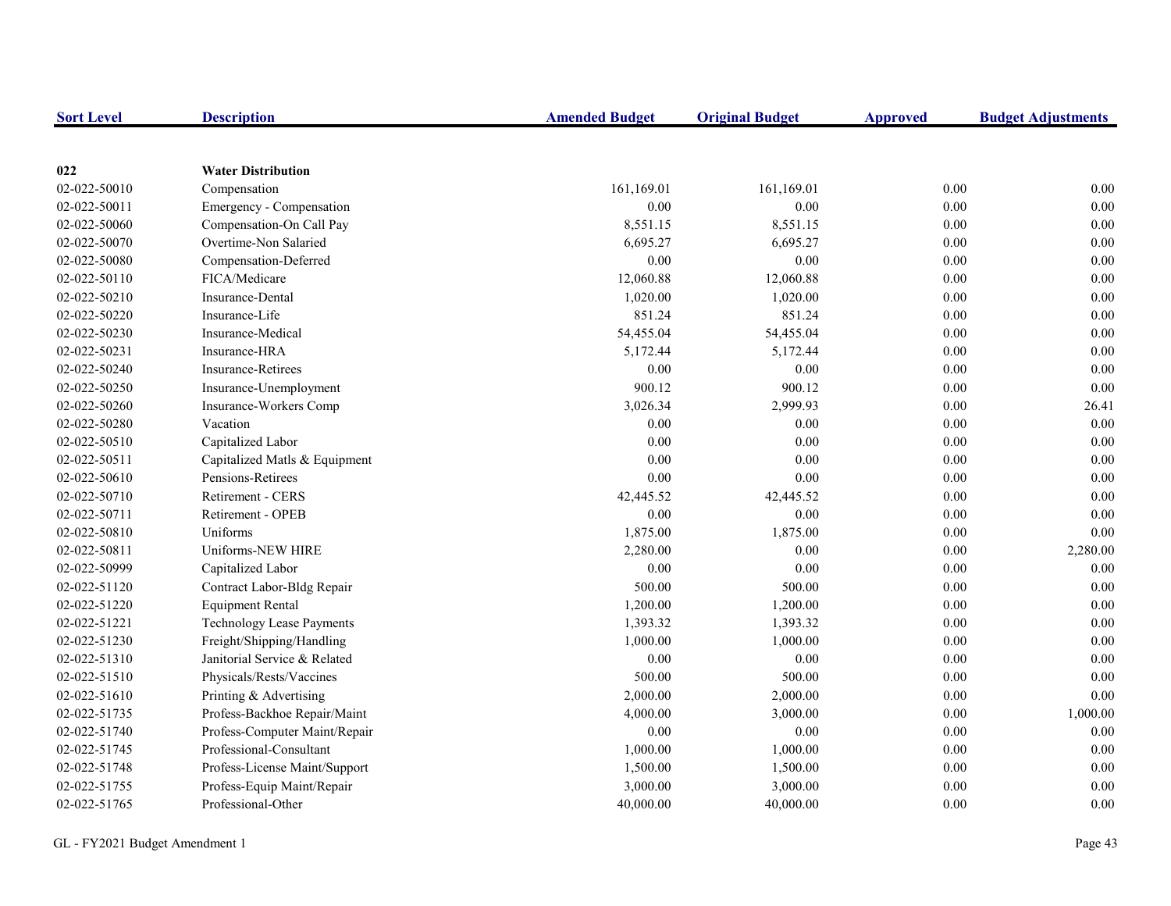| <b>Sort Level</b> | <b>Description</b>            | <b>Amended Budget</b> | <b>Original Budget</b> | <b>Approved</b> | <b>Budget Adjustments</b> |
|-------------------|-------------------------------|-----------------------|------------------------|-----------------|---------------------------|
|                   |                               |                       |                        |                 |                           |
| 022               | <b>Water Distribution</b>     |                       |                        |                 |                           |
| 02-022-50010      | Compensation                  | 161,169.01            | 161,169.01             | $0.00\,$        | 0.00                      |
| 02-022-50011      | Emergency - Compensation      | 0.00                  | 0.00                   | $0.00\,$        | 0.00                      |
| 02-022-50060      | Compensation-On Call Pay      | 8,551.15              | 8,551.15               | 0.00            | 0.00                      |
| 02-022-50070      | Overtime-Non Salaried         | 6,695.27              | 6,695.27               | 0.00            | 0.00                      |
| 02-022-50080      | Compensation-Deferred         | 0.00                  | 0.00                   | $0.00\,$        | 0.00                      |
| 02-022-50110      | FICA/Medicare                 | 12,060.88             | 12,060.88              | $0.00\,$        | 0.00                      |
| 02-022-50210      | Insurance-Dental              | 1,020.00              | 1,020.00               | 0.00            | 0.00                      |
| 02-022-50220      | Insurance-Life                | 851.24                | 851.24                 | 0.00            | 0.00                      |
| 02-022-50230      | Insurance-Medical             | 54,455.04             | 54,455.04              | 0.00            | 0.00                      |
| 02-022-50231      | Insurance-HRA                 | 5,172.44              | 5,172.44               | 0.00            | 0.00                      |
| 02-022-50240      | <b>Insurance-Retirees</b>     | 0.00                  | 0.00                   | 0.00            | 0.00                      |
| 02-022-50250      | Insurance-Unemployment        | 900.12                | 900.12                 | 0.00            | 0.00                      |
| 02-022-50260      | Insurance-Workers Comp        | 3,026.34              | 2,999.93               | 0.00            | 26.41                     |
| 02-022-50280      | Vacation                      | 0.00                  | 0.00                   | 0.00            | 0.00                      |
| 02-022-50510      | Capitalized Labor             | 0.00                  | 0.00                   | 0.00            | 0.00                      |
| 02-022-50511      | Capitalized Matls & Equipment | 0.00                  | 0.00                   | 0.00            | 0.00                      |
| 02-022-50610      | Pensions-Retirees             | 0.00                  | 0.00                   | 0.00            | 0.00                      |
| 02-022-50710      | Retirement - CERS             | 42,445.52             | 42,445.52              | 0.00            | 0.00                      |
| 02-022-50711      | Retirement - OPEB             | 0.00                  | 0.00                   | 0.00            | 0.00                      |
| 02-022-50810      | Uniforms                      | 1,875.00              | 1,875.00               | 0.00            | 0.00                      |
| 02-022-50811      | Uniforms-NEW HIRE             | 2,280.00              | 0.00                   | 0.00            | 2,280.00                  |
| 02-022-50999      | Capitalized Labor             | 0.00                  | 0.00                   | 0.00            | 0.00                      |
| 02-022-51120      | Contract Labor-Bldg Repair    | 500.00                | 500.00                 | 0.00            | 0.00                      |
| 02-022-51220      | <b>Equipment Rental</b>       | 1,200.00              | 1,200.00               | $0.00\,$        | 0.00                      |
| 02-022-51221      | Technology Lease Payments     | 1,393.32              | 1,393.32               | 0.00            | 0.00                      |
| 02-022-51230      | Freight/Shipping/Handling     | 1,000.00              | 1,000.00               | 0.00            | 0.00                      |
| 02-022-51310      | Janitorial Service & Related  | 0.00                  | 0.00                   | 0.00            | 0.00                      |
| 02-022-51510      | Physicals/Rests/Vaccines      | 500.00                | 500.00                 | 0.00            | 0.00                      |
| 02-022-51610      | Printing & Advertising        | 2,000.00              | 2,000.00               | 0.00            | 0.00                      |
| 02-022-51735      | Profess-Backhoe Repair/Maint  | 4,000.00              | 3,000.00               | 0.00            | 1,000.00                  |
| 02-022-51740      | Profess-Computer Maint/Repair | 0.00                  | 0.00                   | 0.00            | 0.00                      |
| 02-022-51745      | Professional-Consultant       | 1,000.00              | 1,000.00               | 0.00            | 0.00                      |
| 02-022-51748      | Profess-License Maint/Support | 1,500.00              | 1,500.00               | 0.00            | 0.00                      |
| 02-022-51755      | Profess-Equip Maint/Repair    | 3,000.00              | 3,000.00               | 0.00            | 0.00                      |
| 02-022-51765      | Professional-Other            | 40,000.00             | 40,000.00              | 0.00            | 0.00                      |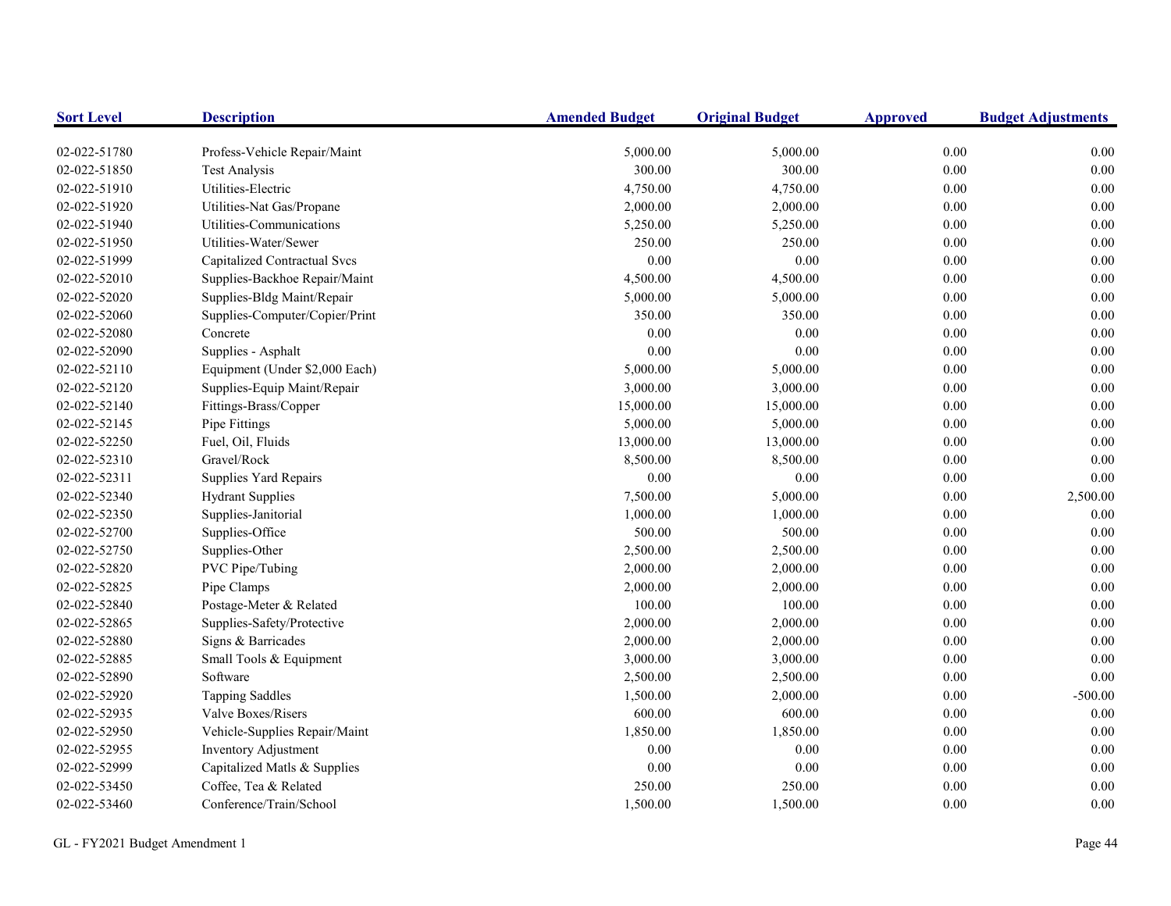| <b>Sort Level</b> | <b>Description</b>                  | <b>Amended Budget</b> | <b>Original Budget</b> | <b>Approved</b> | <b>Budget Adjustments</b> |
|-------------------|-------------------------------------|-----------------------|------------------------|-----------------|---------------------------|
| 02-022-51780      | Profess-Vehicle Repair/Maint        | 5,000.00              | 5,000.00               | 0.00            | 0.00                      |
| 02-022-51850      | <b>Test Analysis</b>                | 300.00                | 300.00                 | 0.00            | 0.00                      |
| 02-022-51910      | Utilities-Electric                  | 4,750.00              | 4,750.00               | 0.00            | 0.00                      |
| 02-022-51920      | Utilities-Nat Gas/Propane           | 2,000.00              | 2,000.00               | 0.00            | 0.00                      |
| 02-022-51940      | Utilities-Communications            | 5,250.00              | 5,250.00               | 0.00            | 0.00                      |
| 02-022-51950      | Utilities-Water/Sewer               | 250.00                | 250.00                 | 0.00            | 0.00                      |
| 02-022-51999      | <b>Capitalized Contractual Svcs</b> | 0.00                  | 0.00                   | 0.00            | 0.00                      |
| 02-022-52010      | Supplies-Backhoe Repair/Maint       | 4,500.00              | 4,500.00               | 0.00            | 0.00                      |
| 02-022-52020      | Supplies-Bldg Maint/Repair          | 5,000.00              | 5,000.00               | 0.00            | 0.00                      |
| 02-022-52060      | Supplies-Computer/Copier/Print      | 350.00                | 350.00                 | $0.00\,$        | 0.00                      |
| 02-022-52080      | Concrete                            | 0.00                  | $0.00\,$               | $0.00\,$        | 0.00                      |
| 02-022-52090      | Supplies - Asphalt                  | 0.00                  | $0.00\,$               | $0.00\,$        | 0.00                      |
| 02-022-52110      | Equipment (Under \$2,000 Each)      | 5,000.00              | 5,000.00               | $0.00\,$        | 0.00                      |
| 02-022-52120      | Supplies-Equip Maint/Repair         | 3,000.00              | 3,000.00               | 0.00            | 0.00                      |
| 02-022-52140      | Fittings-Brass/Copper               | 15,000.00             | 15,000.00              | $0.00\,$        | 0.00                      |
| 02-022-52145      | Pipe Fittings                       | 5,000.00              | 5,000.00               | $0.00\,$        | 0.00                      |
| 02-022-52250      | Fuel, Oil, Fluids                   | 13,000.00             | 13,000.00              | 0.00            | 0.00                      |
| 02-022-52310      | Gravel/Rock                         | 8,500.00              | 8,500.00               | $0.00\,$        | 0.00                      |
| 02-022-52311      | Supplies Yard Repairs               | 0.00                  | 0.00                   | 0.00            | 0.00                      |
| 02-022-52340      | <b>Hydrant Supplies</b>             | 7,500.00              | 5,000.00               | 0.00            | 2,500.00                  |
| 02-022-52350      | Supplies-Janitorial                 | 1,000.00              | 1,000.00               | 0.00            | 0.00                      |
| 02-022-52700      | Supplies-Office                     | 500.00                | 500.00                 | $0.00\,$        | 0.00                      |
| 02-022-52750      | Supplies-Other                      | 2,500.00              | 2,500.00               | $0.00\,$        | 0.00                      |
| 02-022-52820      | PVC Pipe/Tubing                     | 2,000.00              | 2,000.00               | 0.00            | 0.00                      |
| 02-022-52825      | Pipe Clamps                         | 2,000.00              | 2,000.00               | 0.00            | 0.00                      |
| 02-022-52840      | Postage-Meter & Related             | 100.00                | 100.00                 | 0.00            | 0.00                      |
| 02-022-52865      | Supplies-Safety/Protective          | 2,000.00              | 2,000.00               | $0.00\,$        | 0.00                      |
| 02-022-52880      | Signs & Barricades                  | 2,000.00              | 2,000.00               | $0.00\,$        | 0.00                      |
| 02-022-52885      | Small Tools & Equipment             | 3,000.00              | 3,000.00               | $0.00\,$        | 0.00                      |
| 02-022-52890      | Software                            | 2,500.00              | 2,500.00               | $0.00\,$        | 0.00                      |
| 02-022-52920      | <b>Tapping Saddles</b>              | 1,500.00              | 2,000.00               | 0.00            | $-500.00$                 |
| 02-022-52935      | Valve Boxes/Risers                  | 600.00                | 600.00                 | 0.00            | 0.00                      |
| 02-022-52950      | Vehicle-Supplies Repair/Maint       | 1,850.00              | 1,850.00               | 0.00            | 0.00                      |
| 02-022-52955      | Inventory Adjustment                | 0.00                  | 0.00                   | 0.00            | 0.00                      |
| 02-022-52999      | Capitalized Matls & Supplies        | 0.00                  | 0.00                   | $0.00\,$        | 0.00                      |
| 02-022-53450      | Coffee, Tea & Related               | 250.00                | 250.00                 | 0.00            | 0.00                      |
| 02-022-53460      | Conference/Train/School             | 1,500.00              | 1,500.00               | 0.00            | 0.00                      |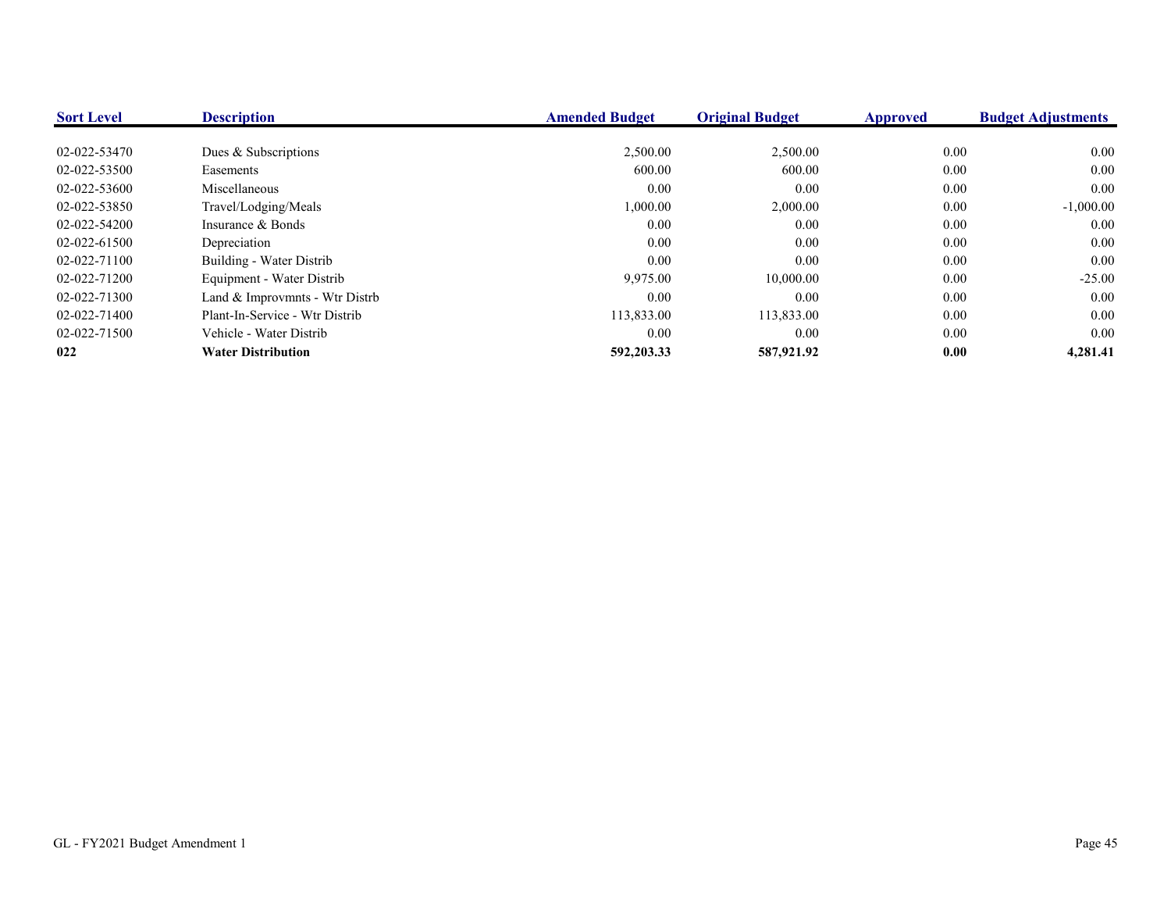| <b>Sort Level</b> | <b>Description</b>             | <b>Amended Budget</b> | <b>Original Budget</b> | <b>Approved</b> | <b>Budget Adjustments</b> |
|-------------------|--------------------------------|-----------------------|------------------------|-----------------|---------------------------|
|                   |                                |                       |                        |                 |                           |
| 02-022-53470      | Dues & Subscriptions           | 2,500.00              | 2,500.00               | $0.00\,$        | 0.00                      |
| 02-022-53500      | Easements                      | 600.00                | 600.00                 | 0.00            | 0.00                      |
| 02-022-53600      | Miscellaneous                  | 0.00                  | 0.00                   | $0.00\,$        | 0.00                      |
| 02-022-53850      | Travel/Lodging/Meals           | 1,000.00              | 2,000.00               | $0.00\,$        | $-1,000.00$               |
| 02-022-54200      | Insurance & Bonds              | 0.00                  | 0.00                   | 0.00            | 0.00                      |
| 02-022-61500      | Depreciation                   | 0.00                  | 0.00                   | $0.00\,$        | 0.00                      |
| 02-022-71100      | Building - Water Distrib       | 0.00                  | 0.00                   | 0.00            | 0.00                      |
| 02-022-71200      | Equipment - Water Distrib      | 9,975.00              | 10,000.00              | 0.00            | $-25.00$                  |
| 02-022-71300      | Land & Improvmnts - Wtr Distrb | 0.00                  | 0.00                   | 0.00            | 0.00                      |
| 02-022-71400      | Plant-In-Service - Wtr Distrib | 113,833.00            | 113,833.00             | $0.00\,$        | 0.00                      |
| 02-022-71500      | Vehicle - Water Distrib        | 0.00                  | 0.00                   | 0.00            | 0.00                      |
| 022               | <b>Water Distribution</b>      | 592,203.33            | 587,921.92             | 0.00            | 4,281.41                  |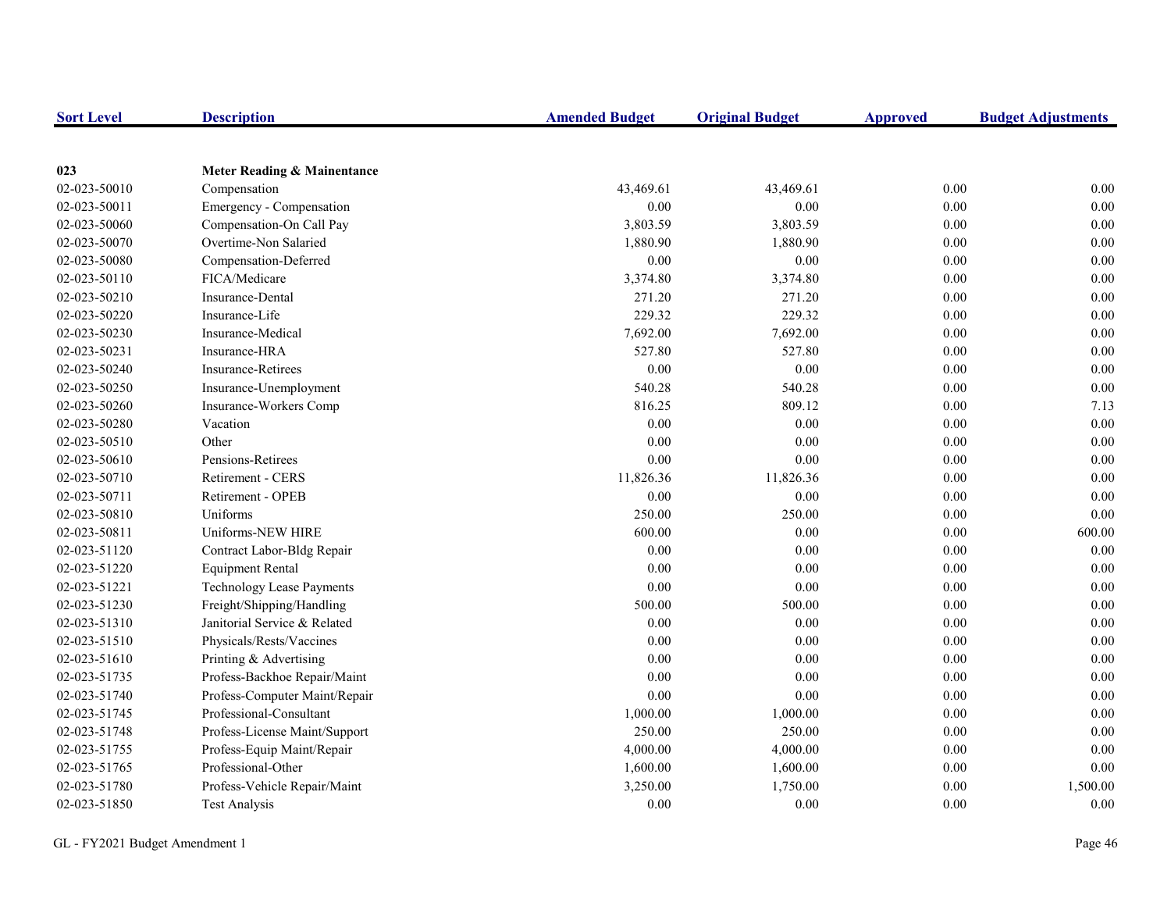| <b>Sort Level</b> | <b>Description</b>               | <b>Amended Budget</b> | <b>Original Budget</b> | <b>Approved</b> | <b>Budget Adjustments</b> |
|-------------------|----------------------------------|-----------------------|------------------------|-----------------|---------------------------|
|                   |                                  |                       |                        |                 |                           |
| 023               | Meter Reading & Mainentance      |                       |                        |                 |                           |
| 02-023-50010      | Compensation                     | 43,469.61             | 43,469.61              | 0.00            | 0.00                      |
| 02-023-50011      | Emergency - Compensation         | 0.00                  | 0.00                   | 0.00            | 0.00                      |
| 02-023-50060      | Compensation-On Call Pay         | 3,803.59              | 3,803.59               | 0.00            | $0.00\,$                  |
| 02-023-50070      | Overtime-Non Salaried            | 1,880.90              | 1,880.90               | 0.00            | $0.00\,$                  |
| 02-023-50080      | Compensation-Deferred            | 0.00                  | $0.00\,$               | 0.00            | $0.00\,$                  |
| 02-023-50110      | FICA/Medicare                    | 3,374.80              | 3,374.80               | 0.00            | $0.00\,$                  |
| 02-023-50210      | Insurance-Dental                 | 271.20                | 271.20                 | 0.00            | 0.00                      |
| 02-023-50220      | Insurance-Life                   | 229.32                | 229.32                 | 0.00            | 0.00                      |
| 02-023-50230      | Insurance-Medical                | 7,692.00              | 7,692.00               | 0.00            | 0.00                      |
| 02-023-50231      | Insurance-HRA                    | 527.80                | 527.80                 | 0.00            | $0.00\,$                  |
| 02-023-50240      | <b>Insurance-Retirees</b>        | $0.00\,$              | $0.00\,$               | 0.00            | $0.00\,$                  |
| 02-023-50250      | Insurance-Unemployment           | 540.28                | 540.28                 | 0.00            | $0.00\,$                  |
| 02-023-50260      | Insurance-Workers Comp           | 816.25                | 809.12                 | 0.00            | 7.13                      |
| 02-023-50280      | Vacation                         | 0.00                  | 0.00                   | 0.00            | 0.00                      |
| 02-023-50510      | Other                            | 0.00                  | 0.00                   | 0.00            | 0.00                      |
| 02-023-50610      | Pensions-Retirees                | 0.00                  | 0.00                   | 0.00            | $0.00\,$                  |
| 02-023-50710      | Retirement - CERS                | 11,826.36             | 11,826.36              | 0.00            | 0.00                      |
| 02-023-50711      | Retirement - OPEB                | 0.00                  | 0.00                   | 0.00            | 0.00                      |
| 02-023-50810      | Uniforms                         | 250.00                | 250.00                 | 0.00            | 0.00                      |
| 02-023-50811      | Uniforms-NEW HIRE                | 600.00                | 0.00                   | 0.00            | 600.00                    |
| 02-023-51120      | Contract Labor-Bldg Repair       | $0.00\,$              | 0.00                   | 0.00            | $0.00\,$                  |
| 02-023-51220      | <b>Equipment Rental</b>          | 0.00                  | 0.00                   | 0.00            | 0.00                      |
| 02-023-51221      | <b>Technology Lease Payments</b> | 0.00                  | 0.00                   | 0.00            | 0.00                      |
| 02-023-51230      | Freight/Shipping/Handling        | 500.00                | 500.00                 | 0.00            | 0.00                      |
| 02-023-51310      | Janitorial Service & Related     | 0.00                  | 0.00                   | 0.00            | $0.00\,$                  |
| 02-023-51510      | Physicals/Rests/Vaccines         | 0.00                  | 0.00                   | 0.00            | $0.00\,$                  |
| 02-023-51610      | Printing & Advertising           | 0.00                  | 0.00                   | 0.00            | $0.00\,$                  |
| 02-023-51735      | Profess-Backhoe Repair/Maint     | 0.00                  | 0.00                   | 0.00            | 0.00                      |
| 02-023-51740      | Profess-Computer Maint/Repair    | 0.00                  | 0.00                   | 0.00            | 0.00                      |
| 02-023-51745      | Professional-Consultant          | 1,000.00              | 1,000.00               | 0.00            | 0.00                      |
| 02-023-51748      | Profess-License Maint/Support    | 250.00                | 250.00                 | 0.00            | 0.00                      |
| 02-023-51755      | Profess-Equip Maint/Repair       | 4,000.00              | 4,000.00               | $0.00\,$        | $0.00\,$                  |
| 02-023-51765      | Professional-Other               | 1,600.00              | 1,600.00               | 0.00            | $0.00\,$                  |
| 02-023-51780      | Profess-Vehicle Repair/Maint     | 3,250.00              | 1,750.00               | 0.00            | 1,500.00                  |
| 02-023-51850      | <b>Test Analysis</b>             | 0.00                  | 0.00                   | 0.00            | 0.00                      |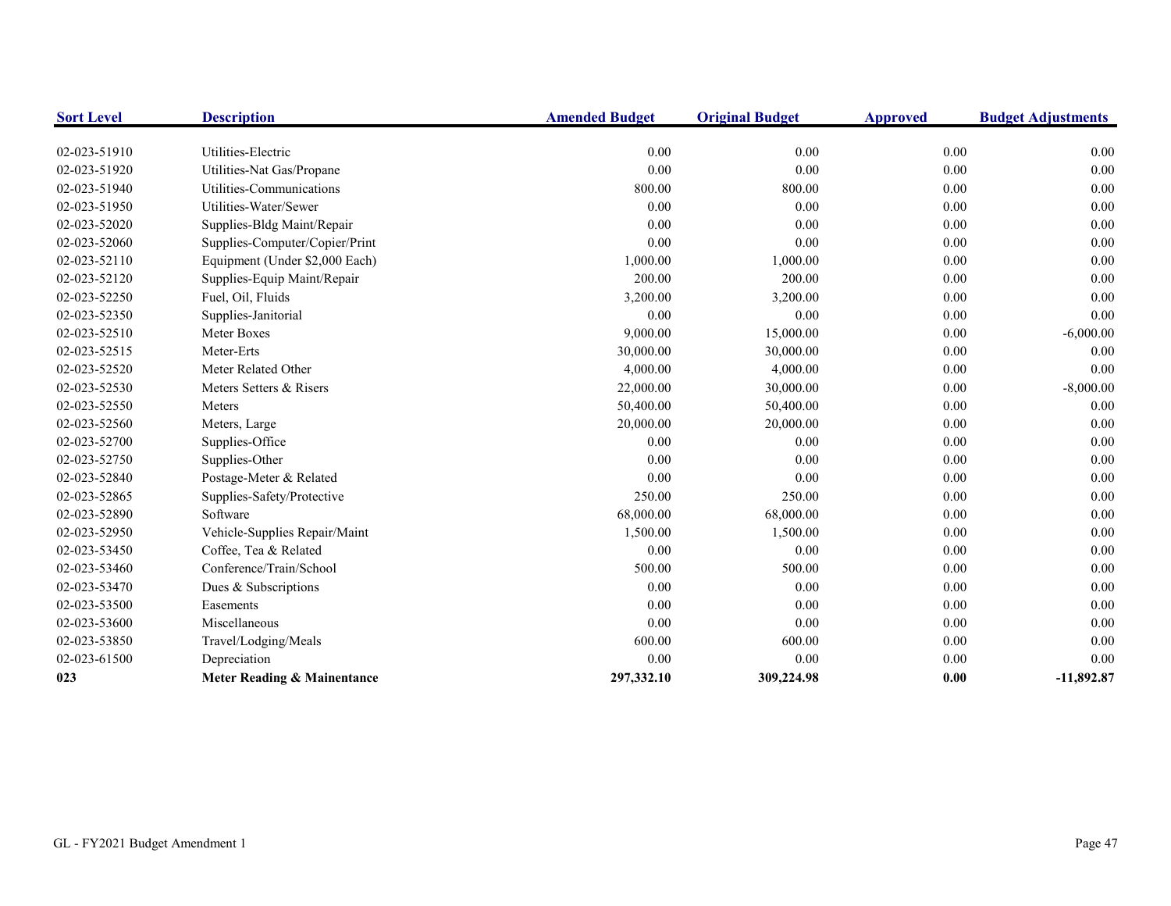| <b>Sort Level</b> | <b>Description</b>             | <b>Amended Budget</b> | <b>Original Budget</b> | <b>Approved</b> | <b>Budget Adjustments</b> |
|-------------------|--------------------------------|-----------------------|------------------------|-----------------|---------------------------|
|                   |                                |                       |                        |                 |                           |
| 02-023-51910      | Utilities-Electric             | 0.00                  | 0.00                   | 0.00            | 0.00                      |
| 02-023-51920      | Utilities-Nat Gas/Propane      | 0.00                  | 0.00                   | 0.00            | 0.00                      |
| 02-023-51940      | Utilities-Communications       | 800.00                | 800.00                 | 0.00            | $0.00\,$                  |
| 02-023-51950      | Utilities-Water/Sewer          | 0.00                  | 0.00                   | 0.00            | $0.00\,$                  |
| 02-023-52020      | Supplies-Bldg Maint/Repair     | 0.00                  | 0.00                   | 0.00            | 0.00                      |
| 02-023-52060      | Supplies-Computer/Copier/Print | 0.00                  | 0.00                   | 0.00            | 0.00                      |
| 02-023-52110      | Equipment (Under \$2,000 Each) | 1,000.00              | 1,000.00               | 0.00            | $0.00\,$                  |
| 02-023-52120      | Supplies-Equip Maint/Repair    | 200.00                | 200.00                 | 0.00            | 0.00                      |
| 02-023-52250      | Fuel, Oil, Fluids              | 3,200.00              | 3,200.00               | 0.00            | 0.00                      |
| 02-023-52350      | Supplies-Janitorial            | 0.00                  | 0.00                   | 0.00            | 0.00                      |
| 02-023-52510      | Meter Boxes                    | 9,000.00              | 15,000.00              | 0.00            | $-6,000.00$               |
| 02-023-52515      | Meter-Erts                     | 30,000.00             | 30,000.00              | 0.00            | 0.00                      |
| 02-023-52520      | Meter Related Other            | 4,000.00              | 4,000.00               | 0.00            | 0.00                      |
| 02-023-52530      | Meters Setters & Risers        | 22,000.00             | 30,000.00              | 0.00            | $-8,000.00$               |
| 02-023-52550      | Meters                         | 50,400.00             | 50,400.00              | 0.00            | 0.00                      |
| 02-023-52560      | Meters, Large                  | 20,000.00             | 20,000.00              | 0.00            | 0.00                      |
| 02-023-52700      | Supplies-Office                | 0.00                  | 0.00                   | 0.00            | 0.00                      |
| 02-023-52750      | Supplies-Other                 | 0.00                  | 0.00                   | 0.00            | 0.00                      |
| 02-023-52840      | Postage-Meter & Related        | 0.00                  | 0.00                   | 0.00            | 0.00                      |
| 02-023-52865      | Supplies-Safety/Protective     | 250.00                | 250.00                 | 0.00            | 0.00                      |
| 02-023-52890      | Software                       | 68,000.00             | 68,000.00              | 0.00            | 0.00                      |
| 02-023-52950      | Vehicle-Supplies Repair/Maint  | 1,500.00              | 1,500.00               | 0.00            | $0.00\,$                  |
| 02-023-53450      | Coffee, Tea & Related          | 0.00                  | 0.00                   | 0.00            | 0.00                      |
| 02-023-53460      | Conference/Train/School        | 500.00                | 500.00                 | 0.00            | 0.00                      |
| 02-023-53470      | Dues & Subscriptions           | 0.00                  | 0.00                   | 0.00            | $0.00\,$                  |
| 02-023-53500      | Easements                      | 0.00                  | 0.00                   | 0.00            | 0.00                      |
| 02-023-53600      | Miscellaneous                  | 0.00                  | 0.00                   | 0.00            | 0.00                      |
| 02-023-53850      | Travel/Lodging/Meals           | 600.00                | 600.00                 | 0.00            | 0.00                      |
| 02-023-61500      | Depreciation                   | 0.00                  | 0.00                   | 0.00            | 0.00                      |
| 023               | Meter Reading & Mainentance    | 297,332.10            | 309,224.98             | 0.00            | $-11,892.87$              |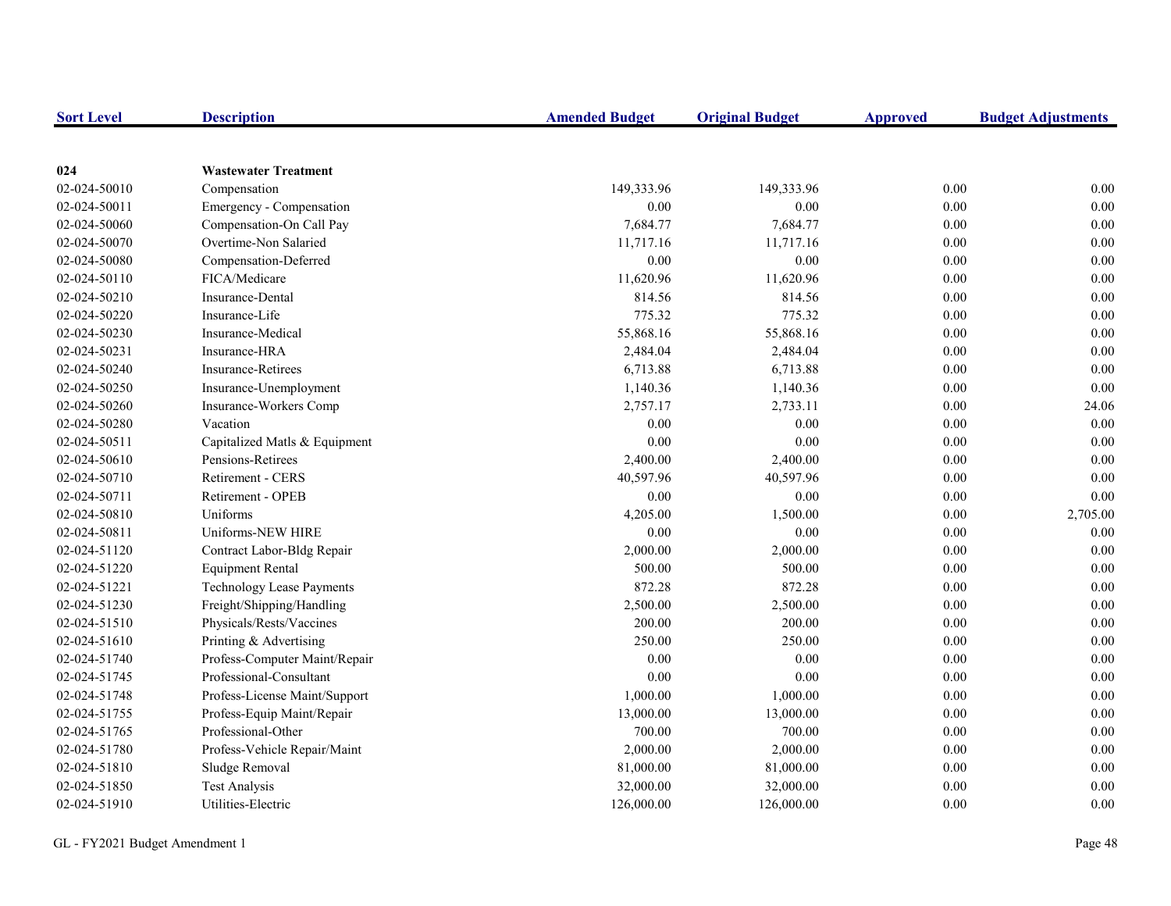| <b>Sort Level</b> | <b>Description</b>               | <b>Amended Budget</b> | <b>Original Budget</b> | <b>Approved</b> | <b>Budget Adjustments</b> |
|-------------------|----------------------------------|-----------------------|------------------------|-----------------|---------------------------|
|                   |                                  |                       |                        |                 |                           |
| 024               | <b>Wastewater Treatment</b>      |                       |                        |                 |                           |
| 02-024-50010      | Compensation                     | 149,333.96            | 149,333.96             | 0.00            | 0.00                      |
| 02-024-50011      | Emergency - Compensation         | 0.00                  | 0.00                   | 0.00            | 0.00                      |
| 02-024-50060      | Compensation-On Call Pay         | 7,684.77              | 7,684.77               | 0.00            | $0.00\,$                  |
| 02-024-50070      | Overtime-Non Salaried            | 11,717.16             | 11,717.16              | 0.00            | $0.00\,$                  |
| 02-024-50080      | Compensation-Deferred            | 0.00                  | $0.00\,$               | 0.00            | $0.00\,$                  |
| 02-024-50110      | FICA/Medicare                    | 11,620.96             | 11,620.96              | 0.00            | 0.00                      |
| 02-024-50210      | Insurance-Dental                 | 814.56                | 814.56                 | 0.00            | 0.00                      |
| 02-024-50220      | Insurance-Life                   | 775.32                | 775.32                 | 0.00            | 0.00                      |
| 02-024-50230      | Insurance-Medical                | 55,868.16             | 55,868.16              | 0.00            | 0.00                      |
| 02-024-50231      | Insurance-HRA                    | 2,484.04              | 2,484.04               | 0.00            | 0.00                      |
| 02-024-50240      | <b>Insurance-Retirees</b>        | 6,713.88              | 6,713.88               | 0.00            | $0.00\,$                  |
| 02-024-50250      | Insurance-Unemployment           | 1,140.36              | 1,140.36               | 0.00            | $0.00\,$                  |
| 02-024-50260      | Insurance-Workers Comp           | 2,757.17              | 2,733.11               | 0.00            | 24.06                     |
| 02-024-50280      | Vacation                         | 0.00                  | 0.00                   | 0.00            | 0.00                      |
| 02-024-50511      | Capitalized Matls & Equipment    | 0.00                  | 0.00                   | 0.00            | 0.00                      |
| 02-024-50610      | Pensions-Retirees                | 2,400.00              | 2,400.00               | 0.00            | $0.00\,$                  |
| 02-024-50710      | Retirement - CERS                | 40,597.96             | 40,597.96              | 0.00            | 0.00                      |
| 02-024-50711      | Retirement - OPEB                | 0.00                  | 0.00                   | 0.00            | 0.00                      |
| 02-024-50810      | Uniforms                         | 4,205.00              | 1,500.00               | 0.00            | 2,705.00                  |
| 02-024-50811      | Uniforms-NEW HIRE                | 0.00                  | 0.00                   | 0.00            | 0.00                      |
| 02-024-51120      | Contract Labor-Bldg Repair       | 2,000.00              | 2,000.00               | 0.00            | $0.00\,$                  |
| 02-024-51220      | <b>Equipment Rental</b>          | 500.00                | 500.00                 | 0.00            | 0.00                      |
| 02-024-51221      | <b>Technology Lease Payments</b> | 872.28                | 872.28                 | 0.00            | 0.00                      |
| 02-024-51230      | Freight/Shipping/Handling        | 2,500.00              | 2,500.00               | 0.00            | 0.00                      |
| 02-024-51510      | Physicals/Rests/Vaccines         | 200.00                | 200.00                 | 0.00            | $0.00\,$                  |
| 02-024-51610      | Printing & Advertising           | 250.00                | 250.00                 | 0.00            | $0.00\,$                  |
| 02-024-51740      | Profess-Computer Maint/Repair    | 0.00                  | 0.00                   | 0.00            | $0.00\,$                  |
| 02-024-51745      | Professional-Consultant          | 0.00                  | 0.00                   | 0.00            | 0.00                      |
| 02-024-51748      | Profess-License Maint/Support    | 1,000.00              | 1,000.00               | 0.00            | 0.00                      |
| 02-024-51755      | Profess-Equip Maint/Repair       | 13,000.00             | 13,000.00              | 0.00            | 0.00                      |
| 02-024-51765      | Professional-Other               | 700.00                | 700.00                 | 0.00            | 0.00                      |
| 02-024-51780      | Profess-Vehicle Repair/Maint     | 2,000.00              | 2,000.00               | $0.00\,$        | $0.00\,$                  |
| 02-024-51810      | Sludge Removal                   | 81,000.00             | 81,000.00              | 0.00            | 0.00                      |
| 02-024-51850      | <b>Test Analysis</b>             | 32,000.00             | 32,000.00              | 0.00            | 0.00                      |
| 02-024-51910      | Utilities-Electric               | 126,000.00            | 126,000.00             | 0.00            | 0.00                      |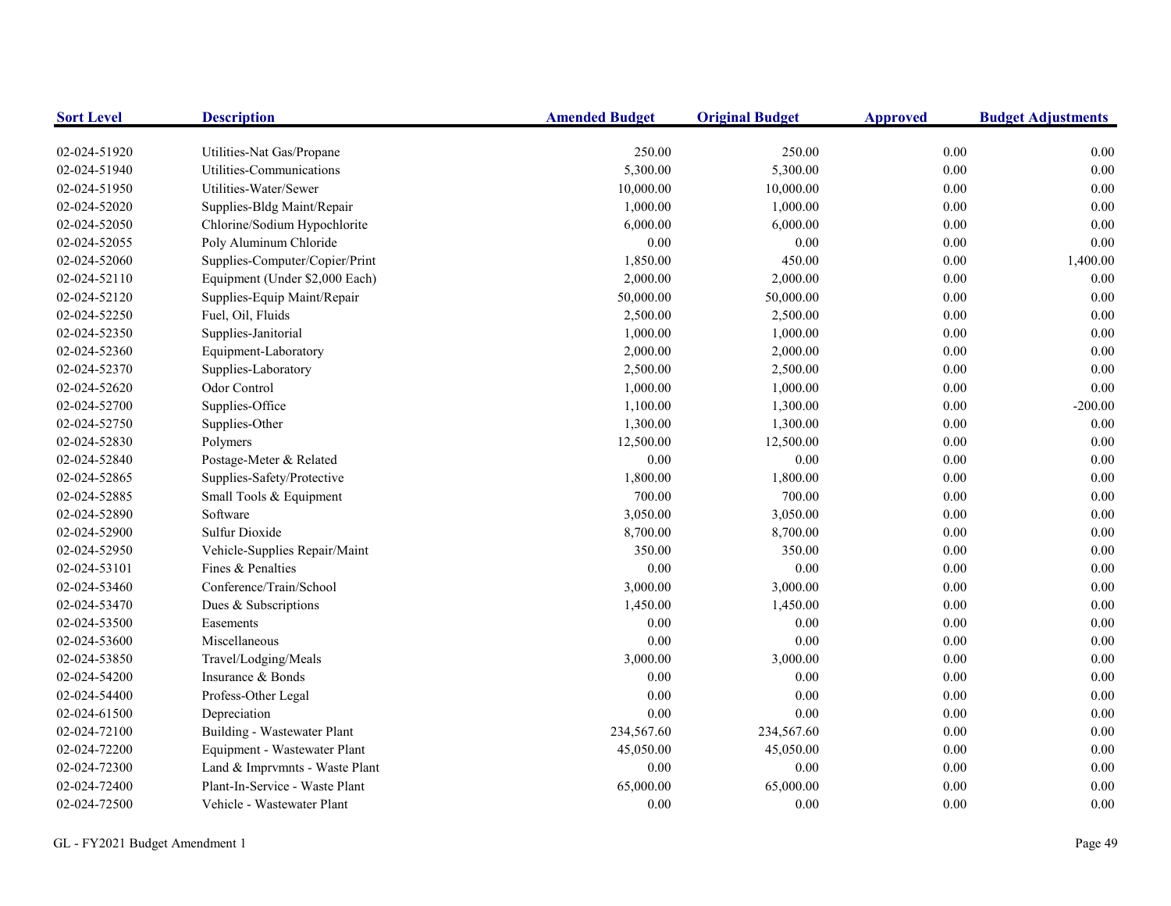| <b>Sort Level</b> | <b>Description</b>             | <b>Amended Budget</b> | <b>Original Budget</b> | <b>Approved</b> | <b>Budget Adjustments</b> |
|-------------------|--------------------------------|-----------------------|------------------------|-----------------|---------------------------|
| 02-024-51920      | Utilities-Nat Gas/Propane      | 250.00                | 250.00                 | 0.00            | 0.00                      |
| 02-024-51940      | Utilities-Communications       | 5,300.00              | 5,300.00               | 0.00            | 0.00                      |
| 02-024-51950      | Utilities-Water/Sewer          | 10,000.00             | 10,000.00              | 0.00            | $0.00\,$                  |
| 02-024-52020      | Supplies-Bldg Maint/Repair     | 1,000.00              | 1,000.00               | 0.00            | 0.00                      |
| 02-024-52050      | Chlorine/Sodium Hypochlorite   | 6,000.00              | 6,000.00               | 0.00            | $0.00\,$                  |
| 02-024-52055      | Poly Aluminum Chloride         | 0.00                  | 0.00                   | 0.00            | 0.00                      |
| 02-024-52060      | Supplies-Computer/Copier/Print | 1,850.00              | 450.00                 | 0.00            | 1,400.00                  |
| 02-024-52110      | Equipment (Under \$2,000 Each) | 2,000.00              | 2,000.00               | 0.00            | 0.00                      |
| 02-024-52120      | Supplies-Equip Maint/Repair    | 50,000.00             | 50,000.00              | 0.00            | 0.00                      |
| 02-024-52250      | Fuel, Oil, Fluids              | 2,500.00              | 2,500.00               | 0.00            | $0.00\,$                  |
| 02-024-52350      | Supplies-Janitorial            | 1,000.00              | 1,000.00               | 0.00            | $0.00\,$                  |
| 02-024-52360      | Equipment-Laboratory           | 2,000.00              | 2,000.00               | 0.00            | $0.00\,$                  |
| 02-024-52370      | Supplies-Laboratory            | 2,500.00              | 2,500.00               | 0.00            | $0.00\,$                  |
| 02-024-52620      | Odor Control                   | 1,000.00              | 1,000.00               | 0.00            | $0.00\,$                  |
| 02-024-52700      | Supplies-Office                | 1,100.00              | 1,300.00               | 0.00            | $-200.00$                 |
| 02-024-52750      | Supplies-Other                 | 1,300.00              | 1,300.00               | 0.00            | 0.00                      |
| 02-024-52830      | Polymers                       | 12,500.00             | 12,500.00              | 0.00            | 0.00                      |
| 02-024-52840      | Postage-Meter & Related        | 0.00                  | 0.00                   | 0.00            | 0.00                      |
| 02-024-52865      | Supplies-Safety/Protective     | 1,800.00              | 1,800.00               | 0.00            | 0.00                      |
| 02-024-52885      | Small Tools & Equipment        | 700.00                | 700.00                 | 0.00            | 0.00                      |
| 02-024-52890      | Software                       | 3,050.00              | 3,050.00               | 0.00            | $0.00\,$                  |
| 02-024-52900      | Sulfur Dioxide                 | 8,700.00              | 8,700.00               | 0.00            | $0.00\,$                  |
| 02-024-52950      | Vehicle-Supplies Repair/Maint  | 350.00                | 350.00                 | 0.00            | $0.00\,$                  |
| 02-024-53101      | Fines & Penalties              | 0.00                  | $0.00\,$               | 0.00            | $0.00\,$                  |
| 02-024-53460      | Conference/Train/School        | 3,000.00              | 3,000.00               | 0.00            | $0.00\,$                  |
| 02-024-53470      | Dues & Subscriptions           | 1,450.00              | 1,450.00               | $0.00\,$        | $0.00\,$                  |
| 02-024-53500      | Easements                      | 0.00                  | $0.00\,$               | $0.00\,$        | $0.00\,$                  |
| 02-024-53600      | Miscellaneous                  | 0.00                  | 0.00                   | 0.00            | 0.00                      |
| 02-024-53850      | Travel/Lodging/Meals           | 3,000.00              | 3,000.00               | 0.00            | $0.00\,$                  |
| 02-024-54200      | Insurance & Bonds              | 0.00                  | 0.00                   | 0.00            | $0.00\,$                  |
| 02-024-54400      | Profess-Other Legal            | 0.00                  | 0.00                   | 0.00            | $0.00\,$                  |
| 02-024-61500      | Depreciation                   | 0.00                  | 0.00                   | 0.00            | $0.00\,$                  |
| 02-024-72100      | Building - Wastewater Plant    | 234,567.60            | 234,567.60             | 0.00            | 0.00                      |
| 02-024-72200      | Equipment - Wastewater Plant   | 45,050.00             | 45,050.00              | 0.00            | 0.00                      |
| 02-024-72300      | Land & Imprvmnts - Waste Plant | 0.00                  | $0.00\,$               | 0.00            | 0.00                      |
| 02-024-72400      | Plant-In-Service - Waste Plant | 65,000.00             | 65,000.00              | 0.00            | 0.00                      |
| 02-024-72500      | Vehicle - Wastewater Plant     | 0.00                  | 0.00                   | 0.00            | 0.00                      |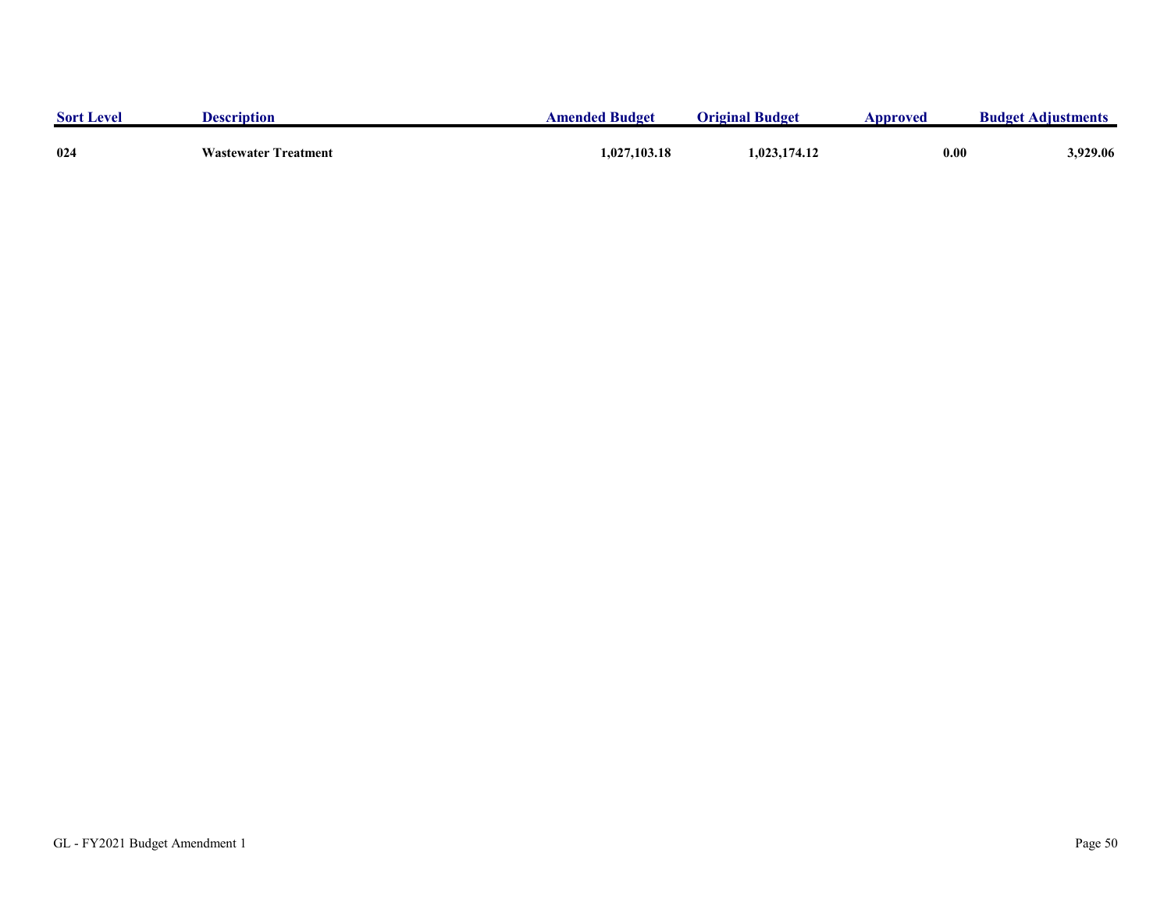| <b>Sort Level</b> | Description                 | <b>Amended Budget</b> | <b>Original Budget</b> | Approved | <b>Budget Adjustments</b> |
|-------------------|-----------------------------|-----------------------|------------------------|----------|---------------------------|
|                   |                             |                       |                        |          |                           |
| 024               | <b>Wastewater Treatment</b> | 1,027,103.18          | 1,023,174.12           | 0.00     | 929.06.د                  |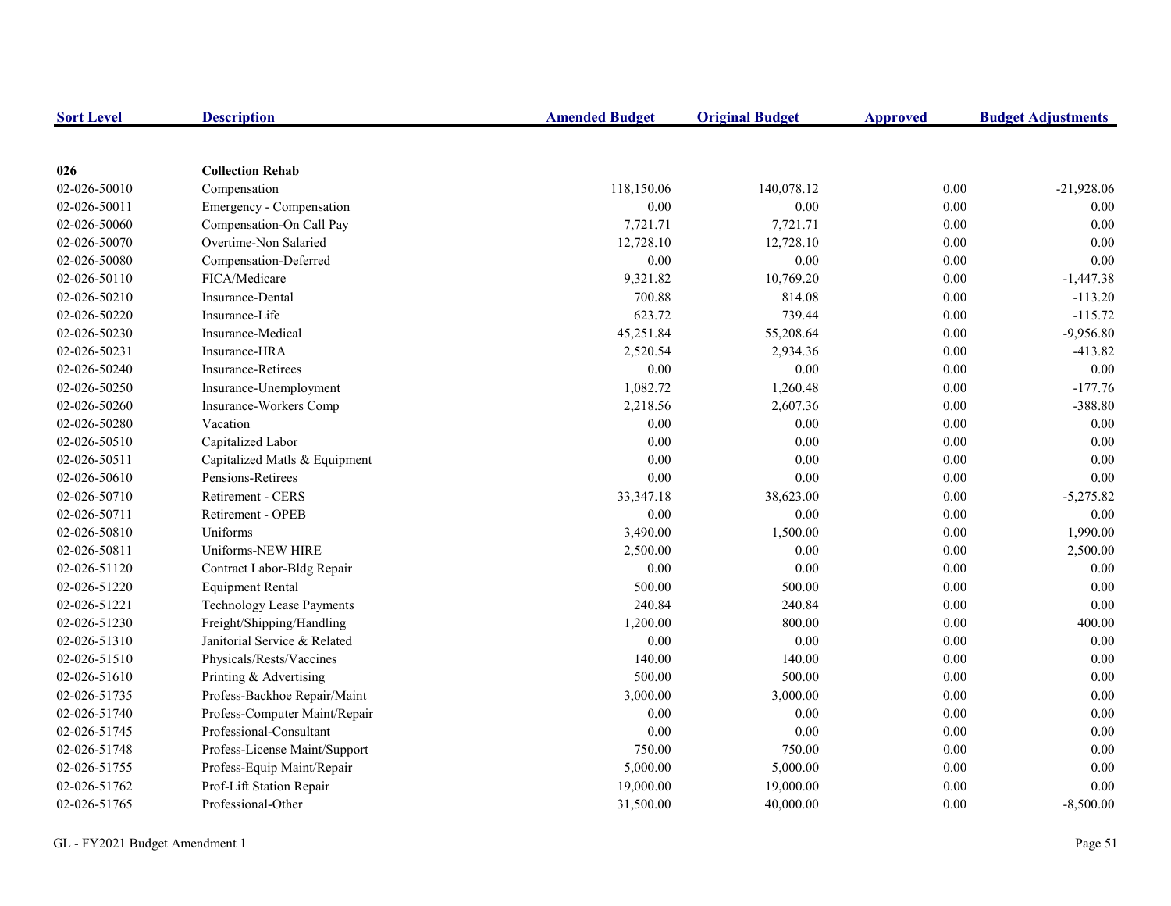| <b>Sort Level</b> | <b>Description</b>               | <b>Amended Budget</b> | <b>Original Budget</b> | <b>Approved</b> | <b>Budget Adjustments</b> |
|-------------------|----------------------------------|-----------------------|------------------------|-----------------|---------------------------|
|                   |                                  |                       |                        |                 |                           |
| 026               | <b>Collection Rehab</b>          |                       |                        |                 |                           |
| 02-026-50010      | Compensation                     | 118,150.06            | 140,078.12             | 0.00            | $-21,928.06$              |
| 02-026-50011      | Emergency - Compensation         | 0.00                  | 0.00                   | 0.00            | 0.00                      |
| 02-026-50060      | Compensation-On Call Pay         | 7,721.71              | 7,721.71               | 0.00            | 0.00                      |
| 02-026-50070      | Overtime-Non Salaried            | 12,728.10             | 12,728.10              | $0.00\,$        | 0.00                      |
| 02-026-50080      | Compensation-Deferred            | 0.00                  | $0.00\,$               | 0.00            | 0.00                      |
| 02-026-50110      | FICA/Medicare                    | 9,321.82              | 10,769.20              | 0.00            | $-1,447.38$               |
| 02-026-50210      | Insurance-Dental                 | 700.88                | 814.08                 | 0.00            | $-113.20$                 |
| 02-026-50220      | Insurance-Life                   | 623.72                | 739.44                 | 0.00            | $-115.72$                 |
| 02-026-50230      | Insurance-Medical                | 45,251.84             | 55,208.64              | 0.00            | $-9,956.80$               |
| 02-026-50231      | Insurance-HRA                    | 2,520.54              | 2,934.36               | 0.00            | $-413.82$                 |
| 02-026-50240      | <b>Insurance-Retirees</b>        | 0.00                  | $0.00\,$               | 0.00            | 0.00                      |
| 02-026-50250      | Insurance-Unemployment           | 1,082.72              | 1,260.48               | 0.00            | $-177.76$                 |
| 02-026-50260      | Insurance-Workers Comp           | 2,218.56              | 2,607.36               | $0.00\,$        | $-388.80$                 |
| 02-026-50280      | Vacation                         | 0.00                  | 0.00                   | 0.00            | 0.00                      |
| 02-026-50510      | Capitalized Labor                | 0.00                  | 0.00                   | 0.00            | 0.00                      |
| 02-026-50511      | Capitalized Matls & Equipment    | 0.00                  | $0.00\,$               | 0.00            | 0.00                      |
| 02-026-50610      | Pensions-Retirees                | 0.00                  | 0.00                   | 0.00            | 0.00                      |
| 02-026-50710      | Retirement - CERS                | 33, 347. 18           | 38,623.00              | 0.00            | $-5,275.82$               |
| 02-026-50711      | Retirement - OPEB                | 0.00                  | 0.00                   | 0.00            | 0.00                      |
| 02-026-50810      | Uniforms                         | 3,490.00              | 1,500.00               | 0.00            | 1,990.00                  |
| 02-026-50811      | Uniforms-NEW HIRE                | 2,500.00              | 0.00                   | 0.00            | 2,500.00                  |
| 02-026-51120      | Contract Labor-Bldg Repair       | 0.00                  | 0.00                   | 0.00            | 0.00                      |
| 02-026-51220      | <b>Equipment Rental</b>          | 500.00                | 500.00                 | $0.00\,$        | 0.00                      |
| 02-026-51221      | <b>Technology Lease Payments</b> | 240.84                | 240.84                 | $0.00\,$        | 0.00                      |
| 02-026-51230      | Freight/Shipping/Handling        | 1,200.00              | 800.00                 | 0.00            | 400.00                    |
| 02-026-51310      | Janitorial Service & Related     | 0.00                  | 0.00                   | 0.00            | 0.00                      |
| 02-026-51510      | Physicals/Rests/Vaccines         | 140.00                | 140.00                 | 0.00            | 0.00                      |
| 02-026-51610      | Printing & Advertising           | 500.00                | 500.00                 | 0.00            | 0.00                      |
| 02-026-51735      | Profess-Backhoe Repair/Maint     | 3,000.00              | 3,000.00               | 0.00            | 0.00                      |
| 02-026-51740      | Profess-Computer Maint/Repair    | 0.00                  | 0.00                   | 0.00            | 0.00                      |
| 02-026-51745      | Professional-Consultant          | 0.00                  | $0.00\,$               | 0.00            | 0.00                      |
| 02-026-51748      | Profess-License Maint/Support    | 750.00                | 750.00                 | $0.00\,$        | 0.00                      |
| 02-026-51755      | Profess-Equip Maint/Repair       | 5,000.00              | 5,000.00               | $0.00\,$        | 0.00                      |
| 02-026-51762      | Prof-Lift Station Repair         | 19,000.00             | 19,000.00              | 0.00            | 0.00                      |
| 02-026-51765      | Professional-Other               | 31,500.00             | 40,000.00              | 0.00            | $-8,500.00$               |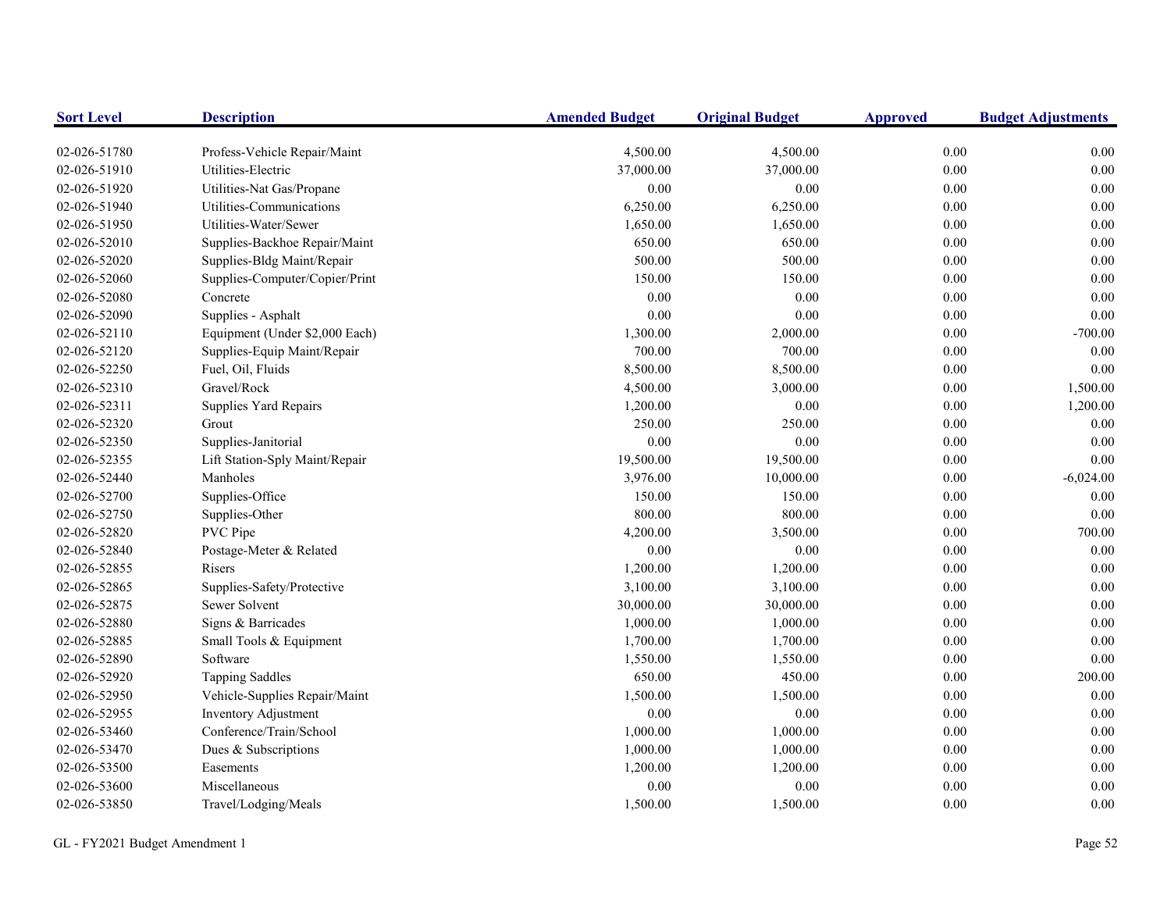| <b>Sort Level</b> | <b>Description</b>             | <b>Amended Budget</b> | <b>Original Budget</b> | <b>Approved</b> | <b>Budget Adjustments</b> |
|-------------------|--------------------------------|-----------------------|------------------------|-----------------|---------------------------|
| 02-026-51780      | Profess-Vehicle Repair/Maint   | 4,500.00              | 4,500.00               | 0.00            | 0.00                      |
| 02-026-51910      | Utilities-Electric             | 37,000.00             | 37,000.00              | 0.00            | $0.00\,$                  |
| 02-026-51920      | Utilities-Nat Gas/Propane      | 0.00                  | 0.00                   | 0.00            | $0.00\,$                  |
| 02-026-51940      | Utilities-Communications       | 6,250.00              | 6,250.00               | 0.00            | $0.00\,$                  |
| 02-026-51950      | Utilities-Water/Sewer          | 1,650.00              | 1,650.00               | 0.00            | $0.00\,$                  |
| 02-026-52010      | Supplies-Backhoe Repair/Maint  | 650.00                | 650.00                 | 0.00            | 0.00                      |
| 02-026-52020      | Supplies-Bldg Maint/Repair     | 500.00                | 500.00                 | 0.00            | 0.00                      |
| 02-026-52060      | Supplies-Computer/Copier/Print | 150.00                | 150.00                 | 0.00            | 0.00                      |
| 02-026-52080      | Concrete                       | 0.00                  | 0.00                   | 0.00            | 0.00                      |
| 02-026-52090      | Supplies - Asphalt             | 0.00                  | 0.00                   | 0.00            | $0.00\,$                  |
| 02-026-52110      | Equipment (Under \$2,000 Each) | 1,300.00              | 2,000.00               | 0.00            | $-700.00$                 |
| 02-026-52120      | Supplies-Equip Maint/Repair    | 700.00                | 700.00                 | 0.00            | 0.00                      |
| 02-026-52250      | Fuel, Oil, Fluids              | 8,500.00              | 8,500.00               | 0.00            | 0.00                      |
| 02-026-52310      | Gravel/Rock                    | 4,500.00              | 3,000.00               | 0.00            | 1,500.00                  |
| 02-026-52311      | Supplies Yard Repairs          | 1,200.00              | 0.00                   | 0.00            | 1,200.00                  |
| 02-026-52320      | Grout                          | 250.00                | 250.00                 | 0.00            | 0.00                      |
| 02-026-52350      | Supplies-Janitorial            | 0.00                  | 0.00                   | 0.00            | 0.00                      |
| 02-026-52355      | Lift Station-Sply Maint/Repair | 19,500.00             | 19,500.00              | 0.00            | 0.00                      |
| 02-026-52440      | Manholes                       | 3,976.00              | 10,000.00              | 0.00            | $-6,024.00$               |
| 02-026-52700      | Supplies-Office                | 150.00                | 150.00                 | 0.00            | 0.00                      |
| 02-026-52750      | Supplies-Other                 | 800.00                | 800.00                 | 0.00            | $0.00\,$                  |
| 02-026-52820      | PVC Pipe                       | 4,200.00              | 3,500.00               | 0.00            | 700.00                    |
| 02-026-52840      | Postage-Meter & Related        | 0.00                  | $0.00\,$               | 0.00            | 0.00                      |
| 02-026-52855      | Risers                         | 1,200.00              | 1,200.00               | 0.00            | $0.00\,$                  |
| 02-026-52865      | Supplies-Safety/Protective     | 3,100.00              | 3,100.00               | 0.00            | 0.00                      |
| 02-026-52875      | Sewer Solvent                  | 30,000.00             | 30,000.00              | 0.00            | $0.00\,$                  |
| 02-026-52880      | Signs & Barricades             | 1,000.00              | 1,000.00               | 0.00            | $0.00\,$                  |
| 02-026-52885      | Small Tools & Equipment        | 1,700.00              | 1,700.00               | 0.00            | $0.00\,$                  |
| 02-026-52890      | Software                       | 1,550.00              | 1,550.00               | 0.00            | 0.00                      |
| 02-026-52920      | <b>Tapping Saddles</b>         | 650.00                | 450.00                 | 0.00            | 200.00                    |
| 02-026-52950      | Vehicle-Supplies Repair/Maint  | 1,500.00              | 1,500.00               | 0.00            | 0.00                      |
| 02-026-52955      | Inventory Adjustment           | 0.00                  | $0.00\,$               | 0.00            | 0.00                      |
| 02-026-53460      | Conference/Train/School        | 1,000.00              | 1,000.00               | 0.00            | $0.00\,$                  |
| 02-026-53470      | Dues & Subscriptions           | 1,000.00              | 1,000.00               | 0.00            | $0.00\,$                  |
| 02-026-53500      | Easements                      | 1,200.00              | 1,200.00               | 0.00            | 0.00                      |
| 02-026-53600      | Miscellaneous                  | 0.00                  | $0.00\,$               | 0.00            | 0.00                      |
| 02-026-53850      | Travel/Lodging/Meals           | 1,500.00              | 1,500.00               | 0.00            | 0.00                      |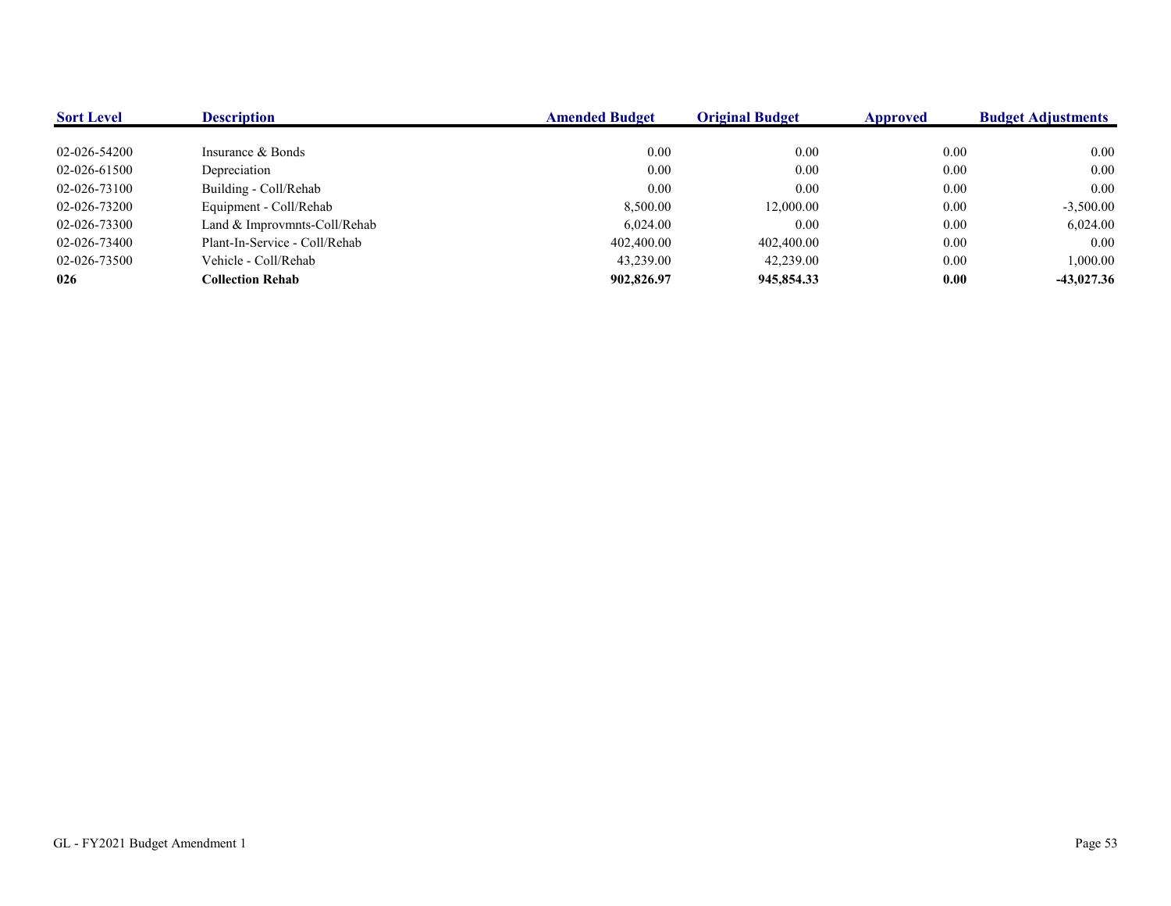| <b>Sort Level</b> | <b>Description</b>            | <b>Amended Budget</b> | <b>Original Budget</b> | Approved | <b>Budget Adjustments</b> |
|-------------------|-------------------------------|-----------------------|------------------------|----------|---------------------------|
|                   |                               |                       |                        |          |                           |
| 02-026-54200      | Insurance & Bonds             | 0.00                  | 0.00                   | 0.00     | 0.00                      |
| 02-026-61500      | Depreciation                  | 0.00                  | 0.00                   | 0.00     | 0.00                      |
| 02-026-73100      | Building - Coll/Rehab         | 0.00                  | 0.00                   | 0.00     | 0.00                      |
| 02-026-73200      | Equipment - Coll/Rehab        | 8,500.00              | 12,000.00              | 0.00     | $-3,500.00$               |
| 02-026-73300      | Land & Improvmnts-Coll/Rehab  | 6,024.00              | 0.00                   | 0.00     | 6,024.00                  |
| 02-026-73400      | Plant-In-Service - Coll/Rehab | 402,400.00            | 402,400.00             | 0.00     | 0.00                      |
| 02-026-73500      | Vehicle - Coll/Rehab          | 43,239.00             | 42,239.00              | 0.00     | 1,000.00                  |
| 026               | <b>Collection Rehab</b>       | 902,826.97            | 945,854.33             | 0.00     | $-43,027.36$              |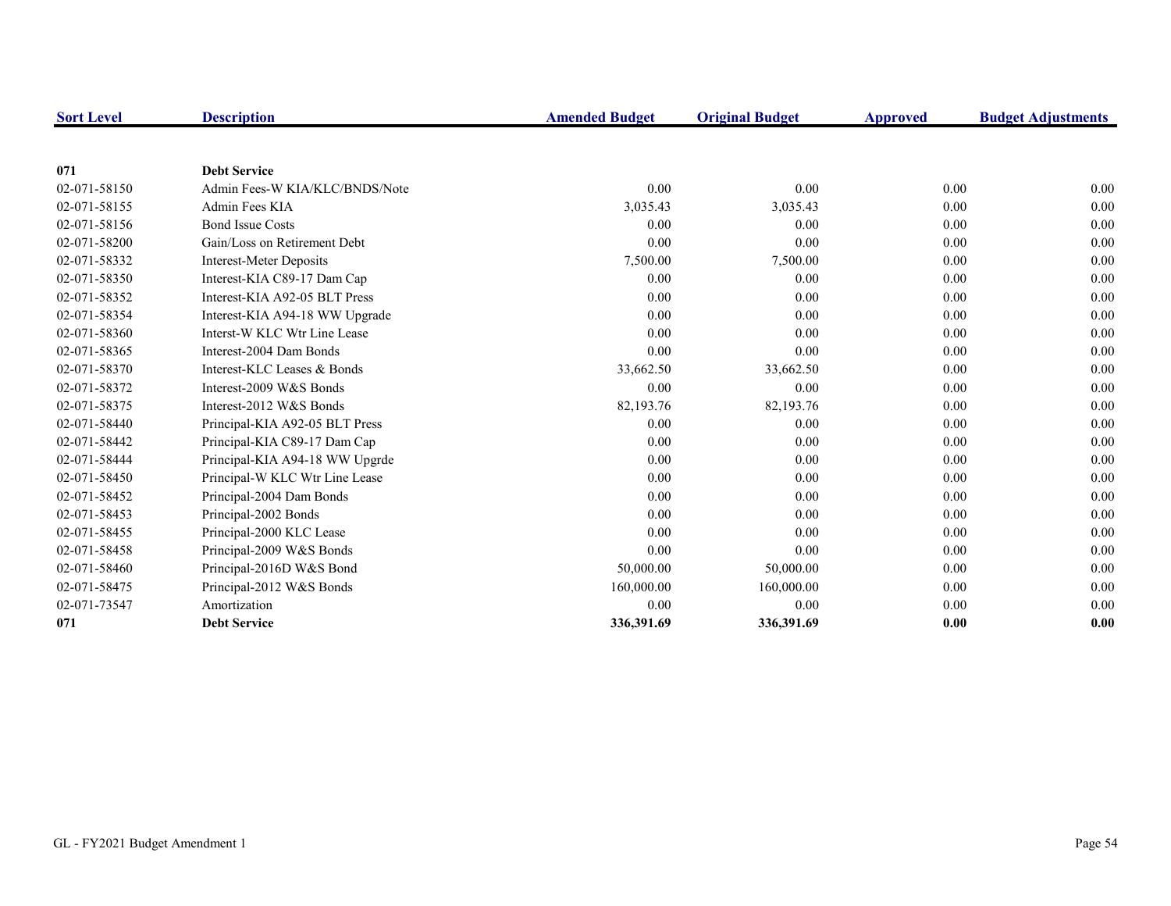| <b>Sort Level</b> | <b>Description</b>             | <b>Amended Budget</b> | <b>Original Budget</b> | <b>Approved</b> | <b>Budget Adjustments</b> |
|-------------------|--------------------------------|-----------------------|------------------------|-----------------|---------------------------|
|                   |                                |                       |                        |                 |                           |
| 071               | <b>Debt Service</b>            |                       |                        |                 |                           |
| 02-071-58150      | Admin Fees-W KIA/KLC/BNDS/Note | 0.00                  | 0.00                   | 0.00            | 0.00                      |
| 02-071-58155      | Admin Fees KIA                 | 3,035.43              | 3,035.43               | 0.00            | 0.00                      |
| 02-071-58156      | <b>Bond Issue Costs</b>        | 0.00                  | 0.00                   | 0.00            | 0.00                      |
| 02-071-58200      | Gain/Loss on Retirement Debt   | 0.00                  | 0.00                   | 0.00            | 0.00                      |
| 02-071-58332      | <b>Interest-Meter Deposits</b> | 7,500.00              | 7,500.00               | 0.00            | 0.00                      |
| 02-071-58350      | Interest-KIA C89-17 Dam Cap    | 0.00                  | 0.00                   | 0.00            | 0.00                      |
| 02-071-58352      | Interest-KIA A92-05 BLT Press  | 0.00                  | 0.00                   | 0.00            | 0.00                      |
| 02-071-58354      | Interest-KIA A94-18 WW Upgrade | 0.00                  | 0.00                   | 0.00            | 0.00                      |
| 02-071-58360      | Interst-W KLC Wtr Line Lease   | 0.00                  | 0.00                   | 0.00            | 0.00                      |
| 02-071-58365      | Interest-2004 Dam Bonds        | 0.00                  | 0.00                   | 0.00            | 0.00                      |
| 02-071-58370      | Interest-KLC Leases & Bonds    | 33,662.50             | 33,662.50              | 0.00            | 0.00                      |
| 02-071-58372      | Interest-2009 W&S Bonds        | 0.00                  | 0.00                   | 0.00            | 0.00                      |
| 02-071-58375      | Interest-2012 W&S Bonds        | 82,193.76             | 82,193.76              | 0.00            | 0.00                      |
| 02-071-58440      | Principal-KIA A92-05 BLT Press | 0.00                  | 0.00                   | 0.00            | 0.00                      |
| 02-071-58442      | Principal-KIA C89-17 Dam Cap   | 0.00                  | 0.00                   | 0.00            | 0.00                      |
| 02-071-58444      | Principal-KIA A94-18 WW Upgrde | 0.00                  | 0.00                   | 0.00            | 0.00                      |
| 02-071-58450      | Principal-W KLC Wtr Line Lease | 0.00                  | 0.00                   | 0.00            | 0.00                      |
| 02-071-58452      | Principal-2004 Dam Bonds       | 0.00                  | 0.00                   | 0.00            | 0.00                      |
| 02-071-58453      | Principal-2002 Bonds           | 0.00                  | 0.00                   | 0.00            | 0.00                      |
| 02-071-58455      | Principal-2000 KLC Lease       | 0.00                  | 0.00                   | 0.00            | 0.00                      |
| 02-071-58458      | Principal-2009 W&S Bonds       | 0.00                  | 0.00                   | 0.00            | 0.00                      |
| 02-071-58460      | Principal-2016D W&S Bond       | 50,000.00             | 50,000.00              | 0.00            | 0.00                      |
| 02-071-58475      | Principal-2012 W&S Bonds       | 160,000.00            | 160,000.00             | 0.00            | 0.00                      |
| 02-071-73547      | Amortization                   | 0.00                  | 0.00                   | 0.00            | 0.00                      |
| 071               | <b>Debt Service</b>            | 336,391.69            | 336,391.69             | 0.00            | 0.00                      |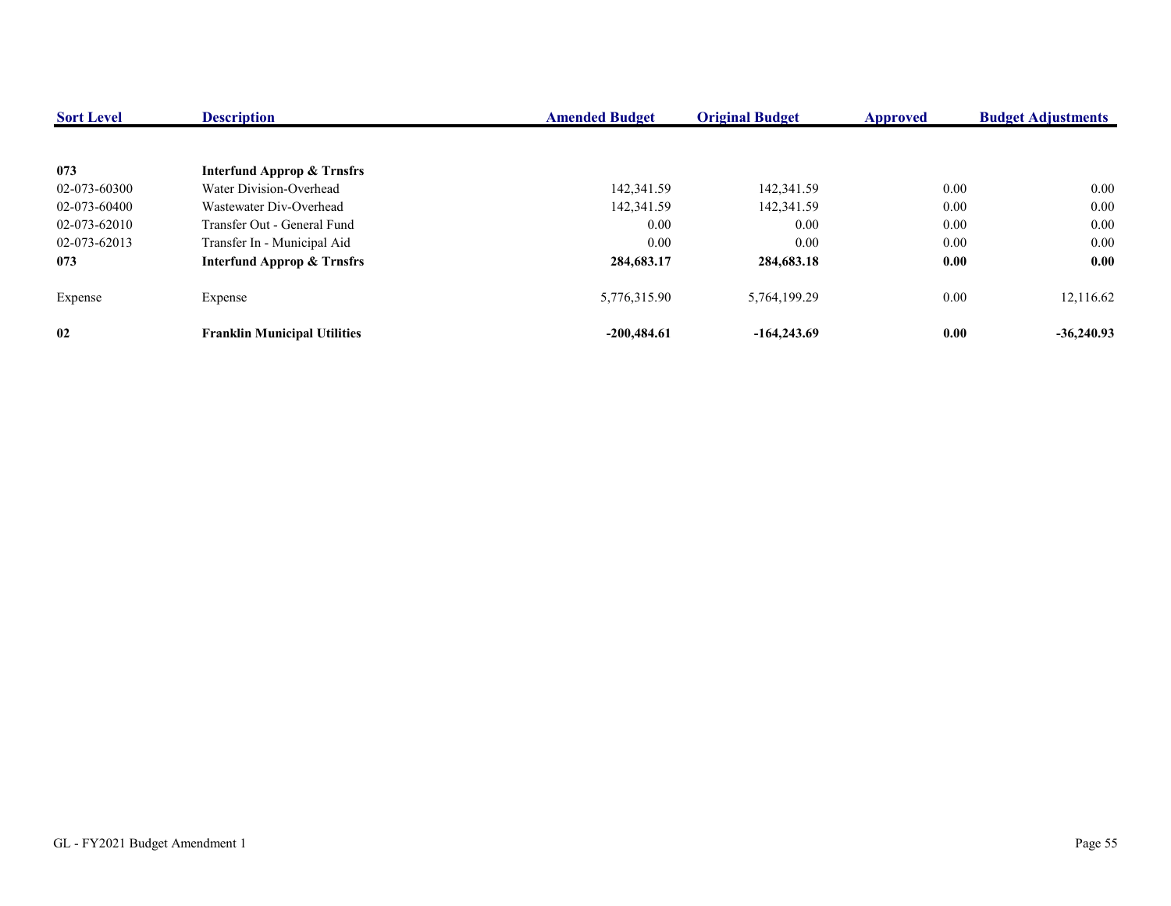| <b>Sort Level</b> | <b>Description</b>                    | <b>Amended Budget</b> | <b>Original Budget</b> | <b>Approved</b> | <b>Budget Adjustments</b> |
|-------------------|---------------------------------------|-----------------------|------------------------|-----------------|---------------------------|
|                   |                                       |                       |                        |                 |                           |
| 073               | <b>Interfund Approp &amp; Trnsfrs</b> |                       |                        |                 |                           |
| 02-073-60300      | Water Division-Overhead               | 142,341.59            | 142,341.59             | 0.00            | 0.00                      |
| 02-073-60400      | Wastewater Div-Overhead               | 142,341.59            | 142,341.59             | 0.00            | $0.00\,$                  |
| 02-073-62010      | Transfer Out - General Fund           | 0.00                  | 0.00                   | 0.00            | $0.00\,$                  |
| 02-073-62013      | Transfer In - Municipal Aid           | 0.00                  | 0.00                   | 0.00            | $0.00\,$                  |
| 073               | <b>Interfund Approp &amp; Trnsfrs</b> | 284,683.17            | 284,683.18             | 0.00            | 0.00                      |
| Expense           | Expense                               | 5,776,315.90          | 5.764.199.29           | 0.00            | 12,116.62                 |
| 02                | <b>Franklin Municipal Utilities</b>   | $-200,484.61$         | $-164,243.69$          | 0.00            | $-36,240.93$              |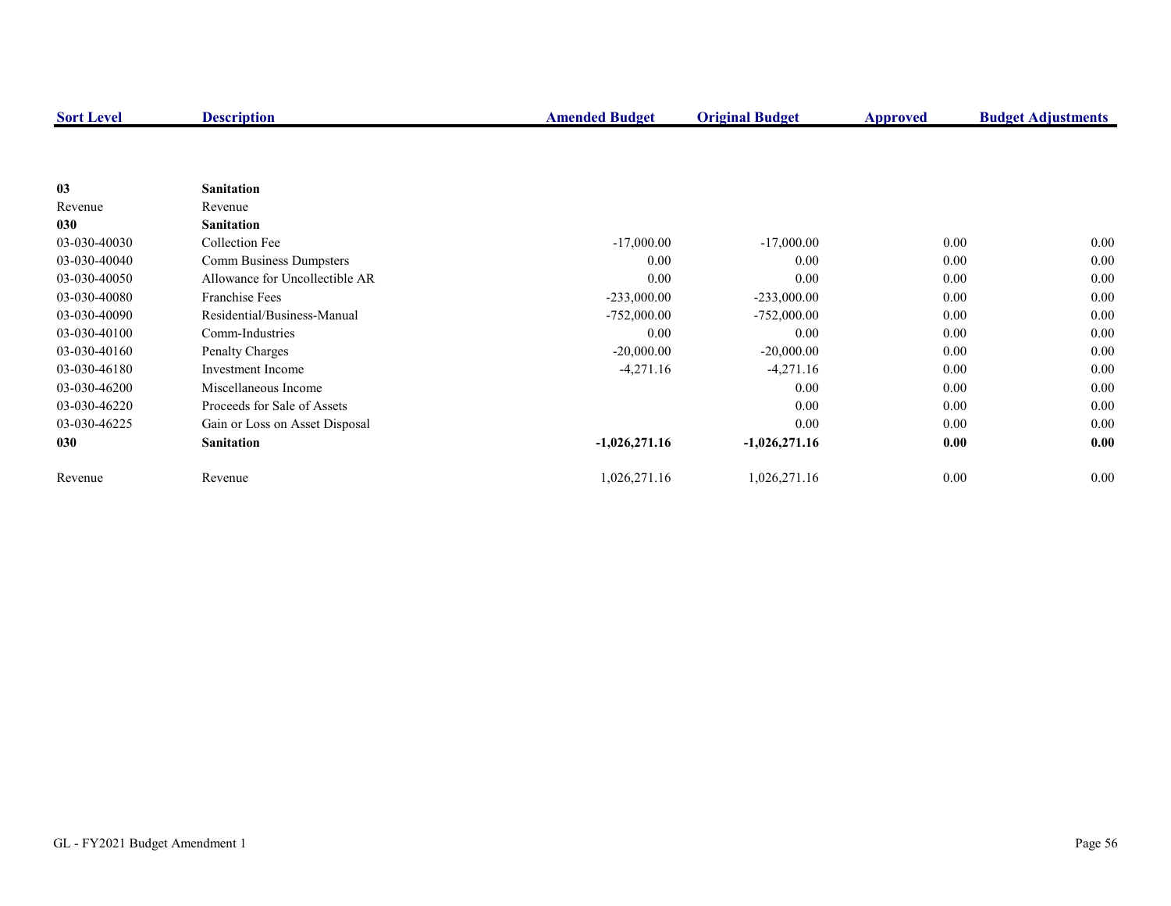| <b>Sort Level</b> | <b>Description</b>             | <b>Amended Budget</b> | <b>Original Budget</b> | <b>Approved</b> | <b>Budget Adjustments</b> |
|-------------------|--------------------------------|-----------------------|------------------------|-----------------|---------------------------|
|                   |                                |                       |                        |                 |                           |
|                   |                                |                       |                        |                 |                           |
| 03                | <b>Sanitation</b>              |                       |                        |                 |                           |
| Revenue           | Revenue                        |                       |                        |                 |                           |
| 030               | <b>Sanitation</b>              |                       |                        |                 |                           |
| 03-030-40030      | Collection Fee                 | $-17,000.00$          | $-17,000.00$           | 0.00            | 0.00                      |
| 03-030-40040      | Comm Business Dumpsters        | 0.00                  | 0.00                   | 0.00            | 0.00                      |
| 03-030-40050      | Allowance for Uncollectible AR | 0.00                  | 0.00                   | 0.00            | 0.00                      |
| 03-030-40080      | <b>Franchise Fees</b>          | $-233,000.00$         | $-233,000.00$          | 0.00            | 0.00                      |
| 03-030-40090      | Residential/Business-Manual    | $-752,000.00$         | $-752,000.00$          | 0.00            | 0.00                      |
| 03-030-40100      | Comm-Industries                | 0.00                  | 0.00                   | $0.00\,$        | 0.00                      |
| 03-030-40160      | Penalty Charges                | $-20,000.00$          | $-20,000.00$           | 0.00            | 0.00                      |
| 03-030-46180      | Investment Income              | $-4,271.16$           | $-4,271.16$            | 0.00            | 0.00                      |
| 03-030-46200      | Miscellaneous Income           |                       | 0.00                   | 0.00            | 0.00                      |
| 03-030-46220      | Proceeds for Sale of Assets    |                       | 0.00                   | 0.00            | 0.00                      |
| 03-030-46225      | Gain or Loss on Asset Disposal |                       | 0.00                   | 0.00            | 0.00                      |
| 030               | <b>Sanitation</b>              | $-1,026,271.16$       | $-1,026,271.16$        | 0.00            | 0.00                      |
| Revenue           | Revenue                        | 1,026,271.16          | 1,026,271.16           | 0.00            | 0.00                      |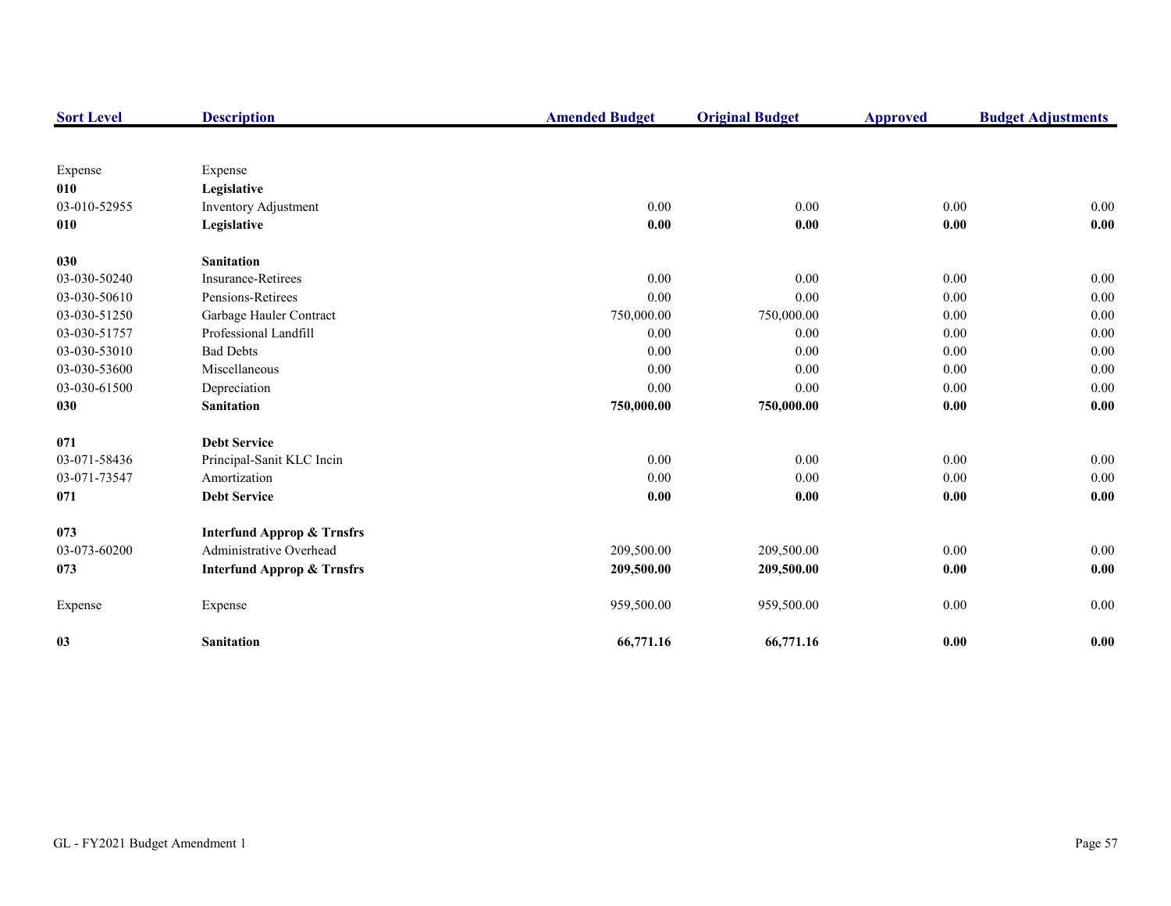| <b>Sort Level</b> | <b>Description</b>                    | <b>Amended Budget</b> | <b>Original Budget</b> | <b>Approved</b> | <b>Budget Adjustments</b> |
|-------------------|---------------------------------------|-----------------------|------------------------|-----------------|---------------------------|
|                   |                                       |                       |                        |                 |                           |
| Expense           | Expense                               |                       |                        |                 |                           |
| 010               | Legislative                           |                       |                        |                 |                           |
| 03-010-52955      | Inventory Adjustment                  | 0.00                  | 0.00                   | 0.00            | 0.00                      |
| 010               | Legislative                           | 0.00                  | 0.00                   | $0.00\,$        | 0.00                      |
| 030               | <b>Sanitation</b>                     |                       |                        |                 |                           |
| 03-030-50240      | Insurance-Retirees                    | 0.00                  | 0.00                   | 0.00            | 0.00                      |
| 03-030-50610      | Pensions-Retirees                     | 0.00                  | 0.00                   | 0.00            | 0.00                      |
| 03-030-51250      | Garbage Hauler Contract               | 750,000.00            | 750,000.00             | 0.00            | 0.00                      |
| 03-030-51757      | Professional Landfill                 | 0.00                  | 0.00                   | 0.00            | 0.00                      |
| 03-030-53010      | <b>Bad Debts</b>                      | 0.00                  | 0.00                   | 0.00            | 0.00                      |
| 03-030-53600      | Miscellaneous                         | 0.00                  | 0.00                   | 0.00            | 0.00                      |
| 03-030-61500      | Depreciation                          | 0.00                  | 0.00                   | 0.00            | 0.00                      |
| 030               | <b>Sanitation</b>                     | 750,000.00            | 750,000.00             | 0.00            | 0.00                      |
| 071               | <b>Debt Service</b>                   |                       |                        |                 |                           |
| 03-071-58436      | Principal-Sanit KLC Incin             | 0.00                  | 0.00                   | 0.00            | $0.00\,$                  |
| 03-071-73547      | Amortization                          | 0.00                  | 0.00                   | 0.00            | 0.00                      |
| 071               | <b>Debt Service</b>                   | 0.00                  | 0.00                   | 0.00            | 0.00                      |
| 073               | <b>Interfund Approp &amp; Trnsfrs</b> |                       |                        |                 |                           |
| 03-073-60200      | Administrative Overhead               | 209,500.00            | 209,500.00             | 0.00            | 0.00                      |
| 073               | <b>Interfund Approp &amp; Trnsfrs</b> | 209,500.00            | 209,500.00             | 0.00            | 0.00                      |
| Expense           | Expense                               | 959,500.00            | 959,500.00             | 0.00            | $0.00\,$                  |
| 03                | <b>Sanitation</b>                     | 66,771.16             | 66,771.16              | 0.00            | 0.00                      |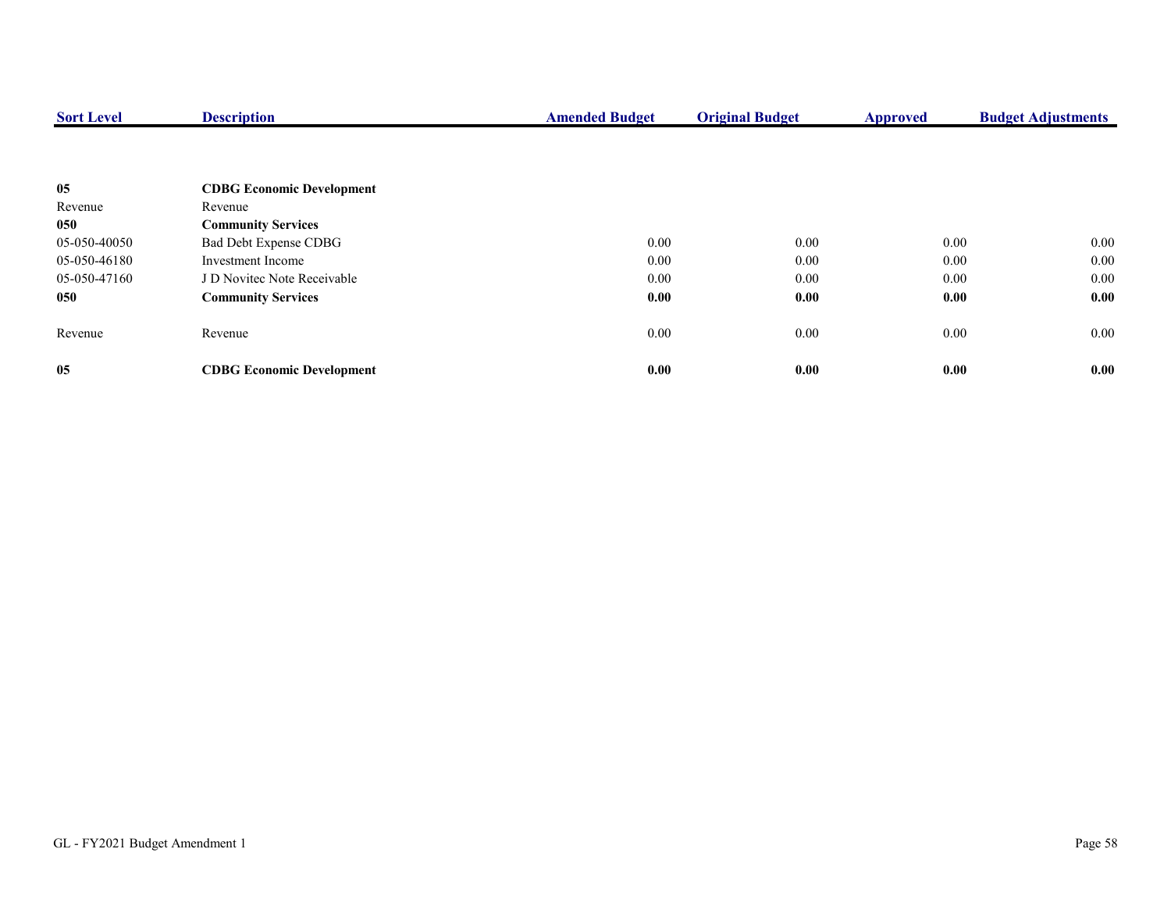| <b>Sort Level</b> | <b>Description</b>               | <b>Amended Budget</b> | <b>Original Budget</b> | <b>Approved</b> | <b>Budget Adjustments</b> |
|-------------------|----------------------------------|-----------------------|------------------------|-----------------|---------------------------|
|                   |                                  |                       |                        |                 |                           |
| 05                | <b>CDBG Economic Development</b> |                       |                        |                 |                           |
| Revenue           | Revenue                          |                       |                        |                 |                           |
| 050               | <b>Community Services</b>        |                       |                        |                 |                           |
| 05-050-40050      | Bad Debt Expense CDBG            | 0.00                  | 0.00                   | 0.00            | $0.00\,$                  |
| 05-050-46180      | Investment Income                | 0.00                  | 0.00                   | 0.00            | $0.00\,$                  |
| 05-050-47160      | J D Novitec Note Receivable      | 0.00                  | 0.00                   | 0.00            | $0.00\,$                  |
| 050               | <b>Community Services</b>        | 0.00                  | 0.00                   | 0.00            | 0.00                      |
| Revenue           | Revenue                          | 0.00                  | 0.00                   | $0.00\,$        | $0.00\,$                  |
| 05                | <b>CDBG Economic Development</b> | 0.00                  | 0.00                   | 0.00            | 0.00                      |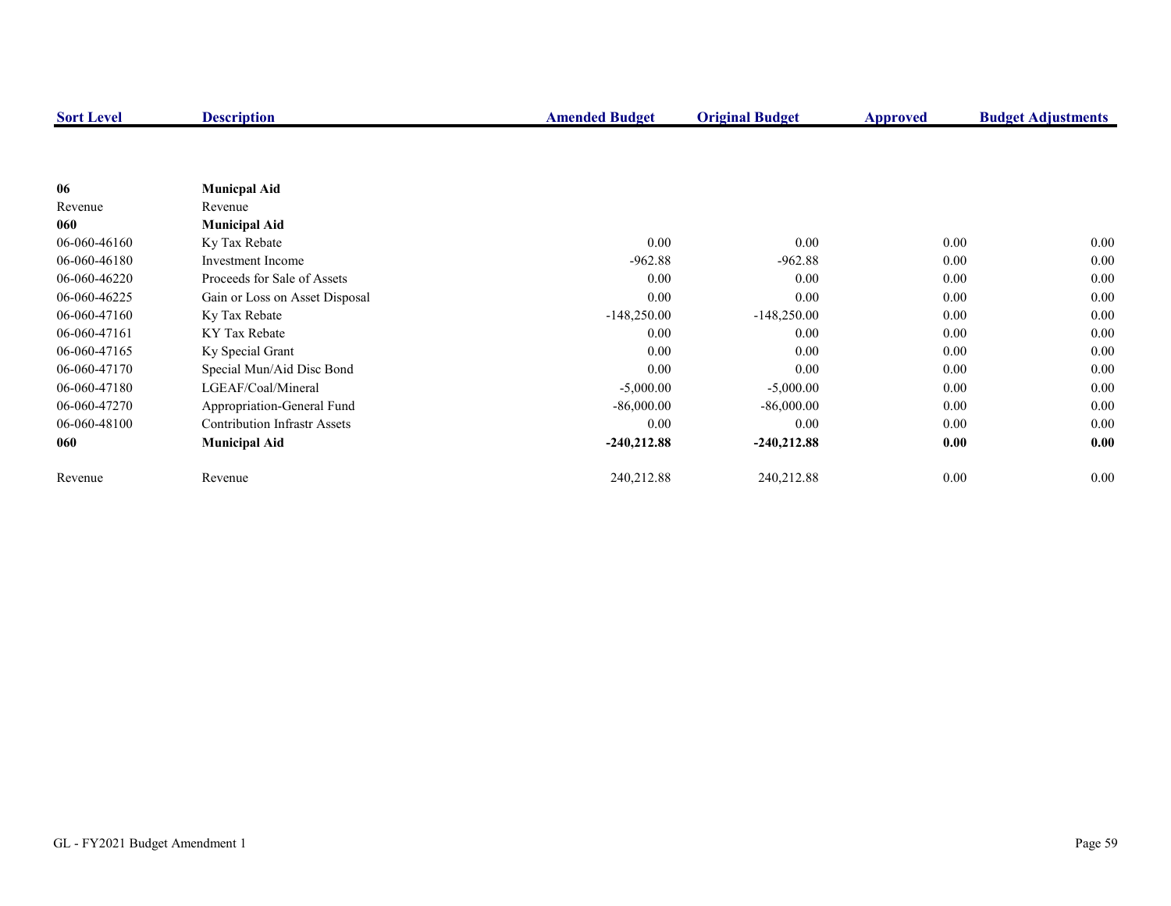| <b>Sort Level</b> | <b>Description</b>                  | <b>Amended Budget</b> | <b>Original Budget</b> | <b>Approved</b> | <b>Budget Adjustments</b> |
|-------------------|-------------------------------------|-----------------------|------------------------|-----------------|---------------------------|
|                   |                                     |                       |                        |                 |                           |
|                   |                                     |                       |                        |                 |                           |
| 06                | <b>Municpal Aid</b>                 |                       |                        |                 |                           |
| Revenue           | Revenue                             |                       |                        |                 |                           |
| 060               | <b>Municipal Aid</b>                |                       |                        |                 |                           |
| 06-060-46160      | Ky Tax Rebate                       | 0.00                  | 0.00                   | 0.00            | $0.00\,$                  |
| 06-060-46180      | Investment Income                   | $-962.88$             | $-962.88$              | 0.00            | $0.00\,$                  |
| 06-060-46220      | Proceeds for Sale of Assets         | 0.00                  | 0.00                   | 0.00            | 0.00                      |
| 06-060-46225      | Gain or Loss on Asset Disposal      | 0.00                  | 0.00                   | 0.00            | 0.00                      |
| 06-060-47160      | Ky Tax Rebate                       | $-148,250.00$         | $-148,250.00$          | 0.00            | 0.00                      |
| 06-060-47161      | KY Tax Rebate                       | 0.00                  | 0.00                   | 0.00            | 0.00                      |
| 06-060-47165      | Ky Special Grant                    | 0.00                  | 0.00                   | 0.00            | 0.00                      |
| 06-060-47170      | Special Mun/Aid Disc Bond           | 0.00                  | 0.00                   | 0.00            | 0.00                      |
| 06-060-47180      | LGEAF/Coal/Mineral                  | $-5,000.00$           | $-5,000.00$            | 0.00            | 0.00                      |
| 06-060-47270      | Appropriation-General Fund          | $-86,000.00$          | $-86,000.00$           | 0.00            | 0.00                      |
| 06-060-48100      | <b>Contribution Infrastr Assets</b> | 0.00                  | 0.00                   | 0.00            | 0.00                      |
| 060               | <b>Municipal Aid</b>                | $-240,212.88$         | $-240,212.88$          | 0.00            | 0.00                      |
|                   |                                     |                       |                        |                 |                           |
| Revenue           | Revenue                             | 240,212.88            | 240,212.88             | 0.00            | $0.00\,$                  |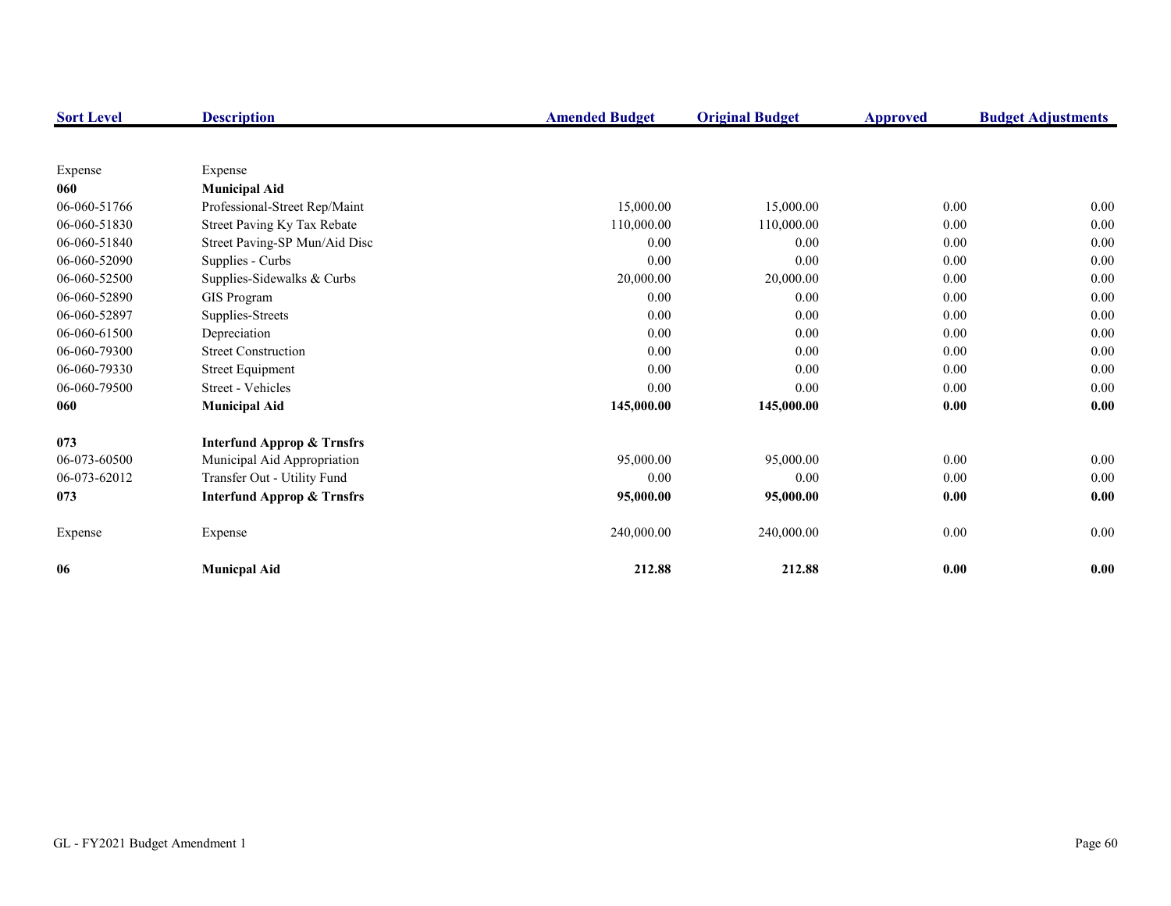| <b>Sort Level</b> | <b>Description</b>                    | <b>Amended Budget</b> | <b>Original Budget</b> | <b>Approved</b> | <b>Budget Adjustments</b> |
|-------------------|---------------------------------------|-----------------------|------------------------|-----------------|---------------------------|
|                   |                                       |                       |                        |                 |                           |
| Expense           | Expense                               |                       |                        |                 |                           |
| 060               | <b>Municipal Aid</b>                  |                       |                        |                 |                           |
| 06-060-51766      | Professional-Street Rep/Maint         | 15,000.00             | 15,000.00              | 0.00            | 0.00                      |
| 06-060-51830      | Street Paving Ky Tax Rebate           | 110,000.00            | 110,000.00             | 0.00            | $0.00\,$                  |
| 06-060-51840      | Street Paving-SP Mun/Aid Disc         | 0.00                  | 0.00                   | 0.00            | $0.00\,$                  |
| 06-060-52090      | Supplies - Curbs                      | 0.00                  | 0.00                   | 0.00            | 0.00                      |
| 06-060-52500      | Supplies-Sidewalks & Curbs            | 20,000.00             | 20,000.00              | 0.00            | 0.00                      |
| 06-060-52890      | GIS Program                           | 0.00                  | 0.00                   | 0.00            | 0.00                      |
| 06-060-52897      | Supplies-Streets                      | 0.00                  | 0.00                   | 0.00            | 0.00                      |
| 06-060-61500      | Depreciation                          | 0.00                  | 0.00                   | 0.00            | $0.00\,$                  |
| 06-060-79300      | <b>Street Construction</b>            | 0.00                  | 0.00                   | 0.00            | $0.00\,$                  |
| 06-060-79330      | <b>Street Equipment</b>               | 0.00                  | 0.00                   | 0.00            | $0.00\,$                  |
| 06-060-79500      | Street - Vehicles                     | 0.00                  | 0.00                   | 0.00            | 0.00                      |
| 060               | <b>Municipal Aid</b>                  | 145,000.00            | 145,000.00             | 0.00            | 0.00                      |
| 073               | <b>Interfund Approp &amp; Trnsfrs</b> |                       |                        |                 |                           |
| 06-073-60500      | Municipal Aid Appropriation           | 95,000.00             | 95,000.00              | 0.00            | 0.00                      |
| 06-073-62012      | Transfer Out - Utility Fund           | 0.00                  | 0.00                   | 0.00            | 0.00                      |
| 073               | <b>Interfund Approp &amp; Trnsfrs</b> | 95,000.00             | 95,000.00              | 0.00            | 0.00                      |
| Expense           | Expense                               | 240,000.00            | 240,000.00             | $0.00\,$        | 0.00                      |
| 06                | <b>Municpal Aid</b>                   | 212.88                | 212.88                 | 0.00            | 0.00                      |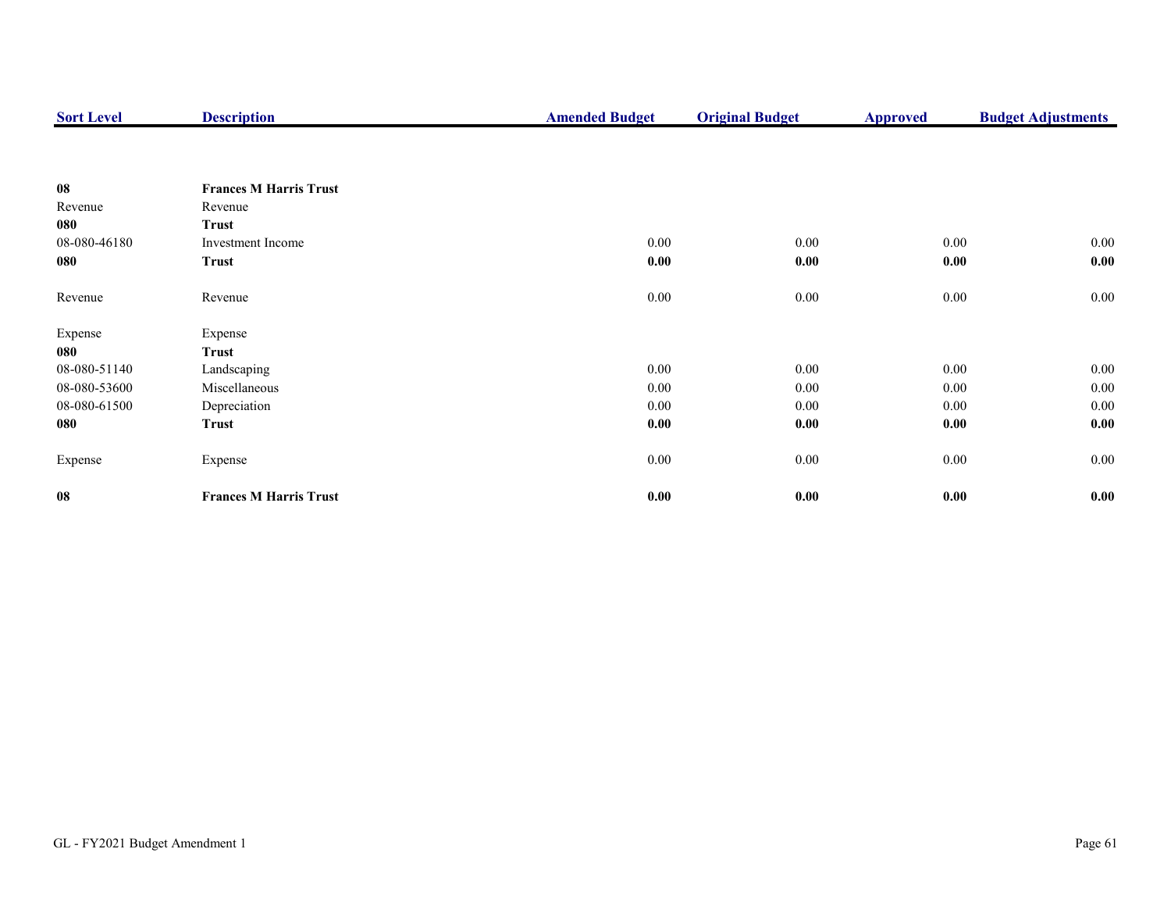| <b>Sort Level</b> | <b>Description</b>            | <b>Amended Budget</b> | <b>Original Budget</b> | <b>Approved</b> | <b>Budget Adjustments</b> |
|-------------------|-------------------------------|-----------------------|------------------------|-----------------|---------------------------|
|                   |                               |                       |                        |                 |                           |
| 08                | <b>Frances M Harris Trust</b> |                       |                        |                 |                           |
| Revenue           | Revenue                       |                       |                        |                 |                           |
| 080               | <b>Trust</b>                  |                       |                        |                 |                           |
| 08-080-46180      | Investment Income             | 0.00                  | 0.00                   | 0.00            | $0.00\,$                  |
| 080               | <b>Trust</b>                  | 0.00                  | 0.00                   | 0.00            | 0.00                      |
| Revenue           | Revenue                       | 0.00                  | $0.00\,$               | 0.00            | 0.00                      |
| Expense           | Expense                       |                       |                        |                 |                           |
| 080               | Trust                         |                       |                        |                 |                           |
| 08-080-51140      | Landscaping                   | 0.00                  | 0.00                   | 0.00            | $0.00\,$                  |
| 08-080-53600      | Miscellaneous                 | 0.00                  | 0.00                   | $0.00\,$        | $0.00\,$                  |
| 08-080-61500      | Depreciation                  | 0.00                  | $0.00\,$               | $0.00\,$        | $0.00\,$                  |
| 080               | Trust                         | 0.00                  | 0.00                   | 0.00            | 0.00                      |
| Expense           | Expense                       | 0.00                  | 0.00                   | 0.00            | $0.00\,$                  |
| 08                | <b>Frances M Harris Trust</b> | 0.00                  | $0.00\,$               | 0.00            | 0.00                      |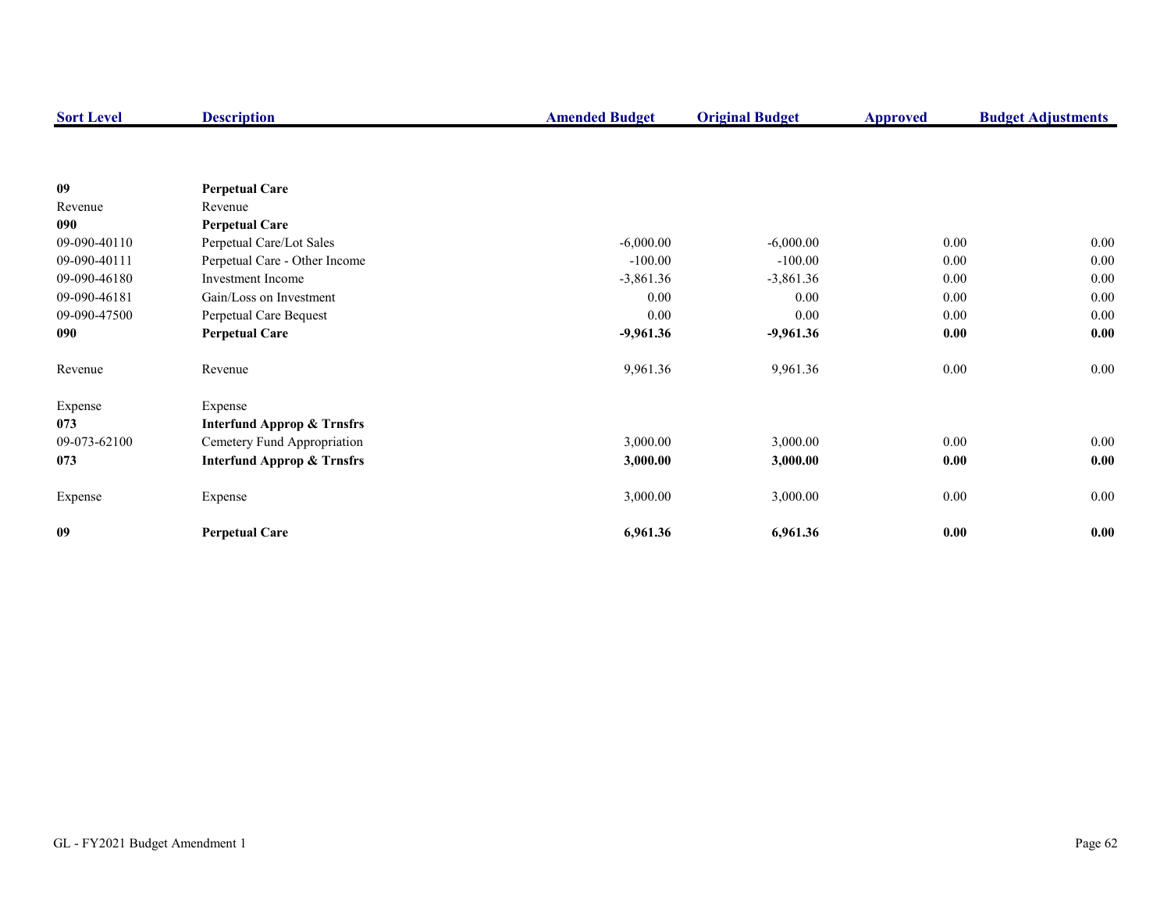| <b>Sort Level</b> | <b>Description</b>                    | <b>Amended Budget</b> | <b>Original Budget</b> | <b>Approved</b> | <b>Budget Adjustments</b> |
|-------------------|---------------------------------------|-----------------------|------------------------|-----------------|---------------------------|
|                   |                                       |                       |                        |                 |                           |
| 09                | <b>Perpetual Care</b>                 |                       |                        |                 |                           |
| Revenue           | Revenue                               |                       |                        |                 |                           |
| 090               | <b>Perpetual Care</b>                 |                       |                        |                 |                           |
| 09-090-40110      | Perpetual Care/Lot Sales              | $-6,000.00$           | $-6,000.00$            | 0.00            | 0.00                      |
| 09-090-40111      | Perpetual Care - Other Income         | $-100.00$             | $-100.00$              | $0.00\,$        | $0.00\,$                  |
| 09-090-46180      | <b>Investment Income</b>              | $-3,861.36$           | $-3,861.36$            | 0.00            | 0.00                      |
| 09-090-46181      | Gain/Loss on Investment               | 0.00                  | 0.00                   | 0.00            | 0.00                      |
| 09-090-47500      | Perpetual Care Bequest                | 0.00                  | 0.00                   | 0.00            | $0.00\,$                  |
| 090               | <b>Perpetual Care</b>                 | $-9,961.36$           | $-9,961.36$            | 0.00            | 0.00                      |
| Revenue           | Revenue                               | 9,961.36              | 9,961.36               | 0.00            | $0.00\,$                  |
| Expense           | Expense                               |                       |                        |                 |                           |
| 073               | <b>Interfund Approp &amp; Trnsfrs</b> |                       |                        |                 |                           |
| 09-073-62100      | Cemetery Fund Appropriation           | 3,000.00              | 3,000.00               | $0.00\,$        | $0.00\,$                  |
| 073               | <b>Interfund Approp &amp; Trnsfrs</b> | 3,000.00              | 3,000.00               | 0.00            | 0.00                      |
| Expense           | Expense                               | 3,000.00              | 3,000.00               | $0.00\,$        | $0.00\,$                  |
| 09                | <b>Perpetual Care</b>                 | 6,961.36              | 6,961.36               | 0.00            | 0.00                      |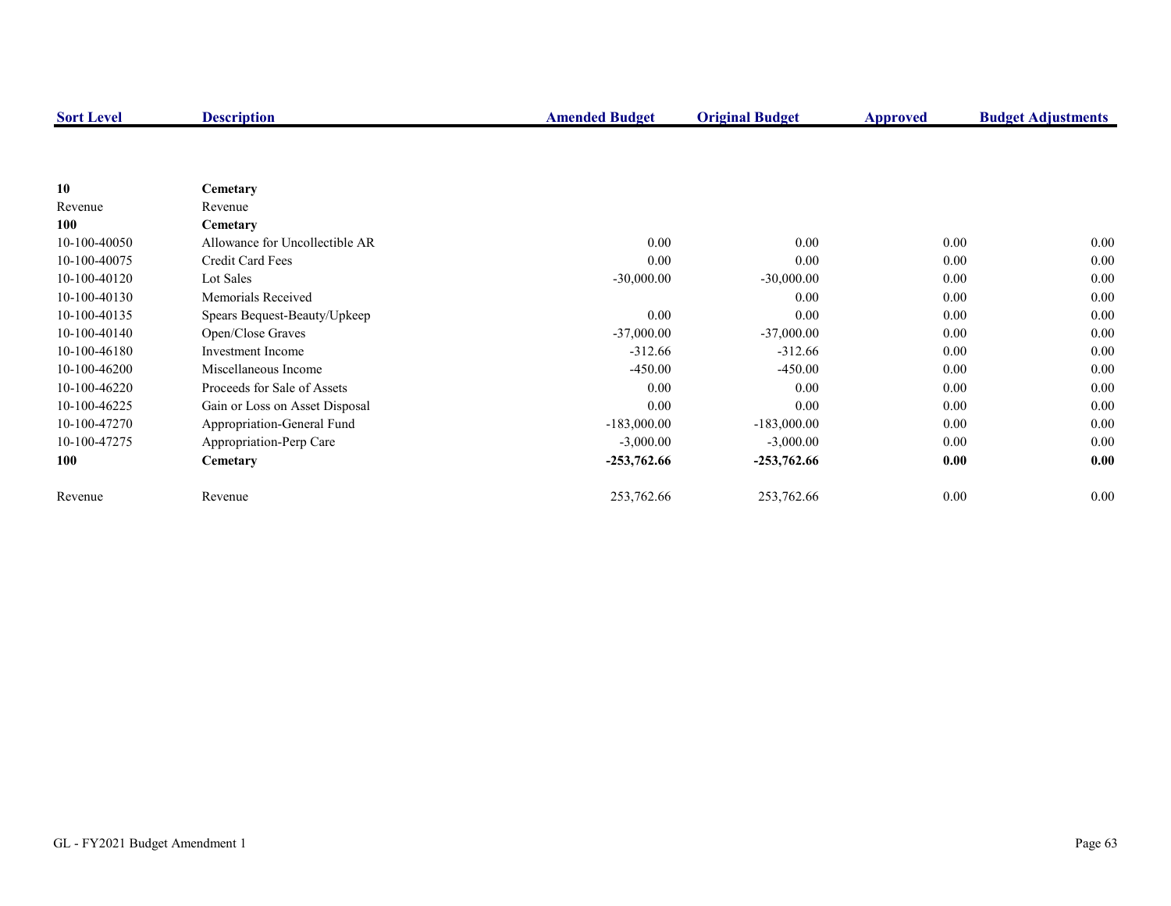| <b>Sort Level</b> | <b>Description</b>             | <b>Amended Budget</b> | <b>Original Budget</b> | <b>Approved</b> | <b>Budget Adjustments</b> |
|-------------------|--------------------------------|-----------------------|------------------------|-----------------|---------------------------|
|                   |                                |                       |                        |                 |                           |
|                   |                                |                       |                        |                 |                           |
| 10                | Cemetary                       |                       |                        |                 |                           |
| Revenue           | Revenue                        |                       |                        |                 |                           |
| 100               | Cemetary                       |                       |                        |                 |                           |
| 10-100-40050      | Allowance for Uncollectible AR | 0.00                  | 0.00                   | 0.00            | $0.00\,$                  |
| 10-100-40075      | Credit Card Fees               | 0.00                  | 0.00                   | 0.00            | 0.00                      |
| 10-100-40120      | Lot Sales                      | $-30,000.00$          | $-30,000.00$           | 0.00            | 0.00                      |
| 10-100-40130      | Memorials Received             |                       | 0.00                   | 0.00            | 0.00                      |
| 10-100-40135      | Spears Bequest-Beauty/Upkeep   | 0.00                  | 0.00                   | 0.00            | 0.00                      |
| 10-100-40140      | Open/Close Graves              | $-37,000.00$          | $-37,000.00$           | 0.00            | 0.00                      |
| 10-100-46180      | Investment Income              | $-312.66$             | $-312.66$              | 0.00            | 0.00                      |
| 10-100-46200      | Miscellaneous Income           | $-450.00$             | $-450.00$              | 0.00            | 0.00                      |
| 10-100-46220      | Proceeds for Sale of Assets    | 0.00                  | 0.00                   | 0.00            | 0.00                      |
| 10-100-46225      | Gain or Loss on Asset Disposal | 0.00                  | 0.00                   | 0.00            | 0.00                      |
| 10-100-47270      | Appropriation-General Fund     | $-183,000.00$         | $-183,000.00$          | 0.00            | 0.00                      |
| 10-100-47275      | Appropriation-Perp Care        | $-3,000.00$           | $-3,000.00$            | 0.00            | $0.00\,$                  |
| 100               | Cemetary                       | $-253,762.66$         | $-253,762.66$          | 0.00            | 0.00                      |
| Revenue           | Revenue                        | 253,762.66            | 253,762.66             | 0.00            | $0.00\,$                  |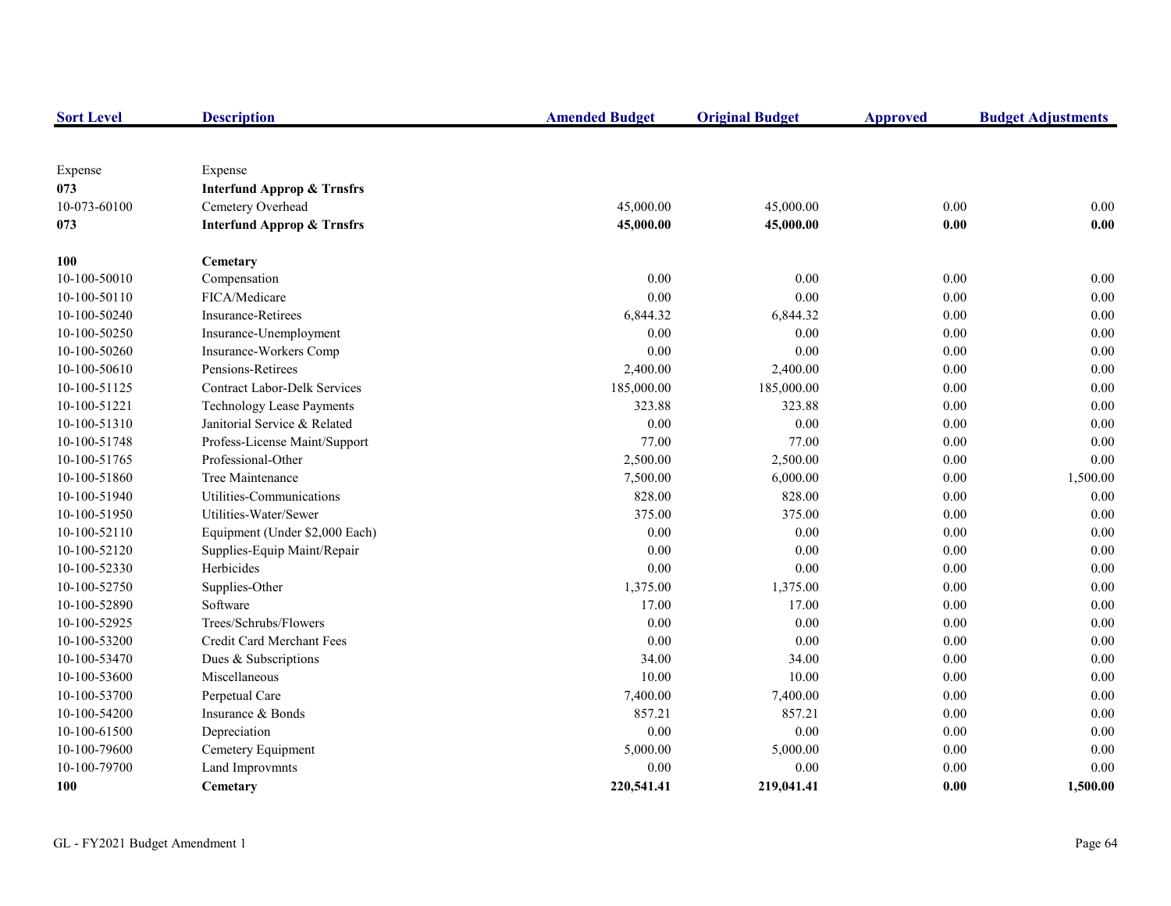| <b>Sort Level</b> | <b>Description</b>                    | <b>Amended Budget</b> | <b>Original Budget</b> | <b>Approved</b> | <b>Budget Adjustments</b> |
|-------------------|---------------------------------------|-----------------------|------------------------|-----------------|---------------------------|
|                   |                                       |                       |                        |                 |                           |
| Expense           | Expense                               |                       |                        |                 |                           |
| 073               | <b>Interfund Approp &amp; Trnsfrs</b> |                       |                        |                 |                           |
| 10-073-60100      | Cemetery Overhead                     | 45,000.00             | 45,000.00              | 0.00            | 0.00                      |
| 073               | <b>Interfund Approp &amp; Trnsfrs</b> | 45,000.00             | 45,000.00              | 0.00            | 0.00                      |
| <b>100</b>        | Cemetary                              |                       |                        |                 |                           |
| 10-100-50010      | Compensation                          | 0.00                  | 0.00                   | 0.00            | 0.00                      |
| 10-100-50110      | FICA/Medicare                         | 0.00                  | 0.00                   | 0.00            | $0.00\,$                  |
| 10-100-50240      | <b>Insurance-Retirees</b>             | 6,844.32              | 6,844.32               | 0.00            | 0.00                      |
| 10-100-50250      | Insurance-Unemployment                | 0.00                  | 0.00                   | 0.00            | $0.00\,$                  |
| 10-100-50260      | Insurance-Workers Comp                | 0.00                  | 0.00                   | $0.00\,$        | $0.00\,$                  |
| 10-100-50610      | Pensions-Retirees                     | 2,400.00              | 2,400.00               | $0.00\,$        | 0.00                      |
| 10-100-51125      | <b>Contract Labor-Delk Services</b>   | 185,000.00            | 185,000.00             | $0.00\,$        | 0.00                      |
| 10-100-51221      | Technology Lease Payments             | 323.88                | 323.88                 | 0.00            | $0.00\,$                  |
| 10-100-51310      | Janitorial Service & Related          | 0.00                  | 0.00                   | 0.00            | $0.00\,$                  |
| 10-100-51748      | Profess-License Maint/Support         | 77.00                 | 77.00                  | 0.00            | 0.00                      |
| 10-100-51765      | Professional-Other                    | 2,500.00              | 2,500.00               | $0.00\,$        | $0.00\,$                  |
| 10-100-51860      | Tree Maintenance                      | 7,500.00              | 6,000.00               | 0.00            | 1,500.00                  |
| 10-100-51940      | Utilities-Communications              | 828.00                | 828.00                 | 0.00            | 0.00                      |
| 10-100-51950      | Utilities-Water/Sewer                 | 375.00                | 375.00                 | 0.00            | 0.00                      |
| 10-100-52110      | Equipment (Under \$2,000 Each)        | 0.00                  | 0.00                   | 0.00            | 0.00                      |
| 10-100-52120      | Supplies-Equip Maint/Repair           | 0.00                  | 0.00                   | 0.00            | 0.00                      |
| 10-100-52330      | Herbicides                            | 0.00                  | 0.00                   | 0.00            | 0.00                      |
| 10-100-52750      | Supplies-Other                        | 1,375.00              | 1,375.00               | 0.00            | 0.00                      |
| 10-100-52890      | Software                              | 17.00                 | 17.00                  | 0.00            | 0.00                      |
| 10-100-52925      | Trees/Schrubs/Flowers                 | 0.00                  | 0.00                   | 0.00            | 0.00                      |
| 10-100-53200      | Credit Card Merchant Fees             | 0.00                  | 0.00                   | 0.00            | 0.00                      |
| 10-100-53470      | Dues & Subscriptions                  | 34.00                 | 34.00                  | 0.00            | $0.00\,$                  |
| 10-100-53600      | Miscellaneous                         | 10.00                 | 10.00                  | 0.00            | 0.00                      |
| 10-100-53700      | Perpetual Care                        | 7,400.00              | 7,400.00               | 0.00            | $0.00\,$                  |
| 10-100-54200      | Insurance & Bonds                     | 857.21                | 857.21                 | 0.00            | $0.00\,$                  |
| 10-100-61500      | Depreciation                          | 0.00                  | 0.00                   | 0.00            | 0.00                      |
| 10-100-79600      | Cemetery Equipment                    | 5,000.00              | 5,000.00               | 0.00            | 0.00                      |
| 10-100-79700      | Land Improvmnts                       | 0.00                  | 0.00                   | 0.00            | 0.00                      |
| 100               | Cemetary                              | 220,541.41            | 219,041.41             | 0.00            | 1,500.00                  |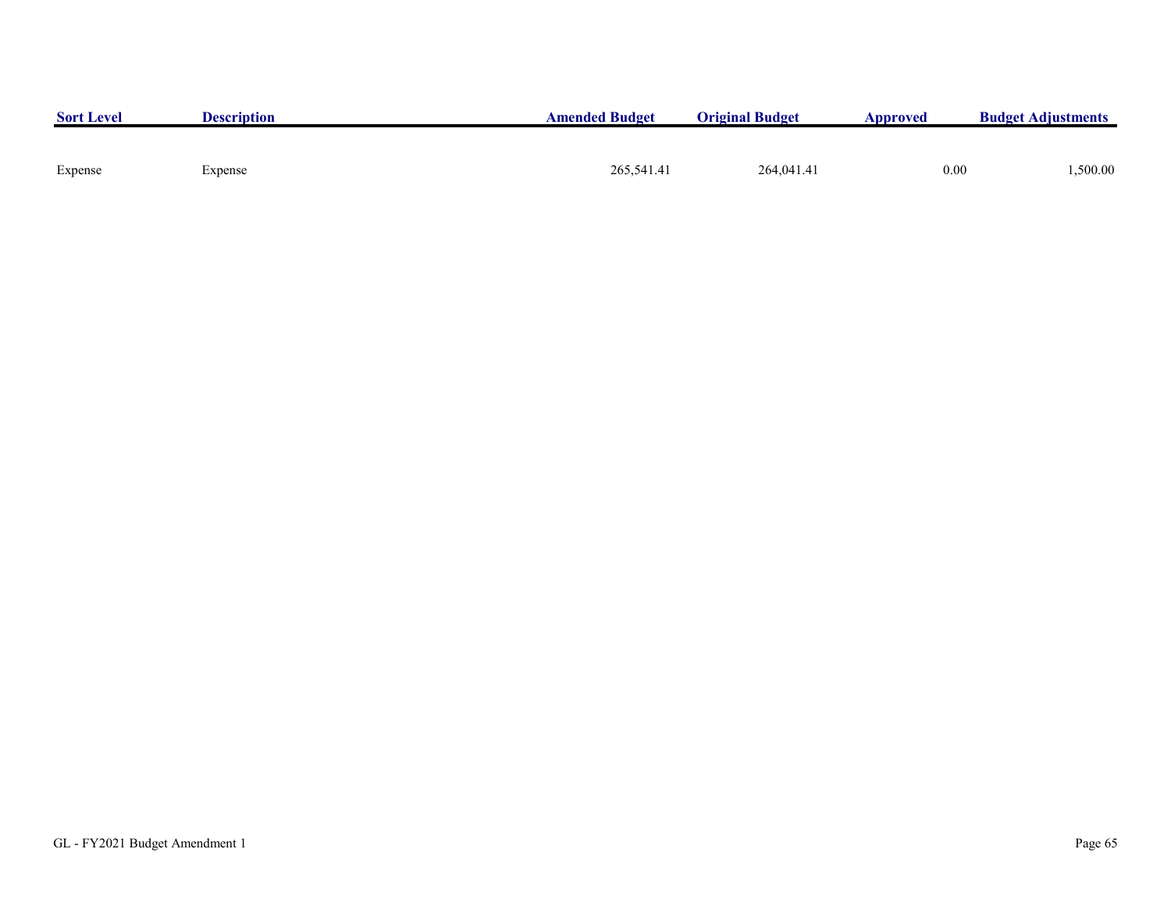| <b>Sort Level</b> | <b>Description</b> | <b>Amended Budget</b> | <b>Original Budget</b> | Approved | <b>Budget Adjustments</b> |
|-------------------|--------------------|-----------------------|------------------------|----------|---------------------------|
|                   |                    |                       |                        |          |                           |
| Expense           | Expense            | 265,541.41            | 264,041.41             | 0.00     | ,500.00                   |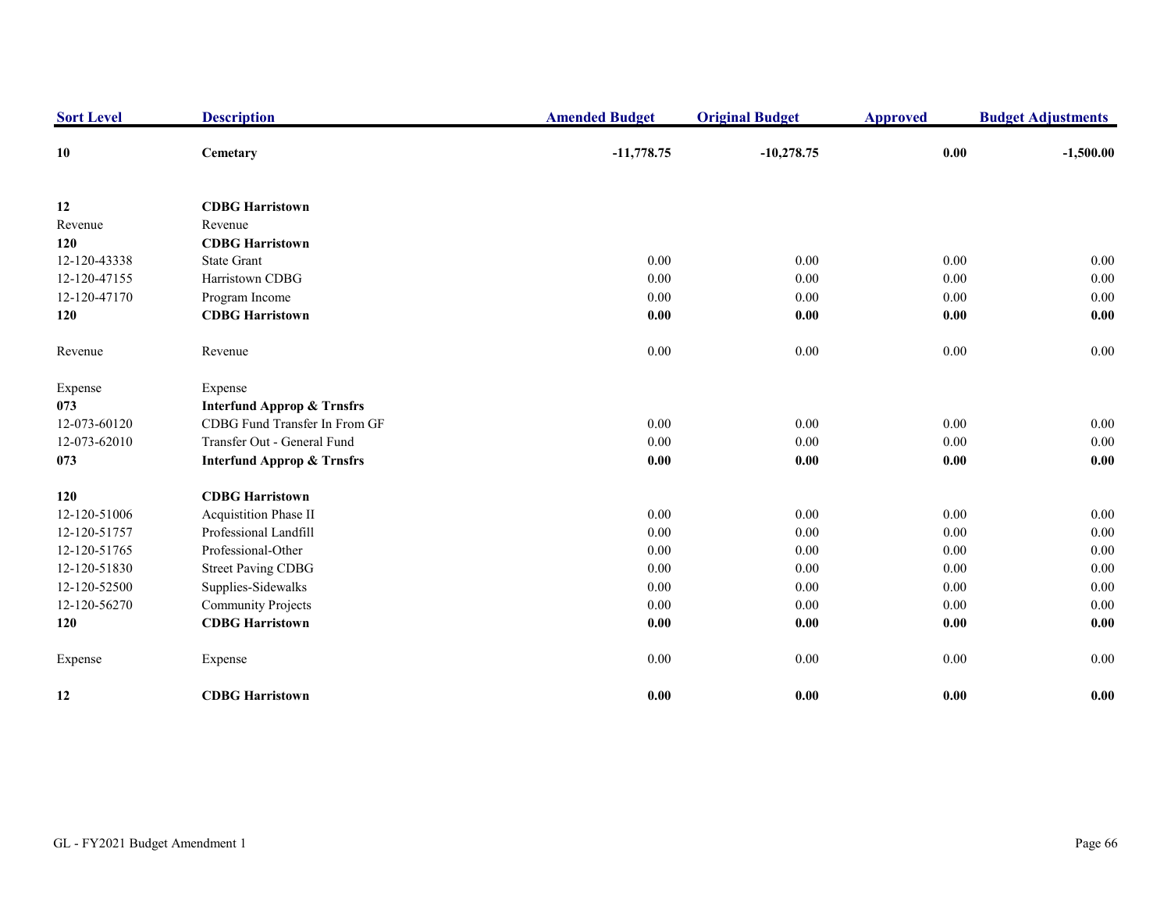| <b>Sort Level</b> | <b>Description</b>                    | <b>Amended Budget</b> | <b>Original Budget</b> | <b>Approved</b> | <b>Budget Adjustments</b> |
|-------------------|---------------------------------------|-----------------------|------------------------|-----------------|---------------------------|
| 10                | Cemetary                              | $-11,778.75$          | $-10,278.75$           | 0.00            | $-1,500.00$               |
| 12                | <b>CDBG Harristown</b>                |                       |                        |                 |                           |
| Revenue           | Revenue                               |                       |                        |                 |                           |
| 120               | <b>CDBG Harristown</b>                |                       |                        |                 |                           |
| 12-120-43338      | <b>State Grant</b>                    | 0.00                  | 0.00                   | 0.00            | 0.00                      |
| 12-120-47155      | Harristown CDBG                       | 0.00                  | 0.00                   | 0.00            | 0.00                      |
| 12-120-47170      | Program Income                        | 0.00                  | 0.00                   | 0.00            | 0.00                      |
| 120               | <b>CDBG Harristown</b>                | 0.00                  | 0.00                   | 0.00            | 0.00                      |
| Revenue           | Revenue                               | 0.00                  | 0.00                   | $0.00\,$        | $0.00\,$                  |
| Expense           | Expense                               |                       |                        |                 |                           |
| 073               | <b>Interfund Approp &amp; Trnsfrs</b> |                       |                        |                 |                           |
| 12-073-60120      | CDBG Fund Transfer In From GF         | 0.00                  | 0.00                   | 0.00            | 0.00                      |
| 12-073-62010      | Transfer Out - General Fund           | 0.00                  | 0.00                   | 0.00            | 0.00                      |
| 073               | <b>Interfund Approp &amp; Trnsfrs</b> | 0.00                  | $0.00\,$               | $0.00\,$        | 0.00                      |
| 120               | <b>CDBG Harristown</b>                |                       |                        |                 |                           |
| 12-120-51006      | Acquistition Phase II                 | 0.00                  | 0.00                   | 0.00            | 0.00                      |
| 12-120-51757      | Professional Landfill                 | 0.00                  | 0.00                   | 0.00            | 0.00                      |
| 12-120-51765      | Professional-Other                    | 0.00                  | 0.00                   | 0.00            | 0.00                      |
| 12-120-51830      | <b>Street Paving CDBG</b>             | 0.00                  | $0.00\,$               | 0.00            | $0.00\,$                  |
| 12-120-52500      | Supplies-Sidewalks                    | 0.00                  | 0.00                   | 0.00            | 0.00                      |
| 12-120-56270      | <b>Community Projects</b>             | 0.00                  | 0.00                   | 0.00            | 0.00                      |
| 120               | <b>CDBG Harristown</b>                | 0.00                  | 0.00                   | 0.00            | 0.00                      |
| Expense           | Expense                               | 0.00                  | 0.00                   | 0.00            | 0.00                      |
| 12                | <b>CDBG Harristown</b>                | 0.00                  | 0.00                   | 0.00            | 0.00                      |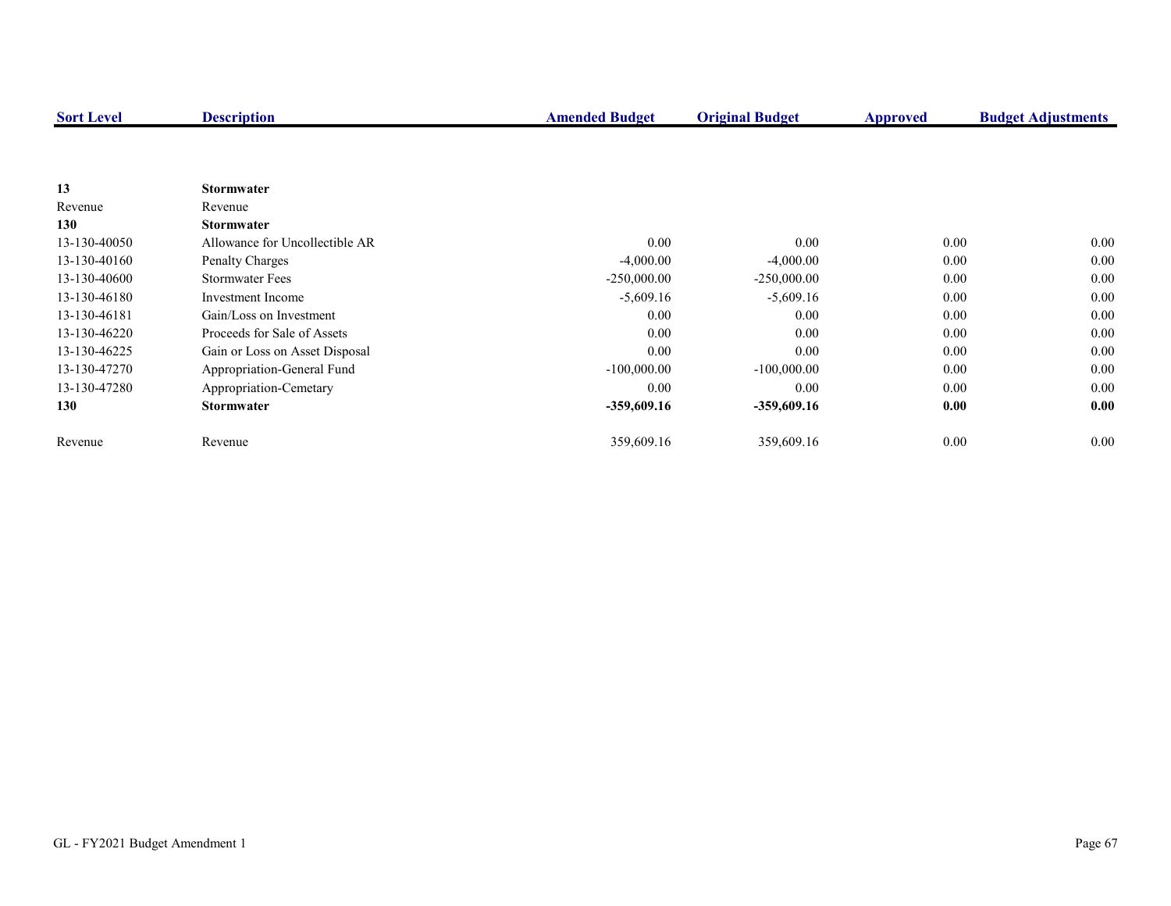| <b>Sort Level</b> | <b>Description</b>             | <b>Amended Budget</b> | <b>Original Budget</b> | <b>Approved</b> | <b>Budget Adjustments</b> |
|-------------------|--------------------------------|-----------------------|------------------------|-----------------|---------------------------|
|                   |                                |                       |                        |                 |                           |
|                   |                                |                       |                        |                 |                           |
| 13                | <b>Stormwater</b>              |                       |                        |                 |                           |
| Revenue           | Revenue                        |                       |                        |                 |                           |
| 130               | <b>Stormwater</b>              |                       |                        |                 |                           |
| 13-130-40050      | Allowance for Uncollectible AR | 0.00                  | $0.00\,$               | 0.00            | $0.00\,$                  |
| 13-130-40160      | Penalty Charges                | $-4,000.00$           | $-4,000.00$            | 0.00            | $0.00\,$                  |
| 13-130-40600      | <b>Stormwater Fees</b>         | $-250,000.00$         | $-250,000.00$          | 0.00            | 0.00                      |
| 13-130-46180      | Investment Income              | $-5,609.16$           | $-5,609.16$            | 0.00            | 0.00                      |
| 13-130-46181      | Gain/Loss on Investment        | 0.00                  | 0.00                   | 0.00            | $0.00\,$                  |
| 13-130-46220      | Proceeds for Sale of Assets    | 0.00                  | 0.00                   | 0.00            | $0.00\,$                  |
| 13-130-46225      | Gain or Loss on Asset Disposal | 0.00                  | 0.00                   | 0.00            | 0.00                      |
| 13-130-47270      | Appropriation-General Fund     | $-100,000.00$         | $-100,000.00$          | 0.00            | 0.00                      |
| 13-130-47280      | Appropriation-Cemetary         | 0.00                  | 0.00                   | 0.00            | 0.00                      |
| 130               | <b>Stormwater</b>              | -359,609.16           | -359,609.16            | 0.00            | 0.00                      |
| Revenue           | Revenue                        | 359,609.16            | 359,609.16             | 0.00            | $0.00\,$                  |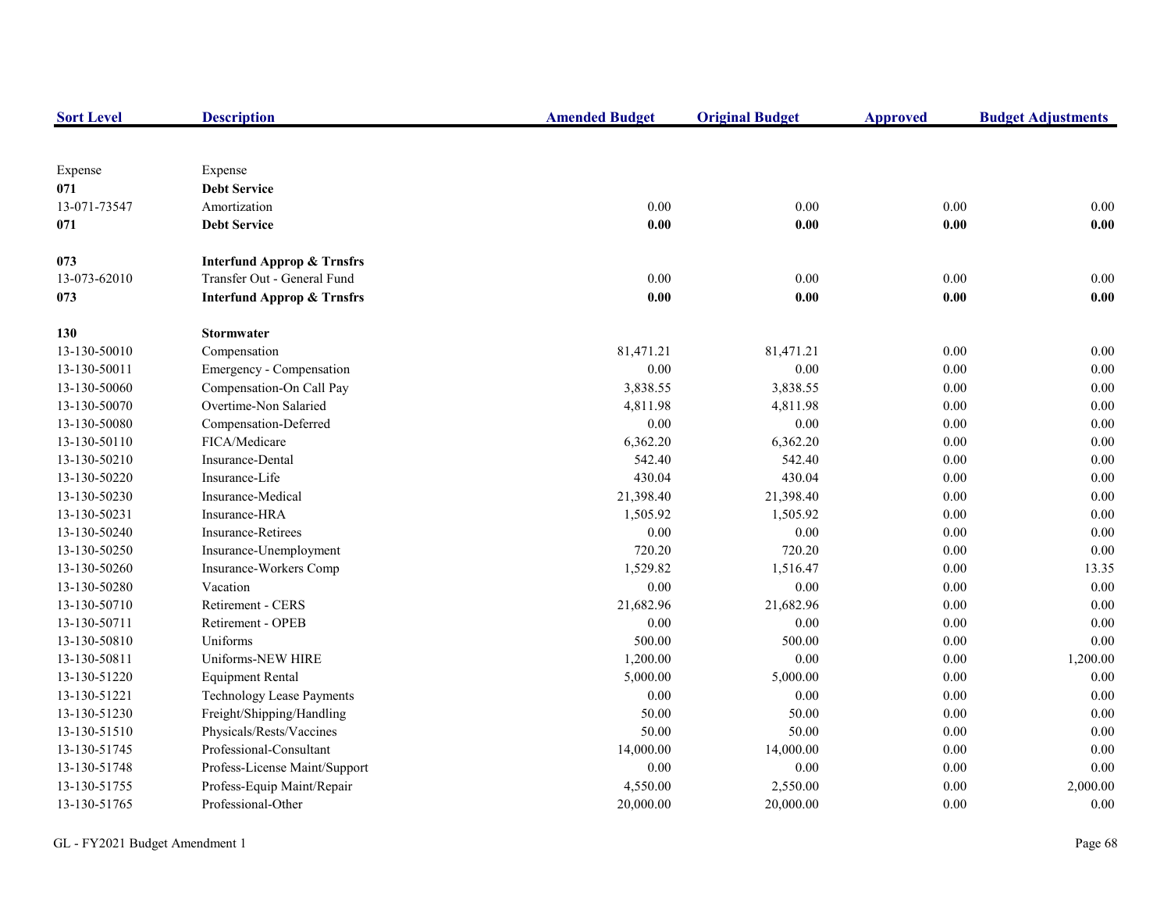| <b>Sort Level</b> | <b>Description</b>                    | <b>Amended Budget</b> | <b>Original Budget</b> | <b>Approved</b> | <b>Budget Adjustments</b> |
|-------------------|---------------------------------------|-----------------------|------------------------|-----------------|---------------------------|
|                   |                                       |                       |                        |                 |                           |
| Expense           | Expense                               |                       |                        |                 |                           |
| 071               | <b>Debt Service</b>                   |                       |                        |                 |                           |
| 13-071-73547      | Amortization                          | 0.00                  | 0.00                   | 0.00            | 0.00                      |
| 071               | <b>Debt Service</b>                   | 0.00                  | 0.00                   | 0.00            | 0.00                      |
| 073               | <b>Interfund Approp &amp; Trnsfrs</b> |                       |                        |                 |                           |
| 13-073-62010      | Transfer Out - General Fund           | 0.00                  | $0.00\,$               | $0.00\,$        | $0.00\,$                  |
| 073               | <b>Interfund Approp &amp; Trnsfrs</b> | 0.00                  | 0.00                   | 0.00            | 0.00                      |
| 130               | <b>Stormwater</b>                     |                       |                        |                 |                           |
| 13-130-50010      | Compensation                          | 81,471.21             | 81,471.21              | 0.00            | 0.00                      |
| 13-130-50011      | Emergency - Compensation              | 0.00                  | 0.00                   | 0.00            | $0.00\,$                  |
| 13-130-50060      | Compensation-On Call Pay              | 3,838.55              | 3,838.55               | 0.00            | $0.00\,$                  |
| 13-130-50070      | Overtime-Non Salaried                 | 4,811.98              | 4,811.98               | 0.00            | 0.00                      |
| 13-130-50080      | Compensation-Deferred                 | 0.00                  | $0.00\,$               | 0.00            | 0.00                      |
| 13-130-50110      | FICA/Medicare                         | 6,362.20              | 6,362.20               | 0.00            | 0.00                      |
| 13-130-50210      | Insurance-Dental                      | 542.40                | 542.40                 | 0.00            | 0.00                      |
| 13-130-50220      | Insurance-Life                        | 430.04                | 430.04                 | $0.00\,$        | $0.00\,$                  |
| 13-130-50230      | Insurance-Medical                     | 21,398.40             | 21,398.40              | 0.00            | $0.00\,$                  |
| 13-130-50231      | Insurance-HRA                         | 1,505.92              | 1,505.92               | 0.00            | $0.00\,$                  |
| 13-130-50240      | <b>Insurance-Retirees</b>             | 0.00                  | 0.00                   | 0.00            | 0.00                      |
| 13-130-50250      | Insurance-Unemployment                | 720.20                | 720.20                 | 0.00            | 0.00                      |
| 13-130-50260      | Insurance-Workers Comp                | 1,529.82              | 1,516.47               | 0.00            | 13.35                     |
| 13-130-50280      | Vacation                              | 0.00                  | $0.00\,$               | 0.00            | $0.00\,$                  |
| 13-130-50710      | Retirement - CERS                     | 21,682.96             | 21,682.96              | 0.00            | 0.00                      |
| 13-130-50711      | Retirement - OPEB                     | 0.00                  | 0.00                   | 0.00            | 0.00                      |
| 13-130-50810      | Uniforms                              | 500.00                | 500.00                 | 0.00            | 0.00                      |
| 13-130-50811      | Uniforms-NEW HIRE                     | 1,200.00              | $0.00\,$               | 0.00            | 1,200.00                  |
| 13-130-51220      | <b>Equipment Rental</b>               | 5,000.00              | 5,000.00               | $0.00\,$        | 0.00                      |
| 13-130-51221      | <b>Technology Lease Payments</b>      | 0.00                  | $0.00\,$               | 0.00            | $0.00\,$                  |
| 13-130-51230      | Freight/Shipping/Handling             | 50.00                 | 50.00                  | 0.00            | 0.00                      |
| 13-130-51510      | Physicals/Rests/Vaccines              | 50.00                 | 50.00                  | 0.00            | 0.00                      |
| 13-130-51745      | Professional-Consultant               | 14,000.00             | 14,000.00              | 0.00            | 0.00                      |
| 13-130-51748      | Profess-License Maint/Support         | 0.00                  | 0.00                   | 0.00            | 0.00                      |
| 13-130-51755      | Profess-Equip Maint/Repair            | 4,550.00              | 2,550.00               | 0.00            | 2,000.00                  |
| 13-130-51765      | Professional-Other                    | 20,000.00             | 20,000.00              | 0.00            | 0.00                      |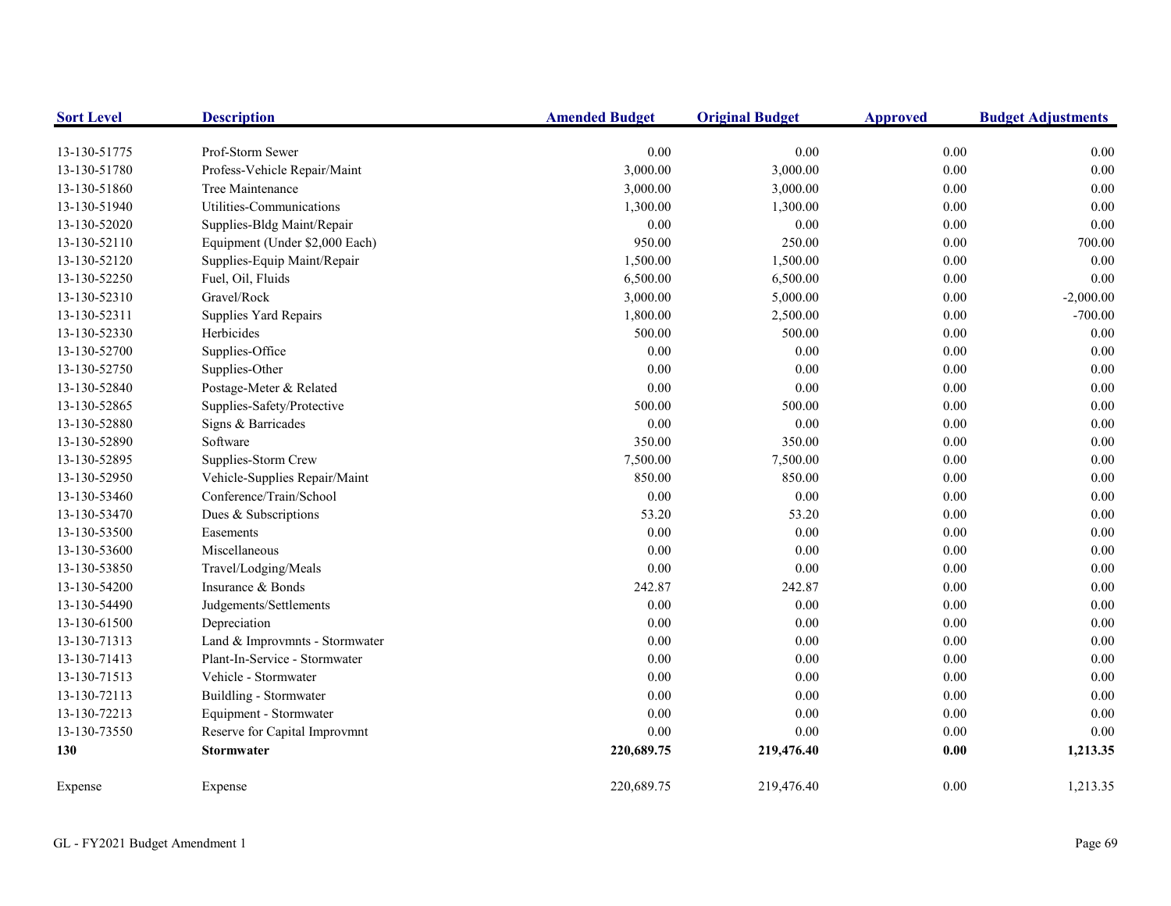| <b>Sort Level</b> | <b>Description</b>             | <b>Amended Budget</b> | <b>Original Budget</b> | <b>Approved</b> | <b>Budget Adjustments</b> |
|-------------------|--------------------------------|-----------------------|------------------------|-----------------|---------------------------|
| 13-130-51775      | Prof-Storm Sewer               | 0.00                  | $0.00\,$               | 0.00            | 0.00                      |
| 13-130-51780      | Profess-Vehicle Repair/Maint   | 3,000.00              | 3,000.00               | $0.00\,$        | $0.00\,$                  |
| 13-130-51860      | Tree Maintenance               | 3,000.00              | 3,000.00               | 0.00            | 0.00                      |
| 13-130-51940      | Utilities-Communications       | 1,300.00              | 1,300.00               | 0.00            | 0.00                      |
| 13-130-52020      | Supplies-Bldg Maint/Repair     | 0.00                  | 0.00                   | 0.00            | 0.00                      |
| 13-130-52110      | Equipment (Under \$2,000 Each) | 950.00                | 250.00                 | 0.00            | 700.00                    |
| 13-130-52120      | Supplies-Equip Maint/Repair    | 1,500.00              | 1,500.00               | 0.00            | 0.00                      |
| 13-130-52250      | Fuel, Oil, Fluids              | 6,500.00              | 6,500.00               | $0.00\,$        | 0.00                      |
| 13-130-52310      | Gravel/Rock                    | 3,000.00              | 5,000.00               | 0.00            | $-2,000.00$               |
| 13-130-52311      | Supplies Yard Repairs          | 1,800.00              | 2,500.00               | $0.00\,$        | $-700.00$                 |
| 13-130-52330      | Herbicides                     | 500.00                | 500.00                 | $0.00\,$        | 0.00                      |
| 13-130-52700      | Supplies-Office                | 0.00                  | 0.00                   | 0.00            | 0.00                      |
| 13-130-52750      | Supplies-Other                 | 0.00                  | 0.00                   | 0.00            | 0.00                      |
| 13-130-52840      | Postage-Meter & Related        | 0.00                  | 0.00                   | 0.00            | 0.00                      |
| 13-130-52865      | Supplies-Safety/Protective     | 500.00                | 500.00                 | 0.00            | $0.00\,$                  |
| 13-130-52880      | Signs & Barricades             | 0.00                  | 0.00                   | 0.00            | $0.00\,$                  |
| 13-130-52890      | Software                       | 350.00                | 350.00                 | 0.00            | 0.00                      |
| 13-130-52895      | Supplies-Storm Crew            | 7,500.00              | 7,500.00               | 0.00            | 0.00                      |
| 13-130-52950      | Vehicle-Supplies Repair/Maint  | 850.00                | 850.00                 | 0.00            | 0.00                      |
| 13-130-53460      | Conference/Train/School        | 0.00                  | 0.00                   | 0.00            | 0.00                      |
| 13-130-53470      | Dues & Subscriptions           | 53.20                 | 53.20                  | 0.00            | 0.00                      |
| 13-130-53500      | Easements                      | 0.00                  | 0.00                   | 0.00            | 0.00                      |
| 13-130-53600      | Miscellaneous                  | 0.00                  | $0.00\,$               | $0.00\,$        | $0.00\,$                  |
| 13-130-53850      | Travel/Lodging/Meals           | 0.00                  | $0.00\,$               | 0.00            | 0.00                      |
| 13-130-54200      | Insurance & Bonds              | 242.87                | 242.87                 | 0.00            | 0.00                      |
| 13-130-54490      | Judgements/Settlements         | 0.00                  | $0.00\,$               | 0.00            | 0.00                      |
| 13-130-61500      | Depreciation                   | 0.00                  | $0.00\,$               | $0.00\,$        | 0.00                      |
| 13-130-71313      | Land & Improvmnts - Stormwater | 0.00                  | 0.00                   | 0.00            | 0.00                      |
| 13-130-71413      | Plant-In-Service - Stormwater  | 0.00                  | 0.00                   | 0.00            | 0.00                      |
| 13-130-71513      | Vehicle - Stormwater           | 0.00                  | 0.00                   | 0.00            | 0.00                      |
| 13-130-72113      | Buildling - Stormwater         | 0.00                  | $0.00\,$               | $0.00\,$        | 0.00                      |
| 13-130-72213      | Equipment - Stormwater         | 0.00                  | $0.00\,$               | $0.00\,$        | 0.00                      |
| 13-130-73550      | Reserve for Capital Improvmnt  | 0.00                  | 0.00                   | 0.00            | 0.00                      |
| 130               | <b>Stormwater</b>              | 220,689.75            | 219,476.40             | 0.00            | 1,213.35                  |
| Expense           | Expense                        | 220,689.75            | 219,476.40             | 0.00            | 1,213.35                  |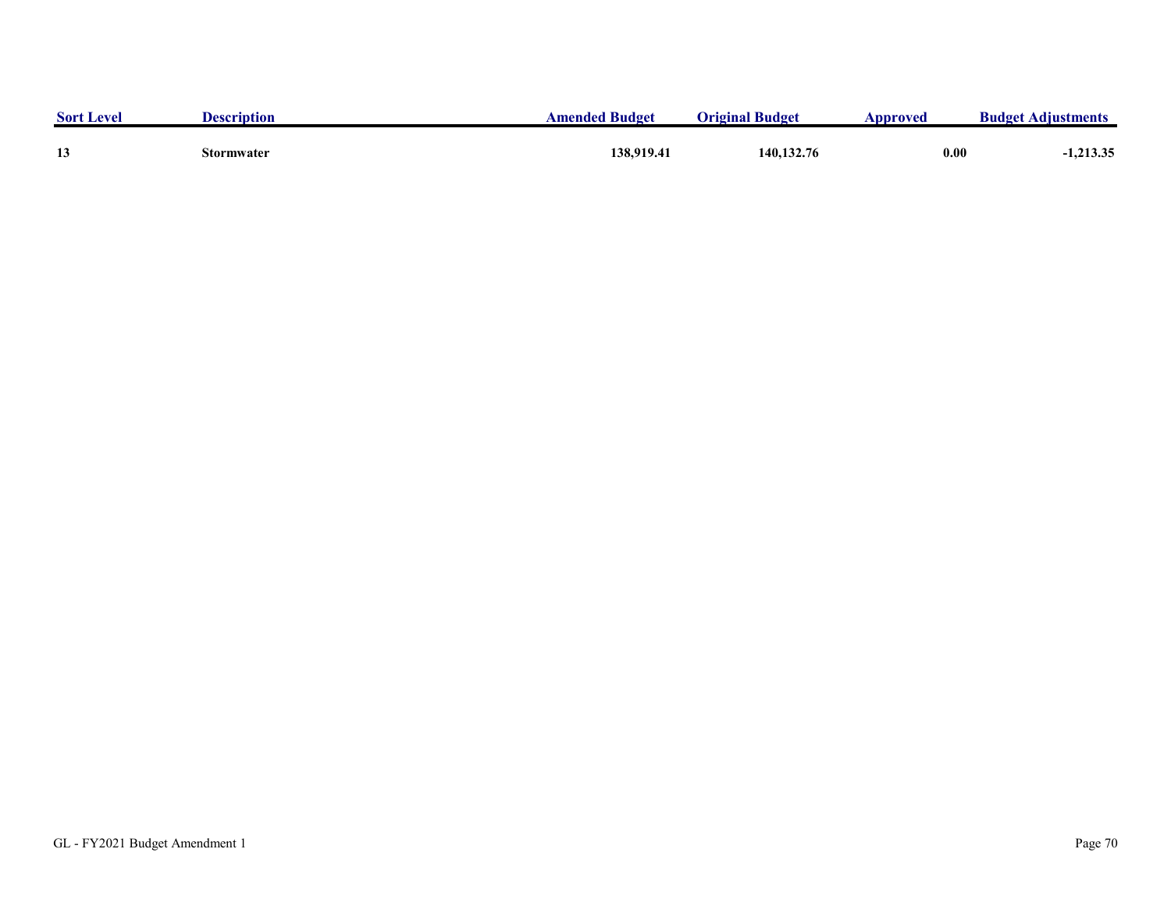| <b>Sort Level</b> | <b>Description</b> | <b>Amended Budget</b> | <b>Original Budget</b> | Approved | <b>Budget Adjustments</b> |
|-------------------|--------------------|-----------------------|------------------------|----------|---------------------------|
| 13                | Stormwater         | 138,919.4             | 140,132.76             | 0.00     | 1,213.35                  |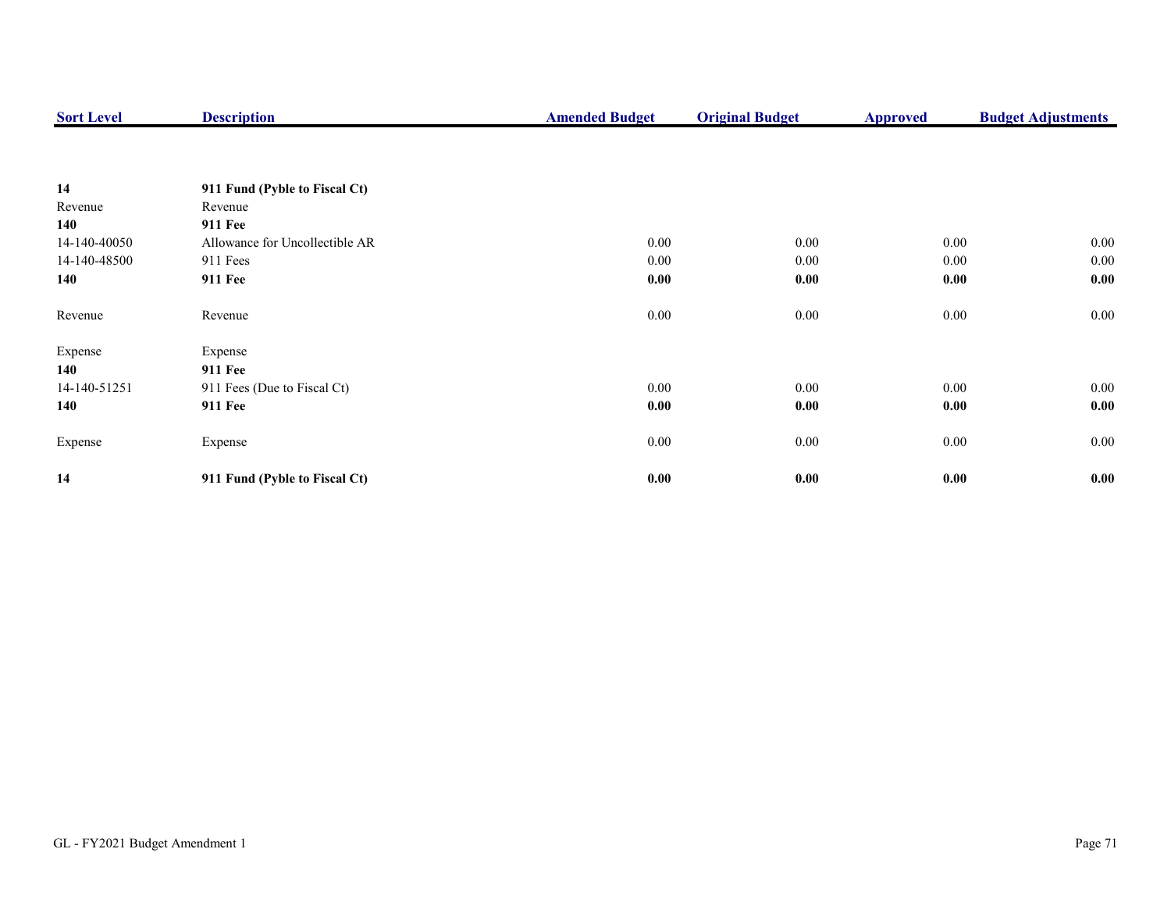| <b>Sort Level</b> | <b>Description</b>             | <b>Amended Budget</b> | <b>Original Budget</b> | <b>Approved</b> | <b>Budget Adjustments</b> |
|-------------------|--------------------------------|-----------------------|------------------------|-----------------|---------------------------|
|                   |                                |                       |                        |                 |                           |
| 14                | 911 Fund (Pyble to Fiscal Ct)  |                       |                        |                 |                           |
| Revenue           | Revenue                        |                       |                        |                 |                           |
| 140               | <b>911 Fee</b>                 |                       |                        |                 |                           |
| 14-140-40050      | Allowance for Uncollectible AR | 0.00                  | 0.00                   | $0.00\,$        | $0.00\,$                  |
| 14-140-48500      | 911 Fees                       | 0.00                  | 0.00                   | $0.00\,$        | $0.00\,$                  |
| 140               | 911 Fee                        | 0.00                  | 0.00                   | 0.00            | 0.00                      |
| Revenue           | Revenue                        | 0.00                  | $0.00\,$               | $0.00\,$        | $0.00\,$                  |
| Expense           | Expense                        |                       |                        |                 |                           |
| 140               | <b>911 Fee</b>                 |                       |                        |                 |                           |
| 14-140-51251      | 911 Fees (Due to Fiscal Ct)    | 0.00                  | 0.00                   | $0.00\,$        | 0.00                      |
| 140               | <b>911 Fee</b>                 | 0.00                  | 0.00                   | 0.00            | 0.00                      |
| Expense           | Expense                        | $0.00\,$              | 0.00                   | $0.00\,$        | $0.00\,$                  |
| 14                | 911 Fund (Pyble to Fiscal Ct)  | 0.00                  | 0.00                   | 0.00            | 0.00                      |